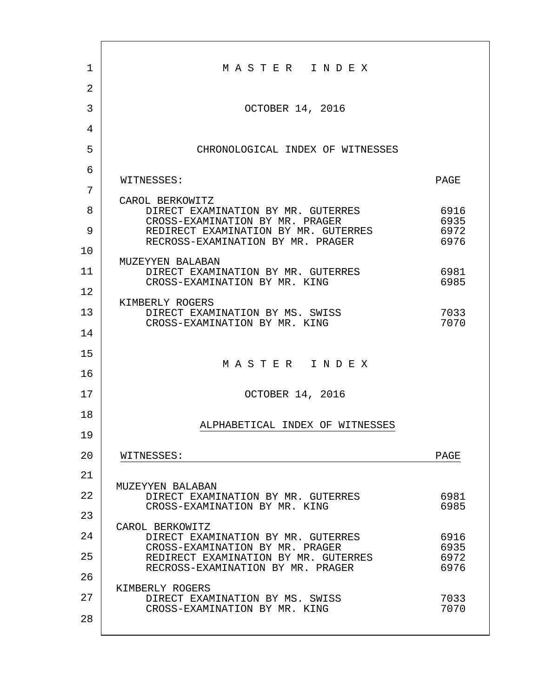| 1  | MASTER INDEX                                                              |              |
|----|---------------------------------------------------------------------------|--------------|
| 2  |                                                                           |              |
| 3  | OCTOBER 14, 2016                                                          |              |
| 4  |                                                                           |              |
| 5  | CHRONOLOGICAL INDEX OF WITNESSES                                          |              |
| 6  |                                                                           |              |
| 7  | WITNESSES:                                                                | PAGE         |
| 8  | CAROL BERKOWITZ<br>DIRECT EXAMINATION BY MR. GUTERRES                     | 6916         |
| 9  | CROSS-EXAMINATION BY MR. PRAGER<br>REDIRECT EXAMINATION BY MR. GUTERRES   | 6935<br>6972 |
| 10 | RECROSS-EXAMINATION BY MR. PRAGER                                         | 6976         |
|    | MUZEYYEN BALABAN                                                          |              |
| 11 | DIRECT EXAMINATION BY MR. GUTERRES<br>CROSS-EXAMINATION BY MR. KING       | 6981<br>6985 |
| 12 | KIMBERLY ROGERS                                                           |              |
| 13 | DIRECT EXAMINATION BY MS. SWISS<br>CROSS-EXAMINATION BY MR. KING          | 7033<br>7070 |
| 14 |                                                                           |              |
| 15 |                                                                           |              |
| 16 | MASTER INDEX                                                              |              |
| 17 | OCTOBER 14, 2016                                                          |              |
| 18 |                                                                           |              |
| 19 | ALPHABETICAL INDEX OF WITNESSES                                           |              |
| 20 | WITNESSES:                                                                | PAGE         |
| 21 |                                                                           |              |
| 22 | MUZEYYEN BALABAN<br>DIRECT EXAMINATION BY MR. GUTERRES                    | 6981         |
| 23 | CROSS-EXAMINATION BY MR. KING                                             | 6985         |
| 24 | CAROL BERKOWITZ<br>DIRECT EXAMINATION BY MR. GUTERRES                     | 6916         |
| 25 | CROSS-EXAMINATION BY MR. PRAGER                                           | 6935<br>6972 |
|    | REDIRECT EXAMINATION BY MR. GUTERRES<br>RECROSS-EXAMINATION BY MR. PRAGER | 6976         |
| 26 | KIMBERLY ROGERS                                                           |              |
| 27 | DIRECT EXAMINATION BY MS. SWISS<br>CROSS-EXAMINATION BY MR. KING          | 7033<br>7070 |
| 28 |                                                                           |              |
|    |                                                                           |              |

г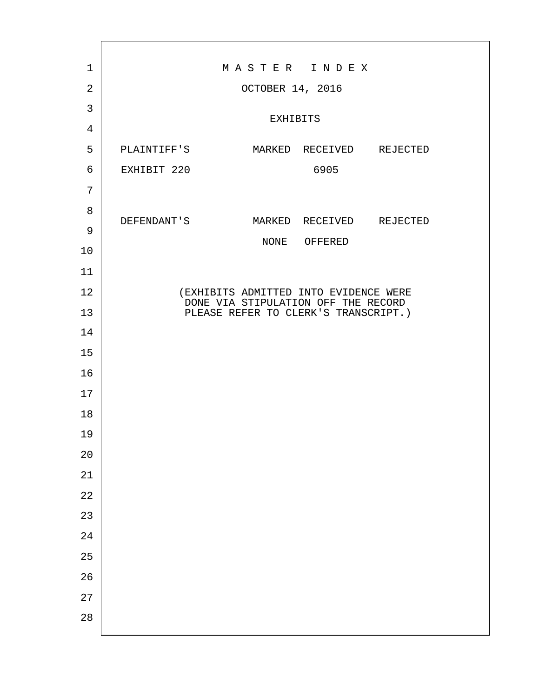| $\mathbf 1$ | MASTER INDEX                                                                |                                       |              |  |  |
|-------------|-----------------------------------------------------------------------------|---------------------------------------|--------------|--|--|
| 2           |                                                                             | OCTOBER 14, 2016                      |              |  |  |
| 3           |                                                                             | EXHIBITS                              |              |  |  |
| 4           |                                                                             |                                       |              |  |  |
| 5           | PLAINTIFF'S MARKED RECEIVED REJECTED                                        |                                       |              |  |  |
| 6           | EXHIBIT 220                                                                 |                                       | 6905         |  |  |
| 7           |                                                                             |                                       |              |  |  |
| 8           | DEFENDANT'S MARKED RECEIVED REJECTED                                        |                                       |              |  |  |
| 9           |                                                                             |                                       | NONE OFFERED |  |  |
| 10          |                                                                             |                                       |              |  |  |
| 11          |                                                                             |                                       |              |  |  |
| 12          |                                                                             | (EXHIBITS ADMITTED INTO EVIDENCE WERE |              |  |  |
| 13          | DONE VIA STIPULATION OFF THE RECORD<br>PLEASE REFER TO CLERK'S TRANSCRIPT.) |                                       |              |  |  |
| 14          |                                                                             |                                       |              |  |  |
| 15          |                                                                             |                                       |              |  |  |
| 16          |                                                                             |                                       |              |  |  |
| 17          |                                                                             |                                       |              |  |  |
| 18          |                                                                             |                                       |              |  |  |
| 19          |                                                                             |                                       |              |  |  |
| $20$        |                                                                             |                                       |              |  |  |
| $2\sqrt{1}$ |                                                                             |                                       |              |  |  |
| $2\sqrt{2}$ |                                                                             |                                       |              |  |  |
| 23          |                                                                             |                                       |              |  |  |
| 24          |                                                                             |                                       |              |  |  |
| 25          |                                                                             |                                       |              |  |  |
| 26          |                                                                             |                                       |              |  |  |
| 27          |                                                                             |                                       |              |  |  |
| 28          |                                                                             |                                       |              |  |  |
|             |                                                                             |                                       |              |  |  |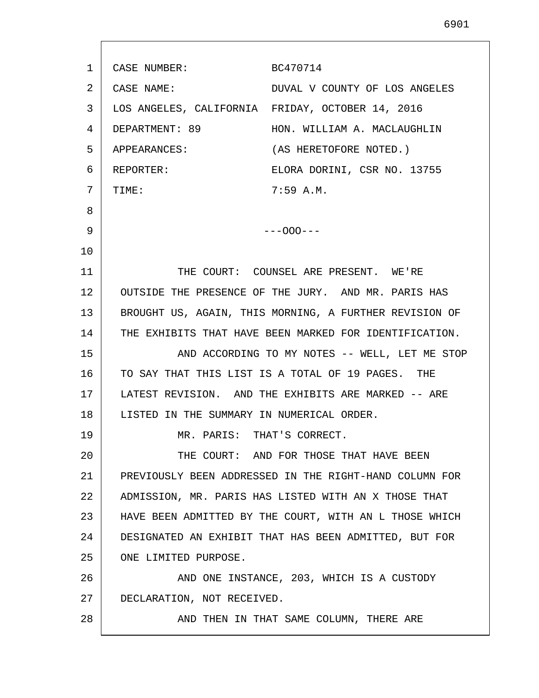| 1  | CASE NUMBER:                              | BC470714                                               |
|----|-------------------------------------------|--------------------------------------------------------|
| 2  | CASE NAME:                                | DUVAL V COUNTY OF LOS ANGELES                          |
| 3  |                                           | LOS ANGELES, CALIFORNIA FRIDAY, OCTOBER 14, 2016       |
| 4  | DEPARTMENT: 89                            | HON. WILLIAM A. MACLAUGHLIN                            |
| 5  | APPEARANCES:                              | (AS HERETOFORE NOTED.)                                 |
| 6  | REPORTER:                                 | ELORA DORINI, CSR NO. 13755                            |
| 7  | TIME:                                     | 7:59A.M.                                               |
| 8  |                                           |                                                        |
| 9  |                                           | $---000---$                                            |
| 10 |                                           |                                                        |
| 11 |                                           | THE COURT: COUNSEL ARE PRESENT. WE'RE                  |
| 12 |                                           | OUTSIDE THE PRESENCE OF THE JURY. AND MR. PARIS HAS    |
| 13 |                                           | BROUGHT US, AGAIN, THIS MORNING, A FURTHER REVISION OF |
| 14 |                                           | THE EXHIBITS THAT HAVE BEEN MARKED FOR IDENTIFICATION. |
| 15 |                                           | AND ACCORDING TO MY NOTES -- WELL, LET ME STOP         |
| 16 |                                           | TO SAY THAT THIS LIST IS A TOTAL OF 19 PAGES. THE      |
| 17 |                                           | LATEST REVISION. AND THE EXHIBITS ARE MARKED -- ARE    |
| 18 | LISTED IN THE SUMMARY IN NUMERICAL ORDER. |                                                        |
| 19 | MR. PARIS: THAT'S CORRECT.                |                                                        |
| 20 |                                           | THE COURT: AND FOR THOSE THAT HAVE BEEN                |
| 21 |                                           | PREVIOUSLY BEEN ADDRESSED IN THE RIGHT-HAND COLUMN FOR |
| 22 |                                           | ADMISSION, MR. PARIS HAS LISTED WITH AN X THOSE THAT   |
| 23 |                                           | HAVE BEEN ADMITTED BY THE COURT, WITH AN L THOSE WHICH |
| 24 |                                           | DESIGNATED AN EXHIBIT THAT HAS BEEN ADMITTED, BUT FOR  |
| 25 | ONE LIMITED PURPOSE.                      |                                                        |
| 26 |                                           | AND ONE INSTANCE, 203, WHICH IS A CUSTODY              |
| 27 | DECLARATION, NOT RECEIVED.                |                                                        |
| 28 |                                           | AND THEN IN THAT SAME COLUMN, THERE ARE                |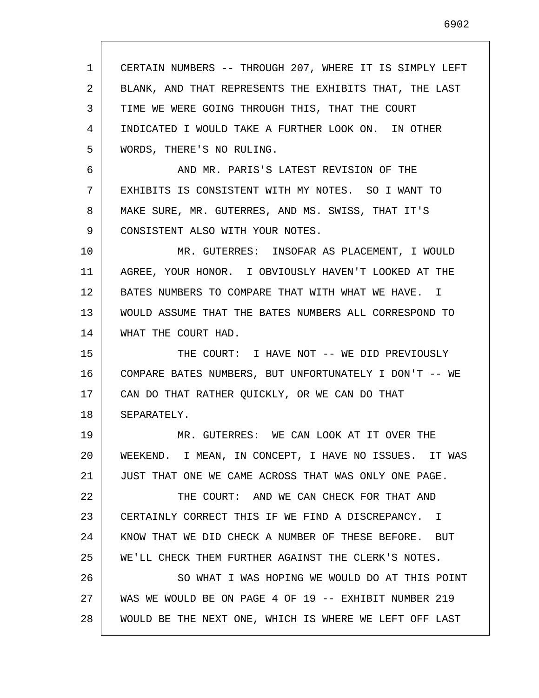1 2 3 4 5 6 7 8 9 10 11 12 13 14 15 16 17 18 19 20 21 22 23 24 25 26 27 28 CERTAIN NUMBERS -- THROUGH 207, WHERE IT IS SIMPLY LEFT BLANK, AND THAT REPRESENTS THE EXHIBITS THAT, THE LAST TIME WE WERE GOING THROUGH THIS, THAT THE COURT INDICATED I WOULD TAKE A FURTHER LOOK ON. IN OTHER WORDS, THERE'S NO RULING. AND MR. PARIS'S LATEST REVISION OF THE EXHIBITS IS CONSISTENT WITH MY NOTES. SO I WANT TO MAKE SURE, MR. GUTERRES, AND MS. SWISS, THAT IT'S CONSISTENT ALSO WITH YOUR NOTES. MR. GUTERRES: INSOFAR AS PLACEMENT, I WOULD AGREE, YOUR HONOR. I OBVIOUSLY HAVEN'T LOOKED AT THE BATES NUMBERS TO COMPARE THAT WITH WHAT WE HAVE. I WOULD ASSUME THAT THE BATES NUMBERS ALL CORRESPOND TO WHAT THE COURT HAD. THE COURT: I HAVE NOT -- WE DID PREVIOUSLY COMPARE BATES NUMBERS, BUT UNFORTUNATELY I DON'T -- WE CAN DO THAT RATHER QUICKLY, OR WE CAN DO THAT SEPARATELY. MR. GUTERRES: WE CAN LOOK AT IT OVER THE WEEKEND. I MEAN, IN CONCEPT, I HAVE NO ISSUES. IT WAS JUST THAT ONE WE CAME ACROSS THAT WAS ONLY ONE PAGE. THE COURT: AND WE CAN CHECK FOR THAT AND CERTAINLY CORRECT THIS IF WE FIND A DISCREPANCY. I KNOW THAT WE DID CHECK A NUMBER OF THESE BEFORE. BUT WE'LL CHECK THEM FURTHER AGAINST THE CLERK'S NOTES. SO WHAT I WAS HOPING WE WOULD DO AT THIS POINT WAS WE WOULD BE ON PAGE 4 OF 19 -- EXHIBIT NUMBER 219 WOULD BE THE NEXT ONE, WHICH IS WHERE WE LEFT OFF LAST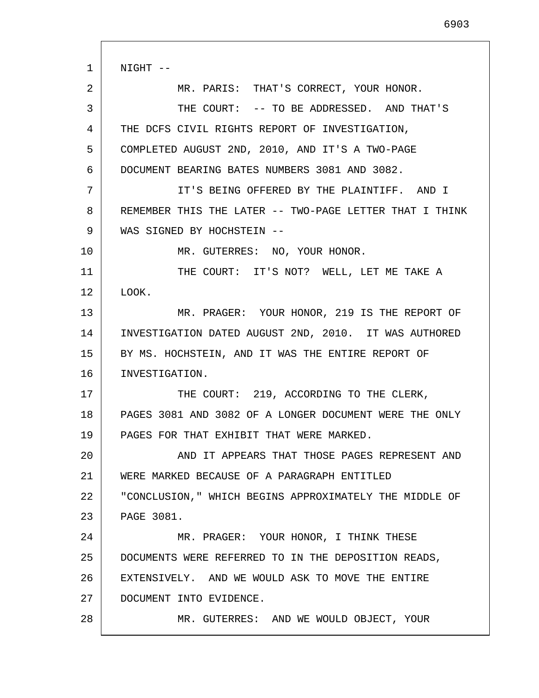1 2 3 4 5 6 7 8 9 10 11 12 13 14 15 16 17 18 19 20 21 22 23 24 25 26 27 28 NIGHT -- MR. PARIS: THAT'S CORRECT, YOUR HONOR. THE COURT: -- TO BE ADDRESSED. AND THAT'S THE DCFS CIVIL RIGHTS REPORT OF INVESTIGATION, COMPLETED AUGUST 2ND, 2010, AND IT'S A TWO-PAGE DOCUMENT BEARING BATES NUMBERS 3081 AND 3082. IT'S BEING OFFERED BY THE PLAINTIFF. AND I REMEMBER THIS THE LATER -- TWO-PAGE LETTER THAT I THINK WAS SIGNED BY HOCHSTEIN -- MR. GUTERRES: NO, YOUR HONOR. THE COURT: IT'S NOT? WELL, LET ME TAKE A LOOK. MR. PRAGER: YOUR HONOR, 219 IS THE REPORT OF INVESTIGATION DATED AUGUST 2ND, 2010. IT WAS AUTHORED BY MS. HOCHSTEIN, AND IT WAS THE ENTIRE REPORT OF INVESTIGATION. THE COURT: 219, ACCORDING TO THE CLERK, PAGES 3081 AND 3082 OF A LONGER DOCUMENT WERE THE ONLY PAGES FOR THAT EXHIBIT THAT WERE MARKED. AND IT APPEARS THAT THOSE PAGES REPRESENT AND WERE MARKED BECAUSE OF A PARAGRAPH ENTITLED "CONCLUSION," WHICH BEGINS APPROXIMATELY THE MIDDLE OF PAGE 3081. MR. PRAGER: YOUR HONOR, I THINK THESE DOCUMENTS WERE REFERRED TO IN THE DEPOSITION READS, EXTENSIVELY. AND WE WOULD ASK TO MOVE THE ENTIRE DOCUMENT INTO EVIDENCE. MR. GUTERRES: AND WE WOULD OBJECT, YOUR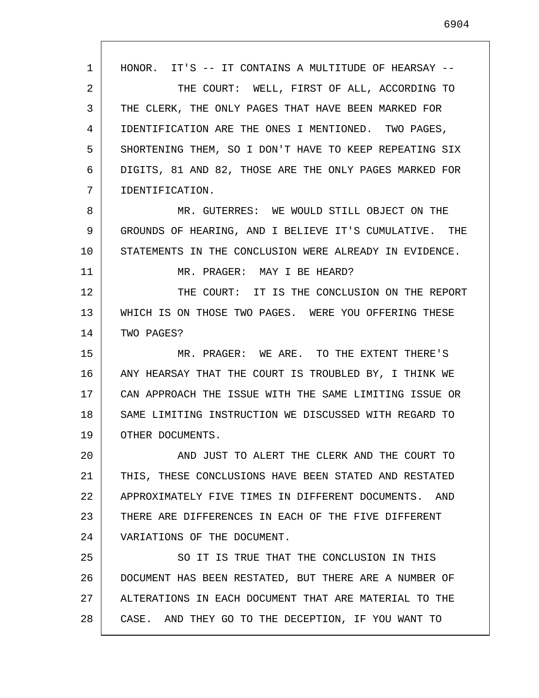1 2 3 4 5 6 7 8 9 10 11 12 13 14 15 16 17 18 19 20 21 22 23 24 25 26 27 28 HONOR. IT'S -- IT CONTAINS A MULTITUDE OF HEARSAY -- THE COURT: WELL, FIRST OF ALL, ACCORDING TO THE CLERK, THE ONLY PAGES THAT HAVE BEEN MARKED FOR IDENTIFICATION ARE THE ONES I MENTIONED. TWO PAGES, SHORTENING THEM, SO I DON'T HAVE TO KEEP REPEATING SIX DIGITS, 81 AND 82, THOSE ARE THE ONLY PAGES MARKED FOR IDENTIFICATION. MR. GUTERRES: WE WOULD STILL OBJECT ON THE GROUNDS OF HEARING, AND I BELIEVE IT'S CUMULATIVE. THE STATEMENTS IN THE CONCLUSION WERE ALREADY IN EVIDENCE. MR. PRAGER: MAY I BE HEARD? THE COURT: IT IS THE CONCLUSION ON THE REPORT WHICH IS ON THOSE TWO PAGES. WERE YOU OFFERING THESE TWO PAGES? MR. PRAGER: WE ARE. TO THE EXTENT THERE'S ANY HEARSAY THAT THE COURT IS TROUBLED BY, I THINK WE CAN APPROACH THE ISSUE WITH THE SAME LIMITING ISSUE OR SAME LIMITING INSTRUCTION WE DISCUSSED WITH REGARD TO OTHER DOCUMENTS. AND JUST TO ALERT THE CLERK AND THE COURT TO THIS, THESE CONCLUSIONS HAVE BEEN STATED AND RESTATED APPROXIMATELY FIVE TIMES IN DIFFERENT DOCUMENTS. AND THERE ARE DIFFERENCES IN EACH OF THE FIVE DIFFERENT VARIATIONS OF THE DOCUMENT. SO IT IS TRUE THAT THE CONCLUSION IN THIS DOCUMENT HAS BEEN RESTATED, BUT THERE ARE A NUMBER OF ALTERATIONS IN EACH DOCUMENT THAT ARE MATERIAL TO THE CASE. AND THEY GO TO THE DECEPTION, IF YOU WANT TO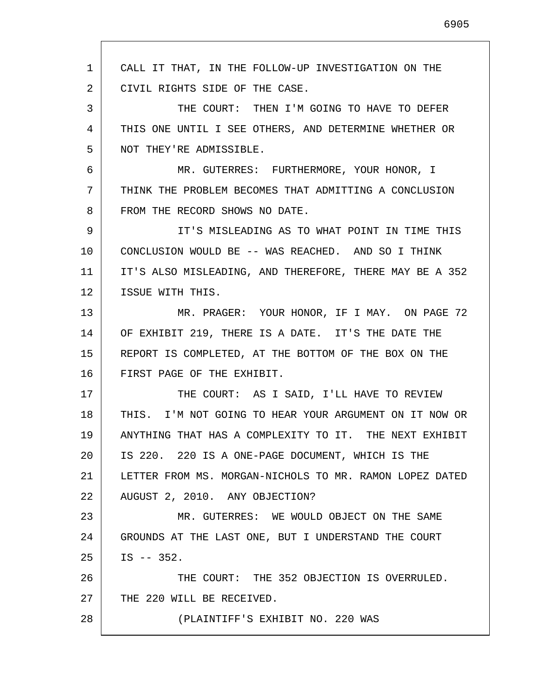1 2 3 4 5 6 7 8 9 10 11 12 13 14 15 16 17 18 19 20 21 22 23 24 25 26 27 28 CALL IT THAT, IN THE FOLLOW-UP INVESTIGATION ON THE CIVIL RIGHTS SIDE OF THE CASE. THE COURT: THEN I'M GOING TO HAVE TO DEFER THIS ONE UNTIL I SEE OTHERS, AND DETERMINE WHETHER OR NOT THEY'RE ADMISSIBLE. MR. GUTERRES: FURTHERMORE, YOUR HONOR, I THINK THE PROBLEM BECOMES THAT ADMITTING A CONCLUSION FROM THE RECORD SHOWS NO DATE. IT'S MISLEADING AS TO WHAT POINT IN TIME THIS CONCLUSION WOULD BE -- WAS REACHED. AND SO I THINK IT'S ALSO MISLEADING, AND THEREFORE, THERE MAY BE A 352 ISSUE WITH THIS. MR. PRAGER: YOUR HONOR, IF I MAY. ON PAGE 72 OF EXHIBIT 219, THERE IS A DATE. IT'S THE DATE THE REPORT IS COMPLETED, AT THE BOTTOM OF THE BOX ON THE FIRST PAGE OF THE EXHIBIT. THE COURT: AS I SAID, I'LL HAVE TO REVIEW THIS. I'M NOT GOING TO HEAR YOUR ARGUMENT ON IT NOW OR ANYTHING THAT HAS A COMPLEXITY TO IT. THE NEXT EXHIBIT IS 220. 220 IS A ONE-PAGE DOCUMENT, WHICH IS THE LETTER FROM MS. MORGAN-NICHOLS TO MR. RAMON LOPEZ DATED AUGUST 2, 2010. ANY OBJECTION? MR. GUTERRES: WE WOULD OBJECT ON THE SAME GROUNDS AT THE LAST ONE, BUT I UNDERSTAND THE COURT IS -- 352. THE COURT: THE 352 OBJECTION IS OVERRULED. THE 220 WILL BE RECEIVED. (PLAINTIFF'S EXHIBIT NO. 220 WAS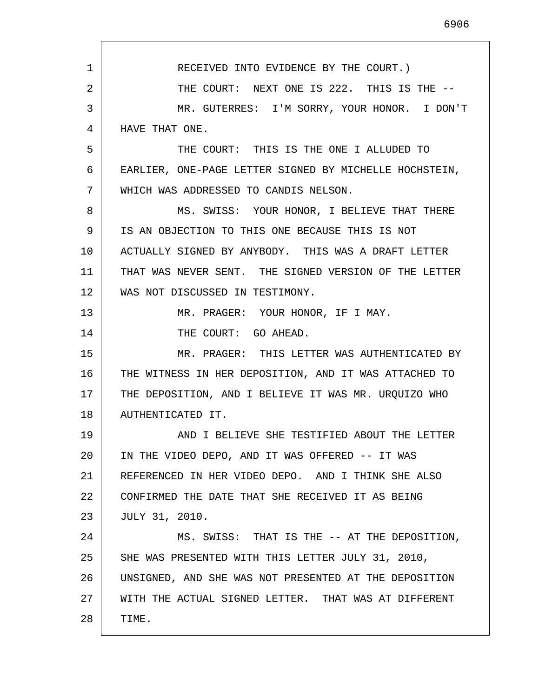1 2 3 4 5 6 7 8 9 10 11 12 13 14 15 16 17 18 19 20 21 22 23 24 25 26 27 28 RECEIVED INTO EVIDENCE BY THE COURT.) THE COURT: NEXT ONE IS 222. THIS IS THE -- MR. GUTERRES: I'M SORRY, YOUR HONOR. I DON'T HAVE THAT ONE. THE COURT: THIS IS THE ONE I ALLUDED TO EARLIER, ONE-PAGE LETTER SIGNED BY MICHELLE HOCHSTEIN, WHICH WAS ADDRESSED TO CANDIS NELSON. MS. SWISS: YOUR HONOR, I BELIEVE THAT THERE IS AN OBJECTION TO THIS ONE BECAUSE THIS IS NOT ACTUALLY SIGNED BY ANYBODY. THIS WAS A DRAFT LETTER THAT WAS NEVER SENT. THE SIGNED VERSION OF THE LETTER WAS NOT DISCUSSED IN TESTIMONY. MR. PRAGER: YOUR HONOR, IF I MAY. THE COURT: GO AHEAD. MR. PRAGER: THIS LETTER WAS AUTHENTICATED BY THE WITNESS IN HER DEPOSITION, AND IT WAS ATTACHED TO THE DEPOSITION, AND I BELIEVE IT WAS MR. URQUIZO WHO AUTHENTICATED IT. AND I BELIEVE SHE TESTIFIED ABOUT THE LETTER IN THE VIDEO DEPO, AND IT WAS OFFERED -- IT WAS REFERENCED IN HER VIDEO DEPO. AND I THINK SHE ALSO CONFIRMED THE DATE THAT SHE RECEIVED IT AS BEING JULY 31, 2010. MS. SWISS: THAT IS THE -- AT THE DEPOSITION, SHE WAS PRESENTED WITH THIS LETTER JULY 31, 2010, UNSIGNED, AND SHE WAS NOT PRESENTED AT THE DEPOSITION WITH THE ACTUAL SIGNED LETTER. THAT WAS AT DIFFERENT TIME.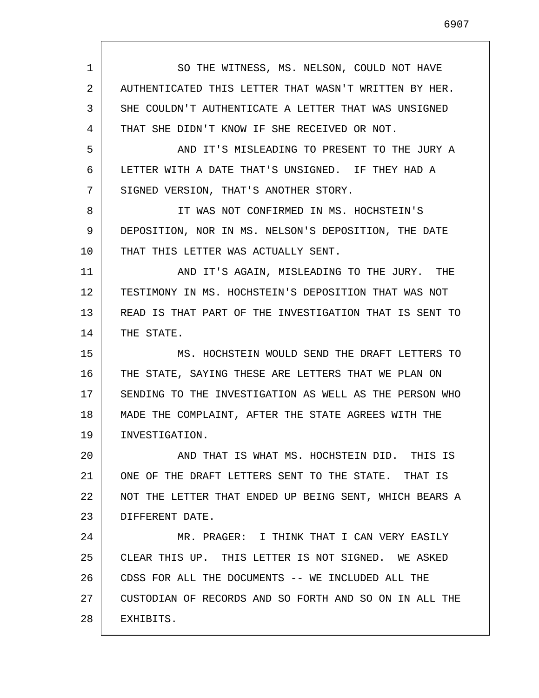1 2 3 4 5 6 7 8 9 10 11 12 13 14 15 16 17 18 19 20 21 22 23 24 25 26 27 28 SO THE WITNESS, MS. NELSON, COULD NOT HAVE AUTHENTICATED THIS LETTER THAT WASN'T WRITTEN BY HER. SHE COULDN'T AUTHENTICATE A LETTER THAT WAS UNSIGNED THAT SHE DIDN'T KNOW IF SHE RECEIVED OR NOT. AND IT'S MISLEADING TO PRESENT TO THE JURY A LETTER WITH A DATE THAT'S UNSIGNED. IF THEY HAD A SIGNED VERSION, THAT'S ANOTHER STORY. IT WAS NOT CONFIRMED IN MS. HOCHSTEIN'S DEPOSITION, NOR IN MS. NELSON'S DEPOSITION, THE DATE THAT THIS LETTER WAS ACTUALLY SENT. AND IT'S AGAIN, MISLEADING TO THE JURY. THE TESTIMONY IN MS. HOCHSTEIN'S DEPOSITION THAT WAS NOT READ IS THAT PART OF THE INVESTIGATION THAT IS SENT TO THE STATE. MS. HOCHSTEIN WOULD SEND THE DRAFT LETTERS TO THE STATE, SAYING THESE ARE LETTERS THAT WE PLAN ON SENDING TO THE INVESTIGATION AS WELL AS THE PERSON WHO MADE THE COMPLAINT, AFTER THE STATE AGREES WITH THE INVESTIGATION. AND THAT IS WHAT MS. HOCHSTEIN DID. THIS IS ONE OF THE DRAFT LETTERS SENT TO THE STATE. THAT IS NOT THE LETTER THAT ENDED UP BEING SENT, WHICH BEARS A DIFFERENT DATE. MR. PRAGER: I THINK THAT I CAN VERY EASILY CLEAR THIS UP. THIS LETTER IS NOT SIGNED. WE ASKED CDSS FOR ALL THE DOCUMENTS -- WE INCLUDED ALL THE CUSTODIAN OF RECORDS AND SO FORTH AND SO ON IN ALL THE EXHIBITS.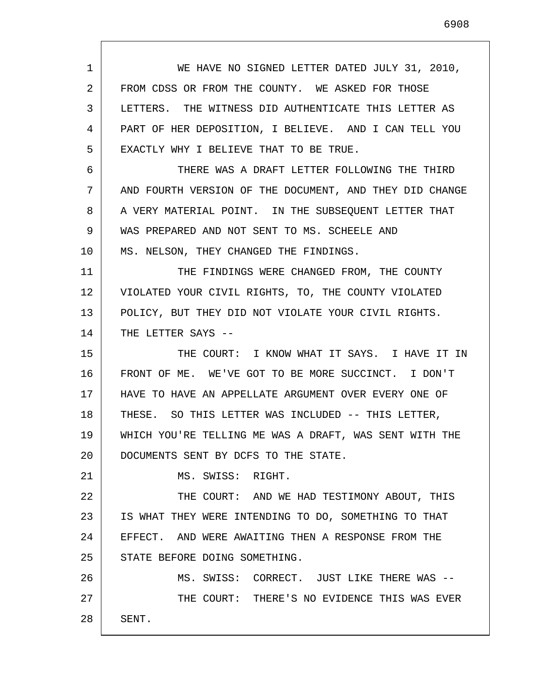1 2 3 4 5 6 7 8 9 10 11 12 13 14 15 16 17 18 19 20 21 22 23 24 25 26 27 28 WE HAVE NO SIGNED LETTER DATED JULY 31, 2010, FROM CDSS OR FROM THE COUNTY. WE ASKED FOR THOSE LETTERS. THE WITNESS DID AUTHENTICATE THIS LETTER AS PART OF HER DEPOSITION, I BELIEVE. AND I CAN TELL YOU EXACTLY WHY I BELIEVE THAT TO BE TRUE. THERE WAS A DRAFT LETTER FOLLOWING THE THIRD AND FOURTH VERSION OF THE DOCUMENT, AND THEY DID CHANGE A VERY MATERIAL POINT. IN THE SUBSEQUENT LETTER THAT WAS PREPARED AND NOT SENT TO MS. SCHEELE AND MS. NELSON, THEY CHANGED THE FINDINGS. THE FINDINGS WERE CHANGED FROM, THE COUNTY VIOLATED YOUR CIVIL RIGHTS, TO, THE COUNTY VIOLATED POLICY, BUT THEY DID NOT VIOLATE YOUR CIVIL RIGHTS. THE LETTER SAYS --THE COURT: I KNOW WHAT IT SAYS. I HAVE IT IN FRONT OF ME. WE'VE GOT TO BE MORE SUCCINCT. I DON'T HAVE TO HAVE AN APPELLATE ARGUMENT OVER EVERY ONE OF THESE. SO THIS LETTER WAS INCLUDED -- THIS LETTER, WHICH YOU'RE TELLING ME WAS A DRAFT, WAS SENT WITH THE DOCUMENTS SENT BY DCFS TO THE STATE. MS. SWISS: RIGHT. THE COURT: AND WE HAD TESTIMONY ABOUT, THIS IS WHAT THEY WERE INTENDING TO DO, SOMETHING TO THAT EFFECT. AND WERE AWAITING THEN A RESPONSE FROM THE STATE BEFORE DOING SOMETHING. MS. SWISS: CORRECT. JUST LIKE THERE WAS -- THE COURT: THERE'S NO EVIDENCE THIS WAS EVER SENT.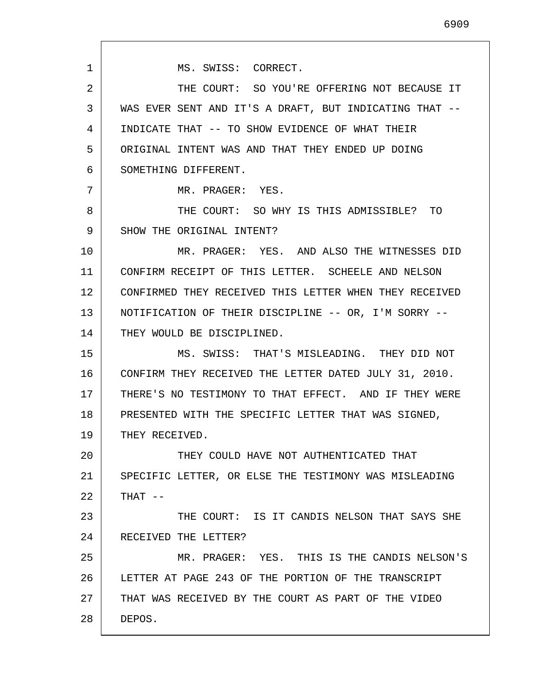THE COURT: SO YOU'RE OFFERING NOT BECAUSE IT WAS EVER SENT AND IT'S A DRAFT, BUT INDICATING THAT -- INDICATE THAT -- TO SHOW EVIDENCE OF WHAT THEIR ORIGINAL INTENT WAS AND THAT THEY ENDED UP DOING MR. PRAGER: YES. THE COURT: SO WHY IS THIS ADMISSIBLE? TO SHOW THE ORIGINAL INTENT? MR. PRAGER: YES. AND ALSO THE WITNESSES DID CONFIRM RECEIPT OF THIS LETTER. SCHEELE AND NELSON

12 13 14 CONFIRMED THEY RECEIVED THIS LETTER WHEN THEY RECEIVED NOTIFICATION OF THEIR DISCIPLINE -- OR, I'M SORRY -- THEY WOULD BE DISCIPLINED.

15 16 17 18 19 MS. SWISS: THAT'S MISLEADING. THEY DID NOT CONFIRM THEY RECEIVED THE LETTER DATED JULY 31, 2010. THERE'S NO TESTIMONY TO THAT EFFECT. AND IF THEY WERE PRESENTED WITH THE SPECIFIC LETTER THAT WAS SIGNED, THEY RECEIVED.

20 21 22 THEY COULD HAVE NOT AUTHENTICATED THAT SPECIFIC LETTER, OR ELSE THE TESTIMONY WAS MISLEADING THAT --

23 24 THE COURT: IS IT CANDIS NELSON THAT SAYS SHE RECEIVED THE LETTER?

25 26 27 28 MR. PRAGER: YES. THIS IS THE CANDIS NELSON'S LETTER AT PAGE 243 OF THE PORTION OF THE TRANSCRIPT THAT WAS RECEIVED BY THE COURT AS PART OF THE VIDEO DEPOS.

MS. SWISS: CORRECT.

SOMETHING DIFFERENT.

1

2

3

4

5

6

7

8

9

10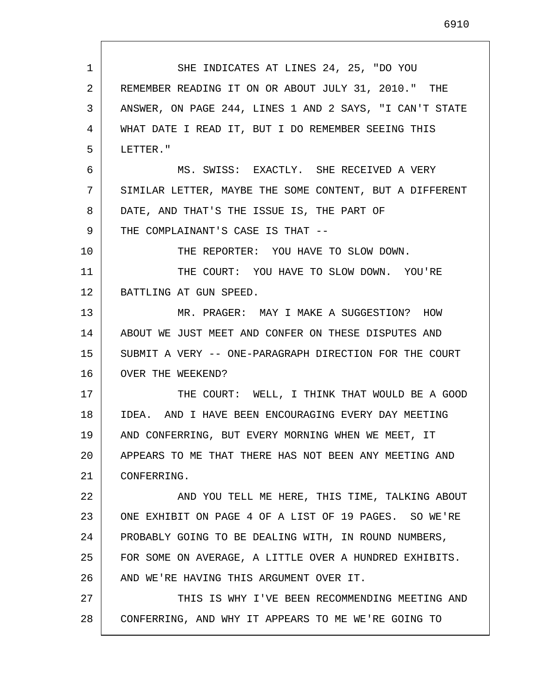1 2 3 4 5 6 7 8 9 10 11 12 13 14 15 16 17 18 19 20 21 22 23 24 25 26 27 28 SHE INDICATES AT LINES 24, 25, "DO YOU REMEMBER READING IT ON OR ABOUT JULY 31, 2010." THE ANSWER, ON PAGE 244, LINES 1 AND 2 SAYS, "I CAN'T STATE WHAT DATE I READ IT, BUT I DO REMEMBER SEEING THIS LETTER." MS. SWISS: EXACTLY. SHE RECEIVED A VERY SIMILAR LETTER, MAYBE THE SOME CONTENT, BUT A DIFFERENT DATE, AND THAT'S THE ISSUE IS, THE PART OF THE COMPLAINANT'S CASE IS THAT -- THE REPORTER: YOU HAVE TO SLOW DOWN. THE COURT: YOU HAVE TO SLOW DOWN. YOU'RE BATTLING AT GUN SPEED. MR. PRAGER: MAY I MAKE A SUGGESTION? HOW ABOUT WE JUST MEET AND CONFER ON THESE DISPUTES AND SUBMIT A VERY -- ONE-PARAGRAPH DIRECTION FOR THE COURT OVER THE WEEKEND? THE COURT: WELL, I THINK THAT WOULD BE A GOOD IDEA. AND I HAVE BEEN ENCOURAGING EVERY DAY MEETING AND CONFERRING, BUT EVERY MORNING WHEN WE MEET, IT APPEARS TO ME THAT THERE HAS NOT BEEN ANY MEETING AND CONFERRING. AND YOU TELL ME HERE, THIS TIME, TALKING ABOUT ONE EXHIBIT ON PAGE 4 OF A LIST OF 19 PAGES. SO WE'RE PROBABLY GOING TO BE DEALING WITH, IN ROUND NUMBERS, FOR SOME ON AVERAGE, A LITTLE OVER A HUNDRED EXHIBITS. AND WE'RE HAVING THIS ARGUMENT OVER IT. THIS IS WHY I'VE BEEN RECOMMENDING MEETING AND CONFERRING, AND WHY IT APPEARS TO ME WE'RE GOING TO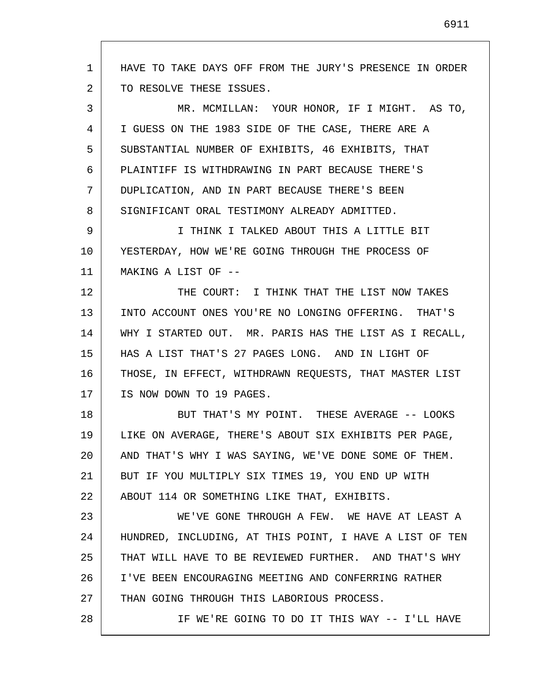1 2 3 4 5 6 7 8 9 10 11 12 13 14 15 16 17 18 19 20 21 22 23 24 25 26 27 28 HAVE TO TAKE DAYS OFF FROM THE JURY'S PRESENCE IN ORDER TO RESOLVE THESE ISSUES. MR. MCMILLAN: YOUR HONOR, IF I MIGHT. AS TO, I GUESS ON THE 1983 SIDE OF THE CASE, THERE ARE A SUBSTANTIAL NUMBER OF EXHIBITS, 46 EXHIBITS, THAT PLAINTIFF IS WITHDRAWING IN PART BECAUSE THERE'S DUPLICATION, AND IN PART BECAUSE THERE'S BEEN SIGNIFICANT ORAL TESTIMONY ALREADY ADMITTED. I THINK I TALKED ABOUT THIS A LITTLE BIT YESTERDAY, HOW WE'RE GOING THROUGH THE PROCESS OF MAKING A LIST OF -- THE COURT: I THINK THAT THE LIST NOW TAKES INTO ACCOUNT ONES YOU'RE NO LONGING OFFERING. THAT'S WHY I STARTED OUT. MR. PARIS HAS THE LIST AS I RECALL, HAS A LIST THAT'S 27 PAGES LONG. AND IN LIGHT OF THOSE, IN EFFECT, WITHDRAWN REQUESTS, THAT MASTER LIST IS NOW DOWN TO 19 PAGES. BUT THAT'S MY POINT. THESE AVERAGE -- LOOKS LIKE ON AVERAGE, THERE'S ABOUT SIX EXHIBITS PER PAGE, AND THAT'S WHY I WAS SAYING, WE'VE DONE SOME OF THEM. BUT IF YOU MULTIPLY SIX TIMES 19, YOU END UP WITH ABOUT 114 OR SOMETHING LIKE THAT, EXHIBITS. WE'VE GONE THROUGH A FEW. WE HAVE AT LEAST A HUNDRED, INCLUDING, AT THIS POINT, I HAVE A LIST OF TEN THAT WILL HAVE TO BE REVIEWED FURTHER. AND THAT'S WHY I'VE BEEN ENCOURAGING MEETING AND CONFERRING RATHER THAN GOING THROUGH THIS LABORIOUS PROCESS. IF WE'RE GOING TO DO IT THIS WAY -- I'LL HAVE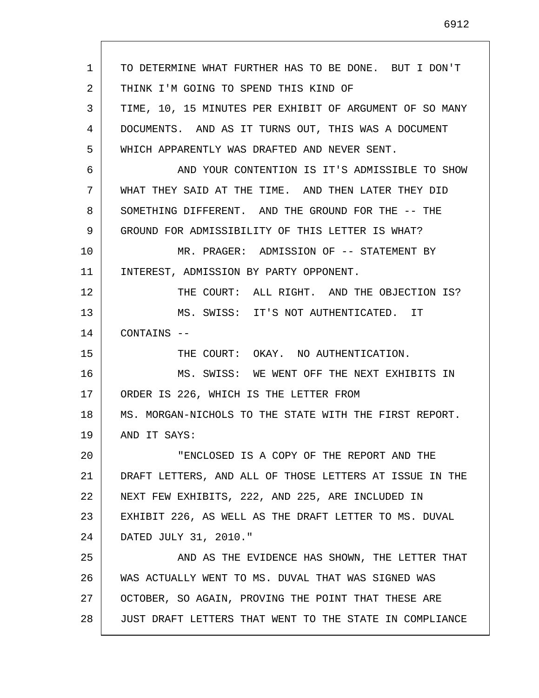1 2 3 4 5 6 7 8 9 10 11 12 13 14 15 16 17 18 19 20 21 22 23 24 25 26 27 28 TO DETERMINE WHAT FURTHER HAS TO BE DONE. BUT I DON'T THINK I'M GOING TO SPEND THIS KIND OF TIME, 10, 15 MINUTES PER EXHIBIT OF ARGUMENT OF SO MANY DOCUMENTS. AND AS IT TURNS OUT, THIS WAS A DOCUMENT WHICH APPARENTLY WAS DRAFTED AND NEVER SENT. AND YOUR CONTENTION IS IT'S ADMISSIBLE TO SHOW WHAT THEY SAID AT THE TIME. AND THEN LATER THEY DID SOMETHING DIFFERENT. AND THE GROUND FOR THE -- THE GROUND FOR ADMISSIBILITY OF THIS LETTER IS WHAT? MR. PRAGER: ADMISSION OF -- STATEMENT BY INTEREST, ADMISSION BY PARTY OPPONENT. THE COURT: ALL RIGHT. AND THE OBJECTION IS? MS. SWISS: IT'S NOT AUTHENTICATED. IT CONTAINS -- THE COURT: OKAY. NO AUTHENTICATION. MS. SWISS: WE WENT OFF THE NEXT EXHIBITS IN ORDER IS 226, WHICH IS THE LETTER FROM MS. MORGAN-NICHOLS TO THE STATE WITH THE FIRST REPORT. AND IT SAYS: "ENCLOSED IS A COPY OF THE REPORT AND THE DRAFT LETTERS, AND ALL OF THOSE LETTERS AT ISSUE IN THE NEXT FEW EXHIBITS, 222, AND 225, ARE INCLUDED IN EXHIBIT 226, AS WELL AS THE DRAFT LETTER TO MS. DUVAL DATED JULY 31, 2010." AND AS THE EVIDENCE HAS SHOWN, THE LETTER THAT WAS ACTUALLY WENT TO MS. DUVAL THAT WAS SIGNED WAS OCTOBER, SO AGAIN, PROVING THE POINT THAT THESE ARE JUST DRAFT LETTERS THAT WENT TO THE STATE IN COMPLIANCE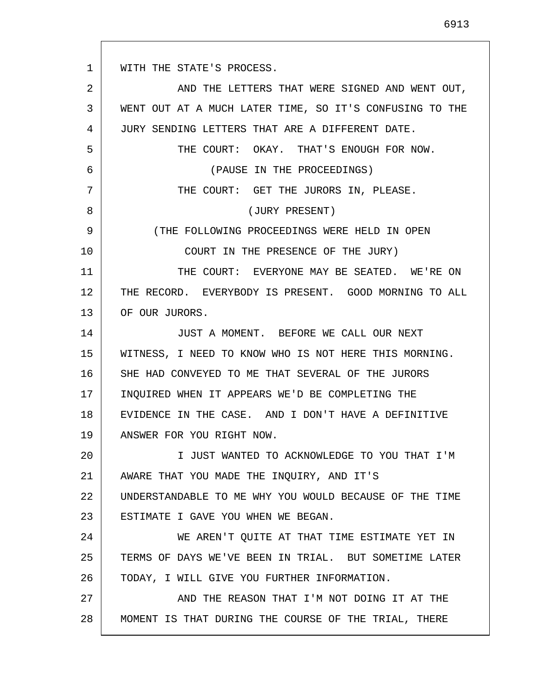1 2 3 4 5 6 7 8 9 10 11 12 13 14 15 16 17 18 19 20 21 22 23 24 25 26 27 28 WITH THE STATE'S PROCESS. AND THE LETTERS THAT WERE SIGNED AND WENT OUT, WENT OUT AT A MUCH LATER TIME, SO IT'S CONFUSING TO THE JURY SENDING LETTERS THAT ARE A DIFFERENT DATE. THE COURT: OKAY. THAT'S ENOUGH FOR NOW. (PAUSE IN THE PROCEEDINGS) THE COURT: GET THE JURORS IN, PLEASE. (JURY PRESENT) (THE FOLLOWING PROCEEDINGS WERE HELD IN OPEN COURT IN THE PRESENCE OF THE JURY) THE COURT: EVERYONE MAY BE SEATED. WE'RE ON THE RECORD. EVERYBODY IS PRESENT. GOOD MORNING TO ALL OF OUR JURORS. JUST A MOMENT. BEFORE WE CALL OUR NEXT WITNESS, I NEED TO KNOW WHO IS NOT HERE THIS MORNING. SHE HAD CONVEYED TO ME THAT SEVERAL OF THE JURORS INQUIRED WHEN IT APPEARS WE'D BE COMPLETING THE EVIDENCE IN THE CASE. AND I DON'T HAVE A DEFINITIVE ANSWER FOR YOU RIGHT NOW. I JUST WANTED TO ACKNOWLEDGE TO YOU THAT I'M AWARE THAT YOU MADE THE INQUIRY, AND IT'S UNDERSTANDABLE TO ME WHY YOU WOULD BECAUSE OF THE TIME ESTIMATE I GAVE YOU WHEN WE BEGAN. WE AREN'T QUITE AT THAT TIME ESTIMATE YET IN TERMS OF DAYS WE'VE BEEN IN TRIAL. BUT SOMETIME LATER TODAY, I WILL GIVE YOU FURTHER INFORMATION. AND THE REASON THAT I'M NOT DOING IT AT THE MOMENT IS THAT DURING THE COURSE OF THE TRIAL, THERE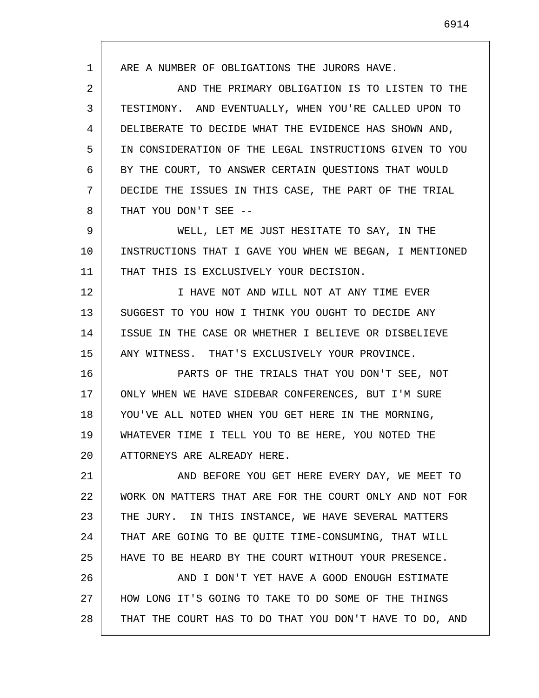1 2 3 4 5 6 7 8 9 10 11 12 13 14 15 16 17 18 19 20 21 22 23 24 25 26 27 28 ARE A NUMBER OF OBLIGATIONS THE JURORS HAVE. AND THE PRIMARY OBLIGATION IS TO LISTEN TO THE TESTIMONY. AND EVENTUALLY, WHEN YOU'RE CALLED UPON TO DELIBERATE TO DECIDE WHAT THE EVIDENCE HAS SHOWN AND, IN CONSIDERATION OF THE LEGAL INSTRUCTIONS GIVEN TO YOU BY THE COURT, TO ANSWER CERTAIN QUESTIONS THAT WOULD DECIDE THE ISSUES IN THIS CASE, THE PART OF THE TRIAL THAT YOU DON'T SEE -- WELL, LET ME JUST HESITATE TO SAY, IN THE INSTRUCTIONS THAT I GAVE YOU WHEN WE BEGAN, I MENTIONED THAT THIS IS EXCLUSIVELY YOUR DECISION. I HAVE NOT AND WILL NOT AT ANY TIME EVER SUGGEST TO YOU HOW I THINK YOU OUGHT TO DECIDE ANY ISSUE IN THE CASE OR WHETHER I BELIEVE OR DISBELIEVE ANY WITNESS. THAT'S EXCLUSIVELY YOUR PROVINCE. PARTS OF THE TRIALS THAT YOU DON'T SEE, NOT ONLY WHEN WE HAVE SIDEBAR CONFERENCES, BUT I'M SURE YOU'VE ALL NOTED WHEN YOU GET HERE IN THE MORNING, WHATEVER TIME I TELL YOU TO BE HERE, YOU NOTED THE ATTORNEYS ARE ALREADY HERE. AND BEFORE YOU GET HERE EVERY DAY, WE MEET TO WORK ON MATTERS THAT ARE FOR THE COURT ONLY AND NOT FOR THE JURY. IN THIS INSTANCE, WE HAVE SEVERAL MATTERS THAT ARE GOING TO BE QUITE TIME-CONSUMING, THAT WILL HAVE TO BE HEARD BY THE COURT WITHOUT YOUR PRESENCE. AND I DON'T YET HAVE A GOOD ENOUGH ESTIMATE HOW LONG IT'S GOING TO TAKE TO DO SOME OF THE THINGS THAT THE COURT HAS TO DO THAT YOU DON'T HAVE TO DO, AND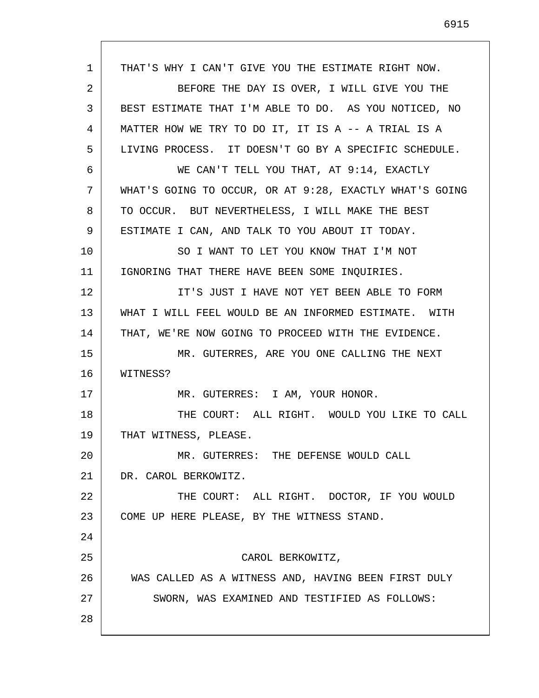1 2 3 4 5 6 7 8 9 10 11 12 13 14 15 16 17 18 19 20 21 22 23 24 25 26 27 28 THAT'S WHY I CAN'T GIVE YOU THE ESTIMATE RIGHT NOW. BEFORE THE DAY IS OVER, I WILL GIVE YOU THE BEST ESTIMATE THAT I'M ABLE TO DO. AS YOU NOTICED, NO MATTER HOW WE TRY TO DO IT, IT IS A -- A TRIAL IS A LIVING PROCESS. IT DOESN'T GO BY A SPECIFIC SCHEDULE. WE CAN'T TELL YOU THAT, AT 9:14, EXACTLY WHAT'S GOING TO OCCUR, OR AT 9:28, EXACTLY WHAT'S GOING TO OCCUR. BUT NEVERTHELESS, I WILL MAKE THE BEST ESTIMATE I CAN, AND TALK TO YOU ABOUT IT TODAY. SO I WANT TO LET YOU KNOW THAT I'M NOT IGNORING THAT THERE HAVE BEEN SOME INQUIRIES. IT'S JUST I HAVE NOT YET BEEN ABLE TO FORM WHAT I WILL FEEL WOULD BE AN INFORMED ESTIMATE. WITH THAT, WE'RE NOW GOING TO PROCEED WITH THE EVIDENCE. MR. GUTERRES, ARE YOU ONE CALLING THE NEXT WITNESS? MR. GUTERRES: I AM, YOUR HONOR. THE COURT: ALL RIGHT. WOULD YOU LIKE TO CALL THAT WITNESS, PLEASE. MR. GUTERRES: THE DEFENSE WOULD CALL DR. CAROL BERKOWITZ. THE COURT: ALL RIGHT. DOCTOR, IF YOU WOULD COME UP HERE PLEASE, BY THE WITNESS STAND. CAROL BERKOWITZ, WAS CALLED AS A WITNESS AND, HAVING BEEN FIRST DULY SWORN, WAS EXAMINED AND TESTIFIED AS FOLLOWS: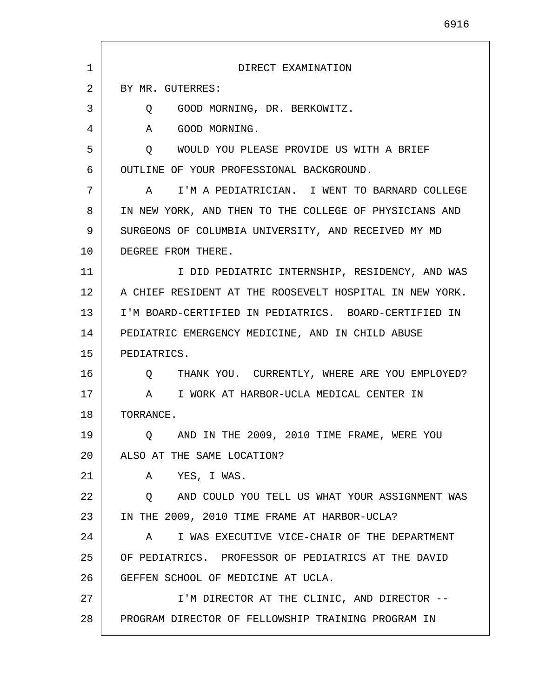| $\mathbf 1$ | DIRECT EXAMINATION                                           |
|-------------|--------------------------------------------------------------|
| 2           | BY MR. GUTERRES:                                             |
| 3           | GOOD MORNING, DR. BERKOWITZ.<br>O.                           |
| 4           | GOOD MORNING.<br>A                                           |
| 5           | WOULD YOU PLEASE PROVIDE US WITH A BRIEF<br>0                |
| 6           | OUTLINE OF YOUR PROFESSIONAL BACKGROUND.                     |
| 7           | I'M A PEDIATRICIAN. I WENT TO BARNARD COLLEGE<br>A           |
| 8           | IN NEW YORK, AND THEN TO THE COLLEGE OF PHYSICIANS AND       |
| 9           | SURGEONS OF COLUMBIA UNIVERSITY, AND RECEIVED MY MD          |
| 10          | DEGREE FROM THERE.                                           |
| 11          | I DID PEDIATRIC INTERNSHIP, RESIDENCY, AND WAS               |
| 12          | A CHIEF RESIDENT AT THE ROOSEVELT HOSPITAL IN NEW YORK.      |
| 13          | I'M BOARD-CERTIFIED IN PEDIATRICS. BOARD-CERTIFIED IN        |
| 14          | PEDIATRIC EMERGENCY MEDICINE, AND IN CHILD ABUSE             |
| 15          | PEDIATRICS.                                                  |
| 16          | THANK YOU. CURRENTLY, WHERE ARE YOU EMPLOYED?<br>$\circ$     |
| 17          | I WORK AT HARBOR-UCLA MEDICAL CENTER IN<br>$\mathsf A$       |
| 18          | TORRANCE.                                                    |
| 19          | Q AND IN THE 2009, 2010 TIME FRAME, WERE YOU                 |
| 20          | ALSO AT THE SAME LOCATION?                                   |
| 21          | A YES, I WAS.                                                |
| 22          | O AND COULD YOU TELL US WHAT YOUR ASSIGNMENT WAS             |
| 23          | IN THE 2009, 2010 TIME FRAME AT HARBOR-UCLA?                 |
| 24          | I WAS EXECUTIVE VICE-CHAIR OF THE DEPARTMENT<br>$\mathbf{A}$ |
| 25          | OF PEDIATRICS. PROFESSOR OF PEDIATRICS AT THE DAVID          |
| 26          | GEFFEN SCHOOL OF MEDICINE AT UCLA.                           |
| 27          | I'M DIRECTOR AT THE CLINIC, AND DIRECTOR --                  |
| 28          | PROGRAM DIRECTOR OF FELLOWSHIP TRAINING PROGRAM IN           |
|             |                                                              |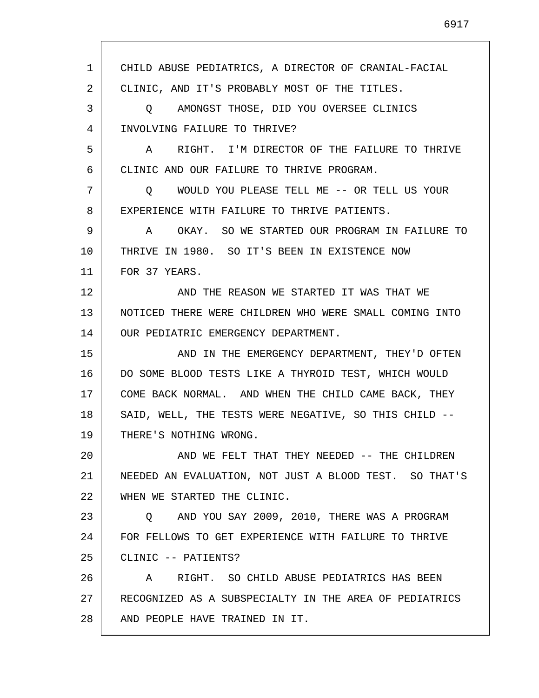1 2 3 4 5 6 7 8 9 10 11 12 13 14 15 16 17 18 19 20 21 22 23 24 25 26 27 28 CHILD ABUSE PEDIATRICS, A DIRECTOR OF CRANIAL-FACIAL CLINIC, AND IT'S PROBABLY MOST OF THE TITLES. Q AMONGST THOSE, DID YOU OVERSEE CLINICS INVOLVING FAILURE TO THRIVE? A RIGHT. I'M DIRECTOR OF THE FAILURE TO THRIVE CLINIC AND OUR FAILURE TO THRIVE PROGRAM. Q WOULD YOU PLEASE TELL ME -- OR TELL US YOUR EXPERIENCE WITH FAILURE TO THRIVE PATIENTS. A OKAY. SO WE STARTED OUR PROGRAM IN FAILURE TO THRIVE IN 1980. SO IT'S BEEN IN EXISTENCE NOW FOR 37 YEARS. AND THE REASON WE STARTED IT WAS THAT WE NOTICED THERE WERE CHILDREN WHO WERE SMALL COMING INTO OUR PEDIATRIC EMERGENCY DEPARTMENT. AND IN THE EMERGENCY DEPARTMENT, THEY'D OFTEN DO SOME BLOOD TESTS LIKE A THYROID TEST, WHICH WOULD COME BACK NORMAL. AND WHEN THE CHILD CAME BACK, THEY SAID, WELL, THE TESTS WERE NEGATIVE, SO THIS CHILD -- THERE'S NOTHING WRONG. AND WE FELT THAT THEY NEEDED -- THE CHILDREN NEEDED AN EVALUATION, NOT JUST A BLOOD TEST. SO THAT'S WHEN WE STARTED THE CLINIC. Q AND YOU SAY 2009, 2010, THERE WAS A PROGRAM FOR FELLOWS TO GET EXPERIENCE WITH FAILURE TO THRIVE CLINIC -- PATIENTS? A RIGHT. SO CHILD ABUSE PEDIATRICS HAS BEEN RECOGNIZED AS A SUBSPECIALTY IN THE AREA OF PEDIATRICS AND PEOPLE HAVE TRAINED IN IT.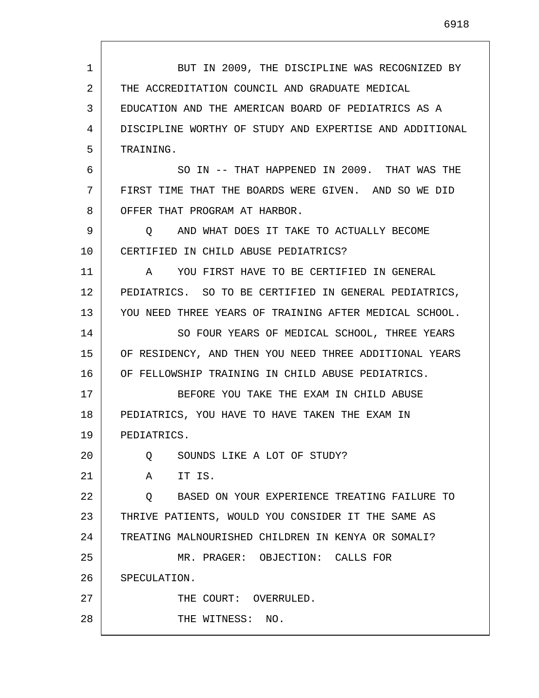1 2 3 4 5 6 7 8 9 10 11 12 13 14 15 16 17 18 19 20 21 22 23 24 25 26 27 28 BUT IN 2009, THE DISCIPLINE WAS RECOGNIZED BY THE ACCREDITATION COUNCIL AND GRADUATE MEDICAL EDUCATION AND THE AMERICAN BOARD OF PEDIATRICS AS A DISCIPLINE WORTHY OF STUDY AND EXPERTISE AND ADDITIONAL TRAINING. SO IN -- THAT HAPPENED IN 2009. THAT WAS THE FIRST TIME THAT THE BOARDS WERE GIVEN. AND SO WE DID OFFER THAT PROGRAM AT HARBOR. Q AND WHAT DOES IT TAKE TO ACTUALLY BECOME CERTIFIED IN CHILD ABUSE PEDIATRICS? A YOU FIRST HAVE TO BE CERTIFIED IN GENERAL PEDIATRICS. SO TO BE CERTIFIED IN GENERAL PEDIATRICS, YOU NEED THREE YEARS OF TRAINING AFTER MEDICAL SCHOOL. SO FOUR YEARS OF MEDICAL SCHOOL, THREE YEARS OF RESIDENCY, AND THEN YOU NEED THREE ADDITIONAL YEARS OF FELLOWSHIP TRAINING IN CHILD ABUSE PEDIATRICS. BEFORE YOU TAKE THE EXAM IN CHILD ABUSE PEDIATRICS, YOU HAVE TO HAVE TAKEN THE EXAM IN PEDIATRICS. Q SOUNDS LIKE A LOT OF STUDY? A IT IS. Q BASED ON YOUR EXPERIENCE TREATING FAILURE TO THRIVE PATIENTS, WOULD YOU CONSIDER IT THE SAME AS TREATING MALNOURISHED CHILDREN IN KENYA OR SOMALI? MR. PRAGER: OBJECTION: CALLS FOR SPECULATION. THE COURT: OVERRULED. THE WITNESS: NO.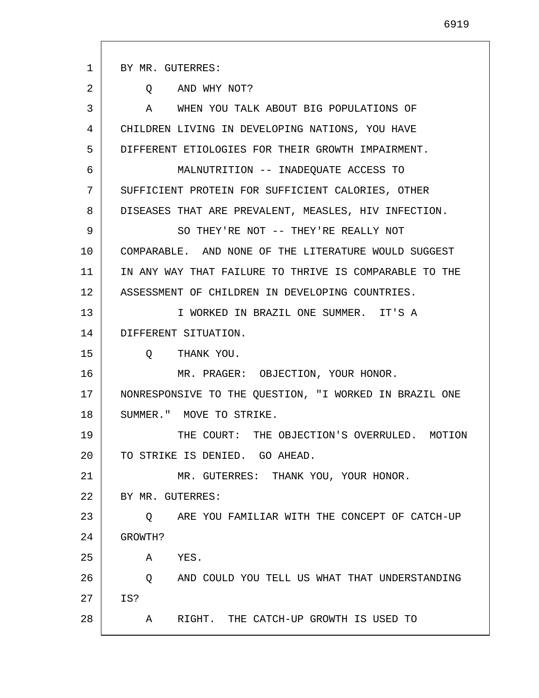1 2 3 4 5 6 7 8 9 10 11 12 13 14 15 16 17 18 19 20 21 22 23 24 25 26 27 28 BY MR. GUTERRES: Q AND WHY NOT? A WHEN YOU TALK ABOUT BIG POPULATIONS OF CHILDREN LIVING IN DEVELOPING NATIONS, YOU HAVE DIFFERENT ETIOLOGIES FOR THEIR GROWTH IMPAIRMENT. MALNUTRITION -- INADEQUATE ACCESS TO SUFFICIENT PROTEIN FOR SUFFICIENT CALORIES, OTHER DISEASES THAT ARE PREVALENT, MEASLES, HIV INFECTION. SO THEY'RE NOT -- THEY'RE REALLY NOT COMPARABLE. AND NONE OF THE LITERATURE WOULD SUGGEST IN ANY WAY THAT FAILURE TO THRIVE IS COMPARABLE TO THE ASSESSMENT OF CHILDREN IN DEVELOPING COUNTRIES. I WORKED IN BRAZIL ONE SUMMER. IT'S A DIFFERENT SITUATION. Q THANK YOU. MR. PRAGER: OBJECTION, YOUR HONOR. NONRESPONSIVE TO THE QUESTION, "I WORKED IN BRAZIL ONE SUMMER." MOVE TO STRIKE. THE COURT: THE OBJECTION'S OVERRULED. MOTION TO STRIKE IS DENIED. GO AHEAD. MR. GUTERRES: THANK YOU, YOUR HONOR. BY MR. GUTERRES: Q ARE YOU FAMILIAR WITH THE CONCEPT OF CATCH-UP GROWTH? A YES. Q AND COULD YOU TELL US WHAT THAT UNDERSTANDING IS? A RIGHT. THE CATCH-UP GROWTH IS USED TO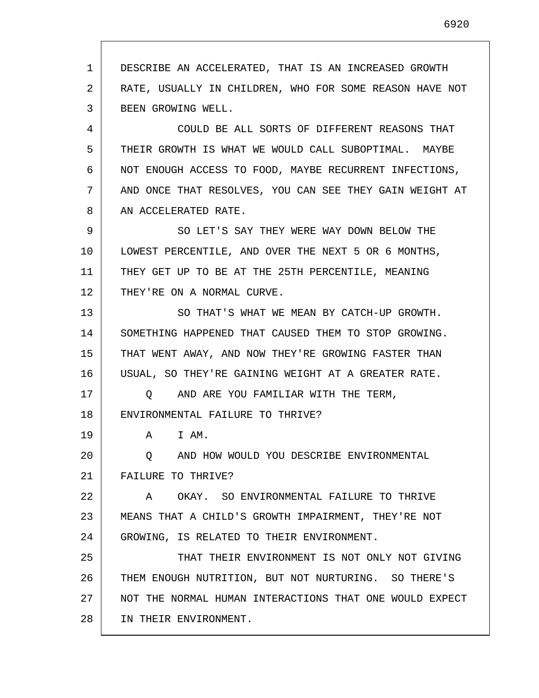1 2 3 4 DESCRIBE AN ACCELERATED, THAT IS AN INCREASED GROWTH RATE, USUALLY IN CHILDREN, WHO FOR SOME REASON HAVE NOT BEEN GROWING WELL.

5 6 7 8 COULD BE ALL SORTS OF DIFFERENT REASONS THAT THEIR GROWTH IS WHAT WE WOULD CALL SUBOPTIMAL. MAYBE NOT ENOUGH ACCESS TO FOOD, MAYBE RECURRENT INFECTIONS, AND ONCE THAT RESOLVES, YOU CAN SEE THEY GAIN WEIGHT AT AN ACCELERATED RATE.

9 10 11 12 SO LET'S SAY THEY WERE WAY DOWN BELOW THE LOWEST PERCENTILE, AND OVER THE NEXT 5 OR 6 MONTHS, THEY GET UP TO BE AT THE 25TH PERCENTILE, MEANING THEY'RE ON A NORMAL CURVE.

13 14 15 16 SO THAT'S WHAT WE MEAN BY CATCH-UP GROWTH. SOMETHING HAPPENED THAT CAUSED THEM TO STOP GROWING. THAT WENT AWAY, AND NOW THEY'RE GROWING FASTER THAN USUAL, SO THEY'RE GAINING WEIGHT AT A GREATER RATE.

17 18 Q AND ARE YOU FAMILIAR WITH THE TERM, ENVIRONMENTAL FAILURE TO THRIVE?

A I AM.

19

20 21 Q AND HOW WOULD YOU DESCRIBE ENVIRONMENTAL FAILURE TO THRIVE?

22 23 24 A OKAY. SO ENVIRONMENTAL FAILURE TO THRIVE MEANS THAT A CHILD'S GROWTH IMPAIRMENT, THEY'RE NOT GROWING, IS RELATED TO THEIR ENVIRONMENT.

25 26 27 28 THAT THEIR ENVIRONMENT IS NOT ONLY NOT GIVING THEM ENOUGH NUTRITION, BUT NOT NURTURING. SO THERE'S NOT THE NORMAL HUMAN INTERACTIONS THAT ONE WOULD EXPECT IN THEIR ENVIRONMENT.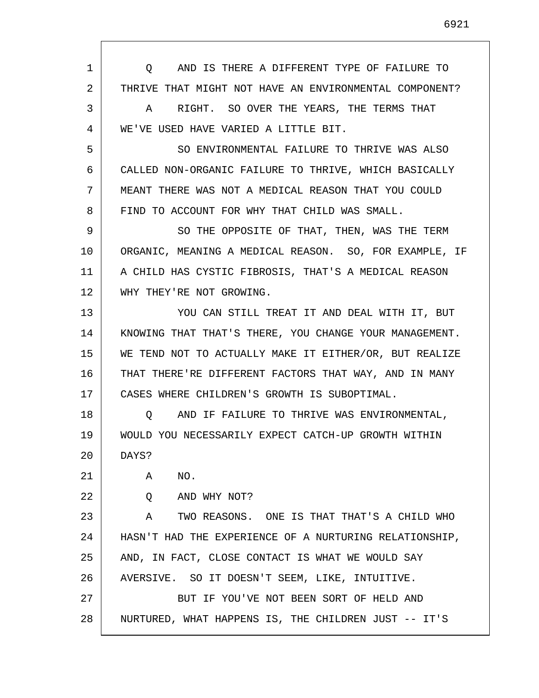| AND IS THERE A DIFFERENT TYPE OF FAILURE TO<br>O       |
|--------------------------------------------------------|
| THRIVE THAT MIGHT NOT HAVE AN ENVIRONMENTAL COMPONENT? |
| RIGHT. SO OVER THE YEARS, THE TERMS THAT<br>A          |
| WE'VE USED HAVE VARIED A LITTLE BIT.                   |
| SO ENVIRONMENTAL FAILURE TO THRIVE WAS ALSO            |
| CALLED NON-ORGANIC FAILURE TO THRIVE, WHICH BASICALLY  |
| MEANT THERE WAS NOT A MEDICAL REASON THAT YOU COULD    |
| FIND TO ACCOUNT FOR WHY THAT CHILD WAS SMALL.          |
| SO THE OPPOSITE OF THAT, THEN, WAS THE TERM            |
| ORGANIC, MEANING A MEDICAL REASON. SO, FOR EXAMPLE, IF |
| A CHILD HAS CYSTIC FIBROSIS, THAT'S A MEDICAL REASON   |
| WHY THEY'RE NOT GROWING.                               |
| YOU CAN STILL TREAT IT AND DEAL WITH IT, BUT           |
| KNOWING THAT THAT'S THERE, YOU CHANGE YOUR MANAGEMENT. |
| WE TEND NOT TO ACTUALLY MAKE IT EITHER/OR, BUT REALIZE |
| THAT THERE'RE DIFFERENT FACTORS THAT WAY, AND IN MANY  |
| CASES WHERE CHILDREN'S GROWTH IS SUBOPTIMAL.           |
| AND IF FAILURE TO THRIVE WAS ENVIRONMENTAL,<br>O       |
| WOULD YOU NECESSARILY EXPECT CATCH-UP GROWTH WITHIN    |
| DAYS?                                                  |
| NO.<br>A                                               |
| AND WHY NOT?<br>Q                                      |
| Α<br>TWO REASONS. ONE IS THAT THAT'S A CHILD WHO       |
| HASN'T HAD THE EXPERIENCE OF A NURTURING RELATIONSHIP, |
| AND, IN FACT, CLOSE CONTACT IS WHAT WE WOULD SAY       |
| AVERSIVE. SO IT DOESN'T SEEM, LIKE, INTUITIVE.         |
| BUT IF YOU'VE NOT BEEN SORT OF HELD AND                |
| NURTURED, WHAT HAPPENS IS, THE CHILDREN JUST -- IT'S   |
|                                                        |

I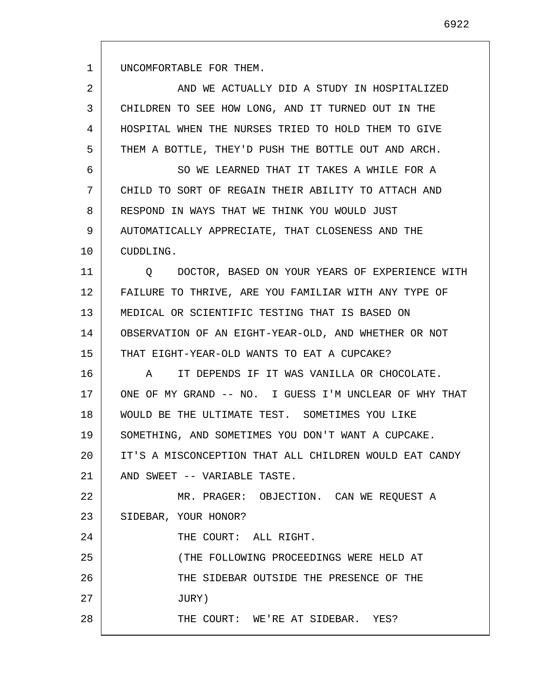UNCOMFORTABLE FOR THEM.

| 2  | AND WE ACTUALLY DID A STUDY IN HOSPITALIZED            |
|----|--------------------------------------------------------|
| 3  | CHILDREN TO SEE HOW LONG, AND IT TURNED OUT IN THE     |
| 4  | HOSPITAL WHEN THE NURSES TRIED TO HOLD THEM TO GIVE    |
| 5  | THEM A BOTTLE, THEY'D PUSH THE BOTTLE OUT AND ARCH.    |
| 6  | SO WE LEARNED THAT IT TAKES A WHILE FOR A              |
| 7  | CHILD TO SORT OF REGAIN THEIR ABILITY TO ATTACH AND    |
| 8  | RESPOND IN WAYS THAT WE THINK YOU WOULD JUST           |
| 9  | AUTOMATICALLY APPRECIATE, THAT CLOSENESS AND THE       |
| 10 | CUDDLING.                                              |
| 11 | DOCTOR, BASED ON YOUR YEARS OF EXPERIENCE WITH<br>O    |
| 12 | FAILURE TO THRIVE, ARE YOU FAMILIAR WITH ANY TYPE OF   |
| 13 | MEDICAL OR SCIENTIFIC TESTING THAT IS BASED ON         |
| 14 | OBSERVATION OF AN EIGHT-YEAR-OLD, AND WHETHER OR NOT   |
| 15 | THAT EIGHT-YEAR-OLD WANTS TO EAT A CUPCAKE?            |
| 16 | IT DEPENDS IF IT WAS VANILLA OR CHOCOLATE.<br>A        |
| 17 | ONE OF MY GRAND -- NO. I GUESS I'M UNCLEAR OF WHY THAT |
| 18 | WOULD BE THE ULTIMATE TEST. SOMETIMES YOU LIKE         |
| 19 | SOMETHING, AND SOMETIMES YOU DON'T WANT A CUPCAKE.     |
| 20 | IT'S A MISCONCEPTION THAT ALL CHILDREN WOULD EAT CANDY |
| 21 | AND SWEET -- VARIABLE TASTE.                           |
| 22 | MR. PRAGER: OBJECTION. CAN WE REQUEST A                |
| 23 | SIDEBAR, YOUR HONOR?                                   |
| 24 | THE COURT: ALL RIGHT.                                  |
| 25 | (THE FOLLOWING PROCEEDINGS WERE HELD AT                |
| 26 | THE SIDEBAR OUTSIDE THE PRESENCE OF THE                |
| 27 | JURY)                                                  |
| 28 | THE COURT: WE'RE AT SIDEBAR. YES?                      |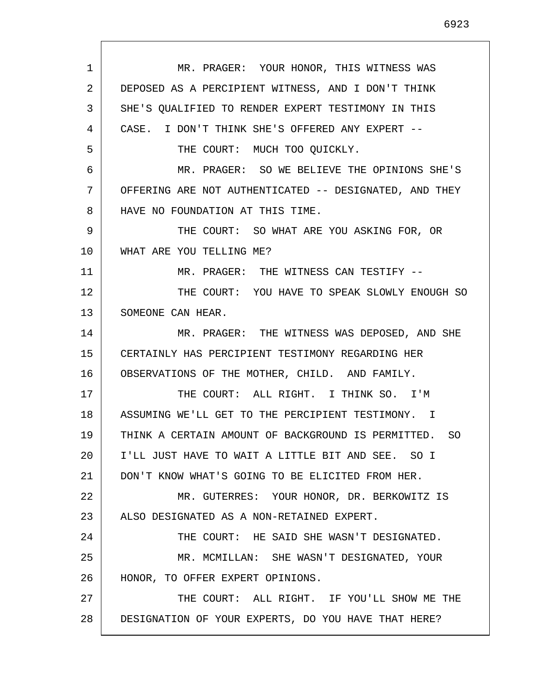1 2 3 4 5 6 7 8 9 10 11 12 13 14 15 16 17 18 19 20 21 22 23 24 25 26 27 28 MR. PRAGER: YOUR HONOR, THIS WITNESS WAS DEPOSED AS A PERCIPIENT WITNESS, AND I DON'T THINK SHE'S QUALIFIED TO RENDER EXPERT TESTIMONY IN THIS CASE. I DON'T THINK SHE'S OFFERED ANY EXPERT -- THE COURT: MUCH TOO QUICKLY. MR. PRAGER: SO WE BELIEVE THE OPINIONS SHE'S OFFERING ARE NOT AUTHENTICATED -- DESIGNATED, AND THEY HAVE NO FOUNDATION AT THIS TIME. THE COURT: SO WHAT ARE YOU ASKING FOR, OR WHAT ARE YOU TELLING ME? MR. PRAGER: THE WITNESS CAN TESTIFY --THE COURT: YOU HAVE TO SPEAK SLOWLY ENOUGH SO SOMEONE CAN HEAR. MR. PRAGER: THE WITNESS WAS DEPOSED, AND SHE CERTAINLY HAS PERCIPIENT TESTIMONY REGARDING HER OBSERVATIONS OF THE MOTHER, CHILD. AND FAMILY. THE COURT: ALL RIGHT. I THINK SO. I'M ASSUMING WE'LL GET TO THE PERCIPIENT TESTIMONY. I THINK A CERTAIN AMOUNT OF BACKGROUND IS PERMITTED. SO I'LL JUST HAVE TO WAIT A LITTLE BIT AND SEE. SO I DON'T KNOW WHAT'S GOING TO BE ELICITED FROM HER. MR. GUTERRES: YOUR HONOR, DR. BERKOWITZ IS ALSO DESIGNATED AS A NON-RETAINED EXPERT. THE COURT: HE SAID SHE WASN'T DESIGNATED. MR. MCMILLAN: SHE WASN'T DESIGNATED, YOUR HONOR, TO OFFER EXPERT OPINIONS. THE COURT: ALL RIGHT. IF YOU'LL SHOW ME THE DESIGNATION OF YOUR EXPERTS, DO YOU HAVE THAT HERE?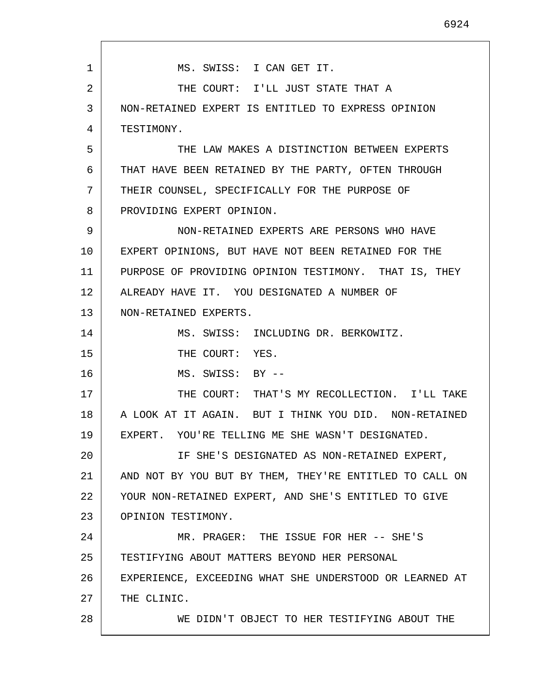1 2 3 4 5 6 7 8 9 10 11 12 13 14 15 16 17 18 19 20 21 22 23 24 25 26 27 28 MS. SWISS: I CAN GET IT. THE COURT: I'LL JUST STATE THAT A NON-RETAINED EXPERT IS ENTITLED TO EXPRESS OPINION TESTIMONY. THE LAW MAKES A DISTINCTION BETWEEN EXPERTS THAT HAVE BEEN RETAINED BY THE PARTY, OFTEN THROUGH THEIR COUNSEL, SPECIFICALLY FOR THE PURPOSE OF PROVIDING EXPERT OPINION. NON-RETAINED EXPERTS ARE PERSONS WHO HAVE EXPERT OPINIONS, BUT HAVE NOT BEEN RETAINED FOR THE PURPOSE OF PROVIDING OPINION TESTIMONY. THAT IS, THEY ALREADY HAVE IT. YOU DESIGNATED A NUMBER OF NON-RETAINED EXPERTS. MS. SWISS: INCLUDING DR. BERKOWITZ. THE COURT: YES. MS. SWISS: BY -- THE COURT: THAT'S MY RECOLLECTION. I'LL TAKE A LOOK AT IT AGAIN. BUT I THINK YOU DID. NON-RETAINED EXPERT. YOU'RE TELLING ME SHE WASN'T DESIGNATED. IF SHE'S DESIGNATED AS NON-RETAINED EXPERT, AND NOT BY YOU BUT BY THEM, THEY'RE ENTITLED TO CALL ON YOUR NON-RETAINED EXPERT, AND SHE'S ENTITLED TO GIVE OPINION TESTIMONY. MR. PRAGER: THE ISSUE FOR HER -- SHE'S TESTIFYING ABOUT MATTERS BEYOND HER PERSONAL EXPERIENCE, EXCEEDING WHAT SHE UNDERSTOOD OR LEARNED AT THE CLINIC. WE DIDN'T OBJECT TO HER TESTIFYING ABOUT THE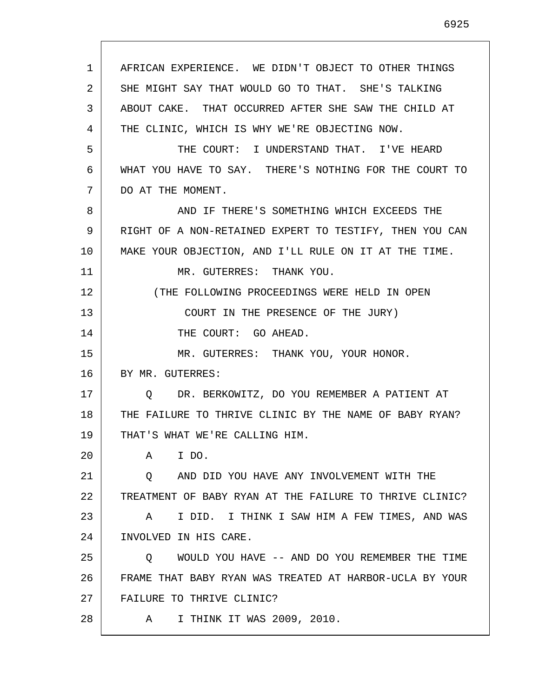AFRICAN EXPERIENCE. WE DIDN'T OBJECT TO OTHER THINGS SHE MIGHT SAY THAT WOULD GO TO THAT. SHE'S TALKING ABOUT CAKE. THAT OCCURRED AFTER SHE SAW THE CHILD AT THE CLINIC, WHICH IS WHY WE'RE OBJECTING NOW. THE COURT: I UNDERSTAND THAT. I'VE HEARD WHAT YOU HAVE TO SAY. THERE'S NOTHING FOR THE COURT TO DO AT THE MOMENT. AND IF THERE'S SOMETHING WHICH EXCEEDS THE RIGHT OF A NON-RETAINED EXPERT TO TESTIFY, THEN YOU CAN MAKE YOUR OBJECTION, AND I'LL RULE ON IT AT THE TIME. MR. GUTERRES: THANK YOU. (THE FOLLOWING PROCEEDINGS WERE HELD IN OPEN COURT IN THE PRESENCE OF THE JURY) THE COURT: GO AHEAD. MR. GUTERRES: THANK YOU, YOUR HONOR. BY MR. GUTERRES: Q DR. BERKOWITZ, DO YOU REMEMBER A PATIENT AT THE FAILURE TO THRIVE CLINIC BY THE NAME OF BABY RYAN? THAT'S WHAT WE'RE CALLING HIM. A I DO. Q AND DID YOU HAVE ANY INVOLVEMENT WITH THE TREATMENT OF BABY RYAN AT THE FAILURE TO THRIVE CLINIC? A I DID. I THINK I SAW HIM A FEW TIMES, AND WAS

24 INVOLVED IN HIS CARE.

1

2

3

4

5

6

7

8

9

10

11

12

13

14

15

16

17

18

19

20

21

22

23

28

25 26 27 Q WOULD YOU HAVE -- AND DO YOU REMEMBER THE TIME FRAME THAT BABY RYAN WAS TREATED AT HARBOR-UCLA BY YOUR FAILURE TO THRIVE CLINIC?

A I THINK IT WAS 2009, 2010.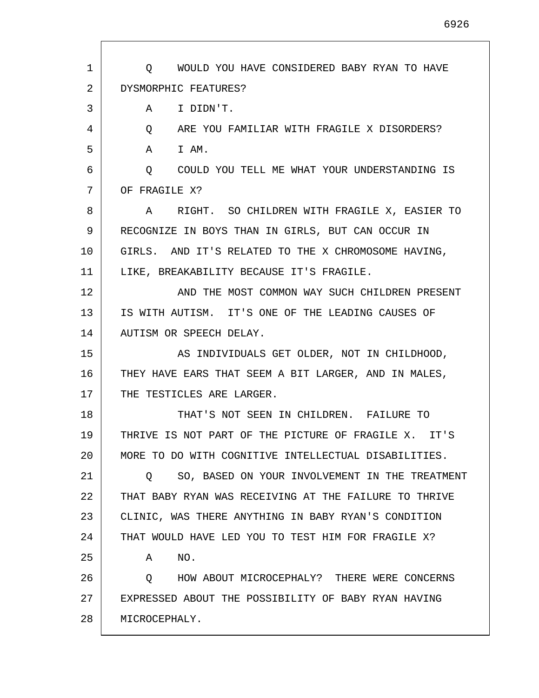| 1  | WOULD YOU HAVE CONSIDERED BABY RYAN TO HAVE<br>$\circ$ |
|----|--------------------------------------------------------|
| 2  | DYSMORPHIC FEATURES?                                   |
| 3  | I DIDN'T.<br>Α                                         |
| 4  | ARE YOU FAMILIAR WITH FRAGILE X DISORDERS?<br>Q        |
| 5  | I AM.<br>A                                             |
| 6  | Q COULD YOU TELL ME WHAT YOUR UNDERSTANDING IS         |
| 7  | OF FRAGILE X?                                          |
| 8  | RIGHT. SO CHILDREN WITH FRAGILE X, EASIER TO<br>A      |
| 9  | RECOGNIZE IN BOYS THAN IN GIRLS, BUT CAN OCCUR IN      |
| 10 | GIRLS. AND IT'S RELATED TO THE X CHROMOSOME HAVING,    |
| 11 | LIKE, BREAKABILITY BECAUSE IT'S FRAGILE.               |
| 12 | AND THE MOST COMMON WAY SUCH CHILDREN PRESENT          |
| 13 | IS WITH AUTISM. IT'S ONE OF THE LEADING CAUSES OF      |
| 14 | AUTISM OR SPEECH DELAY.                                |
| 15 | AS INDIVIDUALS GET OLDER, NOT IN CHILDHOOD,            |
| 16 | THEY HAVE EARS THAT SEEM A BIT LARGER, AND IN MALES,   |
| 17 | THE TESTICLES ARE LARGER.                              |
| 18 | THAT'S NOT SEEN IN CHILDREN. FAILURE TO                |
| 19 | THRIVE IS NOT PART OF THE PICTURE OF FRAGILE X. IT'S   |
| 20 | MORE TO DO WITH COGNITIVE INTELLECTUAL DISABILITIES.   |
| 21 | SO, BASED ON YOUR INVOLVEMENT IN THE TREATMENT<br>O.   |
| 22 | THAT BABY RYAN WAS RECEIVING AT THE FAILURE TO THRIVE  |
| 23 | CLINIC, WAS THERE ANYTHING IN BABY RYAN'S CONDITION    |
| 24 | THAT WOULD HAVE LED YOU TO TEST HIM FOR FRAGILE X?     |
| 25 | NO.<br>Α                                               |
| 26 | HOW ABOUT MICROCEPHALY? THERE WERE CONCERNS<br>0       |
| 27 | EXPRESSED ABOUT THE POSSIBILITY OF BABY RYAN HAVING    |
| 28 | MICROCEPHALY.                                          |
|    |                                                        |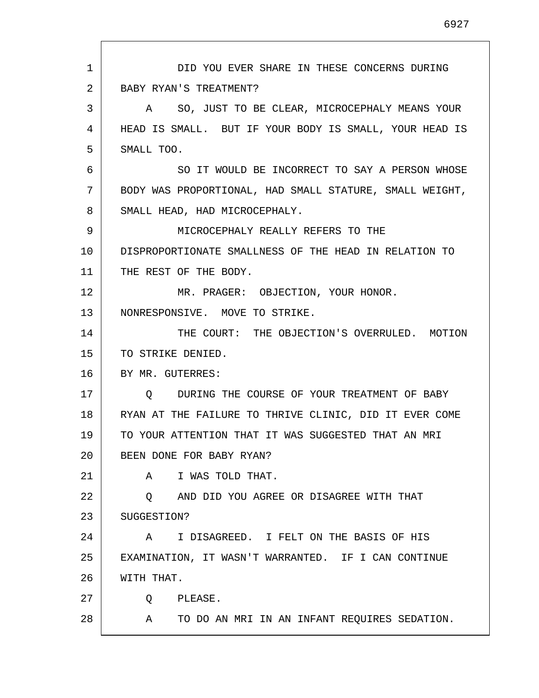1 2 3 4 5 6 7 8 9 10 11 12 13 14 15 16 17 18 19 20 21 22 23 24 25 26 27 28 DID YOU EVER SHARE IN THESE CONCERNS DURING BABY RYAN'S TREATMENT? A SO, JUST TO BE CLEAR, MICROCEPHALY MEANS YOUR HEAD IS SMALL. BUT IF YOUR BODY IS SMALL, YOUR HEAD IS SMALL TOO. SO IT WOULD BE INCORRECT TO SAY A PERSON WHOSE BODY WAS PROPORTIONAL, HAD SMALL STATURE, SMALL WEIGHT, SMALL HEAD, HAD MICROCEPHALY. MICROCEPHALY REALLY REFERS TO THE DISPROPORTIONATE SMALLNESS OF THE HEAD IN RELATION TO THE REST OF THE BODY. MR. PRAGER: OBJECTION, YOUR HONOR. NONRESPONSIVE. MOVE TO STRIKE. THE COURT: THE OBJECTION'S OVERRULED. MOTION TO STRIKE DENIED. BY MR. GUTERRES: Q DURING THE COURSE OF YOUR TREATMENT OF BABY RYAN AT THE FAILURE TO THRIVE CLINIC, DID IT EVER COME TO YOUR ATTENTION THAT IT WAS SUGGESTED THAT AN MRI BEEN DONE FOR BABY RYAN? A I WAS TOLD THAT. Q AND DID YOU AGREE OR DISAGREE WITH THAT SUGGESTION? A I DISAGREED. I FELT ON THE BASIS OF HIS EXAMINATION, IT WASN'T WARRANTED. IF I CAN CONTINUE WITH THAT. Q PLEASE. A TO DO AN MRI IN AN INFANT REQUIRES SEDATION.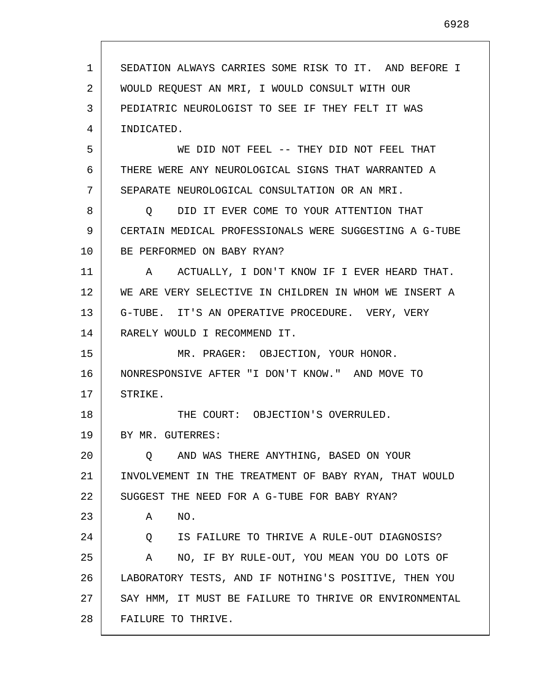| $\mathbf{1}$ | SEDATION ALWAYS CARRIES SOME RISK TO IT. AND BEFORE I  |
|--------------|--------------------------------------------------------|
| 2            | WOULD REQUEST AN MRI, I WOULD CONSULT WITH OUR         |
| 3            | PEDIATRIC NEUROLOGIST TO SEE IF THEY FELT IT WAS       |
| 4            | INDICATED.                                             |
| 5            | WE DID NOT FEEL -- THEY DID NOT FEEL THAT              |
| 6            | THERE WERE ANY NEUROLOGICAL SIGNS THAT WARRANTED A     |
| 7            | SEPARATE NEUROLOGICAL CONSULTATION OR AN MRI.          |
| 8            | DID IT EVER COME TO YOUR ATTENTION THAT<br>Q.          |
| 9            | CERTAIN MEDICAL PROFESSIONALS WERE SUGGESTING A G-TUBE |
| 10           | BE PERFORMED ON BABY RYAN?                             |
| 11           | A ACTUALLY, I DON'T KNOW IF I EVER HEARD THAT.         |
| 12           | WE ARE VERY SELECTIVE IN CHILDREN IN WHOM WE INSERT A  |
| 13           | G-TUBE. IT'S AN OPERATIVE PROCEDURE. VERY, VERY        |
| 14           | RARELY WOULD I RECOMMEND IT.                           |
| 15           | MR. PRAGER: OBJECTION, YOUR HONOR.                     |
| 16           | NONRESPONSIVE AFTER "I DON'T KNOW." AND MOVE TO        |
| 17           | STRIKE.                                                |
| 18           | THE COURT: OBJECTION'S OVERRULED.                      |
| 19           | BY MR. GUTERRES:                                       |
| 20           | AND WAS THERE ANYTHING, BASED ON YOUR<br>Q.            |
| 21           | INVOLVEMENT IN THE TREATMENT OF BABY RYAN, THAT WOULD  |
| 22           | SUGGEST THE NEED FOR A G-TUBE FOR BABY RYAN?           |
| 23           | Α<br>NO.                                               |
| 24           | IS FAILURE TO THRIVE A RULE-OUT DIAGNOSIS?<br>Q        |
| 25           | NO, IF BY RULE-OUT, YOU MEAN YOU DO LOTS OF<br>A       |
| 26           | LABORATORY TESTS, AND IF NOTHING'S POSITIVE, THEN YOU  |
| 27           | SAY HMM, IT MUST BE FAILURE TO THRIVE OR ENVIRONMENTAL |
| 28           | FAILURE TO THRIVE.                                     |

 $\sqrt{ }$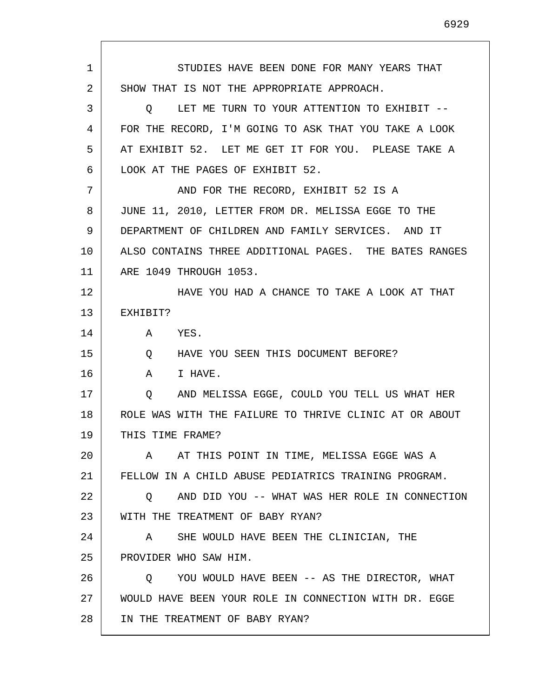| 1  | STUDIES HAVE BEEN DONE FOR MANY YEARS THAT               |
|----|----------------------------------------------------------|
| 2  | SHOW THAT IS NOT THE APPROPRIATE APPROACH.               |
| 3  | LET ME TURN TO YOUR ATTENTION TO EXHIBIT --<br>O         |
| 4  | FOR THE RECORD, I'M GOING TO ASK THAT YOU TAKE A LOOK    |
| 5  | AT EXHIBIT 52. LET ME GET IT FOR YOU. PLEASE TAKE A      |
| 6  | LOOK AT THE PAGES OF EXHIBIT 52.                         |
| 7  | AND FOR THE RECORD, EXHIBIT 52 IS A                      |
| 8  | JUNE 11, 2010, LETTER FROM DR. MELISSA EGGE TO THE       |
| 9  | DEPARTMENT OF CHILDREN AND FAMILY SERVICES. AND IT       |
| 10 | ALSO CONTAINS THREE ADDITIONAL PAGES. THE BATES RANGES   |
| 11 | ARE 1049 THROUGH 1053.                                   |
| 12 | HAVE YOU HAD A CHANCE TO TAKE A LOOK AT THAT             |
| 13 | EXHIBIT?                                                 |
| 14 | YES.<br>$\mathbf{A}$                                     |
| 15 | $Q \qquad \qquad$<br>HAVE YOU SEEN THIS DOCUMENT BEFORE? |
| 16 | A<br>I HAVE.                                             |
| 17 | AND MELISSA EGGE, COULD YOU TELL US WHAT HER<br>Q        |
| 18 | ROLE WAS WITH THE FAILURE TO THRIVE CLINIC AT OR ABOUT   |
| 19 | THIS TIME FRAME?                                         |
| 20 | A AT THIS POINT IN TIME, MELISSA EGGE WAS A              |
| 21 | FELLOW IN A CHILD ABUSE PEDIATRICS TRAINING PROGRAM.     |
| 22 | AND DID YOU -- WHAT WAS HER ROLE IN CONNECTION<br>O.     |
| 23 | WITH THE TREATMENT OF BABY RYAN?                         |
| 24 | SHE WOULD HAVE BEEN THE CLINICIAN, THE<br>A              |
| 25 | PROVIDER WHO SAW HIM.                                    |
| 26 | YOU WOULD HAVE BEEN -- AS THE DIRECTOR, WHAT<br>$\circ$  |
| 27 | WOULD HAVE BEEN YOUR ROLE IN CONNECTION WITH DR. EGGE    |
| 28 | IN THE TREATMENT OF BABY RYAN?                           |

 $\Gamma$ 

I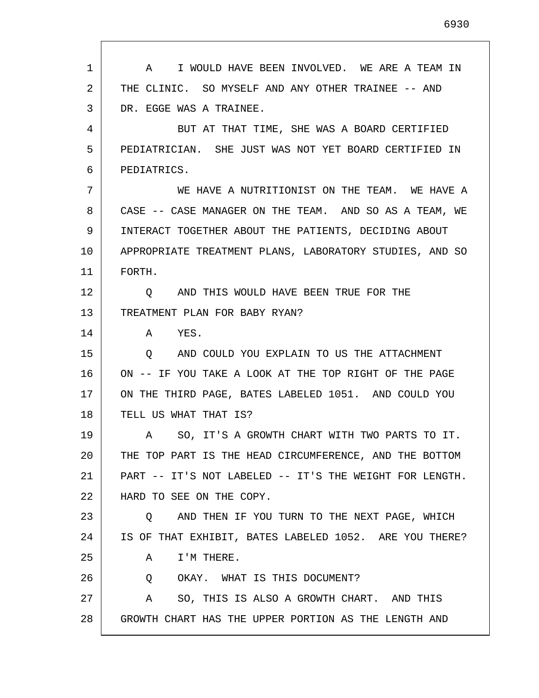1 2 3 4 5 6 7 8 9 10 11 12 13 14 15 16 17 18 19 20 21 22 23 24 25 26 27 28 A I WOULD HAVE BEEN INVOLVED. WE ARE A TEAM IN THE CLINIC. SO MYSELF AND ANY OTHER TRAINEE -- AND DR. EGGE WAS A TRAINEE. BUT AT THAT TIME, SHE WAS A BOARD CERTIFIED PEDIATRICIAN. SHE JUST WAS NOT YET BOARD CERTIFIED IN PEDIATRICS. WE HAVE A NUTRITIONIST ON THE TEAM. WE HAVE A CASE -- CASE MANAGER ON THE TEAM. AND SO AS A TEAM, WE INTERACT TOGETHER ABOUT THE PATIENTS, DECIDING ABOUT APPROPRIATE TREATMENT PLANS, LABORATORY STUDIES, AND SO FORTH. Q AND THIS WOULD HAVE BEEN TRUE FOR THE TREATMENT PLAN FOR BABY RYAN? A YES. Q AND COULD YOU EXPLAIN TO US THE ATTACHMENT ON -- IF YOU TAKE A LOOK AT THE TOP RIGHT OF THE PAGE ON THE THIRD PAGE, BATES LABELED 1051. AND COULD YOU TELL US WHAT THAT IS? A SO, IT'S A GROWTH CHART WITH TWO PARTS TO IT. THE TOP PART IS THE HEAD CIRCUMFERENCE, AND THE BOTTOM PART -- IT'S NOT LABELED -- IT'S THE WEIGHT FOR LENGTH. HARD TO SEE ON THE COPY. Q AND THEN IF YOU TURN TO THE NEXT PAGE, WHICH IS OF THAT EXHIBIT, BATES LABELED 1052. ARE YOU THERE? A I'M THERE. Q OKAY. WHAT IS THIS DOCUMENT? A SO, THIS IS ALSO A GROWTH CHART. AND THIS GROWTH CHART HAS THE UPPER PORTION AS THE LENGTH AND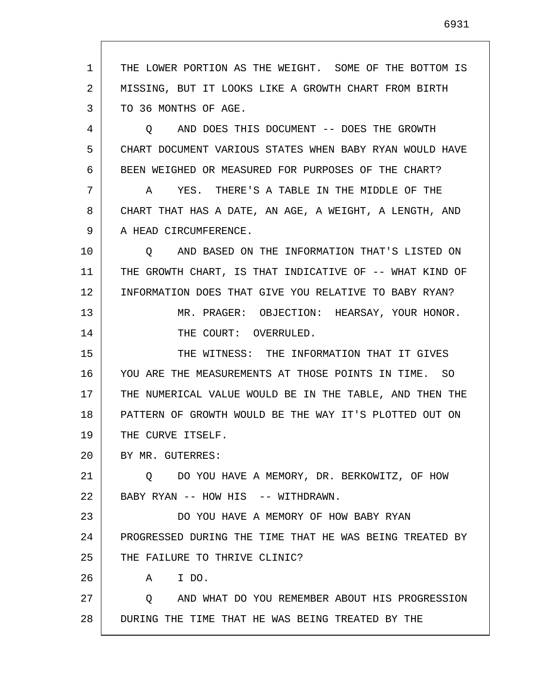1 2 3 4 5 6 7 8 9 10 11 12 13 14 15 16 17 18 19 20 21 22 23 24 25 26 27 28 THE LOWER PORTION AS THE WEIGHT. SOME OF THE BOTTOM IS MISSING, BUT IT LOOKS LIKE A GROWTH CHART FROM BIRTH TO 36 MONTHS OF AGE. Q AND DOES THIS DOCUMENT -- DOES THE GROWTH CHART DOCUMENT VARIOUS STATES WHEN BABY RYAN WOULD HAVE BEEN WEIGHED OR MEASURED FOR PURPOSES OF THE CHART? A YES. THERE'S A TABLE IN THE MIDDLE OF THE CHART THAT HAS A DATE, AN AGE, A WEIGHT, A LENGTH, AND A HEAD CIRCUMFERENCE. Q AND BASED ON THE INFORMATION THAT'S LISTED ON THE GROWTH CHART, IS THAT INDICATIVE OF -- WHAT KIND OF INFORMATION DOES THAT GIVE YOU RELATIVE TO BABY RYAN? MR. PRAGER: OBJECTION: HEARSAY, YOUR HONOR. THE COURT: OVERRULED. THE WITNESS: THE INFORMATION THAT IT GIVES YOU ARE THE MEASUREMENTS AT THOSE POINTS IN TIME. SO THE NUMERICAL VALUE WOULD BE IN THE TABLE, AND THEN THE PATTERN OF GROWTH WOULD BE THE WAY IT'S PLOTTED OUT ON THE CURVE ITSELF. BY MR. GUTERRES: Q DO YOU HAVE A MEMORY, DR. BERKOWITZ, OF HOW BABY RYAN -- HOW HIS -- WITHDRAWN. DO YOU HAVE A MEMORY OF HOW BABY RYAN PROGRESSED DURING THE TIME THAT HE WAS BEING TREATED BY THE FAILURE TO THRIVE CLINIC? A I DO. Q AND WHAT DO YOU REMEMBER ABOUT HIS PROGRESSION DURING THE TIME THAT HE WAS BEING TREATED BY THE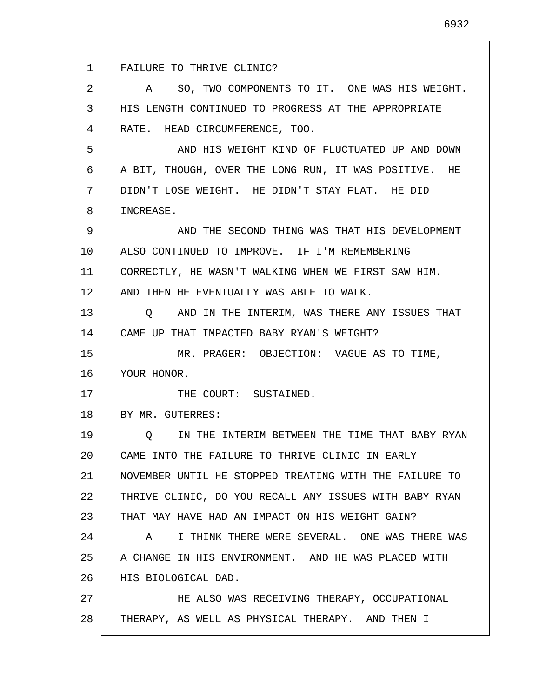1 2 3 4 5 6 7 8 9 10 11 12 13 14 15 16 17 18 19 20 21 22 23 24 25 26 27 28 FAILURE TO THRIVE CLINIC? A SO, TWO COMPONENTS TO IT. ONE WAS HIS WEIGHT. HIS LENGTH CONTINUED TO PROGRESS AT THE APPROPRIATE RATE. HEAD CIRCUMFERENCE, TOO. AND HIS WEIGHT KIND OF FLUCTUATED UP AND DOWN A BIT, THOUGH, OVER THE LONG RUN, IT WAS POSITIVE. HE DIDN'T LOSE WEIGHT. HE DIDN'T STAY FLAT. HE DID INCREASE. AND THE SECOND THING WAS THAT HIS DEVELOPMENT ALSO CONTINUED TO IMPROVE. IF I'M REMEMBERING CORRECTLY, HE WASN'T WALKING WHEN WE FIRST SAW HIM. AND THEN HE EVENTUALLY WAS ABLE TO WALK. Q AND IN THE INTERIM, WAS THERE ANY ISSUES THAT CAME UP THAT IMPACTED BABY RYAN'S WEIGHT? MR. PRAGER: OBJECTION: VAGUE AS TO TIME, YOUR HONOR. THE COURT: SUSTAINED. BY MR. GUTERRES: Q IN THE INTERIM BETWEEN THE TIME THAT BABY RYAN CAME INTO THE FAILURE TO THRIVE CLINIC IN EARLY NOVEMBER UNTIL HE STOPPED TREATING WITH THE FAILURE TO THRIVE CLINIC, DO YOU RECALL ANY ISSUES WITH BABY RYAN THAT MAY HAVE HAD AN IMPACT ON HIS WEIGHT GAIN? A I THINK THERE WERE SEVERAL. ONE WAS THERE WAS A CHANGE IN HIS ENVIRONMENT. AND HE WAS PLACED WITH HIS BIOLOGICAL DAD. HE ALSO WAS RECEIVING THERAPY, OCCUPATIONAL THERAPY, AS WELL AS PHYSICAL THERAPY. AND THEN I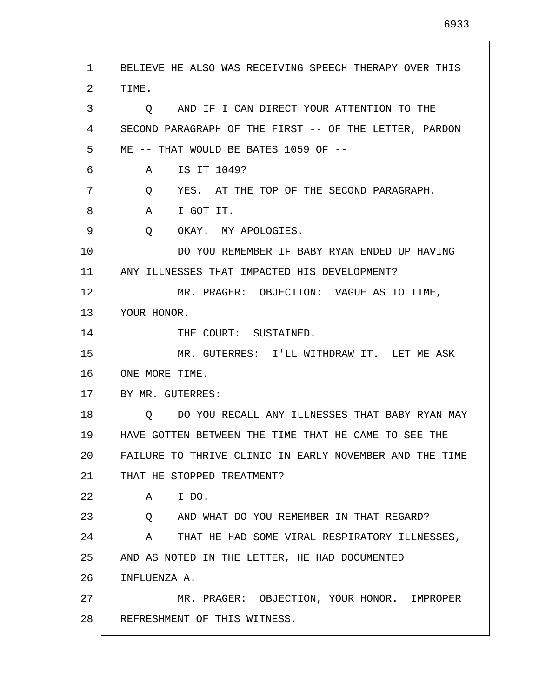2 3 4 5 6 7 8 9 10 11 12 13 14 15 16 17 18 19 20 21 22 23 24 25 26 27 28 TIME. Q AND IF I CAN DIRECT YOUR ATTENTION TO THE SECOND PARAGRAPH OF THE FIRST -- OF THE LETTER, PARDON ME -- THAT WOULD BE BATES 1059 OF -- A IS IT 1049? Q YES. AT THE TOP OF THE SECOND PARAGRAPH. A I GOT IT. Q OKAY. MY APOLOGIES. DO YOU REMEMBER IF BABY RYAN ENDED UP HAVING ANY ILLNESSES THAT IMPACTED HIS DEVELOPMENT? MR. PRAGER: OBJECTION: VAGUE AS TO TIME, YOUR HONOR. THE COURT: SUSTAINED. MR. GUTERRES: I'LL WITHDRAW IT. LET ME ASK ONE MORE TIME. BY MR. GUTERRES: Q DO YOU RECALL ANY ILLNESSES THAT BABY RYAN MAY HAVE GOTTEN BETWEEN THE TIME THAT HE CAME TO SEE THE FAILURE TO THRIVE CLINIC IN EARLY NOVEMBER AND THE TIME THAT HE STOPPED TREATMENT? A I DO. Q AND WHAT DO YOU REMEMBER IN THAT REGARD? A THAT HE HAD SOME VIRAL RESPIRATORY ILLNESSES, AND AS NOTED IN THE LETTER, HE HAD DOCUMENTED INFLUENZA A. MR. PRAGER: OBJECTION, YOUR HONOR. IMPROPER REFRESHMENT OF THIS WITNESS.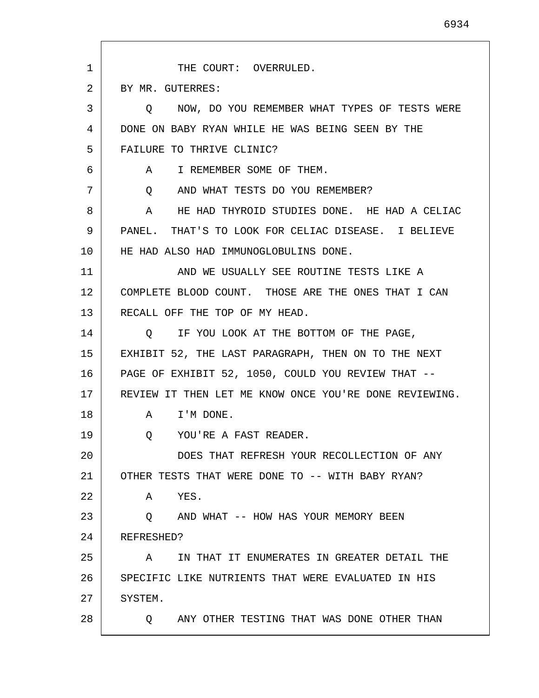| $\mathbf{1}$ | THE COURT: OVERRULED.                                  |
|--------------|--------------------------------------------------------|
| 2            | BY MR. GUTERRES:                                       |
| 3            | O NOW, DO YOU REMEMBER WHAT TYPES OF TESTS WERE        |
| 4            | DONE ON BABY RYAN WHILE HE WAS BEING SEEN BY THE       |
| 5            | FAILURE TO THRIVE CLINIC?                              |
| 6            | I REMEMBER SOME OF THEM.<br>A                          |
| 7            | AND WHAT TESTS DO YOU REMEMBER?<br>Q                   |
| 8            | HE HAD THYROID STUDIES DONE. HE HAD A CELIAC<br>A      |
| 9            | PANEL. THAT'S TO LOOK FOR CELIAC DISEASE. I BELIEVE    |
| 10           | HE HAD ALSO HAD IMMUNOGLOBULINS DONE.                  |
| 11           | AND WE USUALLY SEE ROUTINE TESTS LIKE A                |
| 12           | COMPLETE BLOOD COUNT. THOSE ARE THE ONES THAT I CAN    |
| 13           | RECALL OFF THE TOP OF MY HEAD.                         |
| 14           | IF YOU LOOK AT THE BOTTOM OF THE PAGE,<br>O            |
| 15           | EXHIBIT 52, THE LAST PARAGRAPH, THEN ON TO THE NEXT    |
| 16           | PAGE OF EXHIBIT 52, 1050, COULD YOU REVIEW THAT --     |
| 17           | REVIEW IT THEN LET ME KNOW ONCE YOU'RE DONE REVIEWING. |
| 18           | A I'M DONE.                                            |
| 19           | YOU'RE A FAST READER.<br>Q                             |
| 20           | DOES THAT REFRESH YOUR RECOLLECTION OF ANY             |
| 21           | OTHER TESTS THAT WERE DONE TO -- WITH BABY RYAN?       |
| 22           | YES.<br>A                                              |
| 23           | AND WHAT -- HOW HAS YOUR MEMORY BEEN<br>$\circ$        |
| 24           | REFRESHED?                                             |
| 25           | IN THAT IT ENUMERATES IN GREATER DETAIL THE<br>Α       |
| 26           | SPECIFIC LIKE NUTRIENTS THAT WERE EVALUATED IN HIS     |
| 27           | SYSTEM.                                                |
| 28           | ANY OTHER TESTING THAT WAS DONE OTHER THAN<br>O.       |

L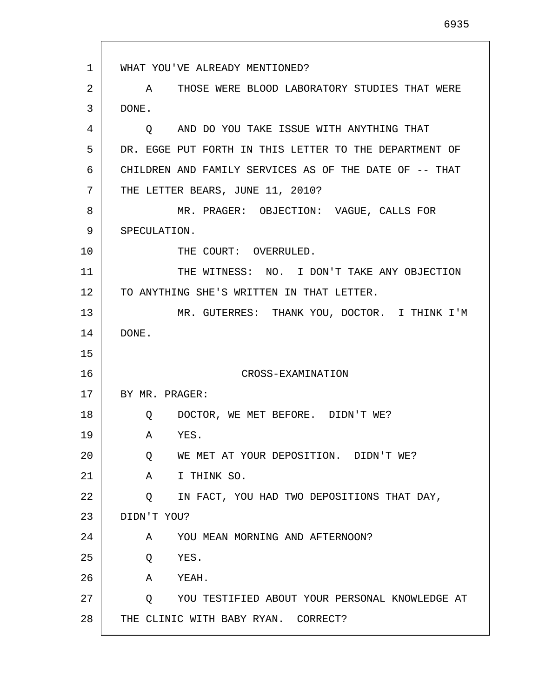1 2 3 4 5 6 7 8 9 10 11 12 13 14 15 16 17 18 19 20 21 22 23 24 25 26 27 28 WHAT YOU'VE ALREADY MENTIONED? A THOSE WERE BLOOD LABORATORY STUDIES THAT WERE DONE. Q AND DO YOU TAKE ISSUE WITH ANYTHING THAT DR. EGGE PUT FORTH IN THIS LETTER TO THE DEPARTMENT OF CHILDREN AND FAMILY SERVICES AS OF THE DATE OF -- THAT THE LETTER BEARS, JUNE 11, 2010? MR. PRAGER: OBJECTION: VAGUE, CALLS FOR SPECULATION. THE COURT: OVERRULED. THE WITNESS: NO. I DON'T TAKE ANY OBJECTION TO ANYTHING SHE'S WRITTEN IN THAT LETTER. MR. GUTERRES: THANK YOU, DOCTOR. I THINK I'M DONE. CROSS-EXAMINATION BY MR. PRAGER: Q DOCTOR, WE MET BEFORE. DIDN'T WE? A YES. Q WE MET AT YOUR DEPOSITION. DIDN'T WE? A I THINK SO. Q IN FACT, YOU HAD TWO DEPOSITIONS THAT DAY, DIDN'T YOU? A YOU MEAN MORNING AND AFTERNOON? Q YES. A YEAH. Q YOU TESTIFIED ABOUT YOUR PERSONAL KNOWLEDGE AT THE CLINIC WITH BABY RYAN. CORRECT?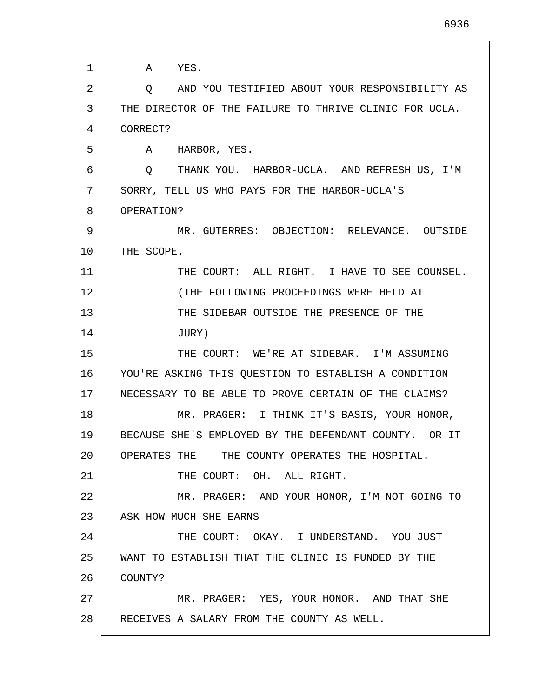1 2 3 4 5 6 7 8 9 10 11 12 13 14 15 16 17 18 19 20 21 22 23 24 25 26 27 28 A YES. Q AND YOU TESTIFIED ABOUT YOUR RESPONSIBILITY AS THE DIRECTOR OF THE FAILURE TO THRIVE CLINIC FOR UCLA. CORRECT? A HARBOR, YES. Q THANK YOU. HARBOR-UCLA. AND REFRESH US, I'M SORRY, TELL US WHO PAYS FOR THE HARBOR-UCLA'S OPERATION? MR. GUTERRES: OBJECTION: RELEVANCE. OUTSIDE THE SCOPE. THE COURT: ALL RIGHT. I HAVE TO SEE COUNSEL. (THE FOLLOWING PROCEEDINGS WERE HELD AT THE SIDEBAR OUTSIDE THE PRESENCE OF THE JURY) THE COURT: WE'RE AT SIDEBAR. I'M ASSUMING YOU'RE ASKING THIS QUESTION TO ESTABLISH A CONDITION NECESSARY TO BE ABLE TO PROVE CERTAIN OF THE CLAIMS? MR. PRAGER: I THINK IT'S BASIS, YOUR HONOR, BECAUSE SHE'S EMPLOYED BY THE DEFENDANT COUNTY. OR IT OPERATES THE -- THE COUNTY OPERATES THE HOSPITAL. THE COURT: OH. ALL RIGHT. MR. PRAGER: AND YOUR HONOR, I'M NOT GOING TO ASK HOW MUCH SHE EARNS -- THE COURT: OKAY. I UNDERSTAND. YOU JUST WANT TO ESTABLISH THAT THE CLINIC IS FUNDED BY THE COUNTY? MR. PRAGER: YES, YOUR HONOR. AND THAT SHE RECEIVES A SALARY FROM THE COUNTY AS WELL.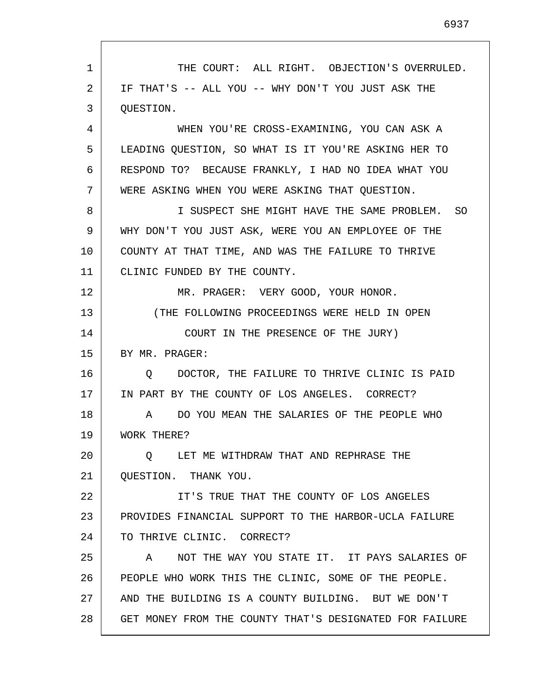1 2 3 4 5 6 7 8 9 10 11 12 13 14 15 16 17 18 19 20 21 22 23 24 25 26 27 28 THE COURT: ALL RIGHT. OBJECTION'S OVERRULED. IF THAT'S -- ALL YOU -- WHY DON'T YOU JUST ASK THE QUESTION. WHEN YOU'RE CROSS-EXAMINING, YOU CAN ASK A LEADING QUESTION, SO WHAT IS IT YOU'RE ASKING HER TO RESPOND TO? BECAUSE FRANKLY, I HAD NO IDEA WHAT YOU WERE ASKING WHEN YOU WERE ASKING THAT QUESTION. I SUSPECT SHE MIGHT HAVE THE SAME PROBLEM. SO WHY DON'T YOU JUST ASK, WERE YOU AN EMPLOYEE OF THE COUNTY AT THAT TIME, AND WAS THE FAILURE TO THRIVE CLINIC FUNDED BY THE COUNTY. MR. PRAGER: VERY GOOD, YOUR HONOR. (THE FOLLOWING PROCEEDINGS WERE HELD IN OPEN COURT IN THE PRESENCE OF THE JURY) BY MR. PRAGER: Q DOCTOR, THE FAILURE TO THRIVE CLINIC IS PAID IN PART BY THE COUNTY OF LOS ANGELES. CORRECT? A DO YOU MEAN THE SALARIES OF THE PEOPLE WHO WORK THERE? Q LET ME WITHDRAW THAT AND REPHRASE THE QUESTION. THANK YOU. IT'S TRUE THAT THE COUNTY OF LOS ANGELES PROVIDES FINANCIAL SUPPORT TO THE HARBOR-UCLA FAILURE TO THRIVE CLINIC. CORRECT? A NOT THE WAY YOU STATE IT. IT PAYS SALARIES OF PEOPLE WHO WORK THIS THE CLINIC, SOME OF THE PEOPLE. AND THE BUILDING IS A COUNTY BUILDING. BUT WE DON'T GET MONEY FROM THE COUNTY THAT'S DESIGNATED FOR FAILURE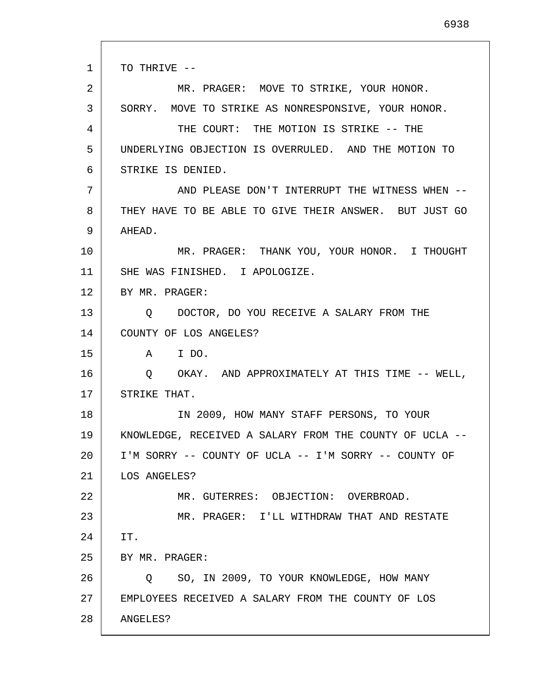1 2 3 4 5 6 7 8 9 10 11 12 13 14 15 16 17 18 19 20 21 22 23 24 25 26 27 28 TO THRIVE -- MR. PRAGER: MOVE TO STRIKE, YOUR HONOR. SORRY. MOVE TO STRIKE AS NONRESPONSIVE, YOUR HONOR. THE COURT: THE MOTION IS STRIKE -- THE UNDERLYING OBJECTION IS OVERRULED. AND THE MOTION TO STRIKE IS DENIED. AND PLEASE DON'T INTERRUPT THE WITNESS WHEN -- THEY HAVE TO BE ABLE TO GIVE THEIR ANSWER. BUT JUST GO AHEAD. MR. PRAGER: THANK YOU, YOUR HONOR. I THOUGHT SHE WAS FINISHED. I APOLOGIZE. BY MR. PRAGER: Q DOCTOR, DO YOU RECEIVE A SALARY FROM THE COUNTY OF LOS ANGELES? A I DO. Q OKAY. AND APPROXIMATELY AT THIS TIME -- WELL, STRIKE THAT. IN 2009, HOW MANY STAFF PERSONS, TO YOUR KNOWLEDGE, RECEIVED A SALARY FROM THE COUNTY OF UCLA -- I'M SORRY -- COUNTY OF UCLA -- I'M SORRY -- COUNTY OF LOS ANGELES? MR. GUTERRES: OBJECTION: OVERBROAD. MR. PRAGER: I'LL WITHDRAW THAT AND RESTATE IT. BY MR. PRAGER: Q SO, IN 2009, TO YOUR KNOWLEDGE, HOW MANY EMPLOYEES RECEIVED A SALARY FROM THE COUNTY OF LOS ANGELES?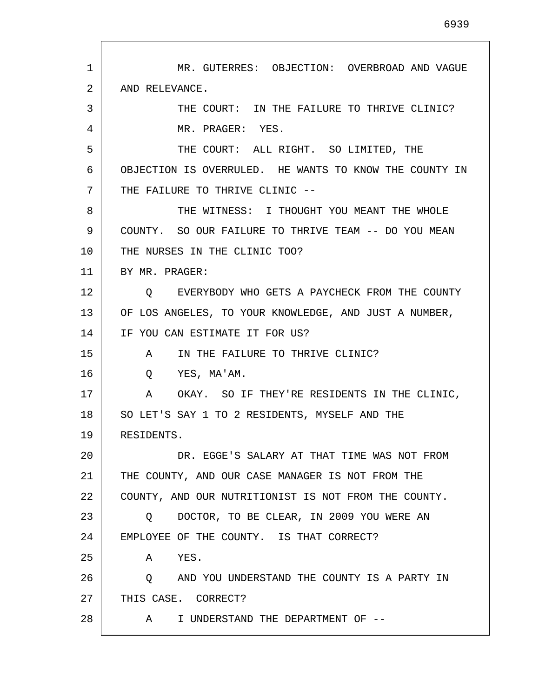1 2 3 4 5 6 7 8 9 10 11 12 13 14 15 16 17 18 19 20 21 22 23 24 25 26 27 28 MR. GUTERRES: OBJECTION: OVERBROAD AND VAGUE AND RELEVANCE. THE COURT: IN THE FAILURE TO THRIVE CLINIC? MR. PRAGER: YES. THE COURT: ALL RIGHT. SO LIMITED, THE OBJECTION IS OVERRULED. HE WANTS TO KNOW THE COUNTY IN THE FAILURE TO THRIVE CLINIC -- THE WITNESS: I THOUGHT YOU MEANT THE WHOLE COUNTY. SO OUR FAILURE TO THRIVE TEAM -- DO YOU MEAN THE NURSES IN THE CLINIC TOO? BY MR. PRAGER: Q EVERYBODY WHO GETS A PAYCHECK FROM THE COUNTY OF LOS ANGELES, TO YOUR KNOWLEDGE, AND JUST A NUMBER, IF YOU CAN ESTIMATE IT FOR US? A IN THE FAILURE TO THRIVE CLINIC? Q YES, MA'AM. A OKAY. SO IF THEY'RE RESIDENTS IN THE CLINIC, SO LET'S SAY 1 TO 2 RESIDENTS, MYSELF AND THE RESIDENTS. DR. EGGE'S SALARY AT THAT TIME WAS NOT FROM THE COUNTY, AND OUR CASE MANAGER IS NOT FROM THE COUNTY, AND OUR NUTRITIONIST IS NOT FROM THE COUNTY. Q DOCTOR, TO BE CLEAR, IN 2009 YOU WERE AN EMPLOYEE OF THE COUNTY. IS THAT CORRECT? A YES. Q AND YOU UNDERSTAND THE COUNTY IS A PARTY IN THIS CASE. CORRECT? A I UNDERSTAND THE DEPARTMENT OF --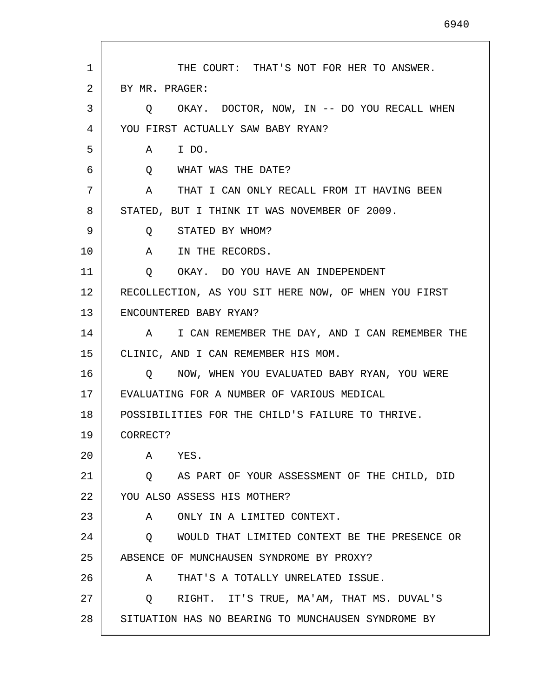| $\mathbf{1}$ | THE COURT: THAT'S NOT FOR HER TO ANSWER.             |
|--------------|------------------------------------------------------|
| 2            | BY MR. PRAGER:                                       |
| 3            | OKAY. DOCTOR, NOW, IN -- DO YOU RECALL WHEN<br>Q     |
| 4            | YOU FIRST ACTUALLY SAW BABY RYAN?                    |
| 5            | A IDO.                                               |
| 6            | Q WHAT WAS THE DATE?                                 |
| 7            | A THAT I CAN ONLY RECALL FROM IT HAVING BEEN         |
| 8            | STATED, BUT I THINK IT WAS NOVEMBER OF 2009.         |
| 9            | STATED BY WHOM?<br>Q                                 |
| 10           | A IN THE RECORDS.                                    |
| 11           | Q OKAY. DO YOU HAVE AN INDEPENDENT                   |
| 12           | RECOLLECTION, AS YOU SIT HERE NOW, OF WHEN YOU FIRST |
| 13           | ENCOUNTERED BABY RYAN?                               |
| 14           | A I CAN REMEMBER THE DAY, AND I CAN REMEMBER THE     |
| 15           | CLINIC, AND I CAN REMEMBER HIS MOM.                  |
| 16           | NOW, WHEN YOU EVALUATED BABY RYAN, YOU WERE<br>O     |
| 17           | EVALUATING FOR A NUMBER OF VARIOUS MEDICAL           |
| 18           | POSSIBILITIES FOR THE CHILD'S FAILURE TO THRIVE.     |
| 19           | CORRECT?                                             |
| 20           | Α<br>YES.                                            |
| 21           | AS PART OF YOUR ASSESSMENT OF THE CHILD, DID<br>Q    |
| 22           | YOU ALSO ASSESS HIS MOTHER?                          |
| 23           | ONLY IN A LIMITED CONTEXT.<br>A                      |
| 24           | WOULD THAT LIMITED CONTEXT BE THE PRESENCE OR<br>Q   |
| 25           | ABSENCE OF MUNCHAUSEN SYNDROME BY PROXY?             |
| 26           | THAT'S A TOTALLY UNRELATED ISSUE.<br>A               |
| 27           | RIGHT. IT'S TRUE, MA'AM, THAT MS. DUVAL'S<br>$\circ$ |
| 28           | SITUATION HAS NO BEARING TO MUNCHAUSEN SYNDROME BY   |

 $\mathsf{I}$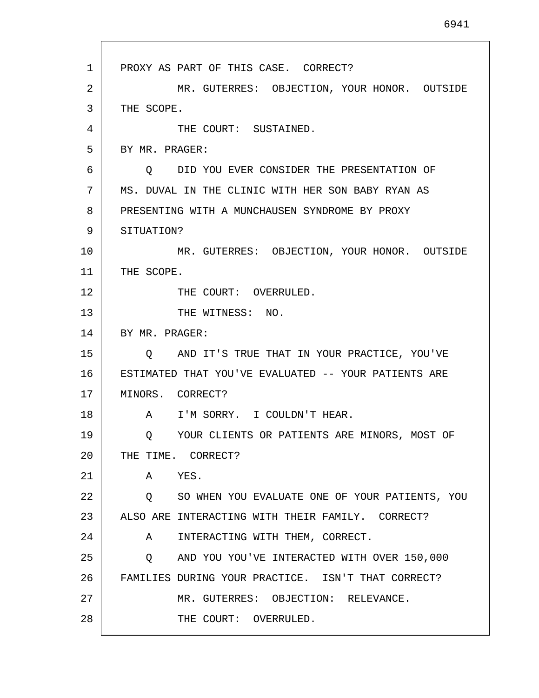1 2 3 4 5 6 7 8 9 10 11 12 13 14 15 16 17 18 19 20 21 22 23 24 25 26 27 28 PROXY AS PART OF THIS CASE. CORRECT? MR. GUTERRES: OBJECTION, YOUR HONOR. OUTSIDE THE SCOPE. THE COURT: SUSTAINED. BY MR. PRAGER: Q DID YOU EVER CONSIDER THE PRESENTATION OF MS. DUVAL IN THE CLINIC WITH HER SON BABY RYAN AS PRESENTING WITH A MUNCHAUSEN SYNDROME BY PROXY SITUATION? MR. GUTERRES: OBJECTION, YOUR HONOR. OUTSIDE THE SCOPE. THE COURT: OVERRULED. THE WITNESS: NO. BY MR. PRAGER: Q AND IT'S TRUE THAT IN YOUR PRACTICE, YOU'VE ESTIMATED THAT YOU'VE EVALUATED -- YOUR PATIENTS ARE MINORS. CORRECT? A I'M SORRY. I COULDN'T HEAR. Q YOUR CLIENTS OR PATIENTS ARE MINORS, MOST OF THE TIME. CORRECT? A YES. Q SO WHEN YOU EVALUATE ONE OF YOUR PATIENTS, YOU ALSO ARE INTERACTING WITH THEIR FAMILY. CORRECT? A INTERACTING WITH THEM, CORRECT. Q AND YOU YOU'VE INTERACTED WITH OVER 150,000 FAMILIES DURING YOUR PRACTICE. ISN'T THAT CORRECT? MR. GUTERRES: OBJECTION: RELEVANCE. THE COURT: OVERRULED.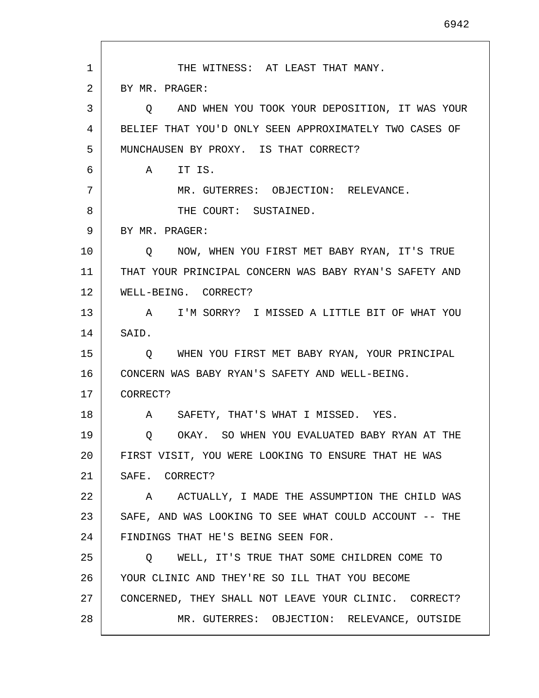1 2 3 4 5 6 7 8 9 10 11 12 13 14 15 16 17 18 19 20 21 22 23 24 25 26 27 28 THE WITNESS: AT LEAST THAT MANY. BY MR. PRAGER: Q AND WHEN YOU TOOK YOUR DEPOSITION, IT WAS YOUR BELIEF THAT YOU'D ONLY SEEN APPROXIMATELY TWO CASES OF MUNCHAUSEN BY PROXY. IS THAT CORRECT? A IT IS. MR. GUTERRES: OBJECTION: RELEVANCE. THE COURT: SUSTAINED. BY MR. PRAGER: Q NOW, WHEN YOU FIRST MET BABY RYAN, IT'S TRUE THAT YOUR PRINCIPAL CONCERN WAS BABY RYAN'S SAFETY AND WELL-BEING. CORRECT? A I'M SORRY? I MISSED A LITTLE BIT OF WHAT YOU SAID. Q WHEN YOU FIRST MET BABY RYAN, YOUR PRINCIPAL CONCERN WAS BABY RYAN'S SAFETY AND WELL-BEING. CORRECT? A SAFETY, THAT'S WHAT I MISSED. YES. Q OKAY. SO WHEN YOU EVALUATED BABY RYAN AT THE FIRST VISIT, YOU WERE LOOKING TO ENSURE THAT HE WAS SAFE. CORRECT? A ACTUALLY, I MADE THE ASSUMPTION THE CHILD WAS SAFE, AND WAS LOOKING TO SEE WHAT COULD ACCOUNT -- THE FINDINGS THAT HE'S BEING SEEN FOR. Q WELL, IT'S TRUE THAT SOME CHILDREN COME TO YOUR CLINIC AND THEY'RE SO ILL THAT YOU BECOME CONCERNED, THEY SHALL NOT LEAVE YOUR CLINIC. CORRECT? MR. GUTERRES: OBJECTION: RELEVANCE, OUTSIDE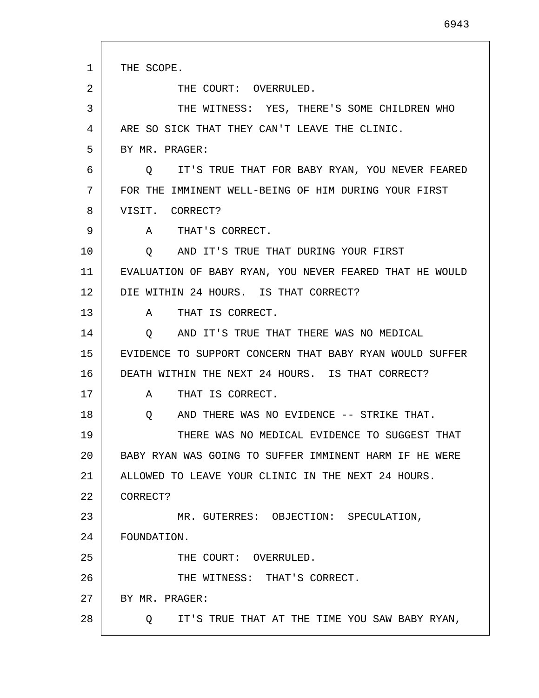| $\mathbf{1}$ | THE SCOPE.                                               |
|--------------|----------------------------------------------------------|
| 2            | THE COURT: OVERRULED.                                    |
| 3            | THE WITNESS: YES, THERE'S SOME CHILDREN WHO              |
| 4            | ARE SO SICK THAT THEY CAN'T LEAVE THE CLINIC.            |
| 5            | BY MR. PRAGER:                                           |
| 6            | Q IT'S TRUE THAT FOR BABY RYAN, YOU NEVER FEARED         |
| 7            | FOR THE IMMINENT WELL-BEING OF HIM DURING YOUR FIRST     |
| 8            | VISIT. CORRECT?                                          |
| 9            | A THAT'S CORRECT.                                        |
| 10           | AND IT'S TRUE THAT DURING YOUR FIRST<br>$\circ$          |
| 11           | EVALUATION OF BABY RYAN, YOU NEVER FEARED THAT HE WOULD  |
| 12           | DIE WITHIN 24 HOURS. IS THAT CORRECT?                    |
| 13           | THAT IS CORRECT.<br>A                                    |
| 14           | AND IT'S TRUE THAT THERE WAS NO MEDICAL<br>$\circ$       |
| 15           | EVIDENCE TO SUPPORT CONCERN THAT BABY RYAN WOULD SUFFER  |
| 16           | DEATH WITHIN THE NEXT 24 HOURS. IS THAT CORRECT?         |
| 17           | THAT IS CORRECT.<br>$\mathbf{A}$                         |
| 18           | AND THERE WAS NO EVIDENCE -- STRIKE THAT.<br>O           |
| 19           | THERE WAS NO MEDICAL EVIDENCE TO SUGGEST THAT            |
| 20           | BABY RYAN WAS GOING TO SUFFER IMMINENT HARM IF HE WERE   |
| 21           | ALLOWED TO LEAVE YOUR CLINIC IN THE NEXT 24 HOURS.       |
| 22           | CORRECT?                                                 |
| 23           | MR. GUTERRES: OBJECTION: SPECULATION,                    |
| 24           | FOUNDATION.                                              |
| 25           | THE COURT: OVERRULED.                                    |
| 26           | THE WITNESS: THAT'S CORRECT.                             |
| 27           | BY MR. PRAGER:                                           |
| 28           | IT'S TRUE THAT AT THE TIME YOU SAW BABY RYAN,<br>$\circ$ |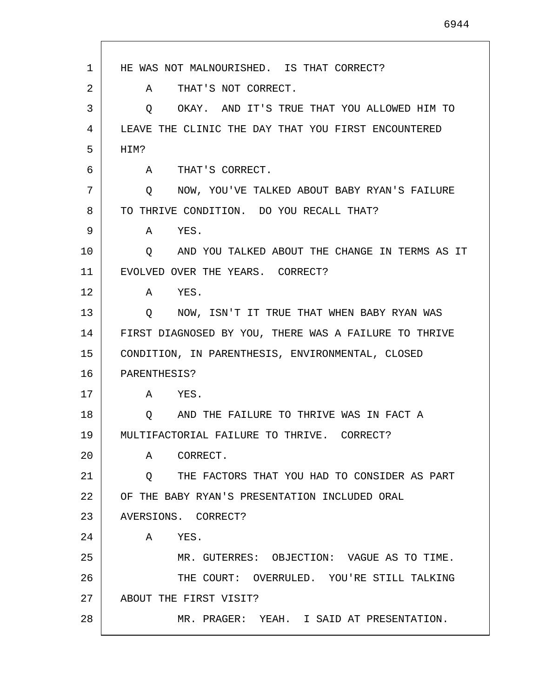| 1  | HE WAS NOT MALNOURISHED. IS THAT CORRECT?             |
|----|-------------------------------------------------------|
| 2  | THAT'S NOT CORRECT.<br>$\mathbf{A}$                   |
| 3  | OKAY. AND IT'S TRUE THAT YOU ALLOWED HIM TO<br>Q      |
| 4  | LEAVE THE CLINIC THE DAY THAT YOU FIRST ENCOUNTERED   |
| 5  | HIM?                                                  |
| 6  | A THAT'S CORRECT.                                     |
| 7  | NOW, YOU'VE TALKED ABOUT BABY RYAN'S FAILURE<br>Q     |
| 8  | TO THRIVE CONDITION. DO YOU RECALL THAT?              |
| 9  | YES.<br>A                                             |
| 10 | AND YOU TALKED ABOUT THE CHANGE IN TERMS AS IT<br>Q   |
| 11 | EVOLVED OVER THE YEARS. CORRECT?                      |
| 12 | A YES.                                                |
| 13 | O NOW, ISN'T IT TRUE THAT WHEN BABY RYAN WAS          |
| 14 | FIRST DIAGNOSED BY YOU, THERE WAS A FAILURE TO THRIVE |
| 15 | CONDITION, IN PARENTHESIS, ENVIRONMENTAL, CLOSED      |
| 16 | PARENTHESIS?                                          |
| 17 | A YES.                                                |
| 18 | AND THE FAILURE TO THRIVE WAS IN FACT A<br>$\circ$    |
| 19 | MULTIFACTORIAL FAILURE TO THRIVE. CORRECT?            |
| 20 | CORRECT.<br>Α                                         |
| 21 | Q THE FACTORS THAT YOU HAD TO CONSIDER AS PART        |
| 22 | OF THE BABY RYAN'S PRESENTATION INCLUDED ORAL         |
| 23 | AVERSIONS. CORRECT?                                   |
| 24 | YES.<br>$\mathbf{A}$                                  |
| 25 | MR. GUTERRES: OBJECTION: VAGUE AS TO TIME.            |
| 26 | THE COURT: OVERRULED. YOU'RE STILL TALKING            |
| 27 | ABOUT THE FIRST VISIT?                                |
| 28 | MR. PRAGER: YEAH. I SAID AT PRESENTATION.             |

Г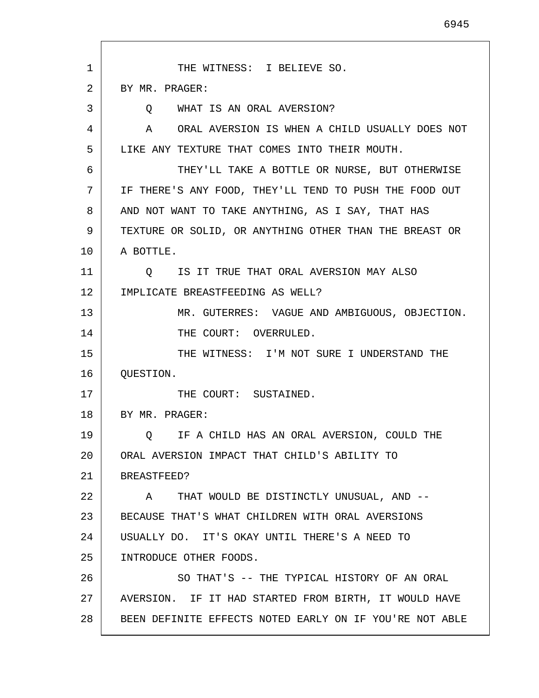1 2 3 4 5 6 7 8 9 10 11 12 13 14 15 16 17 18 19 20 21 22 23 24 25 26 27 28 THE WITNESS: I BELIEVE SO. BY MR. PRAGER: Q WHAT IS AN ORAL AVERSION? A ORAL AVERSION IS WHEN A CHILD USUALLY DOES NOT LIKE ANY TEXTURE THAT COMES INTO THEIR MOUTH. THEY'LL TAKE A BOTTLE OR NURSE, BUT OTHERWISE IF THERE'S ANY FOOD, THEY'LL TEND TO PUSH THE FOOD OUT AND NOT WANT TO TAKE ANYTHING, AS I SAY, THAT HAS TEXTURE OR SOLID, OR ANYTHING OTHER THAN THE BREAST OR A BOTTLE. Q IS IT TRUE THAT ORAL AVERSION MAY ALSO IMPLICATE BREASTFEEDING AS WELL? MR. GUTERRES: VAGUE AND AMBIGUOUS, OBJECTION. THE COURT: OVERRULED. THE WITNESS: I'M NOT SURE I UNDERSTAND THE QUESTION. THE COURT: SUSTAINED. BY MR. PRAGER: Q IF A CHILD HAS AN ORAL AVERSION, COULD THE ORAL AVERSION IMPACT THAT CHILD'S ABILITY TO BREASTFEED? A THAT WOULD BE DISTINCTLY UNUSUAL, AND -- BECAUSE THAT'S WHAT CHILDREN WITH ORAL AVERSIONS USUALLY DO. IT'S OKAY UNTIL THERE'S A NEED TO INTRODUCE OTHER FOODS. SO THAT'S -- THE TYPICAL HISTORY OF AN ORAL AVERSION. IF IT HAD STARTED FROM BIRTH, IT WOULD HAVE BEEN DEFINITE EFFECTS NOTED EARLY ON IF YOU'RE NOT ABLE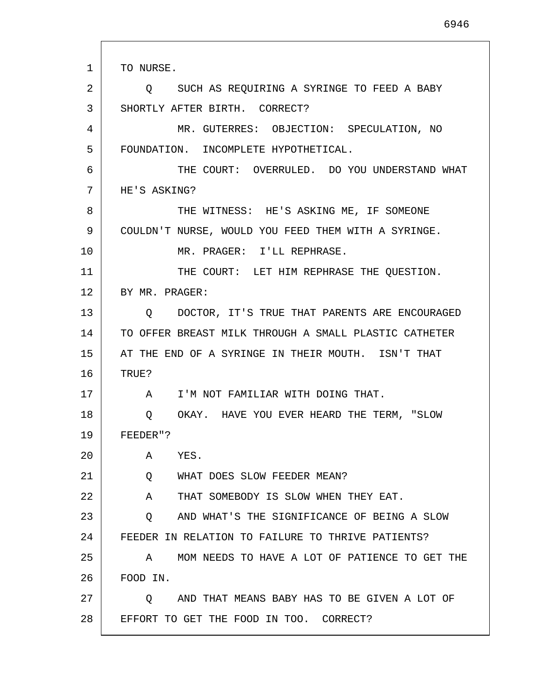1 2 3 4 5 6 7 8 9 10 11 12 13 14 15 16 17 18 19 20 21 22 23 24 25 26 27 28 TO NURSE. Q SUCH AS REQUIRING A SYRINGE TO FEED A BABY SHORTLY AFTER BIRTH. CORRECT? MR. GUTERRES: OBJECTION: SPECULATION, NO FOUNDATION. INCOMPLETE HYPOTHETICAL. THE COURT: OVERRULED. DO YOU UNDERSTAND WHAT HE'S ASKING? THE WITNESS: HE'S ASKING ME, IF SOMEONE COULDN'T NURSE, WOULD YOU FEED THEM WITH A SYRINGE. MR. PRAGER: I'LL REPHRASE. THE COURT: LET HIM REPHRASE THE QUESTION. BY MR. PRAGER: Q DOCTOR, IT'S TRUE THAT PARENTS ARE ENCOURAGED TO OFFER BREAST MILK THROUGH A SMALL PLASTIC CATHETER AT THE END OF A SYRINGE IN THEIR MOUTH. ISN'T THAT TRUE? A I'M NOT FAMILIAR WITH DOING THAT. Q OKAY. HAVE YOU EVER HEARD THE TERM, "SLOW FEEDER"? A YES. Q WHAT DOES SLOW FEEDER MEAN? A THAT SOMEBODY IS SLOW WHEN THEY EAT. Q AND WHAT'S THE SIGNIFICANCE OF BEING A SLOW FEEDER IN RELATION TO FAILURE TO THRIVE PATIENTS? A MOM NEEDS TO HAVE A LOT OF PATIENCE TO GET THE FOOD IN. Q AND THAT MEANS BABY HAS TO BE GIVEN A LOT OF EFFORT TO GET THE FOOD IN TOO. CORRECT?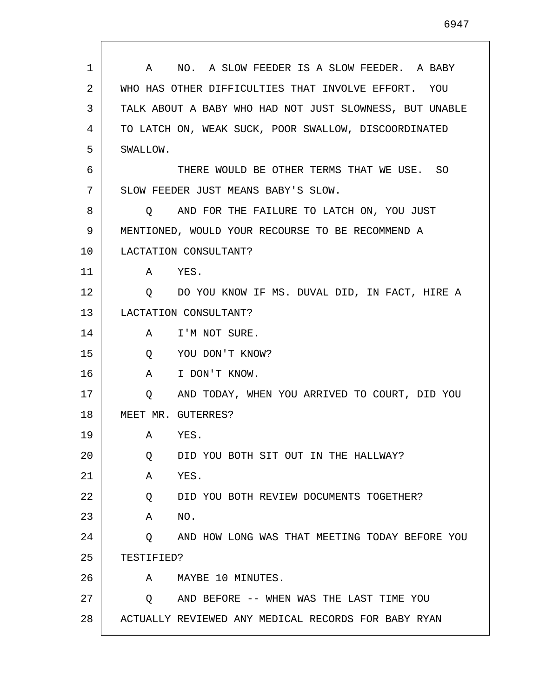| 1  | NO. A SLOW FEEDER IS A SLOW FEEDER. A BABY<br>A         |
|----|---------------------------------------------------------|
| 2  | WHO HAS OTHER DIFFICULTIES THAT INVOLVE EFFORT. YOU     |
| 3  | TALK ABOUT A BABY WHO HAD NOT JUST SLOWNESS, BUT UNABLE |
| 4  | TO LATCH ON, WEAK SUCK, POOR SWALLOW, DISCOORDINATED    |
| 5  | SWALLOW.                                                |
| 6  | THERE WOULD BE OTHER TERMS THAT WE USE. SO              |
| 7  | SLOW FEEDER JUST MEANS BABY'S SLOW.                     |
| 8  | AND FOR THE FAILURE TO LATCH ON, YOU JUST<br>$\circ$    |
| 9  | MENTIONED, WOULD YOUR RECOURSE TO BE RECOMMEND A        |
| 10 | LACTATION CONSULTANT?                                   |
| 11 | A YES.                                                  |
| 12 | DO YOU KNOW IF MS. DUVAL DID, IN FACT, HIRE A<br>O.     |
| 13 | LACTATION CONSULTANT?                                   |
| 14 | I'M NOT SURE.<br>A                                      |
| 15 | YOU DON'T KNOW?<br>Q                                    |
| 16 | I DON'T KNOW.<br>A                                      |
| 17 | AND TODAY, WHEN YOU ARRIVED TO COURT, DID YOU<br>Q      |
| 18 | MEET MR. GUTERRES?                                      |
| 19 | Α<br>YES.                                               |
| 20 | DID YOU BOTH SIT OUT IN THE HALLWAY?<br>Q               |
| 21 | YES.<br>Α                                               |
| 22 | DID YOU BOTH REVIEW DOCUMENTS TOGETHER?<br>Q            |
| 23 | NO.<br>Α                                                |
| 24 | AND HOW LONG WAS THAT MEETING TODAY BEFORE YOU<br>Q     |
| 25 | TESTIFIED?                                              |
| 26 | MAYBE 10 MINUTES.<br>A                                  |
| 27 | AND BEFORE -- WHEN WAS THE LAST TIME YOU<br>Q           |
| 28 | ACTUALLY REVIEWED ANY MEDICAL RECORDS FOR BABY RYAN     |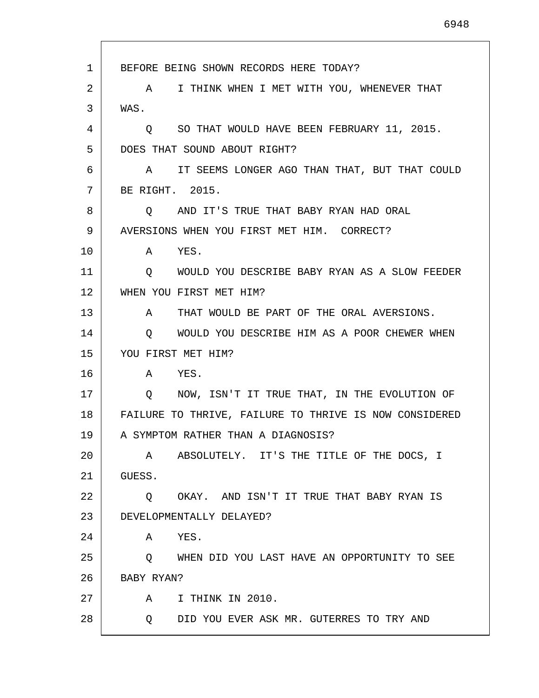1 2 3 4 5 6 7 8 9 10 11 12 13 14 15 16 17 18 19 20 21 22 23 24 25 26 27 28 BEFORE BEING SHOWN RECORDS HERE TODAY? A I THINK WHEN I MET WITH YOU, WHENEVER THAT WAS. Q SO THAT WOULD HAVE BEEN FEBRUARY 11, 2015. DOES THAT SOUND ABOUT RIGHT? A IT SEEMS LONGER AGO THAN THAT, BUT THAT COULD BE RIGHT. 2015. Q AND IT'S TRUE THAT BABY RYAN HAD ORAL AVERSIONS WHEN YOU FIRST MET HIM. CORRECT? A YES. Q WOULD YOU DESCRIBE BABY RYAN AS A SLOW FEEDER WHEN YOU FIRST MET HIM? A THAT WOULD BE PART OF THE ORAL AVERSIONS. Q WOULD YOU DESCRIBE HIM AS A POOR CHEWER WHEN YOU FIRST MET HIM? A YES. Q NOW, ISN'T IT TRUE THAT, IN THE EVOLUTION OF FAILURE TO THRIVE, FAILURE TO THRIVE IS NOW CONSIDERED A SYMPTOM RATHER THAN A DIAGNOSIS? A ABSOLUTELY. IT'S THE TITLE OF THE DOCS, I GUESS. Q OKAY. AND ISN'T IT TRUE THAT BABY RYAN IS DEVELOPMENTALLY DELAYED? A YES. Q WHEN DID YOU LAST HAVE AN OPPORTUNITY TO SEE BABY RYAN? A I THINK IN 2010. Q DID YOU EVER ASK MR. GUTERRES TO TRY AND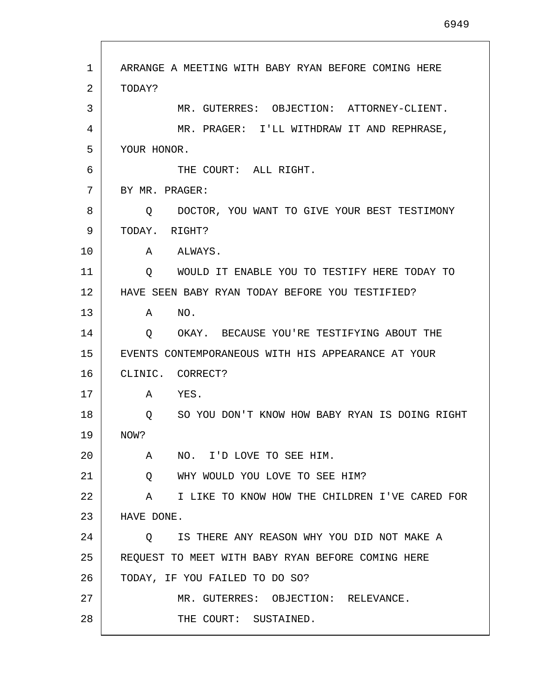| 1  | ARRANGE A MEETING WITH BABY RYAN BEFORE COMING HERE     |
|----|---------------------------------------------------------|
| 2  | TODAY?                                                  |
| 3  | MR. GUTERRES: OBJECTION: ATTORNEY-CLIENT.               |
| 4  | MR. PRAGER: I'LL WITHDRAW IT AND REPHRASE,              |
| 5  | YOUR HONOR.                                             |
| 6  | THE COURT: ALL RIGHT.                                   |
| 7  | BY MR. PRAGER:                                          |
| 8  | DOCTOR, YOU WANT TO GIVE YOUR BEST TESTIMONY<br>O.      |
| 9  | TODAY, RIGHT?                                           |
| 10 | A ALWAYS.                                               |
| 11 | WOULD IT ENABLE YOU TO TESTIFY HERE TODAY TO<br>$\circ$ |
| 12 | HAVE SEEN BABY RYAN TODAY BEFORE YOU TESTIFIED?         |
| 13 | NO.<br>A                                                |
| 14 | O OKAY. BECAUSE YOU'RE TESTIFYING ABOUT THE             |
| 15 | EVENTS CONTEMPORANEOUS WITH HIS APPEARANCE AT YOUR      |
| 16 | CLINIC. CORRECT?                                        |
| 17 | A<br>YES.                                               |
| 18 | SO YOU DON'T KNOW HOW BABY RYAN IS DOING RIGHT<br>Q     |
| 19 | NOW?                                                    |
| 20 | NO. I'D LOVE TO SEE HIM.<br>A                           |
| 21 | WHY WOULD YOU LOVE TO SEE HIM?<br>$Q \qquad \qquad$     |
| 22 | I LIKE TO KNOW HOW THE CHILDREN I'VE CARED FOR<br>A     |
| 23 | HAVE DONE.                                              |
| 24 | IS THERE ANY REASON WHY YOU DID NOT MAKE A<br>$\circ$   |
| 25 | REQUEST TO MEET WITH BABY RYAN BEFORE COMING HERE       |
| 26 | TODAY, IF YOU FAILED TO DO SO?                          |
| 27 | MR. GUTERRES: OBJECTION: RELEVANCE.                     |
| 28 | THE COURT: SUSTAINED.                                   |

I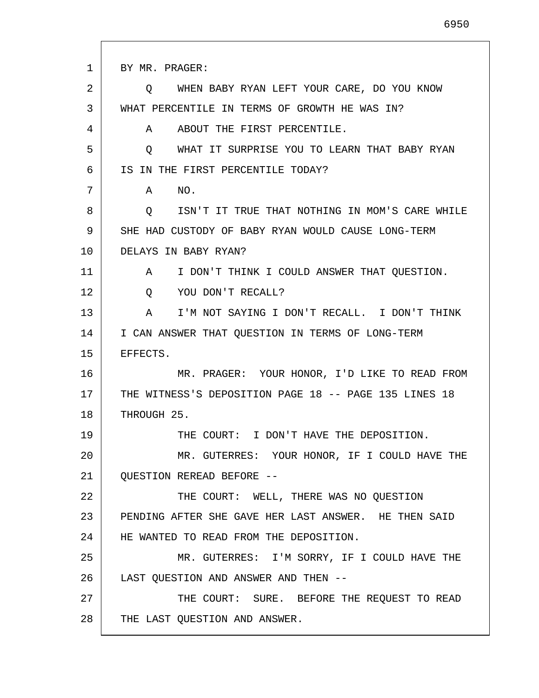1 2 3 4 5 6 7 8 9 10 11 12 13 14 15 16 17 18 19 20 21 22 23 24 25 26 27 28 BY MR. PRAGER: Q WHEN BABY RYAN LEFT YOUR CARE, DO YOU KNOW WHAT PERCENTILE IN TERMS OF GROWTH HE WAS IN? A ABOUT THE FIRST PERCENTILE. Q WHAT IT SURPRISE YOU TO LEARN THAT BABY RYAN IS IN THE FIRST PERCENTILE TODAY? A NO. Q ISN'T IT TRUE THAT NOTHING IN MOM'S CARE WHILE SHE HAD CUSTODY OF BABY RYAN WOULD CAUSE LONG-TERM DELAYS IN BABY RYAN? A I DON'T THINK I COULD ANSWER THAT QUESTION. Q YOU DON'T RECALL? A I'M NOT SAYING I DON'T RECALL. I DON'T THINK I CAN ANSWER THAT QUESTION IN TERMS OF LONG-TERM EFFECTS. MR. PRAGER: YOUR HONOR, I'D LIKE TO READ FROM THE WITNESS'S DEPOSITION PAGE 18 -- PAGE 135 LINES 18 THROUGH 25. THE COURT: I DON'T HAVE THE DEPOSITION. MR. GUTERRES: YOUR HONOR, IF I COULD HAVE THE QUESTION REREAD BEFORE -- THE COURT: WELL, THERE WAS NO QUESTION PENDING AFTER SHE GAVE HER LAST ANSWER. HE THEN SAID HE WANTED TO READ FROM THE DEPOSITION. MR. GUTERRES: I'M SORRY, IF I COULD HAVE THE LAST QUESTION AND ANSWER AND THEN -- THE COURT: SURE. BEFORE THE REQUEST TO READ THE LAST QUESTION AND ANSWER.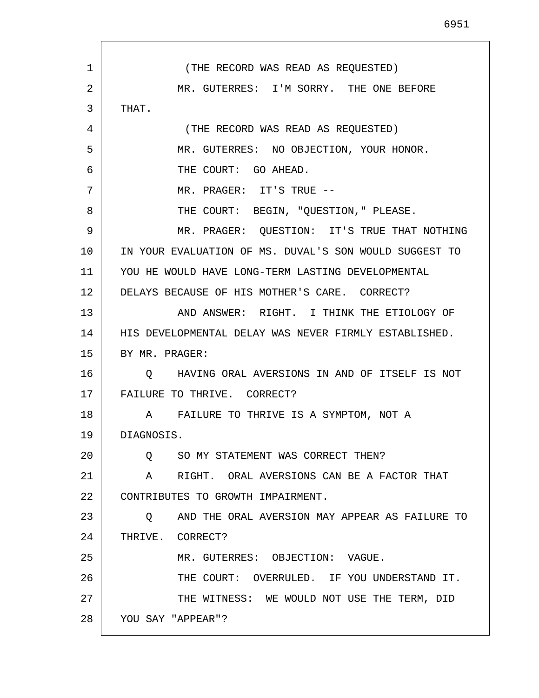1 2 3 4 5 6 7 8 9 10 11 12 13 14 15 16 17 18 19 20 21  $2.2<sub>2</sub>$ 23 24 25 26 27 28 (THE RECORD WAS READ AS REQUESTED) MR. GUTERRES: I'M SORRY. THE ONE BEFORE THAT. (THE RECORD WAS READ AS REQUESTED) MR. GUTERRES: NO OBJECTION, YOUR HONOR. THE COURT: GO AHEAD. MR. PRAGER: IT'S TRUE -- THE COURT: BEGIN, "QUESTION," PLEASE. MR. PRAGER: QUESTION: IT'S TRUE THAT NOTHING IN YOUR EVALUATION OF MS. DUVAL'S SON WOULD SUGGEST TO YOU HE WOULD HAVE LONG-TERM LASTING DEVELOPMENTAL DELAYS BECAUSE OF HIS MOTHER'S CARE. CORRECT? AND ANSWER: RIGHT. I THINK THE ETIOLOGY OF HIS DEVELOPMENTAL DELAY WAS NEVER FIRMLY ESTABLISHED. BY MR. PRAGER: Q HAVING ORAL AVERSIONS IN AND OF ITSELF IS NOT FAILURE TO THRIVE. CORRECT? A FAILURE TO THRIVE IS A SYMPTOM, NOT A DIAGNOSIS. Q SO MY STATEMENT WAS CORRECT THEN? A RIGHT. ORAL AVERSIONS CAN BE A FACTOR THAT CONTRIBUTES TO GROWTH IMPAIRMENT. Q AND THE ORAL AVERSION MAY APPEAR AS FAILURE TO THRIVE. CORRECT? MR. GUTERRES: OBJECTION: VAGUE. THE COURT: OVERRULED. IF YOU UNDERSTAND IT. THE WITNESS: WE WOULD NOT USE THE TERM, DID YOU SAY "APPEAR"?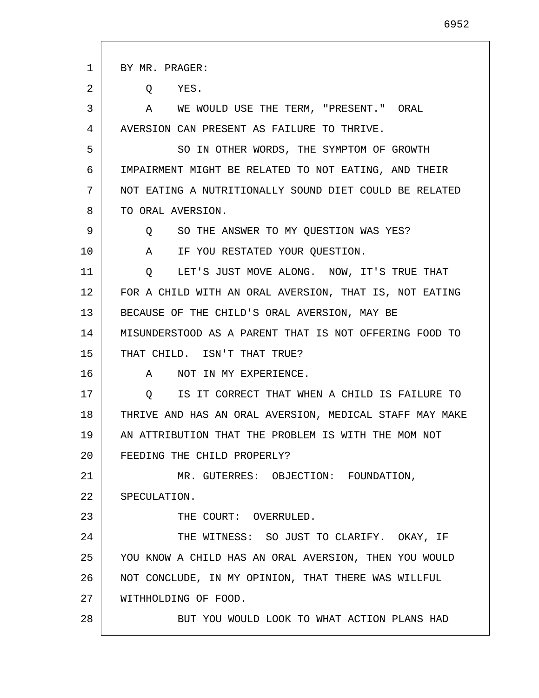| 1  | BY MR. PRAGER:                                           |
|----|----------------------------------------------------------|
| 2  | YES.<br>Q                                                |
| 3  | A WE WOULD USE THE TERM, "PRESENT." ORAL                 |
| 4  | AVERSION CAN PRESENT AS FAILURE TO THRIVE.               |
| 5  | SO IN OTHER WORDS, THE SYMPTOM OF GROWTH                 |
| 6  | IMPAIRMENT MIGHT BE RELATED TO NOT EATING, AND THEIR     |
| 7  | NOT EATING A NUTRITIONALLY SOUND DIET COULD BE RELATED   |
| 8  | TO ORAL AVERSION.                                        |
| 9  | SO THE ANSWER TO MY QUESTION WAS YES?<br>Q               |
| 10 | A<br>IF YOU RESTATED YOUR QUESTION.                      |
| 11 | Q LET'S JUST MOVE ALONG. NOW, IT'S TRUE THAT             |
| 12 | FOR A CHILD WITH AN ORAL AVERSION, THAT IS, NOT EATING   |
| 13 | BECAUSE OF THE CHILD'S ORAL AVERSION, MAY BE             |
| 14 | MISUNDERSTOOD AS A PARENT THAT IS NOT OFFERING FOOD TO   |
| 15 | THAT CHILD. ISN'T THAT TRUE?                             |
| 16 | A<br>NOT IN MY EXPERIENCE.                               |
| 17 | IS IT CORRECT THAT WHEN A CHILD IS FAILURE TO<br>$\circ$ |
| 18 | THRIVE AND HAS AN ORAL AVERSION, MEDICAL STAFF MAY MAKE  |
| 19 | AN ATTRIBUTION THAT THE PROBLEM IS WITH THE MOM NOT      |
| 20 | FEEDING THE CHILD PROPERLY?                              |
| 21 | MR. GUTERRES: OBJECTION: FOUNDATION,                     |
| 22 | SPECULATION.                                             |
| 23 | THE COURT: OVERRULED.                                    |
| 24 | THE WITNESS: SO JUST TO CLARIFY. OKAY, IF                |
| 25 | YOU KNOW A CHILD HAS AN ORAL AVERSION, THEN YOU WOULD    |
| 26 | NOT CONCLUDE, IN MY OPINION, THAT THERE WAS WILLFUL      |
| 27 | WITHHOLDING OF FOOD.                                     |
| 28 | BUT YOU WOULD LOOK TO WHAT ACTION PLANS HAD              |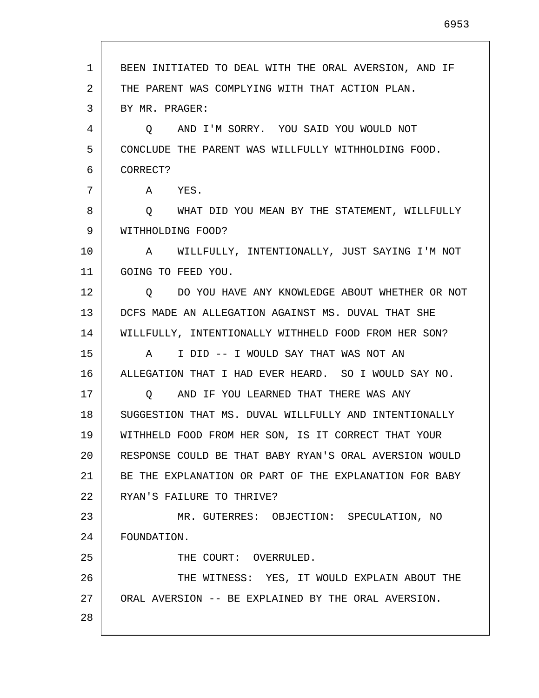| 1  | BEEN INITIATED TO DEAL WITH THE ORAL AVERSION, AND IF  |
|----|--------------------------------------------------------|
| 2  | THE PARENT WAS COMPLYING WITH THAT ACTION PLAN.        |
| 3  | BY MR. PRAGER:                                         |
| 4  | AND I'M SORRY. YOU SAID YOU WOULD NOT<br>$\circ$       |
| 5  | CONCLUDE THE PARENT WAS WILLFULLY WITHHOLDING FOOD.    |
| 6  | CORRECT?                                               |
| 7  | A YES.                                                 |
| 8  | Q WHAT DID YOU MEAN BY THE STATEMENT, WILLFULLY        |
| 9  | WITHHOLDING FOOD?                                      |
| 10 | A WILLFULLY, INTENTIONALLY, JUST SAYING I'M NOT        |
| 11 | GOING TO FEED YOU.                                     |
| 12 | DO YOU HAVE ANY KNOWLEDGE ABOUT WHETHER OR NOT<br>Q    |
| 13 | DCFS MADE AN ALLEGATION AGAINST MS. DUVAL THAT SHE     |
| 14 | WILLFULLY, INTENTIONALLY WITHHELD FOOD FROM HER SON?   |
| 15 | I DID -- I WOULD SAY THAT WAS NOT AN<br>A              |
| 16 | ALLEGATION THAT I HAD EVER HEARD. SO I WOULD SAY NO.   |
| 17 | AND IF YOU LEARNED THAT THERE WAS ANY<br>O             |
| 18 | SUGGESTION THAT MS. DUVAL WILLFULLY AND INTENTIONALLY  |
| 19 | WITHHELD FOOD FROM HER SON, IS IT CORRECT THAT YOUR    |
| 20 | RESPONSE COULD BE THAT BABY RYAN'S ORAL AVERSION WOULD |
| 21 | BE THE EXPLANATION OR PART OF THE EXPLANATION FOR BABY |
| 22 | RYAN'S FAILURE TO THRIVE?                              |
| 23 | MR. GUTERRES: OBJECTION: SPECULATION, NO               |
| 24 | FOUNDATION.                                            |
| 25 | THE COURT: OVERRULED.                                  |
| 26 | THE WITNESS: YES, IT WOULD EXPLAIN ABOUT THE           |
| 27 | ORAL AVERSION -- BE EXPLAINED BY THE ORAL AVERSION.    |
| 28 |                                                        |

I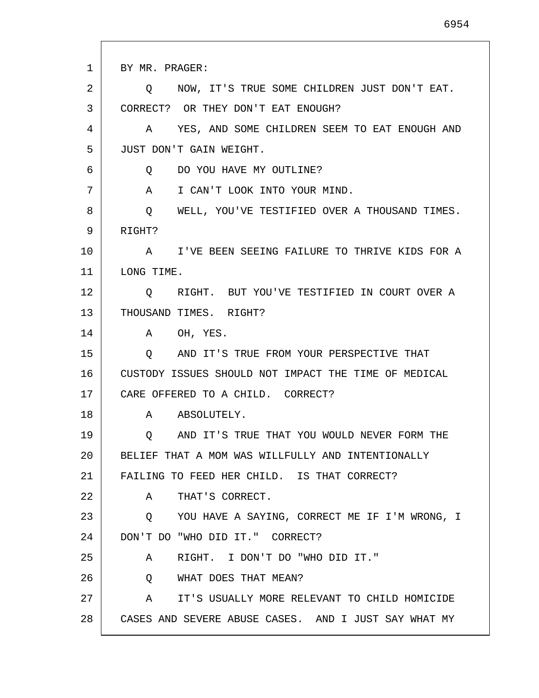| 1  | BY MR. PRAGER:                                           |
|----|----------------------------------------------------------|
| 2  | NOW, IT'S TRUE SOME CHILDREN JUST DON'T EAT.<br>O        |
| 3  | CORRECT? OR THEY DON'T EAT ENOUGH?                       |
| 4  | YES, AND SOME CHILDREN SEEM TO EAT ENOUGH AND<br>A       |
| 5  | JUST DON'T GAIN WEIGHT.                                  |
| 6  | DO YOU HAVE MY OUTLINE?<br>Q                             |
| 7  | A I CAN'T LOOK INTO YOUR MIND.                           |
| 8  | WELL, YOU'VE TESTIFIED OVER A THOUSAND TIMES.<br>Q       |
| 9  | RIGHT?                                                   |
| 10 | A I'VE BEEN SEEING FAILURE TO THRIVE KIDS FOR A          |
| 11 | LONG TIME.                                               |
| 12 | Q RIGHT. BUT YOU'VE TESTIFIED IN COURT OVER A            |
| 13 | THOUSAND TIMES. RIGHT?                                   |
| 14 | A OH, YES.                                               |
| 15 | AND IT'S TRUE FROM YOUR PERSPECTIVE THAT<br>Q            |
| 16 | CUSTODY ISSUES SHOULD NOT IMPACT THE TIME OF MEDICAL     |
| 17 | CARE OFFERED TO A CHILD. CORRECT?                        |
| 18 | ABSOLUTELY.<br>A                                         |
| 19 | AND IT'S TRUE THAT YOU WOULD NEVER FORM THE<br>O         |
| 20 | BELIEF THAT A MOM WAS WILLFULLY AND INTENTIONALLY        |
| 21 | FAILING TO FEED HER CHILD. IS THAT CORRECT?              |
| 22 | THAT'S CORRECT.<br>A                                     |
| 23 | YOU HAVE A SAYING, CORRECT ME IF I'M WRONG, I<br>$\circ$ |
| 24 | DON'T DO "WHO DID IT." CORRECT?                          |
| 25 | RIGHT. I DON'T DO "WHO DID IT."<br>A                     |
| 26 | WHAT DOES THAT MEAN?<br>Q                                |
| 27 | IT'S USUALLY MORE RELEVANT TO CHILD HOMICIDE<br>A        |
| 28 | CASES AND SEVERE ABUSE CASES. AND I JUST SAY WHAT MY     |

Г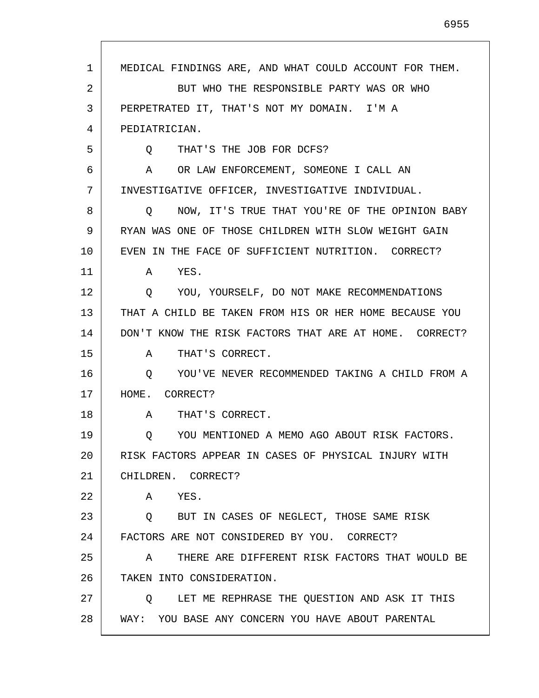2 3 4 5 6 7 8 9 10 11 12 13 14 15 16 17 18 19 20 21 22 23 24 25 26 27 28 BUT WHO THE RESPONSIBLE PARTY WAS OR WHO PERPETRATED IT, THAT'S NOT MY DOMAIN. I'M A PEDIATRICIAN. Q THAT'S THE JOB FOR DCFS? A OR LAW ENFORCEMENT, SOMEONE I CALL AN INVESTIGATIVE OFFICER, INVESTIGATIVE INDIVIDUAL. Q NOW, IT'S TRUE THAT YOU'RE OF THE OPINION BABY RYAN WAS ONE OF THOSE CHILDREN WITH SLOW WEIGHT GAIN EVEN IN THE FACE OF SUFFICIENT NUTRITION. CORRECT? A YES. Q YOU, YOURSELF, DO NOT MAKE RECOMMENDATIONS THAT A CHILD BE TAKEN FROM HIS OR HER HOME BECAUSE YOU DON'T KNOW THE RISK FACTORS THAT ARE AT HOME. CORRECT? A THAT'S CORRECT. Q YOU'VE NEVER RECOMMENDED TAKING A CHILD FROM A HOME. CORRECT? A THAT'S CORRECT. Q YOU MENTIONED A MEMO AGO ABOUT RISK FACTORS. RISK FACTORS APPEAR IN CASES OF PHYSICAL INJURY WITH CHILDREN. CORRECT? A YES. Q BUT IN CASES OF NEGLECT, THOSE SAME RISK FACTORS ARE NOT CONSIDERED BY YOU. CORRECT? A THERE ARE DIFFERENT RISK FACTORS THAT WOULD BE TAKEN INTO CONSIDERATION. Q LET ME REPHRASE THE QUESTION AND ASK IT THIS WAY: YOU BASE ANY CONCERN YOU HAVE ABOUT PARENTAL

1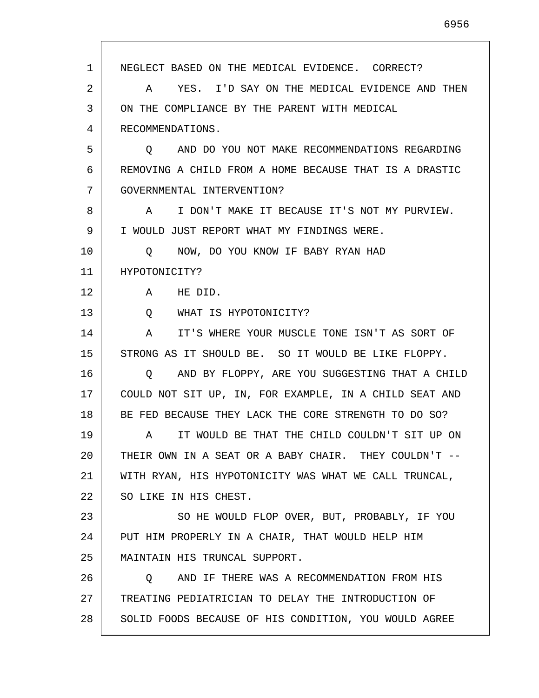1 2 3 4 5 6 7 8 9 10 11 12 13 14 15 16 17 18 19 20 21 22 23 24 25 26 27 28 NEGLECT BASED ON THE MEDICAL EVIDENCE. CORRECT? A YES. I'D SAY ON THE MEDICAL EVIDENCE AND THEN ON THE COMPLIANCE BY THE PARENT WITH MEDICAL RECOMMENDATIONS. Q AND DO YOU NOT MAKE RECOMMENDATIONS REGARDING REMOVING A CHILD FROM A HOME BECAUSE THAT IS A DRASTIC GOVERNMENTAL INTERVENTION? A I DON'T MAKE IT BECAUSE IT'S NOT MY PURVIEW. I WOULD JUST REPORT WHAT MY FINDINGS WERE. Q NOW, DO YOU KNOW IF BABY RYAN HAD HYPOTONICITY? A HE DID. Q WHAT IS HYPOTONICITY? A IT'S WHERE YOUR MUSCLE TONE ISN'T AS SORT OF STRONG AS IT SHOULD BE. SO IT WOULD BE LIKE FLOPPY. Q AND BY FLOPPY, ARE YOU SUGGESTING THAT A CHILD COULD NOT SIT UP, IN, FOR EXAMPLE, IN A CHILD SEAT AND BE FED BECAUSE THEY LACK THE CORE STRENGTH TO DO SO? A IT WOULD BE THAT THE CHILD COULDN'T SIT UP ON THEIR OWN IN A SEAT OR A BABY CHAIR. THEY COULDN'T -- WITH RYAN, HIS HYPOTONICITY WAS WHAT WE CALL TRUNCAL, SO LIKE IN HIS CHEST. SO HE WOULD FLOP OVER, BUT, PROBABLY, IF YOU PUT HIM PROPERLY IN A CHAIR, THAT WOULD HELP HIM MAINTAIN HIS TRUNCAL SUPPORT. Q AND IF THERE WAS A RECOMMENDATION FROM HIS TREATING PEDIATRICIAN TO DELAY THE INTRODUCTION OF SOLID FOODS BECAUSE OF HIS CONDITION, YOU WOULD AGREE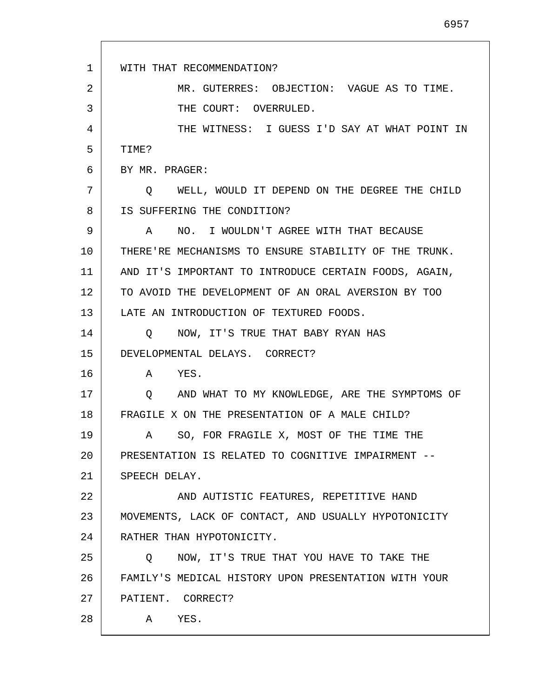| 1  | WITH THAT RECOMMENDATION?                                 |
|----|-----------------------------------------------------------|
| 2  | MR. GUTERRES: OBJECTION: VAGUE AS TO TIME.                |
| 3  | THE COURT: OVERRULED.                                     |
| 4  | THE WITNESS: I GUESS I'D SAY AT WHAT POINT IN             |
| 5  | TIME?                                                     |
| 6  | BY MR. PRAGER:                                            |
| 7  | WELL, WOULD IT DEPEND ON THE DEGREE THE CHILD<br>$\circ$  |
| 8  | IS SUFFERING THE CONDITION?                               |
| 9  | NO. I WOULDN'T AGREE WITH THAT BECAUSE<br>A               |
| 10 | THERE'RE MECHANISMS TO ENSURE STABILITY OF THE TRUNK.     |
| 11 | AND IT'S IMPORTANT TO INTRODUCE CERTAIN FOODS, AGAIN,     |
| 12 | TO AVOID THE DEVELOPMENT OF AN ORAL AVERSION BY TOO       |
| 13 | LATE AN INTRODUCTION OF TEXTURED FOODS.                   |
| 14 | NOW, IT'S TRUE THAT BABY RYAN HAS<br>$\circ$              |
| 15 | DEVELOPMENTAL DELAYS. CORRECT?                            |
| 16 | A YES.                                                    |
| 17 | AND WHAT TO MY KNOWLEDGE, ARE THE SYMPTOMS OF<br>$Q \sim$ |
| 18 | FRAGILE X ON THE PRESENTATION OF A MALE CHILD?            |
| 19 | A SO, FOR FRAGILE X, MOST OF THE TIME THE                 |
| 20 | PRESENTATION IS RELATED TO COGNITIVE IMPAIRMENT --        |
| 21 | SPEECH DELAY.                                             |
| 22 | AND AUTISTIC FEATURES, REPETITIVE HAND                    |
| 23 | MOVEMENTS, LACK OF CONTACT, AND USUALLY HYPOTONICITY      |
| 24 | RATHER THAN HYPOTONICITY.                                 |
| 25 | NOW, IT'S TRUE THAT YOU HAVE TO TAKE THE<br>Q             |
| 26 | FAMILY'S MEDICAL HISTORY UPON PRESENTATION WITH YOUR      |
| 27 | PATIENT. CORRECT?                                         |
| 28 | A YES.                                                    |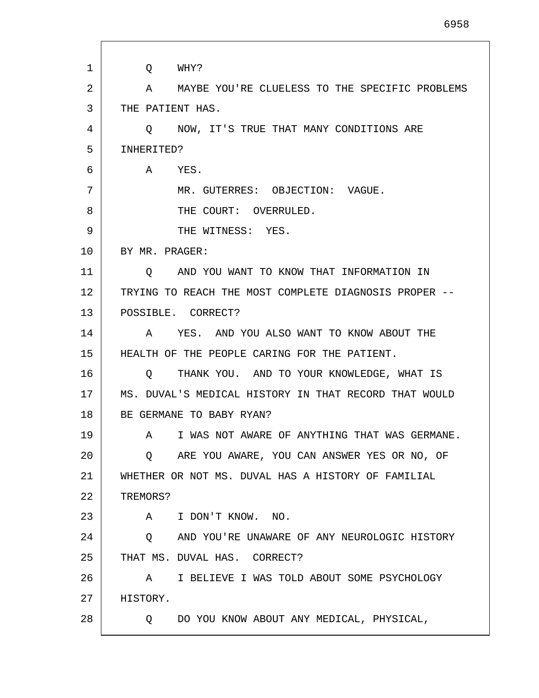| 1  | WHY?<br>Q                                                      |
|----|----------------------------------------------------------------|
| 2  | MAYBE YOU'RE CLUELESS TO THE SPECIFIC PROBLEMS<br>$\mathsf{A}$ |
| 3  | THE PATIENT HAS.                                               |
| 4  | O NOW, IT'S TRUE THAT MANY CONDITIONS ARE                      |
| 5  | INHERITED?                                                     |
| 6  | A YES.                                                         |
| 7  | MR. GUTERRES: OBJECTION: VAGUE.                                |
| 8  | THE COURT: OVERRULED.                                          |
| 9  | THE WITNESS: YES.                                              |
| 10 | BY MR. PRAGER:                                                 |
| 11 | AND YOU WANT TO KNOW THAT INFORMATION IN<br>$\circ$            |
| 12 | TRYING TO REACH THE MOST COMPLETE DIAGNOSIS PROPER --          |
| 13 | POSSIBLE. CORRECT?                                             |
| 14 | YES. AND YOU ALSO WANT TO KNOW ABOUT THE<br>A                  |
| 15 | HEALTH OF THE PEOPLE CARING FOR THE PATIENT.                   |
| 16 | THANK YOU. AND TO YOUR KNOWLEDGE, WHAT IS<br>$\circ$           |
| 17 | MS. DUVAL'S MEDICAL HISTORY IN THAT RECORD THAT WOULD          |
| 18 | BE GERMANE TO BABY RYAN?                                       |
| 19 | A I WAS NOT AWARE OF ANYTHING THAT WAS GERMANE.                |
| 20 | ARE YOU AWARE, YOU CAN ANSWER YES OR NO, OF<br>$\circ$         |
| 21 | WHETHER OR NOT MS. DUVAL HAS A HISTORY OF FAMILIAL             |
| 22 | TREMORS?                                                       |
| 23 | I DON'T KNOW. NO.<br>$\mathbf{A}$                              |
| 24 | AND YOU'RE UNAWARE OF ANY NEUROLOGIC HISTORY<br>$\circ$        |
| 25 | THAT MS. DUVAL HAS. CORRECT?                                   |
| 26 | I BELIEVE I WAS TOLD ABOUT SOME PSYCHOLOGY<br>$\mathbf{A}$     |
| 27 | HISTORY.                                                       |
| 28 | Q DO YOU KNOW ABOUT ANY MEDICAL, PHYSICAL,                     |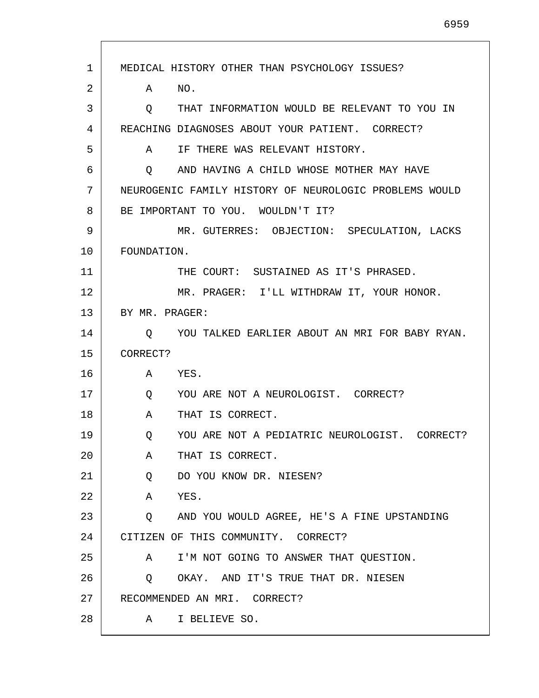| 1  | MEDICAL HISTORY OTHER THAN PSYCHOLOGY ISSUES?          |
|----|--------------------------------------------------------|
| 2  | NO.<br>Α                                               |
| 3  | THAT INFORMATION WOULD BE RELEVANT TO YOU IN<br>Q      |
| 4  | REACHING DIAGNOSES ABOUT YOUR PATIENT. CORRECT?        |
| 5  | A IF THERE WAS RELEVANT HISTORY.                       |
| 6  | AND HAVING A CHILD WHOSE MOTHER MAY HAVE<br>$\circ$    |
| 7  | NEUROGENIC FAMILY HISTORY OF NEUROLOGIC PROBLEMS WOULD |
| 8  | BE IMPORTANT TO YOU. WOULDN'T IT?                      |
| 9  | MR. GUTERRES: OBJECTION: SPECULATION, LACKS            |
| 10 | FOUNDATION.                                            |
| 11 | THE COURT: SUSTAINED AS IT'S PHRASED.                  |
| 12 | MR. PRAGER: I'LL WITHDRAW IT, YOUR HONOR.              |
| 13 | BY MR. PRAGER:                                         |
| 14 | YOU TALKED EARLIER ABOUT AN MRI FOR BABY RYAN.<br>O    |
| 15 | CORRECT?                                               |
| 16 | A YES.                                                 |
| 17 | YOU ARE NOT A NEUROLOGIST. CORRECT?<br>Q               |
| 18 | Α<br>THAT IS CORRECT.                                  |
| 19 | YOU ARE NOT A PEDIATRIC NEUROLOGIST. CORRECT?<br>Q     |
| 20 | THAT IS CORRECT.<br>A                                  |
| 21 | DO YOU KNOW DR. NIESEN?<br>Q                           |
| 22 | A YES.                                                 |
| 23 | Q AND YOU WOULD AGREE, HE'S A FINE UPSTANDING          |
| 24 | CITIZEN OF THIS COMMUNITY. CORRECT?                    |
| 25 | I'M NOT GOING TO ANSWER THAT QUESTION.<br>A            |
| 26 | OKAY. AND IT'S TRUE THAT DR. NIESEN<br>Q               |
| 27 | RECOMMENDED AN MRI. CORRECT?                           |
| 28 | A I BELIEVE SO.                                        |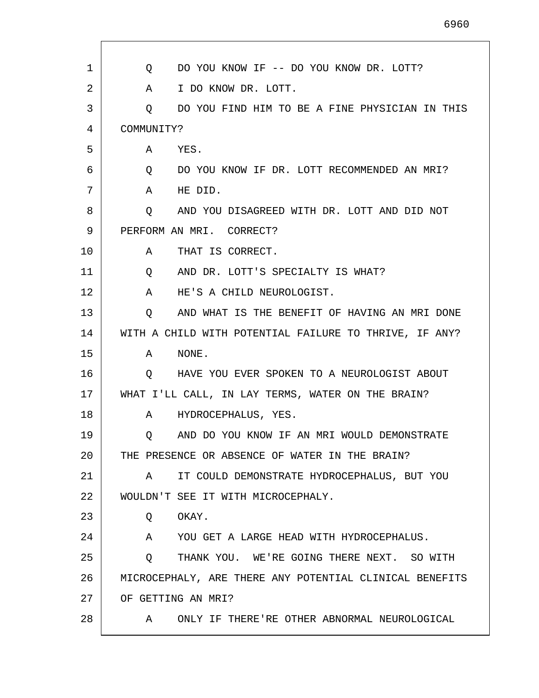| 1  | DO YOU KNOW IF -- DO YOU KNOW DR. LOTT?<br>Q                     |
|----|------------------------------------------------------------------|
| 2  | I DO KNOW DR. LOTT.<br>A                                         |
| 3  | DO YOU FIND HIM TO BE A FINE PHYSICIAN IN THIS<br>Q              |
| 4  | COMMUNITY?                                                       |
| 5  | YES.<br>A                                                        |
| 6  | DO YOU KNOW IF DR. LOTT RECOMMENDED AN MRI?<br>$Q \qquad \qquad$ |
| 7  | HE DID.<br>A                                                     |
| 8  | O<br>AND YOU DISAGREED WITH DR. LOTT AND DID NOT                 |
| 9  | PERFORM AN MRI. CORRECT?                                         |
| 10 | THAT IS CORRECT.<br>A                                            |
| 11 | AND DR. LOTT'S SPECIALTY IS WHAT?<br>Q                           |
| 12 | HE'S A CHILD NEUROLOGIST.<br>A                                   |
| 13 | AND WHAT IS THE BENEFIT OF HAVING AN MRI DONE<br>O.              |
| 14 | WITH A CHILD WITH POTENTIAL FAILURE TO THRIVE, IF ANY?           |
| 15 | NONE.<br>A                                                       |
| 16 | HAVE YOU EVER SPOKEN TO A NEUROLOGIST ABOUT<br>O                 |
| 17 | WHAT I'LL CALL, IN LAY TERMS, WATER ON THE BRAIN?                |
| 18 | HYDROCEPHALUS, YES.<br>A                                         |
| 19 | AND DO YOU KNOW IF AN MRI WOULD DEMONSTRATE<br>Q                 |
| 20 | THE PRESENCE OR ABSENCE OF WATER IN THE BRAIN?                   |
| 21 | IT COULD DEMONSTRATE HYDROCEPHALUS, BUT YOU<br>A                 |
| 22 | WOULDN'T SEE IT WITH MICROCEPHALY.                               |
| 23 | OKAY.<br>Q                                                       |
| 24 | $\mathbf{A}$<br>YOU GET A LARGE HEAD WITH HYDROCEPHALUS.         |
| 25 | THANK YOU. WE'RE GOING THERE NEXT. SO WITH<br>Q                  |
| 26 | MICROCEPHALY, ARE THERE ANY POTENTIAL CLINICAL BENEFITS          |
| 27 | OF GETTING AN MRI?                                               |
| 28 | ONLY IF THERE'RE OTHER ABNORMAL NEUROLOGICAL<br>A                |
|    |                                                                  |

Г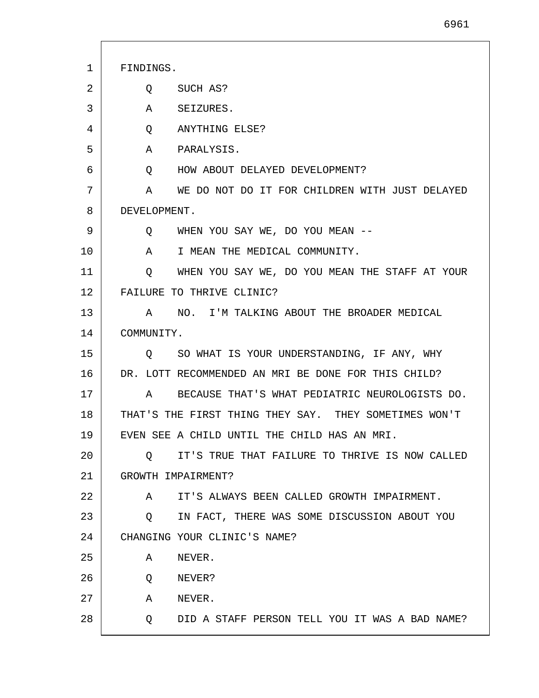1 2 3 4 5 6 7 8 9 10 11 12 13 14 15 16 17 18 19 20 21 22 23 24 25 26 27 FINDINGS. Q SUCH AS? A SEIZURES. Q ANYTHING ELSE? A PARALYSIS. Q HOW ABOUT DELAYED DEVELOPMENT? A WE DO NOT DO IT FOR CHILDREN WITH JUST DELAYED DEVELOPMENT. Q WHEN YOU SAY WE, DO YOU MEAN -- A I MEAN THE MEDICAL COMMUNITY. Q WHEN YOU SAY WE, DO YOU MEAN THE STAFF AT YOUR FAILURE TO THRIVE CLINIC? A NO. I'M TALKING ABOUT THE BROADER MEDICAL COMMUNITY. Q SO WHAT IS YOUR UNDERSTANDING, IF ANY, WHY DR. LOTT RECOMMENDED AN MRI BE DONE FOR THIS CHILD? A BECAUSE THAT'S WHAT PEDIATRIC NEUROLOGISTS DO. THAT'S THE FIRST THING THEY SAY. THEY SOMETIMES WON'T EVEN SEE A CHILD UNTIL THE CHILD HAS AN MRI. Q IT'S TRUE THAT FAILURE TO THRIVE IS NOW CALLED GROWTH IMPAIRMENT? A IT'S ALWAYS BEEN CALLED GROWTH IMPAIRMENT. Q IN FACT, THERE WAS SOME DISCUSSION ABOUT YOU CHANGING YOUR CLINIC'S NAME? A NEVER. Q NEVER? A NEVER.

Q DID A STAFF PERSON TELL YOU IT WAS A BAD NAME?

28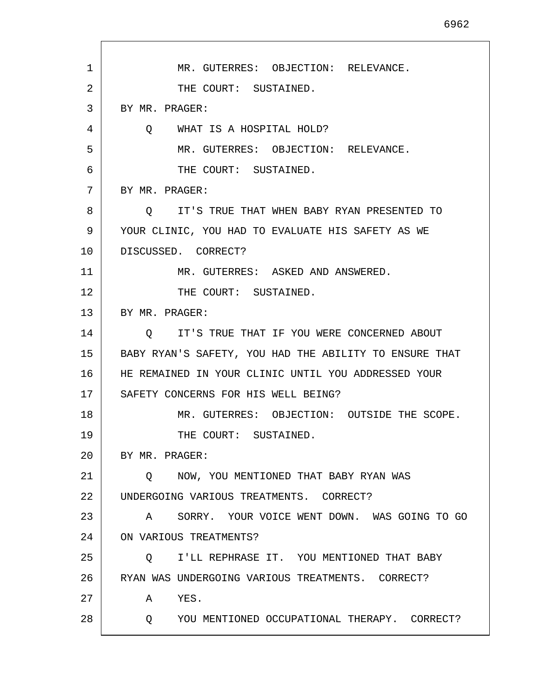| 1  | MR. GUTERRES: OBJECTION: RELEVANCE.                          |
|----|--------------------------------------------------------------|
| 2  | THE COURT: SUSTAINED.                                        |
| 3  | BY MR. PRAGER:                                               |
| 4  | WHAT IS A HOSPITAL HOLD?<br>$\circ$                          |
| 5  | MR. GUTERRES: OBJECTION: RELEVANCE.                          |
| 6  | THE COURT: SUSTAINED.                                        |
| 7  | BY MR. PRAGER:                                               |
| 8  | IT'S TRUE THAT WHEN BABY RYAN PRESENTED TO<br>$\circ$        |
| 9  | YOUR CLINIC, YOU HAD TO EVALUATE HIS SAFETY AS WE            |
| 10 | DISCUSSED. CORRECT?                                          |
| 11 | MR. GUTERRES: ASKED AND ANSWERED.                            |
| 12 | THE COURT: SUSTAINED.                                        |
| 13 | BY MR. PRAGER:                                               |
| 14 | IT'S TRUE THAT IF YOU WERE CONCERNED ABOUT<br>O              |
| 15 | BABY RYAN'S SAFETY, YOU HAD THE ABILITY TO ENSURE THAT       |
| 16 | HE REMAINED IN YOUR CLINIC UNTIL YOU ADDRESSED YOUR          |
| 17 | SAFETY CONCERNS FOR HIS WELL BEING?                          |
| 18 | MR. GUTERRES: OBJECTION: OUTSIDE THE SCOPE.                  |
| 19 | THE COURT: SUSTAINED.                                        |
| 20 | BY MR. PRAGER:                                               |
| 21 | NOW, YOU MENTIONED THAT BABY RYAN WAS<br>$\circ$             |
| 22 | UNDERGOING VARIOUS TREATMENTS. CORRECT?                      |
| 23 | SORRY. YOUR VOICE WENT DOWN. WAS GOING TO GO<br>$\mathbf{A}$ |
| 24 | ON VARIOUS TREATMENTS?                                       |
| 25 | I'LL REPHRASE IT. YOU MENTIONED THAT BABY<br>$\circ$         |
| 26 | RYAN WAS UNDERGOING VARIOUS TREATMENTS. CORRECT?             |
| 27 | YES.<br>A                                                    |
| 28 | YOU MENTIONED OCCUPATIONAL THERAPY. CORRECT?<br>Q            |
|    |                                                              |

 $\mathsf{l}$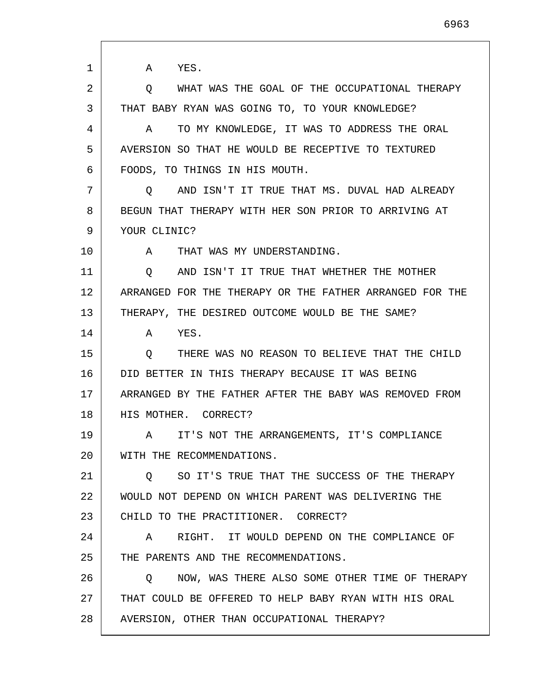1 2 3 4 5 6 7 8 9 10 11 12 13 14 15 16 17 18 19 20 21 22 23 24 25 26 27 28 A YES. Q WHAT WAS THE GOAL OF THE OCCUPATIONAL THERAPY THAT BABY RYAN WAS GOING TO, TO YOUR KNOWLEDGE? A TO MY KNOWLEDGE, IT WAS TO ADDRESS THE ORAL AVERSION SO THAT HE WOULD BE RECEPTIVE TO TEXTURED FOODS, TO THINGS IN HIS MOUTH. Q AND ISN'T IT TRUE THAT MS. DUVAL HAD ALREADY BEGUN THAT THERAPY WITH HER SON PRIOR TO ARRIVING AT YOUR CLINIC? A THAT WAS MY UNDERSTANDING. Q AND ISN'T IT TRUE THAT WHETHER THE MOTHER ARRANGED FOR THE THERAPY OR THE FATHER ARRANGED FOR THE THERAPY, THE DESIRED OUTCOME WOULD BE THE SAME? A YES. Q THERE WAS NO REASON TO BELIEVE THAT THE CHILD DID BETTER IN THIS THERAPY BECAUSE IT WAS BEING ARRANGED BY THE FATHER AFTER THE BABY WAS REMOVED FROM HIS MOTHER. CORRECT? A IT'S NOT THE ARRANGEMENTS, IT'S COMPLIANCE WITH THE RECOMMENDATIONS. Q SO IT'S TRUE THAT THE SUCCESS OF THE THERAPY WOULD NOT DEPEND ON WHICH PARENT WAS DELIVERING THE CHILD TO THE PRACTITIONER. CORRECT? A RIGHT. IT WOULD DEPEND ON THE COMPLIANCE OF THE PARENTS AND THE RECOMMENDATIONS. Q NOW, WAS THERE ALSO SOME OTHER TIME OF THERAPY THAT COULD BE OFFERED TO HELP BABY RYAN WITH HIS ORAL AVERSION, OTHER THAN OCCUPATIONAL THERAPY?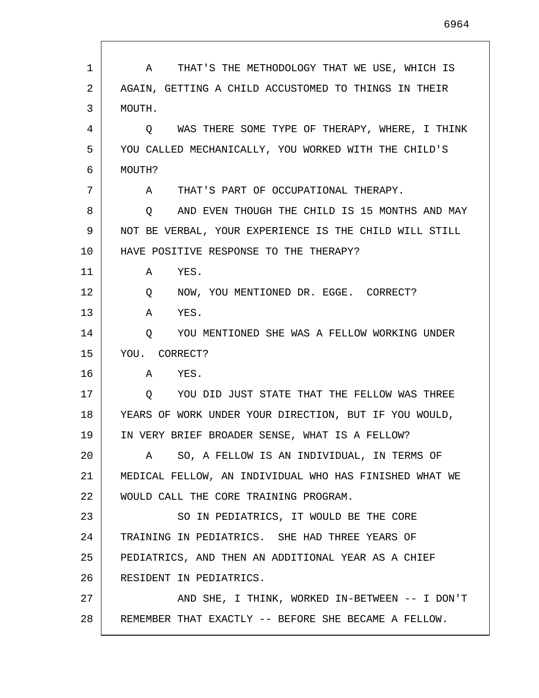| 1  | THAT'S THE METHODOLOGY THAT WE USE, WHICH IS<br>A      |
|----|--------------------------------------------------------|
| 2  | AGAIN, GETTING A CHILD ACCUSTOMED TO THINGS IN THEIR   |
| 3  | MOUTH.                                                 |
| 4  | Q WAS THERE SOME TYPE OF THERAPY, WHERE, I THINK       |
| 5  | YOU CALLED MECHANICALLY, YOU WORKED WITH THE CHILD'S   |
| 6  | MOUTH?                                                 |
| 7  | THAT'S PART OF OCCUPATIONAL THERAPY.<br>A              |
| 8  | AND EVEN THOUGH THE CHILD IS 15 MONTHS AND MAY<br>Q    |
| 9  | NOT BE VERBAL, YOUR EXPERIENCE IS THE CHILD WILL STILL |
| 10 | HAVE POSITIVE RESPONSE TO THE THERAPY?                 |
| 11 | YES.<br>A                                              |
| 12 | NOW, YOU MENTIONED DR. EGGE. CORRECT?<br>Q             |
| 13 | YES.<br>A                                              |
| 14 | YOU MENTIONED SHE WAS A FELLOW WORKING UNDER<br>Q      |
| 15 | YOU. CORRECT?                                          |
| 16 | YES.<br>A                                              |
| 17 | YOU DID JUST STATE THAT THE FELLOW WAS THREE<br>Q      |
| 18 | YEARS OF WORK UNDER YOUR DIRECTION, BUT IF YOU WOULD,  |
| 19 | IN VERY BRIEF BROADER SENSE, WHAT IS A FELLOW?         |
| 20 | SO, A FELLOW IS AN INDIVIDUAL, IN TERMS OF<br>A        |
| 21 | MEDICAL FELLOW, AN INDIVIDUAL WHO HAS FINISHED WHAT WE |
| 22 | WOULD CALL THE CORE TRAINING PROGRAM.                  |
| 23 | SO IN PEDIATRICS, IT WOULD BE THE CORE                 |
| 24 | TRAINING IN PEDIATRICS. SHE HAD THREE YEARS OF         |
| 25 | PEDIATRICS, AND THEN AN ADDITIONAL YEAR AS A CHIEF     |
| 26 | RESIDENT IN PEDIATRICS.                                |
| 27 | AND SHE, I THINK, WORKED IN-BETWEEN -- I DON'T         |
| 28 | REMEMBER THAT EXACTLY -- BEFORE SHE BECAME A FELLOW.   |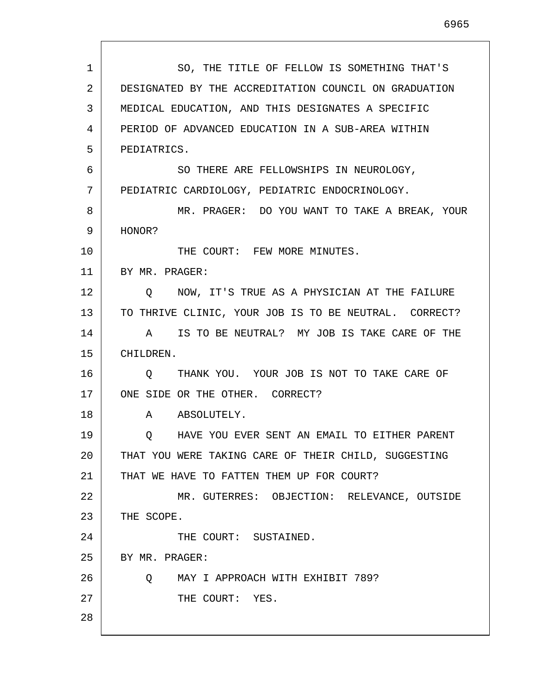| 1  | SO, THE TITLE OF FELLOW IS SOMETHING THAT'S           |
|----|-------------------------------------------------------|
| 2  | DESIGNATED BY THE ACCREDITATION COUNCIL ON GRADUATION |
| 3  | MEDICAL EDUCATION, AND THIS DESIGNATES A SPECIFIC     |
| 4  | PERIOD OF ADVANCED EDUCATION IN A SUB-AREA WITHIN     |
| 5  | PEDIATRICS.                                           |
| 6  | SO THERE ARE FELLOWSHIPS IN NEUROLOGY,                |
| 7  | PEDIATRIC CARDIOLOGY, PEDIATRIC ENDOCRINOLOGY.        |
| 8  | MR. PRAGER: DO YOU WANT TO TAKE A BREAK, YOUR         |
| 9  | HONOR?                                                |
| 10 | THE COURT: FEW MORE MINUTES.                          |
| 11 | BY MR. PRAGER:                                        |
| 12 | Q NOW, IT'S TRUE AS A PHYSICIAN AT THE FAILURE        |
| 13 | TO THRIVE CLINIC, YOUR JOB IS TO BE NEUTRAL. CORRECT? |
| 14 | A IS TO BE NEUTRAL? MY JOB IS TAKE CARE OF THE        |
| 15 | CHILDREN.                                             |
| 16 | THANK YOU. YOUR JOB IS NOT TO TAKE CARE OF<br>$\circ$ |
| 17 | ONE SIDE OR THE OTHER. CORRECT?                       |
| 18 | A ABSOLUTELY.                                         |
| 19 | HAVE YOU EVER SENT AN EMAIL TO EITHER PARENT<br>Q     |
| 20 | THAT YOU WERE TAKING CARE OF THEIR CHILD, SUGGESTING  |
| 21 | THAT WE HAVE TO FATTEN THEM UP FOR COURT?             |
| 22 | MR. GUTERRES: OBJECTION: RELEVANCE, OUTSIDE           |
| 23 | THE SCOPE.                                            |
| 24 | THE COURT: SUSTAINED.                                 |
| 25 | BY MR. PRAGER:                                        |
| 26 | MAY I APPROACH WITH EXHIBIT 789?<br>Q                 |
| 27 | THE COURT: YES.                                       |
| 28 |                                                       |
|    |                                                       |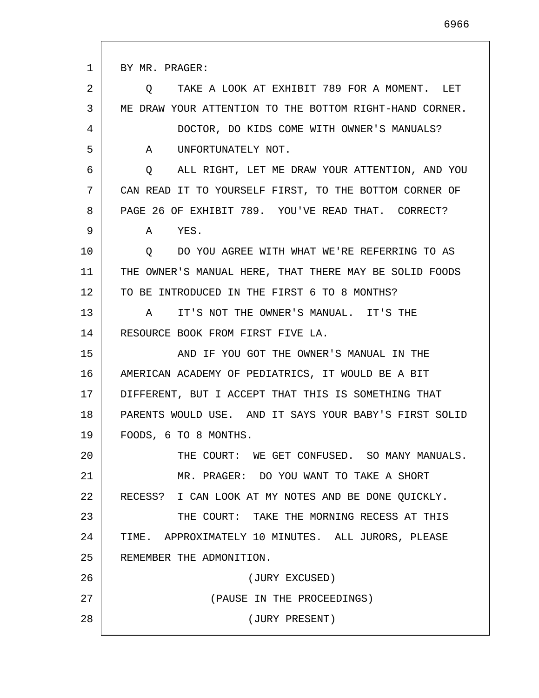1 2 3 4 5 6 7 8 9 10 11 12 13 14 15 16 17 18 19 20 21 22 23 24 25 26 27 28 BY MR. PRAGER: Q TAKE A LOOK AT EXHIBIT 789 FOR A MOMENT. LET ME DRAW YOUR ATTENTION TO THE BOTTOM RIGHT-HAND CORNER. DOCTOR, DO KIDS COME WITH OWNER'S MANUALS? A UNFORTUNATELY NOT. Q ALL RIGHT, LET ME DRAW YOUR ATTENTION, AND YOU CAN READ IT TO YOURSELF FIRST, TO THE BOTTOM CORNER OF PAGE 26 OF EXHIBIT 789. YOU'VE READ THAT. CORRECT? A YES. Q DO YOU AGREE WITH WHAT WE'RE REFERRING TO AS THE OWNER'S MANUAL HERE, THAT THERE MAY BE SOLID FOODS TO BE INTRODUCED IN THE FIRST 6 TO 8 MONTHS? A IT'S NOT THE OWNER'S MANUAL. IT'S THE RESOURCE BOOK FROM FIRST FIVE LA. AND IF YOU GOT THE OWNER'S MANUAL IN THE AMERICAN ACADEMY OF PEDIATRICS, IT WOULD BE A BIT DIFFERENT, BUT I ACCEPT THAT THIS IS SOMETHING THAT PARENTS WOULD USE. AND IT SAYS YOUR BABY'S FIRST SOLID FOODS, 6 TO 8 MONTHS. THE COURT: WE GET CONFUSED. SO MANY MANUALS. MR. PRAGER: DO YOU WANT TO TAKE A SHORT RECESS? I CAN LOOK AT MY NOTES AND BE DONE QUICKLY. THE COURT: TAKE THE MORNING RECESS AT THIS TIME. APPROXIMATELY 10 MINUTES. ALL JURORS, PLEASE REMEMBER THE ADMONITION. (JURY EXCUSED) (PAUSE IN THE PROCEEDINGS) (JURY PRESENT)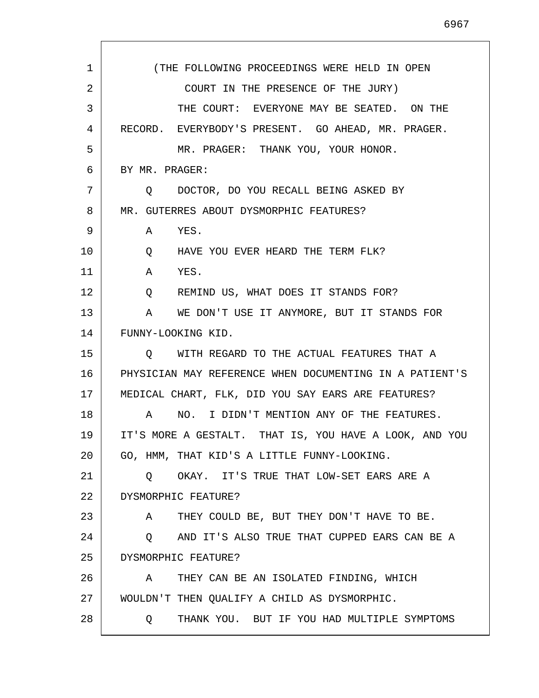| 1  | (THE FOLLOWING PROCEEDINGS WERE HELD IN OPEN               |
|----|------------------------------------------------------------|
| 2  | COURT IN THE PRESENCE OF THE JURY)                         |
| 3  | THE COURT: EVERYONE MAY BE SEATED. ON THE                  |
| 4  | RECORD. EVERYBODY'S PRESENT. GO AHEAD, MR. PRAGER.         |
| 5  | MR. PRAGER: THANK YOU, YOUR HONOR.                         |
| 6  | BY MR. PRAGER:                                             |
| 7  | DOCTOR, DO YOU RECALL BEING ASKED BY<br>$\cup$ $\cup$      |
| 8  | MR. GUTERRES ABOUT DYSMORPHIC FEATURES?                    |
| 9  | A YES.                                                     |
| 10 | HAVE YOU EVER HEARD THE TERM FLK?<br>Q                     |
| 11 | YES.<br>$\mathbb{A}$                                       |
| 12 | REMIND US, WHAT DOES IT STANDS FOR?<br>$Q \qquad \qquad$   |
| 13 | WE DON'T USE IT ANYMORE, BUT IT STANDS FOR<br>$\mathbf{A}$ |
| 14 | FUNNY-LOOKING KID.                                         |
| 15 | Q WITH REGARD TO THE ACTUAL FEATURES THAT A                |
| 16 | PHYSICIAN MAY REFERENCE WHEN DOCUMENTING IN A PATIENT'S    |
| 17 | MEDICAL CHART, FLK, DID YOU SAY EARS ARE FEATURES?         |
| 18 | NO. I DIDN'T MENTION ANY OF THE FEATURES.<br>A             |
| 19 | IT'S MORE A GESTALT. THAT IS, YOU HAVE A LOOK, AND YOU     |
| 20 | GO, HMM, THAT KID'S A LITTLE FUNNY-LOOKING.                |
| 21 | O OKAY. IT'S TRUE THAT LOW-SET EARS ARE A                  |
| 22 | DYSMORPHIC FEATURE?                                        |
| 23 | THEY COULD BE, BUT THEY DON'T HAVE TO BE.<br>A             |
| 24 | AND IT'S ALSO TRUE THAT CUPPED EARS CAN BE A<br>Q          |
| 25 | DYSMORPHIC FEATURE?                                        |
| 26 | THEY CAN BE AN ISOLATED FINDING, WHICH<br>A                |
| 27 | WOULDN'T THEN QUALIFY A CHILD AS DYSMORPHIC.               |
| 28 | THANK YOU. BUT IF YOU HAD MULTIPLE SYMPTOMS<br>$\circ$     |

 $\Gamma$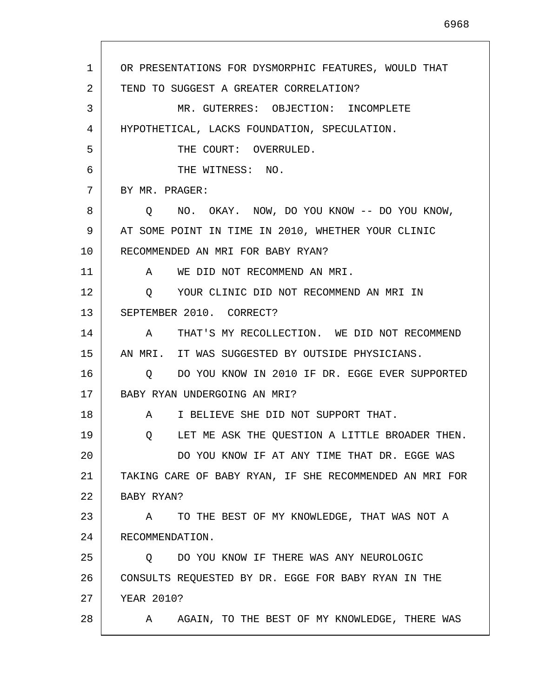1 2 3 4 5 6 7 8 9 10 11 12 13 14 15 16 17 18 19 20 21 22 23 24 25 26 27 28 OR PRESENTATIONS FOR DYSMORPHIC FEATURES, WOULD THAT TEND TO SUGGEST A GREATER CORRELATION? MR. GUTERRES: OBJECTION: INCOMPLETE HYPOTHETICAL, LACKS FOUNDATION, SPECULATION. THE COURT: OVERRULED. THE WITNESS: NO. BY MR. PRAGER: Q NO. OKAY. NOW, DO YOU KNOW -- DO YOU KNOW, AT SOME POINT IN TIME IN 2010, WHETHER YOUR CLINIC RECOMMENDED AN MRI FOR BABY RYAN? A WE DID NOT RECOMMEND AN MRI. Q YOUR CLINIC DID NOT RECOMMEND AN MRI IN SEPTEMBER 2010. CORRECT? A THAT'S MY RECOLLECTION. WE DID NOT RECOMMEND AN MRI. IT WAS SUGGESTED BY OUTSIDE PHYSICIANS. Q DO YOU KNOW IN 2010 IF DR. EGGE EVER SUPPORTED BABY RYAN UNDERGOING AN MRI? A I BELIEVE SHE DID NOT SUPPORT THAT. Q LET ME ASK THE QUESTION A LITTLE BROADER THEN. DO YOU KNOW IF AT ANY TIME THAT DR. EGGE WAS TAKING CARE OF BABY RYAN, IF SHE RECOMMENDED AN MRI FOR BABY RYAN? A TO THE BEST OF MY KNOWLEDGE, THAT WAS NOT A RECOMMENDATION. Q DO YOU KNOW IF THERE WAS ANY NEUROLOGIC CONSULTS REQUESTED BY DR. EGGE FOR BABY RYAN IN THE YEAR 2010? A AGAIN, TO THE BEST OF MY KNOWLEDGE, THERE WAS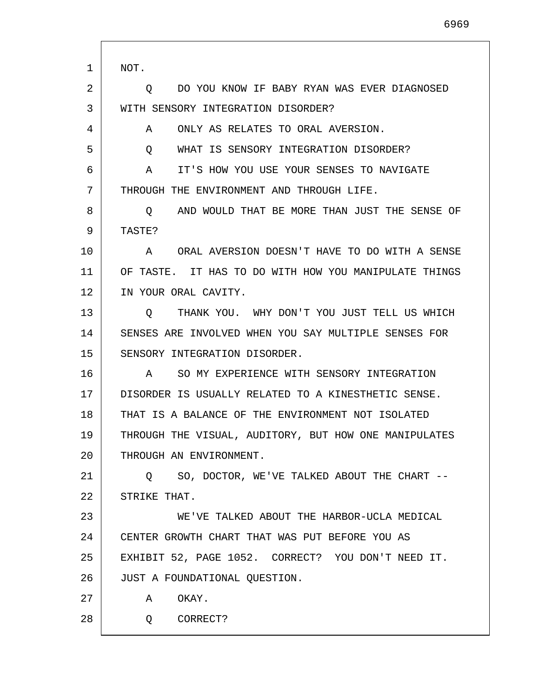1 2 3 4 5 6 7 8 9 10 11 12 13 14 15 16 17 18 19 20 21 22 23 24 25 26 27 28 NOT. Q DO YOU KNOW IF BABY RYAN WAS EVER DIAGNOSED WITH SENSORY INTEGRATION DISORDER? A ONLY AS RELATES TO ORAL AVERSION. Q WHAT IS SENSORY INTEGRATION DISORDER? A IT'S HOW YOU USE YOUR SENSES TO NAVIGATE THROUGH THE ENVIRONMENT AND THROUGH LIFE. Q AND WOULD THAT BE MORE THAN JUST THE SENSE OF TASTE? A ORAL AVERSION DOESN'T HAVE TO DO WITH A SENSE OF TASTE. IT HAS TO DO WITH HOW YOU MANIPULATE THINGS IN YOUR ORAL CAVITY. Q THANK YOU. WHY DON'T YOU JUST TELL US WHICH SENSES ARE INVOLVED WHEN YOU SAY MULTIPLE SENSES FOR SENSORY INTEGRATION DISORDER. A SO MY EXPERIENCE WITH SENSORY INTEGRATION DISORDER IS USUALLY RELATED TO A KINESTHETIC SENSE. THAT IS A BALANCE OF THE ENVIRONMENT NOT ISOLATED THROUGH THE VISUAL, AUDITORY, BUT HOW ONE MANIPULATES THROUGH AN ENVIRONMENT. Q SO, DOCTOR, WE'VE TALKED ABOUT THE CHART -- STRIKE THAT. WE'VE TALKED ABOUT THE HARBOR-UCLA MEDICAL CENTER GROWTH CHART THAT WAS PUT BEFORE YOU AS EXHIBIT 52, PAGE 1052. CORRECT? YOU DON'T NEED IT. JUST A FOUNDATIONAL QUESTION. A OKAY. Q CORRECT?

6969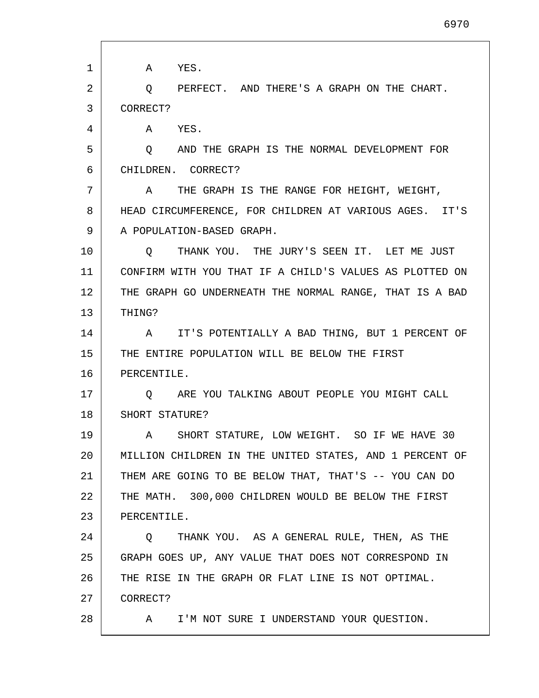| 1  | A YES.                                                  |
|----|---------------------------------------------------------|
| 2  | PERFECT. AND THERE'S A GRAPH ON THE CHART.<br>Q         |
| 3  | CORRECT?                                                |
| 4  | YES.<br>A                                               |
| 5  | AND THE GRAPH IS THE NORMAL DEVELOPMENT FOR<br>$\circ$  |
| 6  | CHILDREN. CORRECT?                                      |
| 7  | A THE GRAPH IS THE RANGE FOR HEIGHT, WEIGHT,            |
| 8  | HEAD CIRCUMFERENCE, FOR CHILDREN AT VARIOUS AGES. IT'S  |
| 9  | A POPULATION-BASED GRAPH.                               |
| 10 | THANK YOU. THE JURY'S SEEN IT. LET ME JUST<br>$\circ$   |
| 11 | CONFIRM WITH YOU THAT IF A CHILD'S VALUES AS PLOTTED ON |
| 12 | THE GRAPH GO UNDERNEATH THE NORMAL RANGE, THAT IS A BAD |
| 13 | THING?                                                  |
| 14 | IT'S POTENTIALLY A BAD THING, BUT 1 PERCENT OF<br>A     |
| 15 | THE ENTIRE POPULATION WILL BE BELOW THE FIRST           |
| 16 | PERCENTILE.                                             |
| 17 | ARE YOU TALKING ABOUT PEOPLE YOU MIGHT CALL<br>$\circ$  |
| 18 | SHORT STATURE?                                          |
| 19 | A SHORT STATURE, LOW WEIGHT. SO IF WE HAVE 30           |
| 20 | MILLION CHILDREN IN THE UNITED STATES, AND 1 PERCENT OF |
| 21 | THEM ARE GOING TO BE BELOW THAT, THAT'S -- YOU CAN DO   |
| 22 | THE MATH. 300,000 CHILDREN WOULD BE BELOW THE FIRST     |
| 23 | PERCENTILE.                                             |
| 24 | THANK YOU. AS A GENERAL RULE, THEN, AS THE<br>Q         |
| 25 | GRAPH GOES UP, ANY VALUE THAT DOES NOT CORRESPOND IN    |
| 26 | THE RISE IN THE GRAPH OR FLAT LINE IS NOT OPTIMAL.      |
| 27 | CORRECT?                                                |
| 28 | I'M NOT SURE I UNDERSTAND YOUR QUESTION.<br>A           |

 $\mathbf{I}$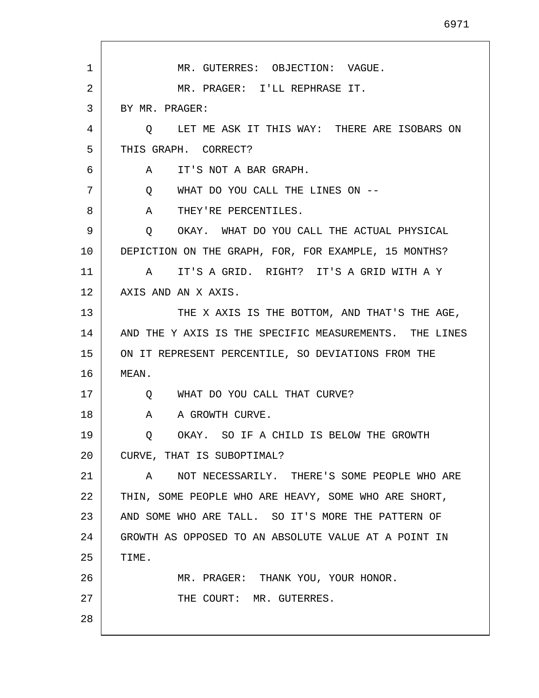MR. GUTERRES: OBJECTION: VAGUE. MR. PRAGER: I'LL REPHRASE IT. BY MR. PRAGER: Q LET ME ASK IT THIS WAY: THERE ARE ISOBARS ON THIS GRAPH. CORRECT? A IT'S NOT A BAR GRAPH. Q WHAT DO YOU CALL THE LINES ON -- A THEY'RE PERCENTILES. Q OKAY. WHAT DO YOU CALL THE ACTUAL PHYSICAL DEPICTION ON THE GRAPH, FOR, FOR EXAMPLE, 15 MONTHS? A IT'S A GRID. RIGHT? IT'S A GRID WITH A Y AXIS AND AN X AXIS. THE X AXIS IS THE BOTTOM, AND THAT'S THE AGE, AND THE Y AXIS IS THE SPECIFIC MEASUREMENTS. THE LINES ON IT REPRESENT PERCENTILE, SO DEVIATIONS FROM THE Q WHAT DO YOU CALL THAT CURVE? A A GROWTH CURVE. Q OKAY. SO IF A CHILD IS BELOW THE GROWTH CURVE, THAT IS SUBOPTIMAL? A NOT NECESSARILY. THERE'S SOME PEOPLE WHO ARE THIN, SOME PEOPLE WHO ARE HEAVY, SOME WHO ARE SHORT,

22 23 24 25 26 AND SOME WHO ARE TALL. SO IT'S MORE THE PATTERN OF GROWTH AS OPPOSED TO AN ABSOLUTE VALUE AT A POINT IN TIME. MR. PRAGER: THANK YOU, YOUR HONOR.

THE COURT: MR. GUTERRES.

28

27

1

2

3

4

5

6

7

8

9

10

11

12

13

14

15

16

MEAN.

17

18

19

20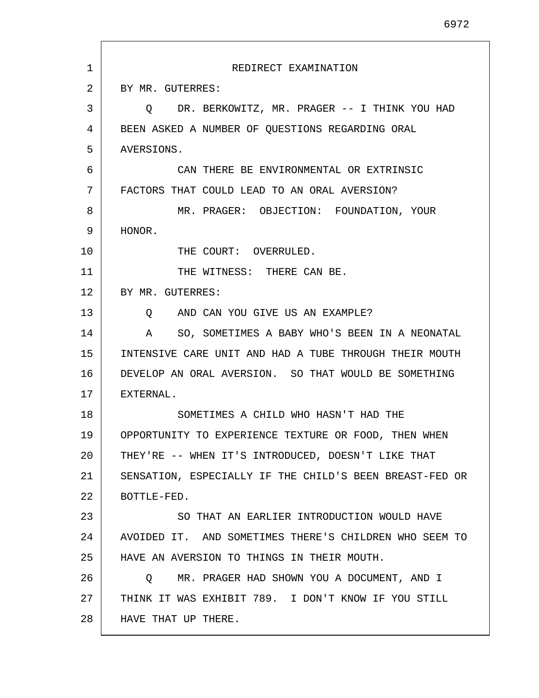| 1  | REDIRECT EXAMINATION                                          |
|----|---------------------------------------------------------------|
| 2  | BY MR. GUTERRES:                                              |
| 3  | Q DR. BERKOWITZ, MR. PRAGER -- I THINK YOU HAD                |
| 4  | BEEN ASKED A NUMBER OF QUESTIONS REGARDING ORAL               |
| 5  | AVERSIONS.                                                    |
| 6  | CAN THERE BE ENVIRONMENTAL OR EXTRINSIC                       |
| 7  | FACTORS THAT COULD LEAD TO AN ORAL AVERSION?                  |
| 8  | MR. PRAGER: OBJECTION: FOUNDATION, YOUR                       |
| 9  | HONOR.                                                        |
| 10 | THE COURT: OVERRULED.                                         |
| 11 | THE WITNESS: THERE CAN BE.                                    |
| 12 | BY MR. GUTERRES:                                              |
| 13 | O AND CAN YOU GIVE US AN EXAMPLE?                             |
| 14 | SO, SOMETIMES A BABY WHO'S BEEN IN A NEONATAL<br>$\mathbf{A}$ |
| 15 | INTENSIVE CARE UNIT AND HAD A TUBE THROUGH THEIR MOUTH        |
| 16 | DEVELOP AN ORAL AVERSION. SO THAT WOULD BE SOMETHING          |
| 17 | EXTERNAL.                                                     |
| 18 | SOMETIMES A CHILD WHO HASN'T HAD THE                          |
| 19 | OPPORTUNITY TO EXPERIENCE TEXTURE OR FOOD,<br>THEN WHEN       |
| 20 | THEY'RE -- WHEN IT'S INTRODUCED, DOESN'T LIKE THAT            |
| 21 | SENSATION, ESPECIALLY IF THE CHILD'S BEEN BREAST-FED OR       |
| 22 | BOTTLE-FED.                                                   |
| 23 | SO THAT AN EARLIER INTRODUCTION WOULD HAVE                    |
| 24 | AVOIDED IT. AND SOMETIMES THERE'S CHILDREN WHO SEEM TO        |
| 25 | HAVE AN AVERSION TO THINGS IN THEIR MOUTH.                    |
| 26 | MR. PRAGER HAD SHOWN YOU A DOCUMENT, AND I<br>Q               |
| 27 | THINK IT WAS EXHIBIT 789. I DON'T KNOW IF YOU STILL           |
| 28 | HAVE THAT UP THERE.                                           |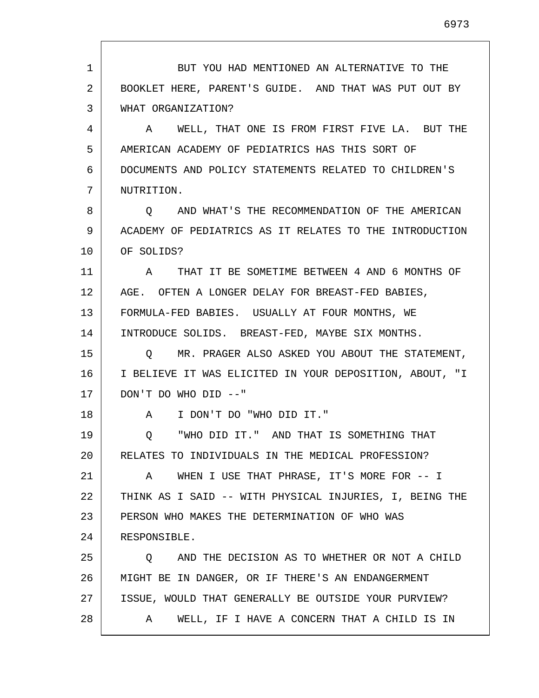1 2 3 4 5 6 7 8 9 10 11 12 13 14 15 16 17 18 19 20 21 22 23 24 25 26 27 28 BUT YOU HAD MENTIONED AN ALTERNATIVE TO THE BOOKLET HERE, PARENT'S GUIDE. AND THAT WAS PUT OUT BY WHAT ORGANIZATION? A WELL, THAT ONE IS FROM FIRST FIVE LA. BUT THE AMERICAN ACADEMY OF PEDIATRICS HAS THIS SORT OF DOCUMENTS AND POLICY STATEMENTS RELATED TO CHILDREN'S NUTRITION. Q AND WHAT'S THE RECOMMENDATION OF THE AMERICAN ACADEMY OF PEDIATRICS AS IT RELATES TO THE INTRODUCTION OF SOLIDS? A THAT IT BE SOMETIME BETWEEN 4 AND 6 MONTHS OF AGE. OFTEN A LONGER DELAY FOR BREAST-FED BABIES, FORMULA-FED BABIES. USUALLY AT FOUR MONTHS, WE INTRODUCE SOLIDS. BREAST-FED, MAYBE SIX MONTHS. Q MR. PRAGER ALSO ASKED YOU ABOUT THE STATEMENT, I BELIEVE IT WAS ELICITED IN YOUR DEPOSITION, ABOUT, "I DON'T DO WHO DID --" A I DON'T DO "WHO DID IT." Q "WHO DID IT." AND THAT IS SOMETHING THAT RELATES TO INDIVIDUALS IN THE MEDICAL PROFESSION? A WHEN I USE THAT PHRASE, IT'S MORE FOR -- I THINK AS I SAID -- WITH PHYSICAL INJURIES, I, BEING THE PERSON WHO MAKES THE DETERMINATION OF WHO WAS RESPONSIBLE. Q AND THE DECISION AS TO WHETHER OR NOT A CHILD MIGHT BE IN DANGER, OR IF THERE'S AN ENDANGERMENT ISSUE, WOULD THAT GENERALLY BE OUTSIDE YOUR PURVIEW? A WELL, IF I HAVE A CONCERN THAT A CHILD IS IN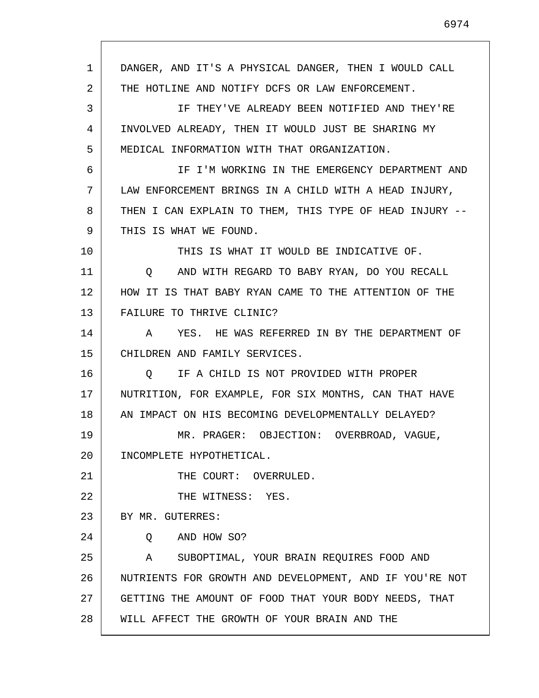1 2 3 4 5 6 7 8 9 10 11 12 13 14 15 16 17 18 19 20 21 22 23 24 25 26 27 28 DANGER, AND IT'S A PHYSICAL DANGER, THEN I WOULD CALL THE HOTLINE AND NOTIFY DCFS OR LAW ENFORCEMENT. IF THEY'VE ALREADY BEEN NOTIFIED AND THEY'RE INVOLVED ALREADY, THEN IT WOULD JUST BE SHARING MY MEDICAL INFORMATION WITH THAT ORGANIZATION. IF I'M WORKING IN THE EMERGENCY DEPARTMENT AND LAW ENFORCEMENT BRINGS IN A CHILD WITH A HEAD INJURY, THEN I CAN EXPLAIN TO THEM, THIS TYPE OF HEAD INJURY -- THIS IS WHAT WE FOUND. THIS IS WHAT IT WOULD BE INDICATIVE OF. Q AND WITH REGARD TO BABY RYAN, DO YOU RECALL HOW IT IS THAT BABY RYAN CAME TO THE ATTENTION OF THE FAILURE TO THRIVE CLINIC? A YES. HE WAS REFERRED IN BY THE DEPARTMENT OF CHILDREN AND FAMILY SERVICES. Q IF A CHILD IS NOT PROVIDED WITH PROPER NUTRITION, FOR EXAMPLE, FOR SIX MONTHS, CAN THAT HAVE AN IMPACT ON HIS BECOMING DEVELOPMENTALLY DELAYED? MR. PRAGER: OBJECTION: OVERBROAD, VAGUE, INCOMPLETE HYPOTHETICAL. THE COURT: OVERRULED. THE WITNESS: YES. BY MR. GUTERRES: Q AND HOW SO? A SUBOPTIMAL, YOUR BRAIN REQUIRES FOOD AND NUTRIENTS FOR GROWTH AND DEVELOPMENT, AND IF YOU'RE NOT GETTING THE AMOUNT OF FOOD THAT YOUR BODY NEEDS, THAT WILL AFFECT THE GROWTH OF YOUR BRAIN AND THE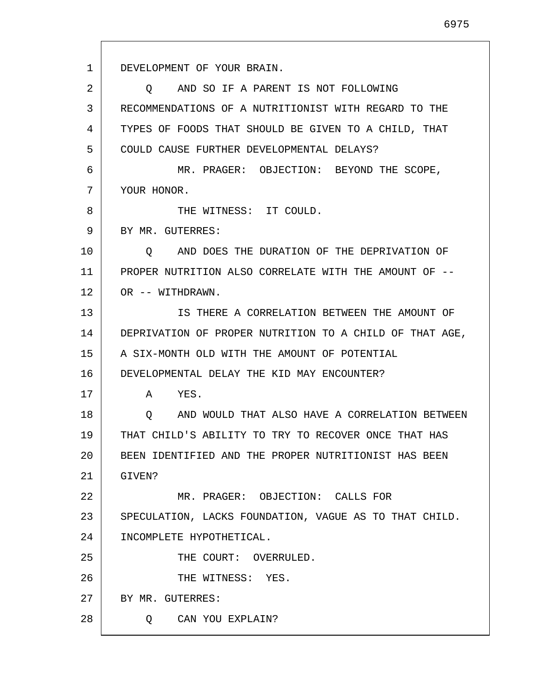1 2 3 4 5 6 7 8 9 10 11 12 13 14 15 16 17 18 19 20 21 22 23 24 25 26 27 28 DEVELOPMENT OF YOUR BRAIN. Q AND SO IF A PARENT IS NOT FOLLOWING RECOMMENDATIONS OF A NUTRITIONIST WITH REGARD TO THE TYPES OF FOODS THAT SHOULD BE GIVEN TO A CHILD, THAT COULD CAUSE FURTHER DEVELOPMENTAL DELAYS? MR. PRAGER: OBJECTION: BEYOND THE SCOPE, YOUR HONOR. THE WITNESS: IT COULD. BY MR. GUTERRES: Q AND DOES THE DURATION OF THE DEPRIVATION OF PROPER NUTRITION ALSO CORRELATE WITH THE AMOUNT OF -- OR -- WITHDRAWN. IS THERE A CORRELATION BETWEEN THE AMOUNT OF DEPRIVATION OF PROPER NUTRITION TO A CHILD OF THAT AGE, A SIX-MONTH OLD WITH THE AMOUNT OF POTENTIAL DEVELOPMENTAL DELAY THE KID MAY ENCOUNTER? A YES. Q AND WOULD THAT ALSO HAVE A CORRELATION BETWEEN THAT CHILD'S ABILITY TO TRY TO RECOVER ONCE THAT HAS BEEN IDENTIFIED AND THE PROPER NUTRITIONIST HAS BEEN GIVEN? MR. PRAGER: OBJECTION: CALLS FOR SPECULATION, LACKS FOUNDATION, VAGUE AS TO THAT CHILD. INCOMPLETE HYPOTHETICAL. THE COURT: OVERRULED. THE WITNESS: YES. BY MR. GUTERRES: Q CAN YOU EXPLAIN?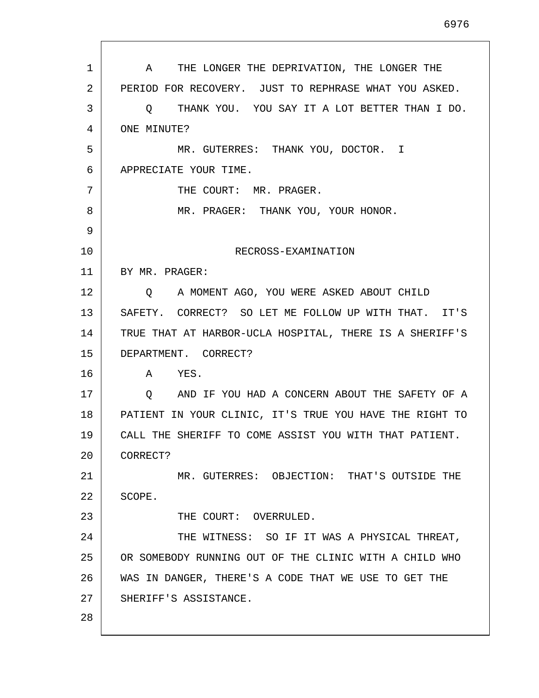| $\mathbf{1}$ | THE LONGER THE DEPRIVATION, THE LONGER THE<br>A           |
|--------------|-----------------------------------------------------------|
| 2            | PERIOD FOR RECOVERY. JUST TO REPHRASE WHAT YOU ASKED.     |
| 3            | THANK YOU. YOU SAY IT A LOT BETTER THAN I DO.<br>O        |
| 4            | ONE MINUTE?                                               |
| 5            | MR. GUTERRES: THANK YOU, DOCTOR. I                        |
| 6            | APPRECIATE YOUR TIME.                                     |
| 7            | THE COURT: MR. PRAGER.                                    |
| 8            | MR. PRAGER: THANK YOU, YOUR HONOR.                        |
| 9            |                                                           |
| 10           | RECROSS-EXAMINATION                                       |
| 11           | BY MR. PRAGER:                                            |
| 12           | A MOMENT AGO, YOU WERE ASKED ABOUT CHILD<br>O.            |
| 13           | SAFETY. CORRECT? SO LET ME FOLLOW UP WITH THAT. IT'S      |
| 14           | TRUE THAT AT HARBOR-UCLA HOSPITAL, THERE IS A SHERIFF'S   |
| 15           | DEPARTMENT. CORRECT?                                      |
| 16           | YES.<br>A                                                 |
| 17           | AND IF YOU HAD A CONCERN ABOUT THE SAFETY OF A<br>$\circ$ |
| 18           | PATIENT IN YOUR CLINIC, IT'S TRUE YOU HAVE THE RIGHT TO   |
| 19           | CALL THE SHERIFF TO COME ASSIST YOU WITH THAT PATIENT.    |
| 20           | CORRECT?                                                  |
| 21           | MR. GUTERRES: OBJECTION: THAT'S OUTSIDE THE               |
| 22           | SCOPE.                                                    |
| 23           | THE COURT: OVERRULED.                                     |
| 24           | THE WITNESS: SO IF IT WAS A PHYSICAL THREAT,              |
| 25           | OR SOMEBODY RUNNING OUT OF THE CLINIC WITH A CHILD WHO    |
| 26           | WAS IN DANGER, THERE'S A CODE THAT WE USE TO GET THE      |
| 27           | SHERIFF'S ASSISTANCE.                                     |
| 28           |                                                           |

 $\mathsf{I}$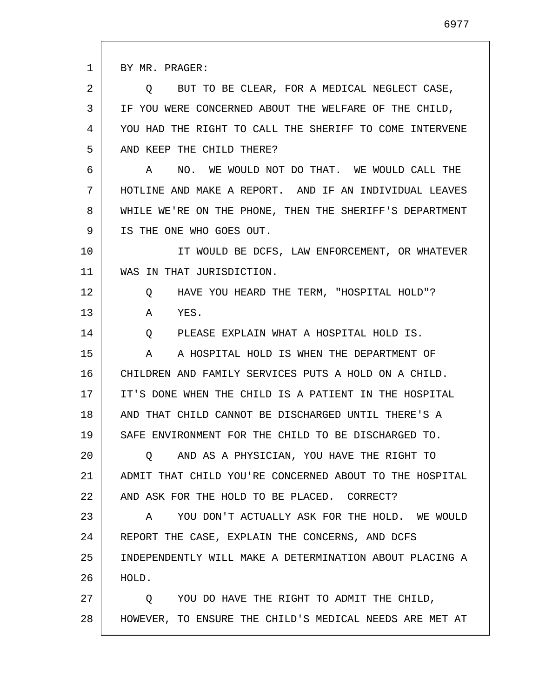1 2 3 4 5 6 7 8 9 10 11 12 13 14 15 16 17 18 19 20 21 22 23 24 25 26 27 28 BY MR. PRAGER: Q BUT TO BE CLEAR, FOR A MEDICAL NEGLECT CASE, IF YOU WERE CONCERNED ABOUT THE WELFARE OF THE CHILD, YOU HAD THE RIGHT TO CALL THE SHERIFF TO COME INTERVENE AND KEEP THE CHILD THERE? A NO. WE WOULD NOT DO THAT. WE WOULD CALL THE HOTLINE AND MAKE A REPORT. AND IF AN INDIVIDUAL LEAVES WHILE WE'RE ON THE PHONE, THEN THE SHERIFF'S DEPARTMENT IS THE ONE WHO GOES OUT. IT WOULD BE DCFS, LAW ENFORCEMENT, OR WHATEVER WAS IN THAT JURISDICTION. Q HAVE YOU HEARD THE TERM, "HOSPITAL HOLD"? A YES. Q PLEASE EXPLAIN WHAT A HOSPITAL HOLD IS. A A HOSPITAL HOLD IS WHEN THE DEPARTMENT OF CHILDREN AND FAMILY SERVICES PUTS A HOLD ON A CHILD. IT'S DONE WHEN THE CHILD IS A PATIENT IN THE HOSPITAL AND THAT CHILD CANNOT BE DISCHARGED UNTIL THERE'S A SAFE ENVIRONMENT FOR THE CHILD TO BE DISCHARGED TO. Q AND AS A PHYSICIAN, YOU HAVE THE RIGHT TO ADMIT THAT CHILD YOU'RE CONCERNED ABOUT TO THE HOSPITAL AND ASK FOR THE HOLD TO BE PLACED. CORRECT? A YOU DON'T ACTUALLY ASK FOR THE HOLD. WE WOULD REPORT THE CASE, EXPLAIN THE CONCERNS, AND DCFS INDEPENDENTLY WILL MAKE A DETERMINATION ABOUT PLACING A HOLD. Q YOU DO HAVE THE RIGHT TO ADMIT THE CHILD, HOWEVER, TO ENSURE THE CHILD'S MEDICAL NEEDS ARE MET AT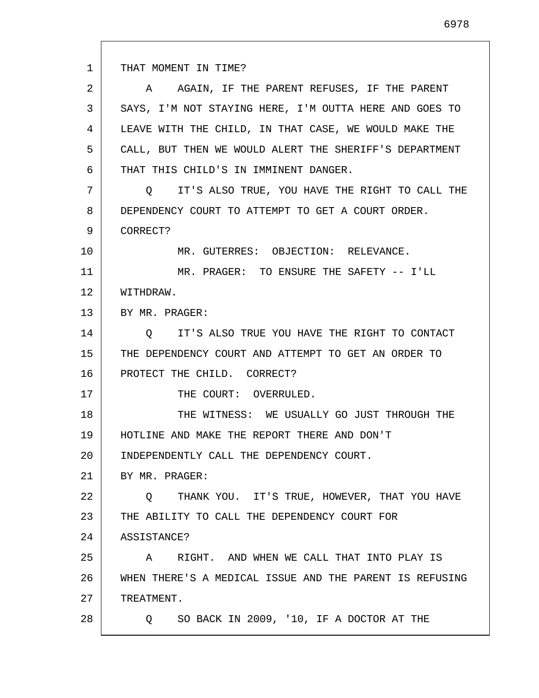1 2 3 4 5 6 7 8 9 10 11 12 13 14 15 16 17 18 19 20 21 22 23 24 25 26 27 28 THAT MOMENT IN TIME? A AGAIN, IF THE PARENT REFUSES, IF THE PARENT SAYS, I'M NOT STAYING HERE, I'M OUTTA HERE AND GOES TO LEAVE WITH THE CHILD, IN THAT CASE, WE WOULD MAKE THE CALL, BUT THEN WE WOULD ALERT THE SHERIFF'S DEPARTMENT THAT THIS CHILD'S IN IMMINENT DANGER. Q IT'S ALSO TRUE, YOU HAVE THE RIGHT TO CALL THE DEPENDENCY COURT TO ATTEMPT TO GET A COURT ORDER. CORRECT? MR. GUTERRES: OBJECTION: RELEVANCE. MR. PRAGER: TO ENSURE THE SAFETY -- I'LL WITHDRAW. BY MR. PRAGER: Q IT'S ALSO TRUE YOU HAVE THE RIGHT TO CONTACT THE DEPENDENCY COURT AND ATTEMPT TO GET AN ORDER TO PROTECT THE CHILD. CORRECT? THE COURT: OVERRULED. THE WITNESS: WE USUALLY GO JUST THROUGH THE HOTLINE AND MAKE THE REPORT THERE AND DON'T INDEPENDENTLY CALL THE DEPENDENCY COURT. BY MR. PRAGER: Q THANK YOU. IT'S TRUE, HOWEVER, THAT YOU HAVE THE ABILITY TO CALL THE DEPENDENCY COURT FOR ASSISTANCE? A RIGHT. AND WHEN WE CALL THAT INTO PLAY IS WHEN THERE'S A MEDICAL ISSUE AND THE PARENT IS REFUSING TREATMENT. Q SO BACK IN 2009, '10, IF A DOCTOR AT THE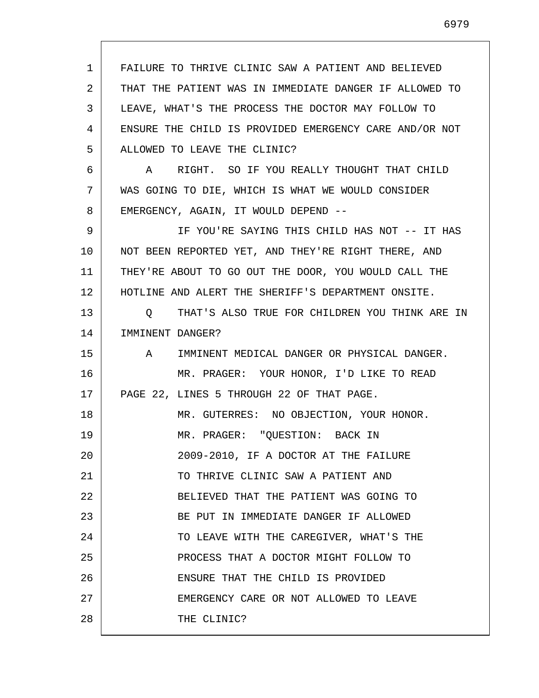1 2 3 4 5 6 7 8 9 10 11 12 13 14 15 16 17 18 19 20 21 22 23 24 25 26 27 28 FAILURE TO THRIVE CLINIC SAW A PATIENT AND BELIEVED THAT THE PATIENT WAS IN IMMEDIATE DANGER IF ALLOWED TO LEAVE, WHAT'S THE PROCESS THE DOCTOR MAY FOLLOW TO ENSURE THE CHILD IS PROVIDED EMERGENCY CARE AND/OR NOT ALLOWED TO LEAVE THE CLINIC? A RIGHT. SO IF YOU REALLY THOUGHT THAT CHILD WAS GOING TO DIE, WHICH IS WHAT WE WOULD CONSIDER EMERGENCY, AGAIN, IT WOULD DEPEND -- IF YOU'RE SAYING THIS CHILD HAS NOT -- IT HAS NOT BEEN REPORTED YET, AND THEY'RE RIGHT THERE, AND THEY'RE ABOUT TO GO OUT THE DOOR, YOU WOULD CALL THE HOTLINE AND ALERT THE SHERIFF'S DEPARTMENT ONSITE. Q THAT'S ALSO TRUE FOR CHILDREN YOU THINK ARE IN IMMINENT DANGER? A IMMINENT MEDICAL DANGER OR PHYSICAL DANGER. MR. PRAGER: YOUR HONOR, I'D LIKE TO READ PAGE 22, LINES 5 THROUGH 22 OF THAT PAGE. MR. GUTERRES: NO OBJECTION, YOUR HONOR. MR. PRAGER: "QUESTION: BACK IN 2009-2010, IF A DOCTOR AT THE FAILURE TO THRIVE CLINIC SAW A PATIENT AND BELIEVED THAT THE PATIENT WAS GOING TO BE PUT IN IMMEDIATE DANGER IF ALLOWED TO LEAVE WITH THE CAREGIVER, WHAT'S THE PROCESS THAT A DOCTOR MIGHT FOLLOW TO ENSURE THAT THE CHILD IS PROVIDED EMERGENCY CARE OR NOT ALLOWED TO LEAVE THE CLINIC?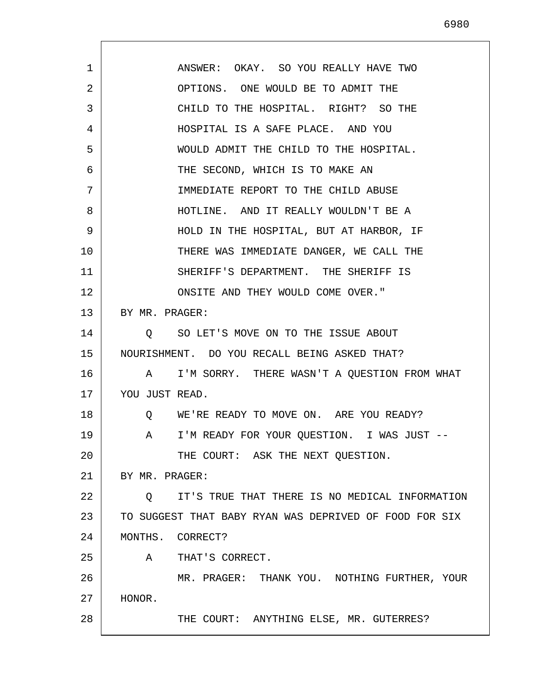1 2 3 4 5 6 7 8 9 10 11 12 13 14 15 16 17 18 19 20 21 22 23 24 25 26 27 28 ANSWER: OKAY. SO YOU REALLY HAVE TWO OPTIONS. ONE WOULD BE TO ADMIT THE CHILD TO THE HOSPITAL. RIGHT? SO THE HOSPITAL IS A SAFE PLACE. AND YOU WOULD ADMIT THE CHILD TO THE HOSPITAL. THE SECOND, WHICH IS TO MAKE AN IMMEDIATE REPORT TO THE CHILD ABUSE HOTLINE. AND IT REALLY WOULDN'T BE A HOLD IN THE HOSPITAL, BUT AT HARBOR, IF THERE WAS IMMEDIATE DANGER, WE CALL THE SHERIFF'S DEPARTMENT. THE SHERIFF IS ONSITE AND THEY WOULD COME OVER." BY MR. PRAGER: Q SO LET'S MOVE ON TO THE ISSUE ABOUT NOURISHMENT. DO YOU RECALL BEING ASKED THAT? A I'M SORRY. THERE WASN'T A QUESTION FROM WHAT YOU JUST READ. Q WE'RE READY TO MOVE ON. ARE YOU READY? A I'M READY FOR YOUR QUESTION. I WAS JUST -- THE COURT: ASK THE NEXT QUESTION. BY MR. PRAGER: Q IT'S TRUE THAT THERE IS NO MEDICAL INFORMATION TO SUGGEST THAT BABY RYAN WAS DEPRIVED OF FOOD FOR SIX MONTHS. CORRECT? A THAT'S CORRECT. MR. PRAGER: THANK YOU. NOTHING FURTHER, YOUR HONOR. THE COURT: ANYTHING ELSE, MR. GUTERRES?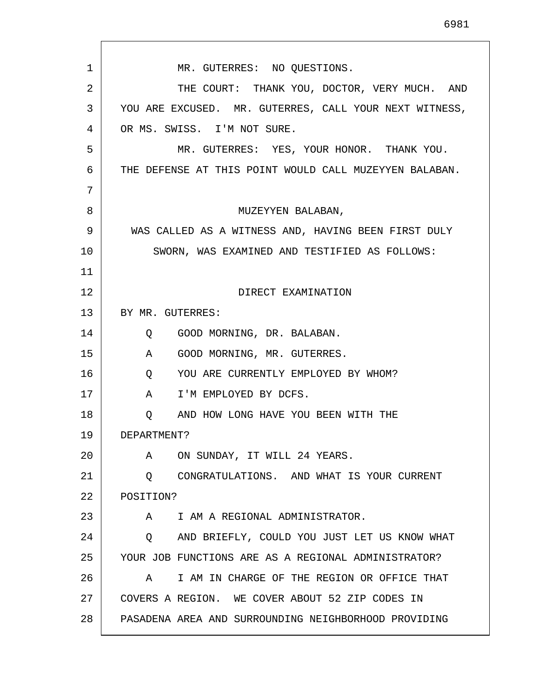1 2 3 4 5 6 7 8 9 10 11 12 13 14 15 16 17 18 19 20 21 22 23 24 25 26 27 28 MR. GUTERRES: NO QUESTIONS. THE COURT: THANK YOU, DOCTOR, VERY MUCH. AND YOU ARE EXCUSED. MR. GUTERRES, CALL YOUR NEXT WITNESS, OR MS. SWISS. I'M NOT SURE. MR. GUTERRES: YES, YOUR HONOR. THANK YOU. THE DEFENSE AT THIS POINT WOULD CALL MUZEYYEN BALABAN. MUZEYYEN BALABAN, WAS CALLED AS A WITNESS AND, HAVING BEEN FIRST DULY SWORN, WAS EXAMINED AND TESTIFIED AS FOLLOWS: DIRECT EXAMINATION BY MR. GUTERRES: Q GOOD MORNING, DR. BALABAN. A GOOD MORNING, MR. GUTERRES. Q YOU ARE CURRENTLY EMPLOYED BY WHOM? A I'M EMPLOYED BY DCFS. Q AND HOW LONG HAVE YOU BEEN WITH THE DEPARTMENT? A ON SUNDAY, IT WILL 24 YEARS. Q CONGRATULATIONS. AND WHAT IS YOUR CURRENT POSITION? A I AM A REGIONAL ADMINISTRATOR. Q AND BRIEFLY, COULD YOU JUST LET US KNOW WHAT YOUR JOB FUNCTIONS ARE AS A REGIONAL ADMINISTRATOR? A I AM IN CHARGE OF THE REGION OR OFFICE THAT COVERS A REGION. WE COVER ABOUT 52 ZIP CODES IN PASADENA AREA AND SURROUNDING NEIGHBORHOOD PROVIDING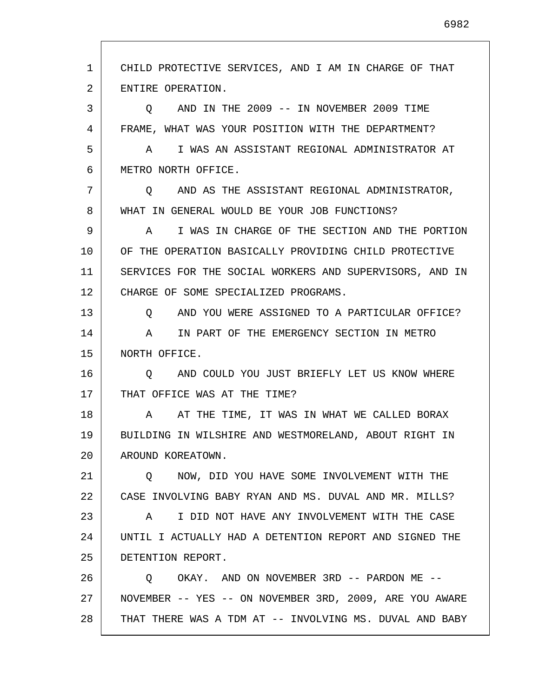1 2 3 4 5 6 7 8 9 10 11 12 13 14 15 16 17 18 19 20 21 22 23 24 25 26 27 28 CHILD PROTECTIVE SERVICES, AND I AM IN CHARGE OF THAT ENTIRE OPERATION. Q AND IN THE 2009 -- IN NOVEMBER 2009 TIME FRAME, WHAT WAS YOUR POSITION WITH THE DEPARTMENT? A I WAS AN ASSISTANT REGIONAL ADMINISTRATOR AT METRO NORTH OFFICE. Q AND AS THE ASSISTANT REGIONAL ADMINISTRATOR, WHAT IN GENERAL WOULD BE YOUR JOB FUNCTIONS? A I WAS IN CHARGE OF THE SECTION AND THE PORTION OF THE OPERATION BASICALLY PROVIDING CHILD PROTECTIVE SERVICES FOR THE SOCIAL WORKERS AND SUPERVISORS, AND IN CHARGE OF SOME SPECIALIZED PROGRAMS. Q AND YOU WERE ASSIGNED TO A PARTICULAR OFFICE? A IN PART OF THE EMERGENCY SECTION IN METRO NORTH OFFICE. Q AND COULD YOU JUST BRIEFLY LET US KNOW WHERE THAT OFFICE WAS AT THE TIME? A AT THE TIME, IT WAS IN WHAT WE CALLED BORAX BUILDING IN WILSHIRE AND WESTMORELAND, ABOUT RIGHT IN AROUND KOREATOWN. Q NOW, DID YOU HAVE SOME INVOLVEMENT WITH THE CASE INVOLVING BABY RYAN AND MS. DUVAL AND MR. MILLS? A I DID NOT HAVE ANY INVOLVEMENT WITH THE CASE UNTIL I ACTUALLY HAD A DETENTION REPORT AND SIGNED THE DETENTION REPORT. Q OKAY. AND ON NOVEMBER 3RD -- PARDON ME -- NOVEMBER -- YES -- ON NOVEMBER 3RD, 2009, ARE YOU AWARE THAT THERE WAS A TDM AT -- INVOLVING MS. DUVAL AND BABY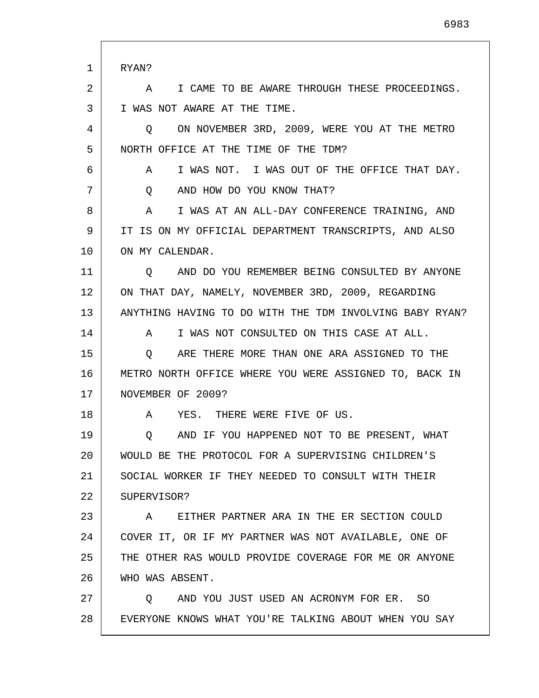1 2 3 4 5 6 7 8 9 10 11 12 13 14 15 16 17 18 19 20 21 22 23 24 25 26 27 28 RYAN? A I CAME TO BE AWARE THROUGH THESE PROCEEDINGS. I WAS NOT AWARE AT THE TIME. Q ON NOVEMBER 3RD, 2009, WERE YOU AT THE METRO NORTH OFFICE AT THE TIME OF THE TDM? A I WAS NOT. I WAS OUT OF THE OFFICE THAT DAY. Q AND HOW DO YOU KNOW THAT? A I WAS AT AN ALL-DAY CONFERENCE TRAINING, AND IT IS ON MY OFFICIAL DEPARTMENT TRANSCRIPTS, AND ALSO ON MY CALENDAR. Q AND DO YOU REMEMBER BEING CONSULTED BY ANYONE ON THAT DAY, NAMELY, NOVEMBER 3RD, 2009, REGARDING ANYTHING HAVING TO DO WITH THE TDM INVOLVING BABY RYAN? A I WAS NOT CONSULTED ON THIS CASE AT ALL. Q ARE THERE MORE THAN ONE ARA ASSIGNED TO THE METRO NORTH OFFICE WHERE YOU WERE ASSIGNED TO, BACK IN NOVEMBER OF 2009? A YES. THERE WERE FIVE OF US. Q AND IF YOU HAPPENED NOT TO BE PRESENT, WHAT WOULD BE THE PROTOCOL FOR A SUPERVISING CHILDREN'S SOCIAL WORKER IF THEY NEEDED TO CONSULT WITH THEIR SUPERVISOR? A EITHER PARTNER ARA IN THE ER SECTION COULD COVER IT, OR IF MY PARTNER WAS NOT AVAILABLE, ONE OF THE OTHER RAS WOULD PROVIDE COVERAGE FOR ME OR ANYONE WHO WAS ABSENT. Q AND YOU JUST USED AN ACRONYM FOR ER. SO EVERYONE KNOWS WHAT YOU'RE TALKING ABOUT WHEN YOU SAY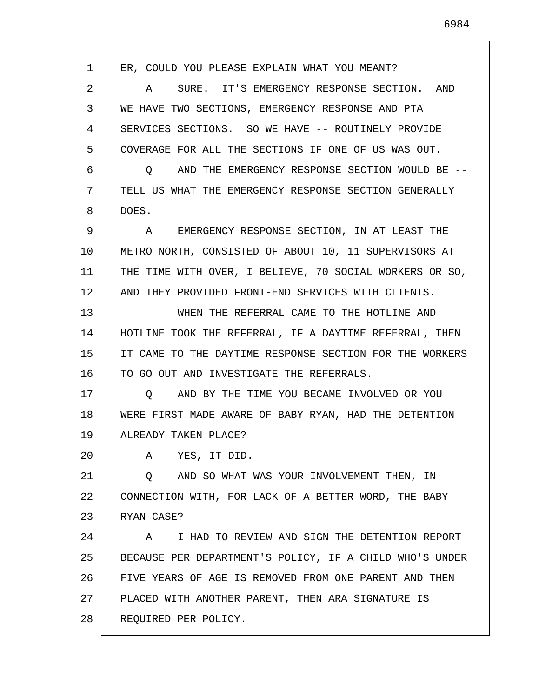1 2 3 4 5 6 7 8 9 10 11 12 13 14 15 16 17 18 19 20 21 22 23 24 25 26 27 28 ER, COULD YOU PLEASE EXPLAIN WHAT YOU MEANT? A SURE. IT'S EMERGENCY RESPONSE SECTION. AND WE HAVE TWO SECTIONS, EMERGENCY RESPONSE AND PTA SERVICES SECTIONS. SO WE HAVE -- ROUTINELY PROVIDE COVERAGE FOR ALL THE SECTIONS IF ONE OF US WAS OUT. Q AND THE EMERGENCY RESPONSE SECTION WOULD BE -- TELL US WHAT THE EMERGENCY RESPONSE SECTION GENERALLY DOES. A EMERGENCY RESPONSE SECTION, IN AT LEAST THE METRO NORTH, CONSISTED OF ABOUT 10, 11 SUPERVISORS AT THE TIME WITH OVER, I BELIEVE, 70 SOCIAL WORKERS OR SO, AND THEY PROVIDED FRONT-END SERVICES WITH CLIENTS. WHEN THE REFERRAL CAME TO THE HOTLINE AND HOTLINE TOOK THE REFERRAL, IF A DAYTIME REFERRAL, THEN IT CAME TO THE DAYTIME RESPONSE SECTION FOR THE WORKERS TO GO OUT AND INVESTIGATE THE REFERRALS. Q AND BY THE TIME YOU BECAME INVOLVED OR YOU WERE FIRST MADE AWARE OF BABY RYAN, HAD THE DETENTION ALREADY TAKEN PLACE? A YES, IT DID. Q AND SO WHAT WAS YOUR INVOLVEMENT THEN, IN CONNECTION WITH, FOR LACK OF A BETTER WORD, THE BABY RYAN CASE? A I HAD TO REVIEW AND SIGN THE DETENTION REPORT BECAUSE PER DEPARTMENT'S POLICY, IF A CHILD WHO'S UNDER FIVE YEARS OF AGE IS REMOVED FROM ONE PARENT AND THEN PLACED WITH ANOTHER PARENT, THEN ARA SIGNATURE IS REQUIRED PER POLICY.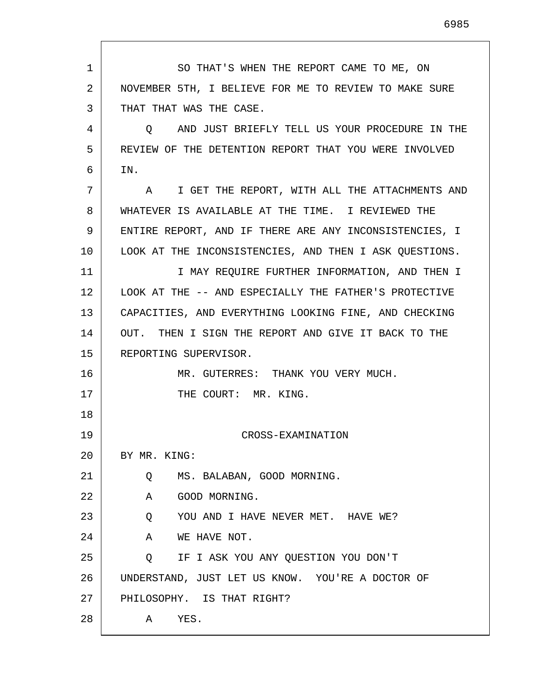1 2 3 4 5 6 7 8 9 10 11 12 13 14 15 16 17 18 19 20 21 22 23 24 25 26 27 28 SO THAT'S WHEN THE REPORT CAME TO ME, ON NOVEMBER 5TH, I BELIEVE FOR ME TO REVIEW TO MAKE SURE THAT THAT WAS THE CASE. Q AND JUST BRIEFLY TELL US YOUR PROCEDURE IN THE REVIEW OF THE DETENTION REPORT THAT YOU WERE INVOLVED IN. A I GET THE REPORT, WITH ALL THE ATTACHMENTS AND WHATEVER IS AVAILABLE AT THE TIME. I REVIEWED THE ENTIRE REPORT, AND IF THERE ARE ANY INCONSISTENCIES, I LOOK AT THE INCONSISTENCIES, AND THEN I ASK QUESTIONS. I MAY REQUIRE FURTHER INFORMATION, AND THEN I LOOK AT THE -- AND ESPECIALLY THE FATHER'S PROTECTIVE CAPACITIES, AND EVERYTHING LOOKING FINE, AND CHECKING OUT. THEN I SIGN THE REPORT AND GIVE IT BACK TO THE REPORTING SUPERVISOR. MR. GUTERRES: THANK YOU VERY MUCH. THE COURT: MR. KING. CROSS-EXAMINATION BY MR. KING: Q MS. BALABAN, GOOD MORNING. A GOOD MORNING. Q YOU AND I HAVE NEVER MET. HAVE WE? A WE HAVE NOT. Q IF I ASK YOU ANY QUESTION YOU DON'T UNDERSTAND, JUST LET US KNOW. YOU'RE A DOCTOR OF PHILOSOPHY. IS THAT RIGHT? A YES.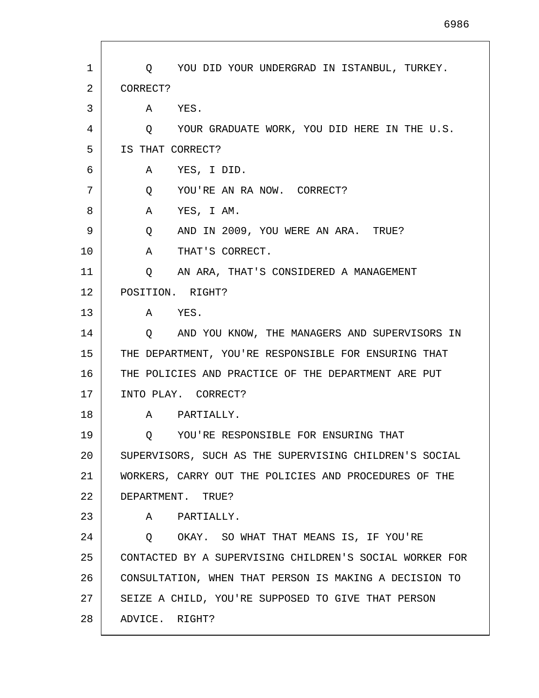| 1  | Q YOU DID YOUR UNDERGRAD IN ISTANBUL, TURKEY.           |
|----|---------------------------------------------------------|
| 2  | CORRECT?                                                |
| 3  | A YES.                                                  |
| 4  | Q YOUR GRADUATE WORK, YOU DID HERE IN THE U.S.          |
| 5  | IS THAT CORRECT?                                        |
| 6  | A YES, I DID.                                           |
| 7  | YOU'RE AN RA NOW. CORRECT?<br>Q                         |
| 8  | A<br>YES, I AM.                                         |
| 9  | AND IN 2009, YOU WERE AN ARA. TRUE?<br>Q                |
| 10 | A<br>THAT'S CORRECT.                                    |
| 11 | AN ARA, THAT'S CONSIDERED A MANAGEMENT<br>O.            |
| 12 | POSITION. RIGHT?                                        |
| 13 | A YES.                                                  |
| 14 | Q AND YOU KNOW, THE MANAGERS AND SUPERVISORS IN         |
| 15 | THE DEPARTMENT, YOU'RE RESPONSIBLE FOR ENSURING THAT    |
| 16 | THE POLICIES AND PRACTICE OF THE DEPARTMENT ARE PUT     |
| 17 | INTO PLAY. CORRECT?                                     |
| 18 | A PARTIALLY.                                            |
| 19 | YOU'RE RESPONSIBLE FOR ENSURING THAT<br>Q               |
| 20 | SUPERVISORS, SUCH AS THE SUPERVISING CHILDREN'S SOCIAL  |
| 21 | WORKERS, CARRY OUT THE POLICIES AND PROCEDURES OF THE   |
| 22 | DEPARTMENT. TRUE?                                       |
| 23 | PARTIALLY.<br>A                                         |
| 24 | OKAY. SO WHAT THAT MEANS IS, IF YOU'RE<br>$\circ$       |
| 25 | CONTACTED BY A SUPERVISING CHILDREN'S SOCIAL WORKER FOR |
| 26 | CONSULTATION, WHEN THAT PERSON IS MAKING A DECISION TO  |
| 27 | SEIZE A CHILD, YOU'RE SUPPOSED TO GIVE THAT PERSON      |
| 28 | ADVICE. RIGHT?                                          |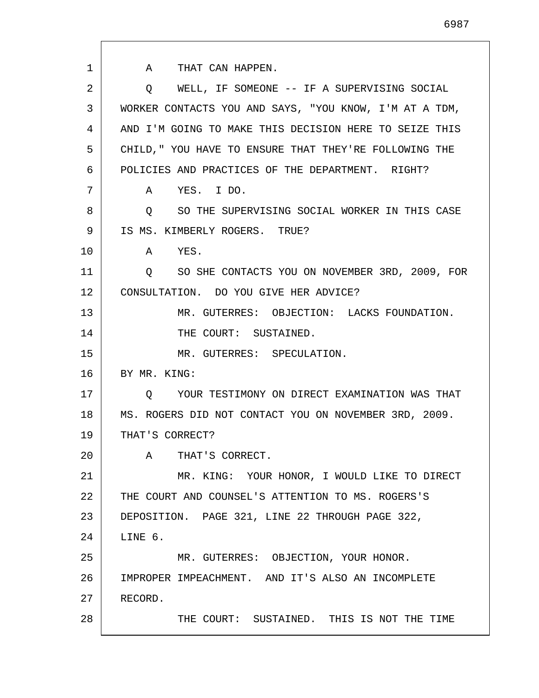1 2 3 4 5 6 7 8 9 10 11 12 13 14 15 16 17 18 19 20 21 22 23 24 25 26 27 28 A THAT CAN HAPPEN. Q WELL, IF SOMEONE -- IF A SUPERVISING SOCIAL WORKER CONTACTS YOU AND SAYS, "YOU KNOW, I'M AT A TDM, AND I'M GOING TO MAKE THIS DECISION HERE TO SEIZE THIS CHILD," YOU HAVE TO ENSURE THAT THEY'RE FOLLOWING THE POLICIES AND PRACTICES OF THE DEPARTMENT. RIGHT? A YES. I DO. Q SO THE SUPERVISING SOCIAL WORKER IN THIS CASE IS MS. KIMBERLY ROGERS. TRUE? A YES. Q SO SHE CONTACTS YOU ON NOVEMBER 3RD, 2009, FOR CONSULTATION. DO YOU GIVE HER ADVICE? MR. GUTERRES: OBJECTION: LACKS FOUNDATION. THE COURT: SUSTAINED. MR. GUTERRES: SPECULATION. BY MR. KING: Q YOUR TESTIMONY ON DIRECT EXAMINATION WAS THAT MS. ROGERS DID NOT CONTACT YOU ON NOVEMBER 3RD, 2009. THAT'S CORRECT? A THAT'S CORRECT. MR. KING: YOUR HONOR, I WOULD LIKE TO DIRECT THE COURT AND COUNSEL'S ATTENTION TO MS. ROGERS'S DEPOSITION. PAGE 321, LINE 22 THROUGH PAGE 322, LINE 6. MR. GUTERRES: OBJECTION, YOUR HONOR. IMPROPER IMPEACHMENT. AND IT'S ALSO AN INCOMPLETE RECORD. THE COURT: SUSTAINED. THIS IS NOT THE TIME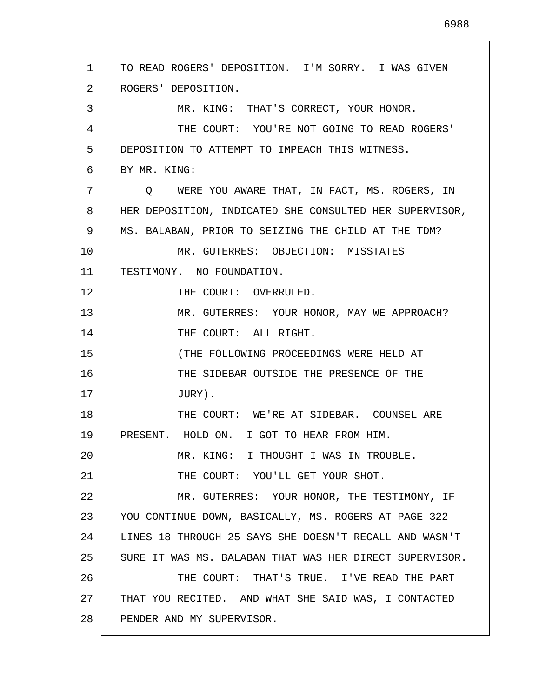1 2 3 4 5 6 7 8 9 10 11 12 13 14 15 16 17 18 19 20 21 22 23 24 25 26 27 28 TO READ ROGERS' DEPOSITION. I'M SORRY. I WAS GIVEN ROGERS' DEPOSITION. MR. KING: THAT'S CORRECT, YOUR HONOR. THE COURT: YOU'RE NOT GOING TO READ ROGERS' DEPOSITION TO ATTEMPT TO IMPEACH THIS WITNESS. BY MR. KING: Q WERE YOU AWARE THAT, IN FACT, MS. ROGERS, IN HER DEPOSITION, INDICATED SHE CONSULTED HER SUPERVISOR, MS. BALABAN, PRIOR TO SEIZING THE CHILD AT THE TDM? MR. GUTERRES: OBJECTION: MISSTATES TESTIMONY. NO FOUNDATION. THE COURT: OVERRULED. MR. GUTERRES: YOUR HONOR, MAY WE APPROACH? THE COURT: ALL RIGHT. (THE FOLLOWING PROCEEDINGS WERE HELD AT THE SIDEBAR OUTSIDE THE PRESENCE OF THE JURY). THE COURT: WE'RE AT SIDEBAR. COUNSEL ARE PRESENT. HOLD ON. I GOT TO HEAR FROM HIM. MR. KING: I THOUGHT I WAS IN TROUBLE. THE COURT: YOU'LL GET YOUR SHOT. MR. GUTERRES: YOUR HONOR, THE TESTIMONY, IF YOU CONTINUE DOWN, BASICALLY, MS. ROGERS AT PAGE 322 LINES 18 THROUGH 25 SAYS SHE DOESN'T RECALL AND WASN'T SURE IT WAS MS. BALABAN THAT WAS HER DIRECT SUPERVISOR. THE COURT: THAT'S TRUE. I'VE READ THE PART THAT YOU RECITED. AND WHAT SHE SAID WAS, I CONTACTED PENDER AND MY SUPERVISOR.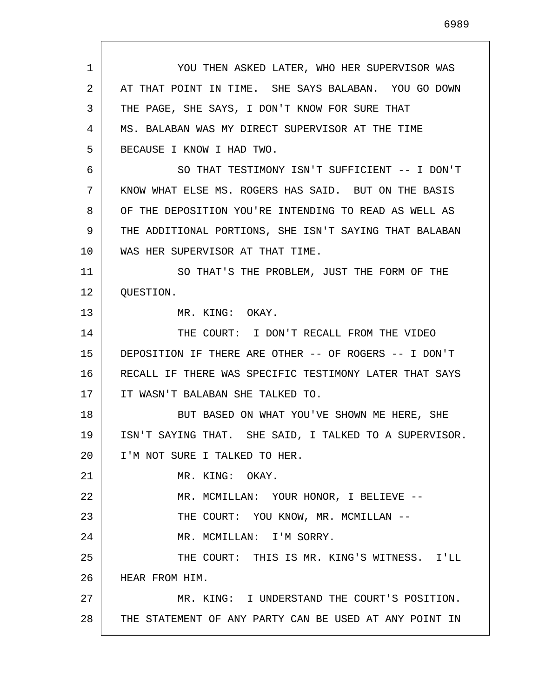1 2 3 4 5 6 7 8 9 10 11 12 13 14 15 16 17 18 19 20 21 22 23 24 25 26 27 28 YOU THEN ASKED LATER, WHO HER SUPERVISOR WAS AT THAT POINT IN TIME. SHE SAYS BALABAN. YOU GO DOWN THE PAGE, SHE SAYS, I DON'T KNOW FOR SURE THAT MS. BALABAN WAS MY DIRECT SUPERVISOR AT THE TIME BECAUSE I KNOW I HAD TWO. SO THAT TESTIMONY ISN'T SUFFICIENT -- I DON'T KNOW WHAT ELSE MS. ROGERS HAS SAID. BUT ON THE BASIS OF THE DEPOSITION YOU'RE INTENDING TO READ AS WELL AS THE ADDITIONAL PORTIONS, SHE ISN'T SAYING THAT BALABAN WAS HER SUPERVISOR AT THAT TIME. SO THAT'S THE PROBLEM, JUST THE FORM OF THE QUESTION. MR. KING: OKAY. THE COURT: I DON'T RECALL FROM THE VIDEO DEPOSITION IF THERE ARE OTHER -- OF ROGERS -- I DON'T RECALL IF THERE WAS SPECIFIC TESTIMONY LATER THAT SAYS IT WASN'T BALABAN SHE TALKED TO. BUT BASED ON WHAT YOU'VE SHOWN ME HERE, SHE ISN'T SAYING THAT. SHE SAID, I TALKED TO A SUPERVISOR. I'M NOT SURE I TALKED TO HER. MR. KING: OKAY. MR. MCMILLAN: YOUR HONOR, I BELIEVE -- THE COURT: YOU KNOW, MR. MCMILLAN --MR. MCMILLAN: I'M SORRY. THE COURT: THIS IS MR. KING'S WITNESS. I'LL HEAR FROM HIM. MR. KING: I UNDERSTAND THE COURT'S POSITION. THE STATEMENT OF ANY PARTY CAN BE USED AT ANY POINT IN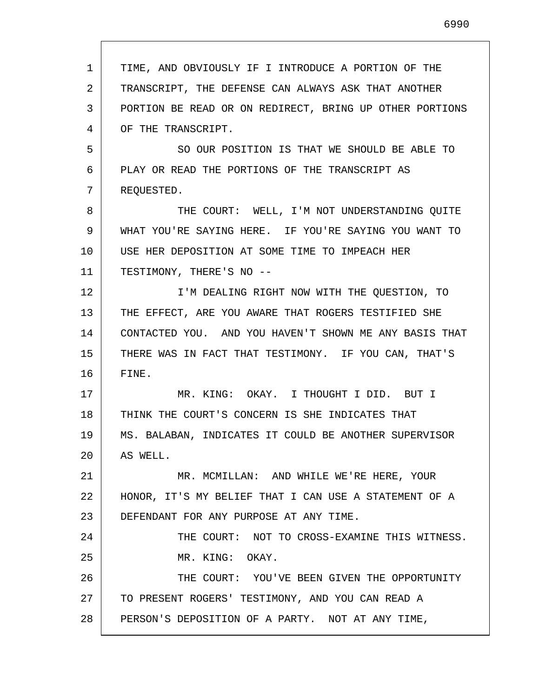| $\mathbf{1}$ | TIME, AND OBVIOUSLY IF I INTRODUCE A PORTION OF THE     |
|--------------|---------------------------------------------------------|
| 2            | TRANSCRIPT, THE DEFENSE CAN ALWAYS ASK THAT ANOTHER     |
| 3            | PORTION BE READ OR ON REDIRECT, BRING UP OTHER PORTIONS |
| 4            | OF THE TRANSCRIPT.                                      |
| 5            | SO OUR POSITION IS THAT WE SHOULD BE ABLE TO            |
| 6            | PLAY OR READ THE PORTIONS OF THE TRANSCRIPT AS          |
| 7            | REQUESTED.                                              |
| 8            | THE COURT: WELL, I'M NOT UNDERSTANDING QUITE            |
| 9            | WHAT YOU'RE SAYING HERE. IF YOU'RE SAYING YOU WANT TO   |
| 10           | USE HER DEPOSITION AT SOME TIME TO IMPEACH HER          |
| 11           | TESTIMONY, THERE'S NO --                                |
| 12           | I'M DEALING RIGHT NOW WITH THE QUESTION, TO             |
| 13           | THE EFFECT, ARE YOU AWARE THAT ROGERS TESTIFIED SHE     |
| 14           | CONTACTED YOU. AND YOU HAVEN'T SHOWN ME ANY BASIS THAT  |
| 15           | THERE WAS IN FACT THAT TESTIMONY. IF YOU CAN, THAT'S    |
| 16           | FINE.                                                   |
| 17           | MR. KING: OKAY. I THOUGHT I DID. BUT I                  |
| 18           | THINK THE COURT'S CONCERN IS SHE INDICATES THAT         |
| 19           | MS. BALABAN, INDICATES IT COULD BE ANOTHER SUPERVISOR   |
| 20           | AS WELL.                                                |
| 21           | MR. MCMILLAN: AND WHILE WE'RE HERE, YOUR                |
| 22           | HONOR, IT'S MY BELIEF THAT I CAN USE A STATEMENT OF A   |
| 23           | DEFENDANT FOR ANY PURPOSE AT ANY TIME.                  |
| 24           | THE COURT: NOT TO CROSS-EXAMINE THIS WITNESS.           |
| 25           | MR. KING: OKAY.                                         |
| 26           | THE COURT: YOU'VE BEEN GIVEN THE OPPORTUNITY            |
| 27           | TO PRESENT ROGERS' TESTIMONY, AND YOU CAN READ A        |
| 28           | PERSON'S DEPOSITION OF A PARTY. NOT AT ANY TIME,        |

 $\Gamma$ 

I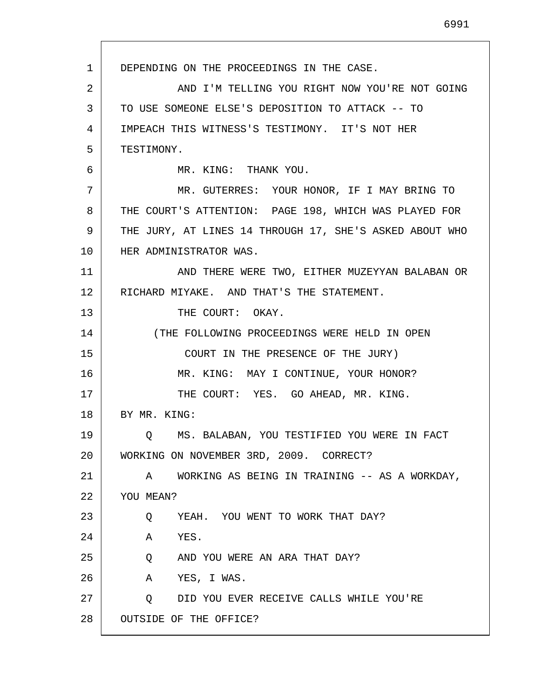1 2 3 4 5 6 7 8 9 10 11 12 13 14 15 16 17 18 19 20 21 22 23 24 25 26 27 28 DEPENDING ON THE PROCEEDINGS IN THE CASE. AND I'M TELLING YOU RIGHT NOW YOU'RE NOT GOING TO USE SOMEONE ELSE'S DEPOSITION TO ATTACK -- TO IMPEACH THIS WITNESS'S TESTIMONY. IT'S NOT HER TESTIMONY. MR. KING: THANK YOU. MR. GUTERRES: YOUR HONOR, IF I MAY BRING TO THE COURT'S ATTENTION: PAGE 198, WHICH WAS PLAYED FOR THE JURY, AT LINES 14 THROUGH 17, SHE'S ASKED ABOUT WHO HER ADMINISTRATOR WAS. AND THERE WERE TWO, EITHER MUZEYYAN BALABAN OR RICHARD MIYAKE. AND THAT'S THE STATEMENT. THE COURT: OKAY. (THE FOLLOWING PROCEEDINGS WERE HELD IN OPEN COURT IN THE PRESENCE OF THE JURY) MR. KING: MAY I CONTINUE, YOUR HONOR? THE COURT: YES. GO AHEAD, MR. KING. BY MR. KING: Q MS. BALABAN, YOU TESTIFIED YOU WERE IN FACT WORKING ON NOVEMBER 3RD, 2009. CORRECT? A WORKING AS BEING IN TRAINING -- AS A WORKDAY, YOU MEAN? Q YEAH. YOU WENT TO WORK THAT DAY? A YES. Q AND YOU WERE AN ARA THAT DAY? A YES, I WAS. Q DID YOU EVER RECEIVE CALLS WHILE YOU'RE OUTSIDE OF THE OFFICE?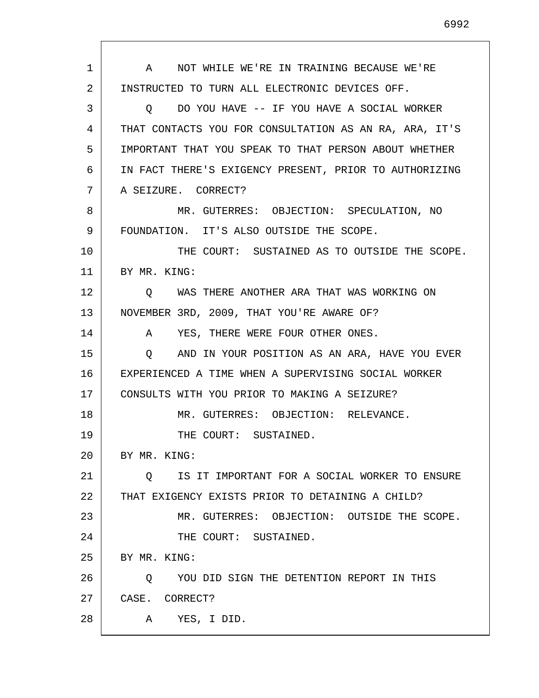1 2 3 4 5 6 7 8 9 10 11 12 13 14 15 16 17 18 19 20 21 22 23 24 25 26 27 28 A NOT WHILE WE'RE IN TRAINING BECAUSE WE'RE INSTRUCTED TO TURN ALL ELECTRONIC DEVICES OFF. Q DO YOU HAVE -- IF YOU HAVE A SOCIAL WORKER THAT CONTACTS YOU FOR CONSULTATION AS AN RA, ARA, IT'S IMPORTANT THAT YOU SPEAK TO THAT PERSON ABOUT WHETHER IN FACT THERE'S EXIGENCY PRESENT, PRIOR TO AUTHORIZING A SEIZURE. CORRECT? MR. GUTERRES: OBJECTION: SPECULATION, NO FOUNDATION. IT'S ALSO OUTSIDE THE SCOPE. THE COURT: SUSTAINED AS TO OUTSIDE THE SCOPE. BY MR. KING: Q WAS THERE ANOTHER ARA THAT WAS WORKING ON NOVEMBER 3RD, 2009, THAT YOU'RE AWARE OF? A YES, THERE WERE FOUR OTHER ONES. Q AND IN YOUR POSITION AS AN ARA, HAVE YOU EVER EXPERIENCED A TIME WHEN A SUPERVISING SOCIAL WORKER CONSULTS WITH YOU PRIOR TO MAKING A SEIZURE? MR. GUTERRES: OBJECTION: RELEVANCE. THE COURT: SUSTAINED. BY MR. KING: Q IS IT IMPORTANT FOR A SOCIAL WORKER TO ENSURE THAT EXIGENCY EXISTS PRIOR TO DETAINING A CHILD? MR. GUTERRES: OBJECTION: OUTSIDE THE SCOPE. THE COURT: SUSTAINED. BY MR. KING: Q YOU DID SIGN THE DETENTION REPORT IN THIS CASE. CORRECT? A YES, I DID.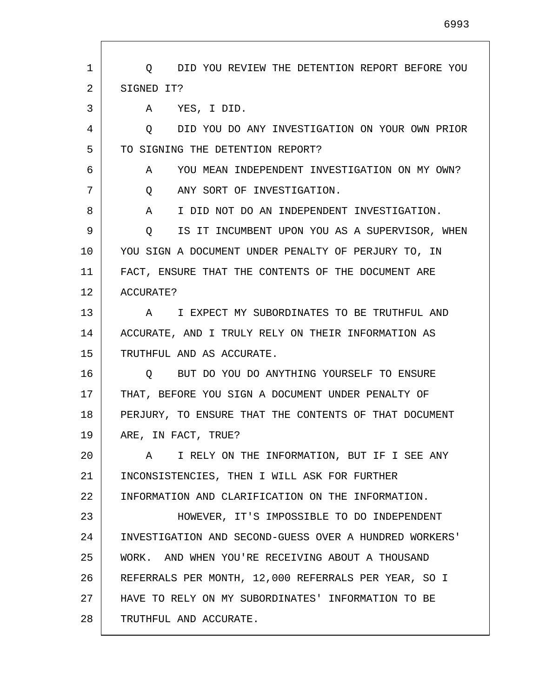| 1  | DID YOU REVIEW THE DETENTION REPORT BEFORE YOU<br>$\circ$ |
|----|-----------------------------------------------------------|
| 2  | SIGNED IT?                                                |
| 3  | YES, I DID.<br>A                                          |
| 4  | DID YOU DO ANY INVESTIGATION ON YOUR OWN PRIOR<br>O       |
| 5  | TO SIGNING THE DETENTION REPORT?                          |
| 6  | YOU MEAN INDEPENDENT INVESTIGATION ON MY OWN?<br>A        |
| 7  | ANY SORT OF INVESTIGATION.<br>Q                           |
| 8  | I DID NOT DO AN INDEPENDENT INVESTIGATION.<br>A           |
| 9  | IS IT INCUMBENT UPON YOU AS A SUPERVISOR, WHEN<br>Q       |
| 10 | YOU SIGN A DOCUMENT UNDER PENALTY OF PERJURY TO, IN       |
| 11 | FACT, ENSURE THAT THE CONTENTS OF THE DOCUMENT ARE        |
| 12 | ACCURATE?                                                 |
| 13 | I EXPECT MY SUBORDINATES TO BE TRUTHFUL AND<br>A          |
| 14 | ACCURATE, AND I TRULY RELY ON THEIR INFORMATION AS        |
| 15 | TRUTHFUL AND AS ACCURATE.                                 |
| 16 | BUT DO YOU DO ANYTHING YOURSELF TO ENSURE<br>Q.           |
| 17 | THAT, BEFORE YOU SIGN A DOCUMENT UNDER PENALTY OF         |
| 18 | PERJURY, TO ENSURE THAT THE CONTENTS OF THAT DOCUMENT     |
| 19 | ARE, IN FACT, TRUE?                                       |
| 20 | I RELY ON THE INFORMATION, BUT IF I SEE ANY<br>A          |
| 21 | INCONSISTENCIES, THEN I WILL ASK FOR FURTHER              |
| 22 | INFORMATION AND CLARIFICATION ON THE INFORMATION.         |
| 23 | HOWEVER, IT'S IMPOSSIBLE TO DO INDEPENDENT                |
| 24 | INVESTIGATION AND SECOND-GUESS OVER A HUNDRED WORKERS'    |
| 25 | WORK. AND WHEN YOU'RE RECEIVING ABOUT A THOUSAND          |
| 26 | REFERRALS PER MONTH, 12,000 REFERRALS PER YEAR, SO I      |
| 27 | HAVE TO RELY ON MY SUBORDINATES' INFORMATION TO BE        |
| 28 | TRUTHFUL AND ACCURATE.                                    |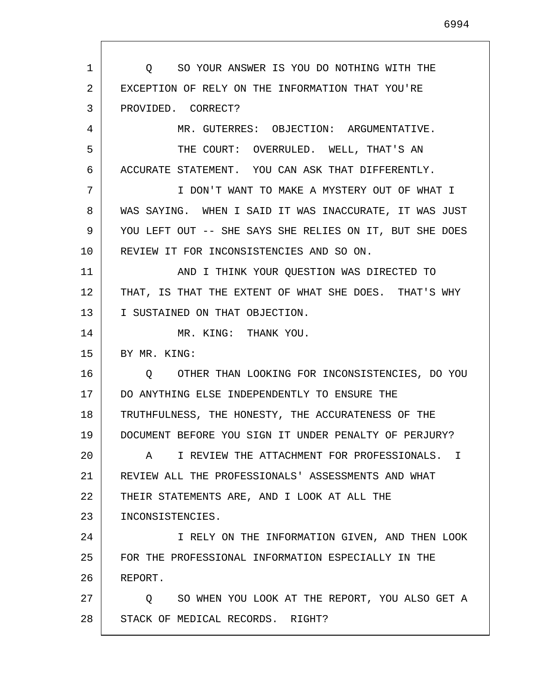1 2 3 4 5 6 7 8 9 10 11 12 13 14 15 16 17 18 19 20 21 22 23 24 25 26 27 28 Q SO YOUR ANSWER IS YOU DO NOTHING WITH THE EXCEPTION OF RELY ON THE INFORMATION THAT YOU'RE PROVIDED. CORRECT? MR. GUTERRES: OBJECTION: ARGUMENTATIVE. THE COURT: OVERRULED. WELL, THAT'S AN ACCURATE STATEMENT. YOU CAN ASK THAT DIFFERENTLY. I DON'T WANT TO MAKE A MYSTERY OUT OF WHAT I WAS SAYING. WHEN I SAID IT WAS INACCURATE, IT WAS JUST YOU LEFT OUT -- SHE SAYS SHE RELIES ON IT, BUT SHE DOES REVIEW IT FOR INCONSISTENCIES AND SO ON. AND I THINK YOUR QUESTION WAS DIRECTED TO THAT, IS THAT THE EXTENT OF WHAT SHE DOES. THAT'S WHY I SUSTAINED ON THAT OBJECTION. MR. KING: THANK YOU. BY MR. KING: Q OTHER THAN LOOKING FOR INCONSISTENCIES, DO YOU DO ANYTHING ELSE INDEPENDENTLY TO ENSURE THE TRUTHFULNESS, THE HONESTY, THE ACCURATENESS OF THE DOCUMENT BEFORE YOU SIGN IT UNDER PENALTY OF PERJURY? A I REVIEW THE ATTACHMENT FOR PROFESSIONALS. I REVIEW ALL THE PROFESSIONALS' ASSESSMENTS AND WHAT THEIR STATEMENTS ARE, AND I LOOK AT ALL THE INCONSISTENCIES. I RELY ON THE INFORMATION GIVEN, AND THEN LOOK FOR THE PROFESSIONAL INFORMATION ESPECIALLY IN THE REPORT. Q SO WHEN YOU LOOK AT THE REPORT, YOU ALSO GET A STACK OF MEDICAL RECORDS. RIGHT?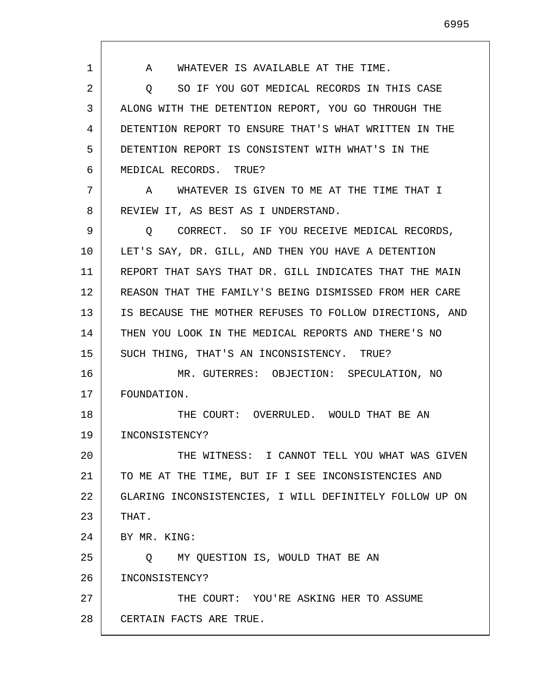1 2 3 4 5 6 7 8 9 10 11 12 13 14 15 16 17 18 19 20 21 22 23 24 25 26 27 28 A WHATEVER IS AVAILABLE AT THE TIME. Q SO IF YOU GOT MEDICAL RECORDS IN THIS CASE ALONG WITH THE DETENTION REPORT, YOU GO THROUGH THE DETENTION REPORT TO ENSURE THAT'S WHAT WRITTEN IN THE DETENTION REPORT IS CONSISTENT WITH WHAT'S IN THE MEDICAL RECORDS. TRUE? A WHATEVER IS GIVEN TO ME AT THE TIME THAT I REVIEW IT, AS BEST AS I UNDERSTAND. Q CORRECT. SO IF YOU RECEIVE MEDICAL RECORDS, LET'S SAY, DR. GILL, AND THEN YOU HAVE A DETENTION REPORT THAT SAYS THAT DR. GILL INDICATES THAT THE MAIN REASON THAT THE FAMILY'S BEING DISMISSED FROM HER CARE IS BECAUSE THE MOTHER REFUSES TO FOLLOW DIRECTIONS, AND THEN YOU LOOK IN THE MEDICAL REPORTS AND THERE'S NO SUCH THING, THAT'S AN INCONSISTENCY. TRUE? MR. GUTERRES: OBJECTION: SPECULATION, NO FOUNDATION. THE COURT: OVERRULED. WOULD THAT BE AN INCONSISTENCY? THE WITNESS: I CANNOT TELL YOU WHAT WAS GIVEN TO ME AT THE TIME, BUT IF I SEE INCONSISTENCIES AND GLARING INCONSISTENCIES, I WILL DEFINITELY FOLLOW UP ON THAT. BY MR. KING: Q MY QUESTION IS, WOULD THAT BE AN INCONSISTENCY? THE COURT: YOU'RE ASKING HER TO ASSUME CERTAIN FACTS ARE TRUE.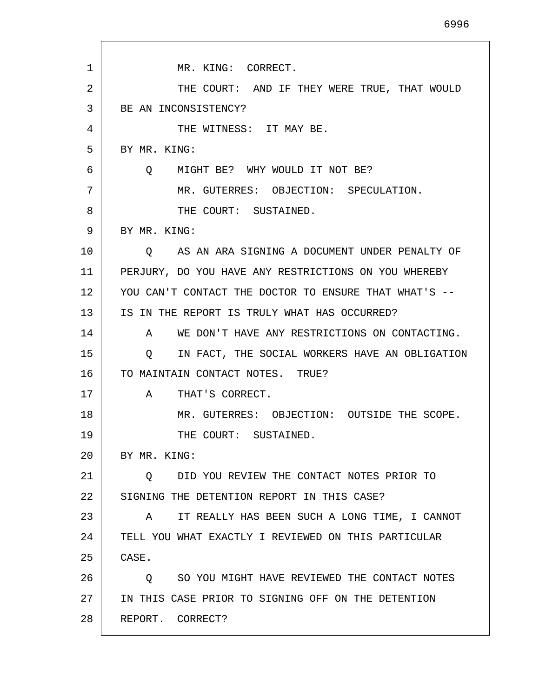| 1  | MR. KING: CORRECT.                                      |
|----|---------------------------------------------------------|
| 2  | THE COURT: AND IF THEY WERE TRUE, THAT WOULD            |
| 3  | BE AN INCONSISTENCY?                                    |
| 4  | THE WITNESS: IT MAY BE.                                 |
| 5  | BY MR. KING:                                            |
| 6  | MIGHT BE? WHY WOULD IT NOT BE?<br>$\circ$               |
| 7  | MR. GUTERRES: OBJECTION: SPECULATION.                   |
| 8  | THE COURT: SUSTAINED.                                   |
| 9  | BY MR. KING:                                            |
| 10 | AS AN ARA SIGNING A DOCUMENT UNDER PENALTY OF<br>Q      |
| 11 | PERJURY, DO YOU HAVE ANY RESTRICTIONS ON YOU WHEREBY    |
| 12 | YOU CAN'T CONTACT THE DOCTOR TO ENSURE THAT WHAT'S --   |
| 13 | IS IN THE REPORT IS TRULY WHAT HAS OCCURRED?            |
| 14 | WE DON'T HAVE ANY RESTRICTIONS ON CONTACTING.<br>A      |
| 15 | IN FACT, THE SOCIAL WORKERS HAVE AN OBLIGATION<br>O     |
| 16 | TO MAINTAIN CONTACT NOTES. TRUE?                        |
| 17 | THAT'S CORRECT.<br>A                                    |
| 18 | MR. GUTERRES: OBJECTION: OUTSIDE THE SCOPE.             |
| 19 | THE COURT: SUSTAINED.                                   |
| 20 | BY MR. KING:                                            |
| 21 | DID YOU REVIEW THE CONTACT NOTES PRIOR TO<br>$\circ$    |
| 22 | SIGNING THE DETENTION REPORT IN THIS CASE?              |
| 23 | IT REALLY HAS BEEN SUCH A LONG TIME, I CANNOT<br>A      |
| 24 | TELL YOU WHAT EXACTLY I REVIEWED ON THIS PARTICULAR     |
| 25 | CASE.                                                   |
| 26 | SO YOU MIGHT HAVE REVIEWED THE CONTACT NOTES<br>$\circ$ |
| 27 | IN THIS CASE PRIOR TO SIGNING OFF ON THE DETENTION      |
| 28 | REPORT. CORRECT?                                        |

Г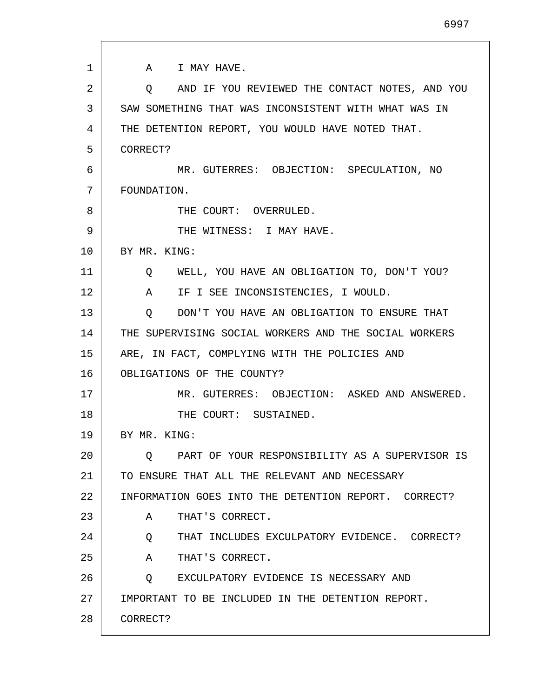1 2 3 4 5 6 7 8 9 10 11 12 13 14 15 16 17 18 19 20 21 22 23 24 25 26 27 28 A I MAY HAVE. Q AND IF YOU REVIEWED THE CONTACT NOTES, AND YOU SAW SOMETHING THAT WAS INCONSISTENT WITH WHAT WAS IN THE DETENTION REPORT, YOU WOULD HAVE NOTED THAT. CORRECT? MR. GUTERRES: OBJECTION: SPECULATION, NO FOUNDATION. THE COURT: OVERRULED. THE WITNESS: I MAY HAVE. BY MR. KING: Q WELL, YOU HAVE AN OBLIGATION TO, DON'T YOU? A IF I SEE INCONSISTENCIES, I WOULD. Q DON'T YOU HAVE AN OBLIGATION TO ENSURE THAT THE SUPERVISING SOCIAL WORKERS AND THE SOCIAL WORKERS ARE, IN FACT, COMPLYING WITH THE POLICIES AND OBLIGATIONS OF THE COUNTY? MR. GUTERRES: OBJECTION: ASKED AND ANSWERED. THE COURT: SUSTAINED. BY MR. KING: Q PART OF YOUR RESPONSIBILITY AS A SUPERVISOR IS TO ENSURE THAT ALL THE RELEVANT AND NECESSARY INFORMATION GOES INTO THE DETENTION REPORT. CORRECT? A THAT'S CORRECT. Q THAT INCLUDES EXCULPATORY EVIDENCE. CORRECT? A THAT'S CORRECT. Q EXCULPATORY EVIDENCE IS NECESSARY AND IMPORTANT TO BE INCLUDED IN THE DETENTION REPORT. CORRECT?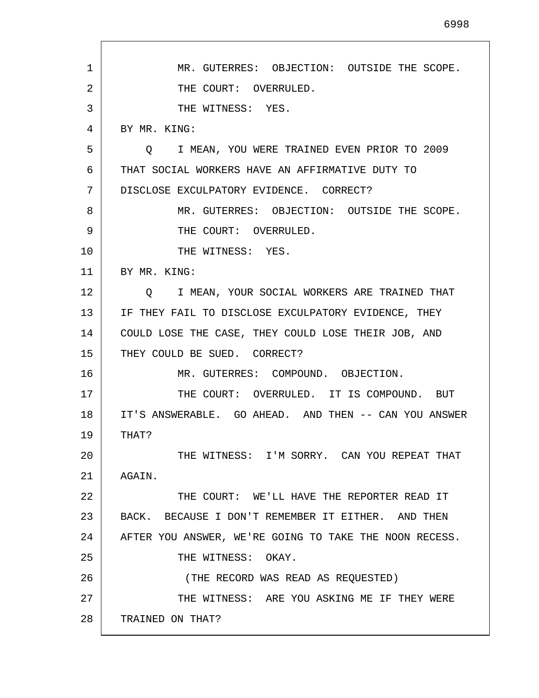1 2 3 4 5 6 7 8 9 10 11 12 13 14 15 16 17 18 19 20 21 22 23 24 25 26 27 28 MR. GUTERRES: OBJECTION: OUTSIDE THE SCOPE. THE COURT: OVERRULED. THE WITNESS: YES. BY MR. KING: Q I MEAN, YOU WERE TRAINED EVEN PRIOR TO 2009 THAT SOCIAL WORKERS HAVE AN AFFIRMATIVE DUTY TO DISCLOSE EXCULPATORY EVIDENCE. CORRECT? MR. GUTERRES: OBJECTION: OUTSIDE THE SCOPE. THE COURT: OVERRULED. THE WITNESS: YES. BY MR. KING: Q I MEAN, YOUR SOCIAL WORKERS ARE TRAINED THAT IF THEY FAIL TO DISCLOSE EXCULPATORY EVIDENCE, THEY COULD LOSE THE CASE, THEY COULD LOSE THEIR JOB, AND THEY COULD BE SUED. CORRECT? MR. GUTERRES: COMPOUND. OBJECTION. THE COURT: OVERRULED. IT IS COMPOUND. BUT IT'S ANSWERABLE. GO AHEAD. AND THEN -- CAN YOU ANSWER THAT? THE WITNESS: I'M SORRY. CAN YOU REPEAT THAT AGAIN. THE COURT: WE'LL HAVE THE REPORTER READ IT BACK. BECAUSE I DON'T REMEMBER IT EITHER. AND THEN AFTER YOU ANSWER, WE'RE GOING TO TAKE THE NOON RECESS. THE WITNESS: OKAY. (THE RECORD WAS READ AS REQUESTED) THE WITNESS: ARE YOU ASKING ME IF THEY WERE TRAINED ON THAT?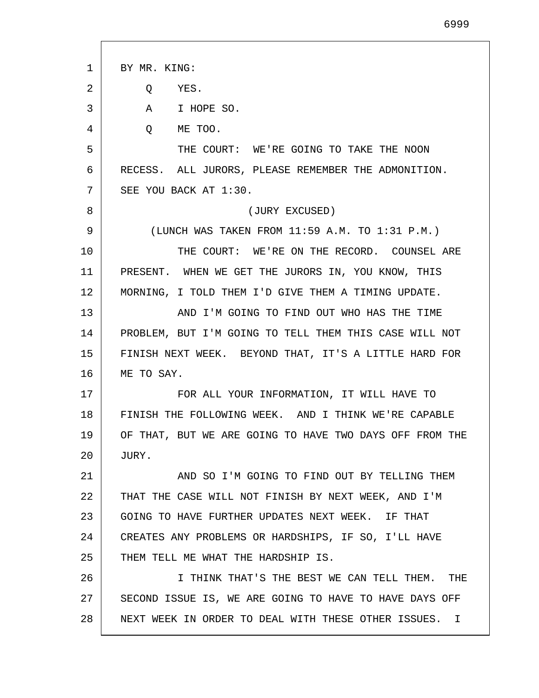1 2 3 4 5 6 7 8 9 10 11 12 13 14 15 16 17 18 19 20 21 22 23 24 25 26 27 28 BY MR. KING: Q YES. A I HOPE SO. Q ME TOO. THE COURT: WE'RE GOING TO TAKE THE NOON RECESS. ALL JURORS, PLEASE REMEMBER THE ADMONITION. SEE YOU BACK AT 1:30. (JURY EXCUSED) (LUNCH WAS TAKEN FROM 11:59 A.M. TO 1:31 P.M.) THE COURT: WE'RE ON THE RECORD. COUNSEL ARE PRESENT. WHEN WE GET THE JURORS IN, YOU KNOW, THIS MORNING, I TOLD THEM I'D GIVE THEM A TIMING UPDATE. AND I'M GOING TO FIND OUT WHO HAS THE TIME PROBLEM, BUT I'M GOING TO TELL THEM THIS CASE WILL NOT FINISH NEXT WEEK. BEYOND THAT, IT'S A LITTLE HARD FOR ME TO SAY. FOR ALL YOUR INFORMATION, IT WILL HAVE TO FINISH THE FOLLOWING WEEK. AND I THINK WE'RE CAPABLE OF THAT, BUT WE ARE GOING TO HAVE TWO DAYS OFF FROM THE JURY. AND SO I'M GOING TO FIND OUT BY TELLING THEM THAT THE CASE WILL NOT FINISH BY NEXT WEEK, AND I'M GOING TO HAVE FURTHER UPDATES NEXT WEEK. IF THAT CREATES ANY PROBLEMS OR HARDSHIPS, IF SO, I'LL HAVE THEM TELL ME WHAT THE HARDSHIP IS. I THINK THAT'S THE BEST WE CAN TELL THEM. THE SECOND ISSUE IS, WE ARE GOING TO HAVE TO HAVE DAYS OFF NEXT WEEK IN ORDER TO DEAL WITH THESE OTHER ISSUES. I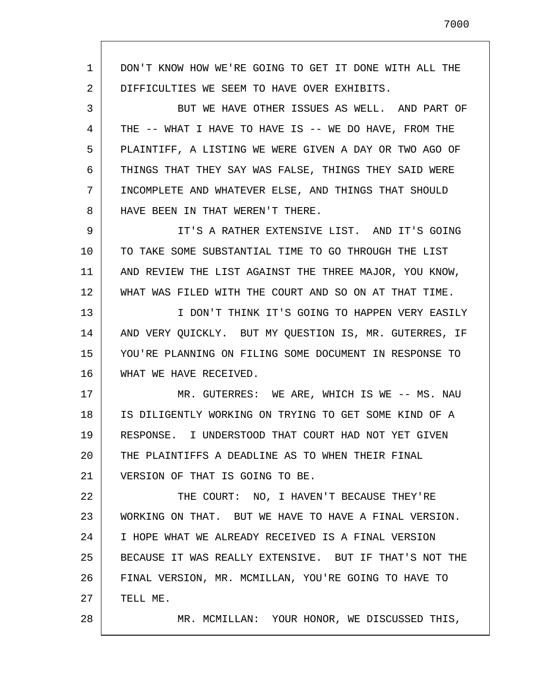1 2 3 4 5 6 7 8 9 10 11 12 13 14 15 16 17 18 19 20 21 22 23 24 25 26 27 28 DON'T KNOW HOW WE'RE GOING TO GET IT DONE WITH ALL THE DIFFICULTIES WE SEEM TO HAVE OVER EXHIBITS. BUT WE HAVE OTHER ISSUES AS WELL. AND PART OF THE -- WHAT I HAVE TO HAVE IS -- WE DO HAVE, FROM THE PLAINTIFF, A LISTING WE WERE GIVEN A DAY OR TWO AGO OF THINGS THAT THEY SAY WAS FALSE, THINGS THEY SAID WERE INCOMPLETE AND WHATEVER ELSE, AND THINGS THAT SHOULD HAVE BEEN IN THAT WEREN'T THERE. IT'S A RATHER EXTENSIVE LIST. AND IT'S GOING TO TAKE SOME SUBSTANTIAL TIME TO GO THROUGH THE LIST AND REVIEW THE LIST AGAINST THE THREE MAJOR, YOU KNOW, WHAT WAS FILED WITH THE COURT AND SO ON AT THAT TIME. I DON'T THINK IT'S GOING TO HAPPEN VERY EASILY AND VERY QUICKLY. BUT MY QUESTION IS, MR. GUTERRES, IF YOU'RE PLANNING ON FILING SOME DOCUMENT IN RESPONSE TO WHAT WE HAVE RECEIVED. MR. GUTERRES: WE ARE, WHICH IS WE -- MS. NAU IS DILIGENTLY WORKING ON TRYING TO GET SOME KIND OF A RESPONSE. I UNDERSTOOD THAT COURT HAD NOT YET GIVEN THE PLAINTIFFS A DEADLINE AS TO WHEN THEIR FINAL VERSION OF THAT IS GOING TO BE. THE COURT: NO, I HAVEN'T BECAUSE THEY'RE WORKING ON THAT. BUT WE HAVE TO HAVE A FINAL VERSION. I HOPE WHAT WE ALREADY RECEIVED IS A FINAL VERSION BECAUSE IT WAS REALLY EXTENSIVE. BUT IF THAT'S NOT THE FINAL VERSION, MR. MCMILLAN, YOU'RE GOING TO HAVE TO TELL ME. MR. MCMILLAN: YOUR HONOR, WE DISCUSSED THIS,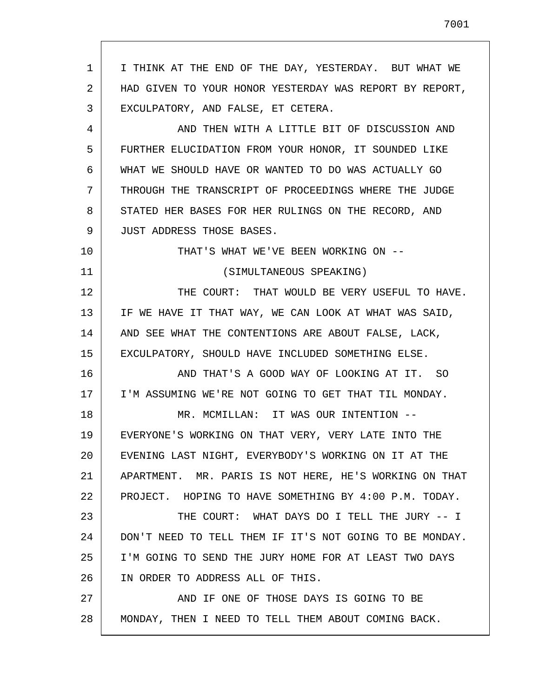1 2 3 4 5 6 7 8 9 10 11 12 13 14 15 16 17 18 19 20 21 22 23 24 25 26 27 28 I THINK AT THE END OF THE DAY, YESTERDAY. BUT WHAT WE HAD GIVEN TO YOUR HONOR YESTERDAY WAS REPORT BY REPORT, EXCULPATORY, AND FALSE, ET CETERA. AND THEN WITH A LITTLE BIT OF DISCUSSION AND FURTHER ELUCIDATION FROM YOUR HONOR, IT SOUNDED LIKE WHAT WE SHOULD HAVE OR WANTED TO DO WAS ACTUALLY GO THROUGH THE TRANSCRIPT OF PROCEEDINGS WHERE THE JUDGE STATED HER BASES FOR HER RULINGS ON THE RECORD, AND JUST ADDRESS THOSE BASES. THAT'S WHAT WE'VE BEEN WORKING ON -- (SIMULTANEOUS SPEAKING) THE COURT: THAT WOULD BE VERY USEFUL TO HAVE. IF WE HAVE IT THAT WAY, WE CAN LOOK AT WHAT WAS SAID, AND SEE WHAT THE CONTENTIONS ARE ABOUT FALSE, LACK, EXCULPATORY, SHOULD HAVE INCLUDED SOMETHING ELSE. AND THAT'S A GOOD WAY OF LOOKING AT IT. SO I'M ASSUMING WE'RE NOT GOING TO GET THAT TIL MONDAY. MR. MCMILLAN: IT WAS OUR INTENTION -- EVERYONE'S WORKING ON THAT VERY, VERY LATE INTO THE EVENING LAST NIGHT, EVERYBODY'S WORKING ON IT AT THE APARTMENT. MR. PARIS IS NOT HERE, HE'S WORKING ON THAT PROJECT. HOPING TO HAVE SOMETHING BY 4:00 P.M. TODAY. THE COURT: WHAT DAYS DO I TELL THE JURY -- I DON'T NEED TO TELL THEM IF IT'S NOT GOING TO BE MONDAY. I'M GOING TO SEND THE JURY HOME FOR AT LEAST TWO DAYS IN ORDER TO ADDRESS ALL OF THIS. AND IF ONE OF THOSE DAYS IS GOING TO BE MONDAY, THEN I NEED TO TELL THEM ABOUT COMING BACK.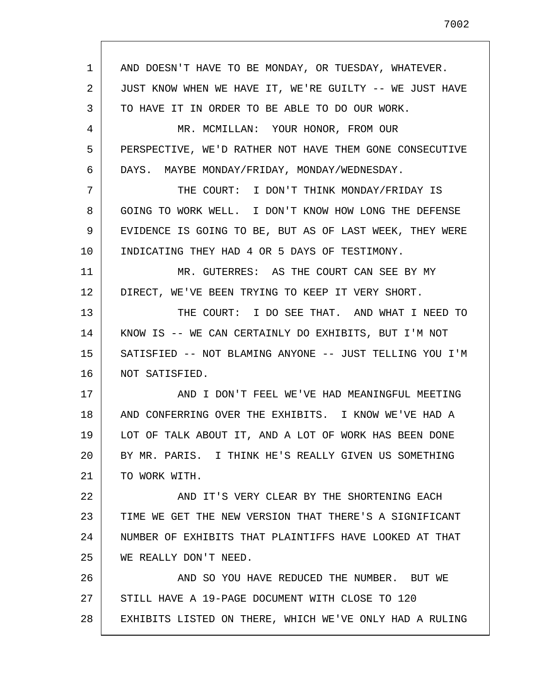1 2 3 4 5 6 7 8 9 10 11 12 13 14 15 16 17 18 19 20 21 22 23 24 25 26 27 28 AND DOESN'T HAVE TO BE MONDAY, OR TUESDAY, WHATEVER. JUST KNOW WHEN WE HAVE IT, WE'RE GUILTY -- WE JUST HAVE TO HAVE IT IN ORDER TO BE ABLE TO DO OUR WORK. MR. MCMILLAN: YOUR HONOR, FROM OUR PERSPECTIVE, WE'D RATHER NOT HAVE THEM GONE CONSECUTIVE DAYS. MAYBE MONDAY/FRIDAY, MONDAY/WEDNESDAY. THE COURT: I DON'T THINK MONDAY/FRIDAY IS GOING TO WORK WELL. I DON'T KNOW HOW LONG THE DEFENSE EVIDENCE IS GOING TO BE, BUT AS OF LAST WEEK, THEY WERE INDICATING THEY HAD 4 OR 5 DAYS OF TESTIMONY. MR. GUTERRES: AS THE COURT CAN SEE BY MY DIRECT, WE'VE BEEN TRYING TO KEEP IT VERY SHORT. THE COURT: I DO SEE THAT. AND WHAT I NEED TO KNOW IS -- WE CAN CERTAINLY DO EXHIBITS, BUT I'M NOT SATISFIED -- NOT BLAMING ANYONE -- JUST TELLING YOU I'M NOT SATISFIED. AND I DON'T FEEL WE'VE HAD MEANINGFUL MEETING AND CONFERRING OVER THE EXHIBITS. I KNOW WE'VE HAD A LOT OF TALK ABOUT IT, AND A LOT OF WORK HAS BEEN DONE BY MR. PARIS. I THINK HE'S REALLY GIVEN US SOMETHING TO WORK WITH. AND IT'S VERY CLEAR BY THE SHORTENING EACH TIME WE GET THE NEW VERSION THAT THERE'S A SIGNIFICANT NUMBER OF EXHIBITS THAT PLAINTIFFS HAVE LOOKED AT THAT WE REALLY DON'T NEED. AND SO YOU HAVE REDUCED THE NUMBER. BUT WE STILL HAVE A 19-PAGE DOCUMENT WITH CLOSE TO 120 EXHIBITS LISTED ON THERE, WHICH WE'VE ONLY HAD A RULING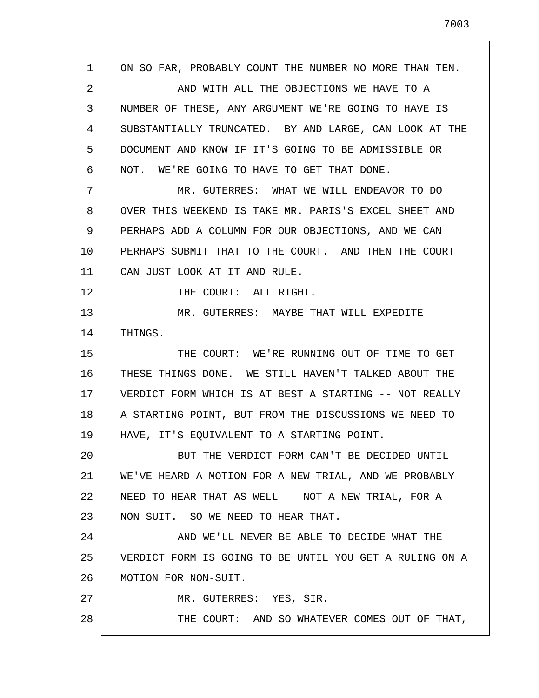1 2 3 4 5 6 7 8 9 10 11 12 13 14 15 16 17 18 19 20 21 22 23 24 25 26 27 28 ON SO FAR, PROBABLY COUNT THE NUMBER NO MORE THAN TEN. AND WITH ALL THE OBJECTIONS WE HAVE TO A NUMBER OF THESE, ANY ARGUMENT WE'RE GOING TO HAVE IS SUBSTANTIALLY TRUNCATED. BY AND LARGE, CAN LOOK AT THE DOCUMENT AND KNOW IF IT'S GOING TO BE ADMISSIBLE OR NOT. WE'RE GOING TO HAVE TO GET THAT DONE. MR. GUTERRES: WHAT WE WILL ENDEAVOR TO DO OVER THIS WEEKEND IS TAKE MR. PARIS'S EXCEL SHEET AND PERHAPS ADD A COLUMN FOR OUR OBJECTIONS, AND WE CAN PERHAPS SUBMIT THAT TO THE COURT. AND THEN THE COURT CAN JUST LOOK AT IT AND RULE. THE COURT: ALL RIGHT. MR. GUTERRES: MAYBE THAT WILL EXPEDITE THINGS. THE COURT: WE'RE RUNNING OUT OF TIME TO GET THESE THINGS DONE. WE STILL HAVEN'T TALKED ABOUT THE VERDICT FORM WHICH IS AT BEST A STARTING -- NOT REALLY A STARTING POINT, BUT FROM THE DISCUSSIONS WE NEED TO HAVE, IT'S EQUIVALENT TO A STARTING POINT. BUT THE VERDICT FORM CAN'T BE DECIDED UNTIL WE'VE HEARD A MOTION FOR A NEW TRIAL, AND WE PROBABLY NEED TO HEAR THAT AS WELL -- NOT A NEW TRIAL, FOR A NON-SUIT. SO WE NEED TO HEAR THAT. AND WE'LL NEVER BE ABLE TO DECIDE WHAT THE VERDICT FORM IS GOING TO BE UNTIL YOU GET A RULING ON A MOTION FOR NON-SUIT. MR. GUTERRES: YES, SIR. THE COURT: AND SO WHATEVER COMES OUT OF THAT,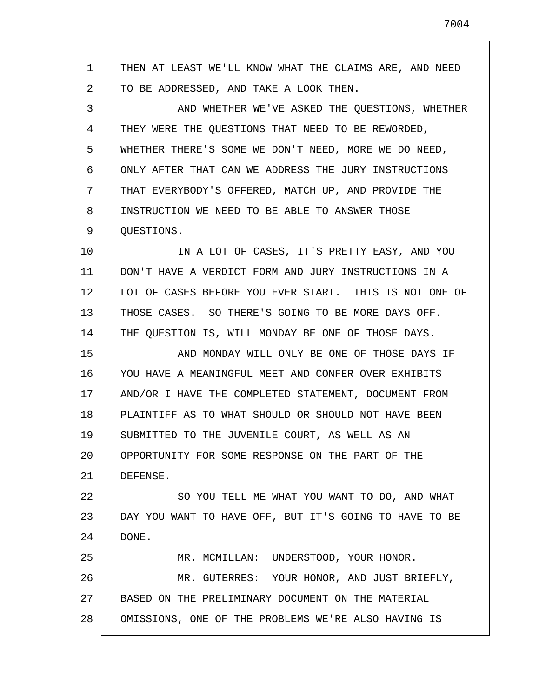1 2 3 4 5 6 7 8 9 10 11 12 13 14 15 16 17 18 19 20 21 22 23 24 25 26 27 28 THEN AT LEAST WE'LL KNOW WHAT THE CLAIMS ARE, AND NEED TO BE ADDRESSED, AND TAKE A LOOK THEN. AND WHETHER WE'VE ASKED THE QUESTIONS, WHETHER THEY WERE THE QUESTIONS THAT NEED TO BE REWORDED, WHETHER THERE'S SOME WE DON'T NEED, MORE WE DO NEED, ONLY AFTER THAT CAN WE ADDRESS THE JURY INSTRUCTIONS THAT EVERYBODY'S OFFERED, MATCH UP, AND PROVIDE THE INSTRUCTION WE NEED TO BE ABLE TO ANSWER THOSE QUESTIONS. IN A LOT OF CASES, IT'S PRETTY EASY, AND YOU DON'T HAVE A VERDICT FORM AND JURY INSTRUCTIONS IN A LOT OF CASES BEFORE YOU EVER START. THIS IS NOT ONE OF THOSE CASES. SO THERE'S GOING TO BE MORE DAYS OFF. THE QUESTION IS, WILL MONDAY BE ONE OF THOSE DAYS. AND MONDAY WILL ONLY BE ONE OF THOSE DAYS IF YOU HAVE A MEANINGFUL MEET AND CONFER OVER EXHIBITS AND/OR I HAVE THE COMPLETED STATEMENT, DOCUMENT FROM PLAINTIFF AS TO WHAT SHOULD OR SHOULD NOT HAVE BEEN SUBMITTED TO THE JUVENILE COURT, AS WELL AS AN OPPORTUNITY FOR SOME RESPONSE ON THE PART OF THE DEFENSE. SO YOU TELL ME WHAT YOU WANT TO DO, AND WHAT DAY YOU WANT TO HAVE OFF, BUT IT'S GOING TO HAVE TO BE DONE. MR. MCMILLAN: UNDERSTOOD, YOUR HONOR. MR. GUTERRES: YOUR HONOR, AND JUST BRIEFLY, BASED ON THE PRELIMINARY DOCUMENT ON THE MATERIAL OMISSIONS, ONE OF THE PROBLEMS WE'RE ALSO HAVING IS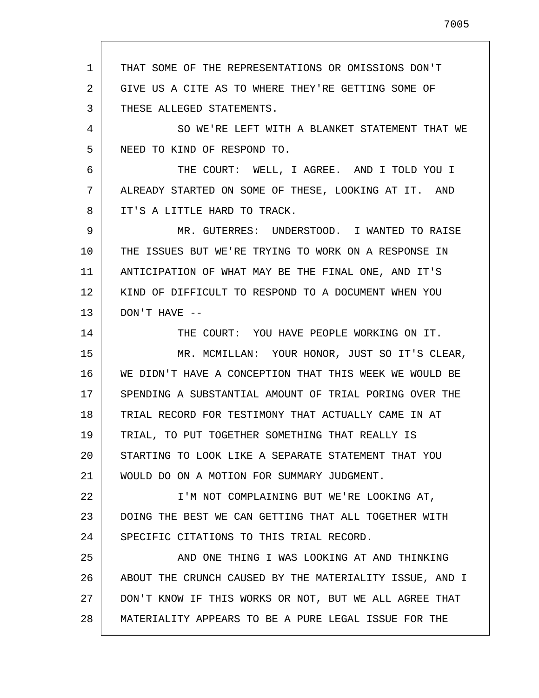1 2 3 4 5 6 7 8 9 10 11 12 13 14 15 16 17 18 19 20 21 22 23 24 25 26 27 28 THAT SOME OF THE REPRESENTATIONS OR OMISSIONS DON'T GIVE US A CITE AS TO WHERE THEY'RE GETTING SOME OF THESE ALLEGED STATEMENTS. SO WE'RE LEFT WITH A BLANKET STATEMENT THAT WE NEED TO KIND OF RESPOND TO. THE COURT: WELL, I AGREE. AND I TOLD YOU I ALREADY STARTED ON SOME OF THESE, LOOKING AT IT. AND IT'S A LITTLE HARD TO TRACK. MR. GUTERRES: UNDERSTOOD. I WANTED TO RAISE THE ISSUES BUT WE'RE TRYING TO WORK ON A RESPONSE IN ANTICIPATION OF WHAT MAY BE THE FINAL ONE, AND IT'S KIND OF DIFFICULT TO RESPOND TO A DOCUMENT WHEN YOU DON'T HAVE -- THE COURT: YOU HAVE PEOPLE WORKING ON IT. MR. MCMILLAN: YOUR HONOR, JUST SO IT'S CLEAR, WE DIDN'T HAVE A CONCEPTION THAT THIS WEEK WE WOULD BE SPENDING A SUBSTANTIAL AMOUNT OF TRIAL PORING OVER THE TRIAL RECORD FOR TESTIMONY THAT ACTUALLY CAME IN AT TRIAL, TO PUT TOGETHER SOMETHING THAT REALLY IS STARTING TO LOOK LIKE A SEPARATE STATEMENT THAT YOU WOULD DO ON A MOTION FOR SUMMARY JUDGMENT. I'M NOT COMPLAINING BUT WE'RE LOOKING AT, DOING THE BEST WE CAN GETTING THAT ALL TOGETHER WITH SPECIFIC CITATIONS TO THIS TRIAL RECORD. AND ONE THING I WAS LOOKING AT AND THINKING ABOUT THE CRUNCH CAUSED BY THE MATERIALITY ISSUE, AND I DON'T KNOW IF THIS WORKS OR NOT, BUT WE ALL AGREE THAT MATERIALITY APPEARS TO BE A PURE LEGAL ISSUE FOR THE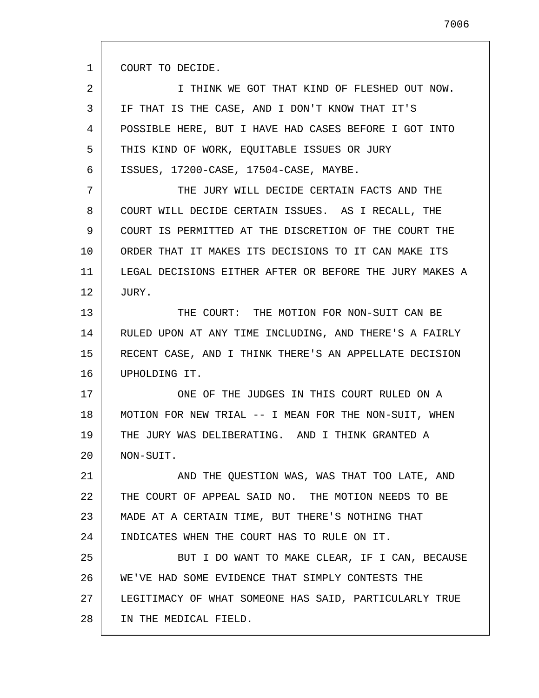1 COURT TO DECIDE.

2 3 4 5 6 I THINK WE GOT THAT KIND OF FLESHED OUT NOW. IF THAT IS THE CASE, AND I DON'T KNOW THAT IT'S POSSIBLE HERE, BUT I HAVE HAD CASES BEFORE I GOT INTO THIS KIND OF WORK, EQUITABLE ISSUES OR JURY ISSUES, 17200-CASE, 17504-CASE, MAYBE.

7 8 9 10 11 12 THE JURY WILL DECIDE CERTAIN FACTS AND THE COURT WILL DECIDE CERTAIN ISSUES. AS I RECALL, THE COURT IS PERMITTED AT THE DISCRETION OF THE COURT THE ORDER THAT IT MAKES ITS DECISIONS TO IT CAN MAKE ITS LEGAL DECISIONS EITHER AFTER OR BEFORE THE JURY MAKES A JURY.

13 14 15 16 THE COURT: THE MOTION FOR NON-SUIT CAN BE RULED UPON AT ANY TIME INCLUDING, AND THERE'S A FAIRLY RECENT CASE, AND I THINK THERE'S AN APPELLATE DECISION UPHOLDING IT.

17 18 19 20 ONE OF THE JUDGES IN THIS COURT RULED ON A MOTION FOR NEW TRIAL -- I MEAN FOR THE NON-SUIT, WHEN THE JURY WAS DELIBERATING. AND I THINK GRANTED A NON-SUIT.

21 22 23 24 25 AND THE QUESTION WAS, WAS THAT TOO LATE, AND THE COURT OF APPEAL SAID NO. THE MOTION NEEDS TO BE MADE AT A CERTAIN TIME, BUT THERE'S NOTHING THAT INDICATES WHEN THE COURT HAS TO RULE ON IT. BUT I DO WANT TO MAKE CLEAR, IF I CAN, BECAUSE

26 27 28 WE'VE HAD SOME EVIDENCE THAT SIMPLY CONTESTS THE LEGITIMACY OF WHAT SOMEONE HAS SAID, PARTICULARLY TRUE IN THE MEDICAL FIELD.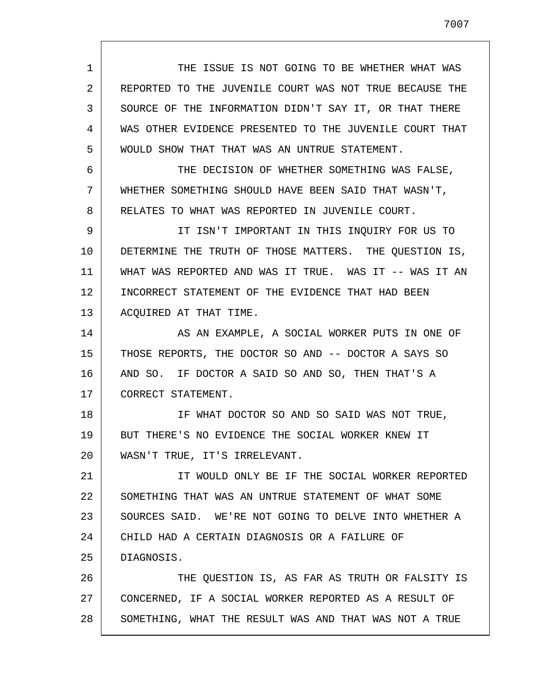1 2 3 4 5 6 7 8 9 10 11 12 13 14 15 16 17 18 19 20 21 22 23 24 25 26 27 28 THE ISSUE IS NOT GOING TO BE WHETHER WHAT WAS REPORTED TO THE JUVENILE COURT WAS NOT TRUE BECAUSE THE SOURCE OF THE INFORMATION DIDN'T SAY IT, OR THAT THERE WAS OTHER EVIDENCE PRESENTED TO THE JUVENILE COURT THAT WOULD SHOW THAT THAT WAS AN UNTRUE STATEMENT. THE DECISION OF WHETHER SOMETHING WAS FALSE, WHETHER SOMETHING SHOULD HAVE BEEN SAID THAT WASN'T, RELATES TO WHAT WAS REPORTED IN JUVENILE COURT. IT ISN'T IMPORTANT IN THIS INQUIRY FOR US TO DETERMINE THE TRUTH OF THOSE MATTERS. THE QUESTION IS, WHAT WAS REPORTED AND WAS IT TRUE. WAS IT -- WAS IT AN INCORRECT STATEMENT OF THE EVIDENCE THAT HAD BEEN ACQUIRED AT THAT TIME. AS AN EXAMPLE, A SOCIAL WORKER PUTS IN ONE OF THOSE REPORTS, THE DOCTOR SO AND -- DOCTOR A SAYS SO AND SO. IF DOCTOR A SAID SO AND SO, THEN THAT'S A CORRECT STATEMENT. IF WHAT DOCTOR SO AND SO SAID WAS NOT TRUE, BUT THERE'S NO EVIDENCE THE SOCIAL WORKER KNEW IT WASN'T TRUE, IT'S IRRELEVANT. IT WOULD ONLY BE IF THE SOCIAL WORKER REPORTED SOMETHING THAT WAS AN UNTRUE STATEMENT OF WHAT SOME SOURCES SAID. WE'RE NOT GOING TO DELVE INTO WHETHER A CHILD HAD A CERTAIN DIAGNOSIS OR A FAILURE OF DIAGNOSIS. THE QUESTION IS, AS FAR AS TRUTH OR FALSITY IS CONCERNED, IF A SOCIAL WORKER REPORTED AS A RESULT OF SOMETHING, WHAT THE RESULT WAS AND THAT WAS NOT A TRUE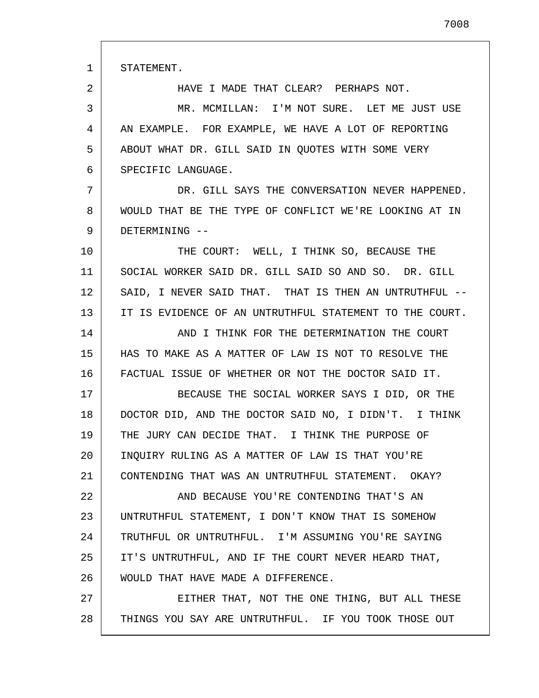1 STATEMENT.

2

HAVE I MADE THAT CLEAR? PERHAPS NOT.

3 4 5 6 MR. MCMILLAN: I'M NOT SURE. LET ME JUST USE AN EXAMPLE. FOR EXAMPLE, WE HAVE A LOT OF REPORTING ABOUT WHAT DR. GILL SAID IN QUOTES WITH SOME VERY SPECIFIC LANGUAGE.

7 8 9 DR. GILL SAYS THE CONVERSATION NEVER HAPPENED. WOULD THAT BE THE TYPE OF CONFLICT WE'RE LOOKING AT IN DETERMINING --

10 11 12 13 THE COURT: WELL, I THINK SO, BECAUSE THE SOCIAL WORKER SAID DR. GILL SAID SO AND SO. DR. GILL SAID, I NEVER SAID THAT. THAT IS THEN AN UNTRUTHFUL --IT IS EVIDENCE OF AN UNTRUTHFUL STATEMENT TO THE COURT.

14 15 16 AND I THINK FOR THE DETERMINATION THE COURT HAS TO MAKE AS A MATTER OF LAW IS NOT TO RESOLVE THE FACTUAL ISSUE OF WHETHER OR NOT THE DOCTOR SAID IT.

17 18 19 20 21 BECAUSE THE SOCIAL WORKER SAYS I DID, OR THE DOCTOR DID, AND THE DOCTOR SAID NO, I DIDN'T. I THINK THE JURY CAN DECIDE THAT. I THINK THE PURPOSE OF INQUIRY RULING AS A MATTER OF LAW IS THAT YOU'RE CONTENDING THAT WAS AN UNTRUTHFUL STATEMENT. OKAY?

22 23 24 25 26 AND BECAUSE YOU'RE CONTENDING THAT'S AN UNTRUTHFUL STATEMENT, I DON'T KNOW THAT IS SOMEHOW TRUTHFUL OR UNTRUTHFUL. I'M ASSUMING YOU'RE SAYING IT'S UNTRUTHFUL, AND IF THE COURT NEVER HEARD THAT, WOULD THAT HAVE MADE A DIFFERENCE.

27 28 EITHER THAT, NOT THE ONE THING, BUT ALL THESE THINGS YOU SAY ARE UNTRUTHFUL. IF YOU TOOK THOSE OUT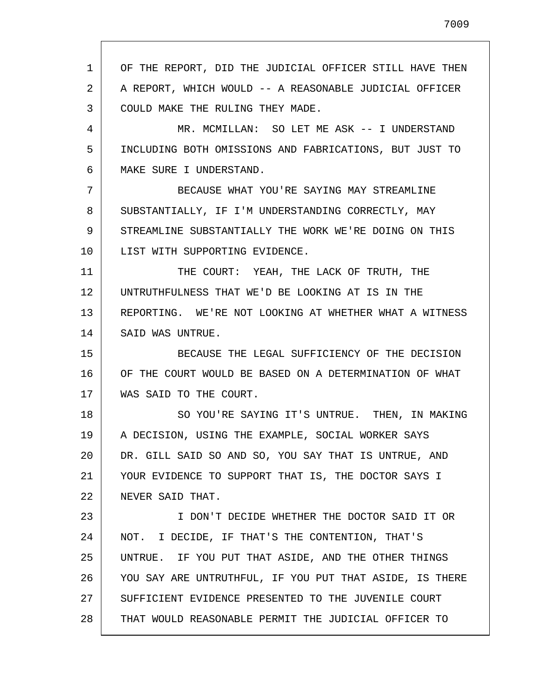1 2 3 4 5 6 7 8 9 10 11 12 13 14 15 16 17 18 19 20 21 22 23 24 25 26 27 28 OF THE REPORT, DID THE JUDICIAL OFFICER STILL HAVE THEN A REPORT, WHICH WOULD -- A REASONABLE JUDICIAL OFFICER COULD MAKE THE RULING THEY MADE. MR. MCMILLAN: SO LET ME ASK -- I UNDERSTAND INCLUDING BOTH OMISSIONS AND FABRICATIONS, BUT JUST TO MAKE SURE I UNDERSTAND. BECAUSE WHAT YOU'RE SAYING MAY STREAMLINE SUBSTANTIALLY, IF I'M UNDERSTANDING CORRECTLY, MAY STREAMLINE SUBSTANTIALLY THE WORK WE'RE DOING ON THIS LIST WITH SUPPORTING EVIDENCE. THE COURT: YEAH, THE LACK OF TRUTH, THE UNTRUTHFULNESS THAT WE'D BE LOOKING AT IS IN THE REPORTING. WE'RE NOT LOOKING AT WHETHER WHAT A WITNESS SAID WAS UNTRUE. BECAUSE THE LEGAL SUFFICIENCY OF THE DECISION OF THE COURT WOULD BE BASED ON A DETERMINATION OF WHAT WAS SAID TO THE COURT. SO YOU'RE SAYING IT'S UNTRUE. THEN, IN MAKING A DECISION, USING THE EXAMPLE, SOCIAL WORKER SAYS DR. GILL SAID SO AND SO, YOU SAY THAT IS UNTRUE, AND YOUR EVIDENCE TO SUPPORT THAT IS, THE DOCTOR SAYS I NEVER SAID THAT. I DON'T DECIDE WHETHER THE DOCTOR SAID IT OR NOT. I DECIDE, IF THAT'S THE CONTENTION, THAT'S UNTRUE. IF YOU PUT THAT ASIDE, AND THE OTHER THINGS YOU SAY ARE UNTRUTHFUL, IF YOU PUT THAT ASIDE, IS THERE SUFFICIENT EVIDENCE PRESENTED TO THE JUVENILE COURT THAT WOULD REASONABLE PERMIT THE JUDICIAL OFFICER TO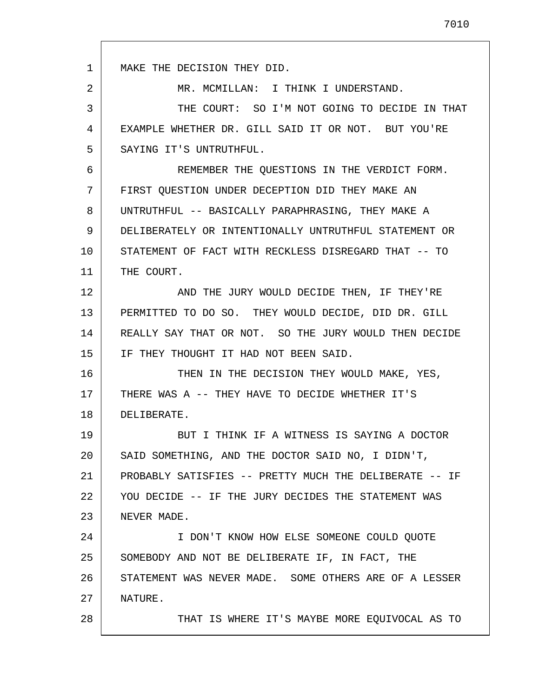1 2 3 4 5 6 7 8 9 10 11 12 13 14 15 16 17 18 19 20 21 22 23 24 25 26 27 28 MAKE THE DECISION THEY DID. MR. MCMILLAN: I THINK I UNDERSTAND. THE COURT: SO I'M NOT GOING TO DECIDE IN THAT EXAMPLE WHETHER DR. GILL SAID IT OR NOT. BUT YOU'RE SAYING IT'S UNTRUTHFUL. REMEMBER THE QUESTIONS IN THE VERDICT FORM. FIRST QUESTION UNDER DECEPTION DID THEY MAKE AN UNTRUTHFUL -- BASICALLY PARAPHRASING, THEY MAKE A DELIBERATELY OR INTENTIONALLY UNTRUTHFUL STATEMENT OR STATEMENT OF FACT WITH RECKLESS DISREGARD THAT -- TO THE COURT. AND THE JURY WOULD DECIDE THEN, IF THEY'RE PERMITTED TO DO SO. THEY WOULD DECIDE, DID DR. GILL REALLY SAY THAT OR NOT. SO THE JURY WOULD THEN DECIDE IF THEY THOUGHT IT HAD NOT BEEN SAID. THEN IN THE DECISION THEY WOULD MAKE, YES, THERE WAS A -- THEY HAVE TO DECIDE WHETHER IT'S DELIBERATE. BUT I THINK IF A WITNESS IS SAYING A DOCTOR SAID SOMETHING, AND THE DOCTOR SAID NO, I DIDN'T, PROBABLY SATISFIES -- PRETTY MUCH THE DELIBERATE -- IF YOU DECIDE -- IF THE JURY DECIDES THE STATEMENT WAS NEVER MADE. I DON'T KNOW HOW ELSE SOMEONE COULD QUOTE SOMEBODY AND NOT BE DELIBERATE IF, IN FACT, THE STATEMENT WAS NEVER MADE. SOME OTHERS ARE OF A LESSER NATURE. THAT IS WHERE IT'S MAYBE MORE EQUIVOCAL AS TO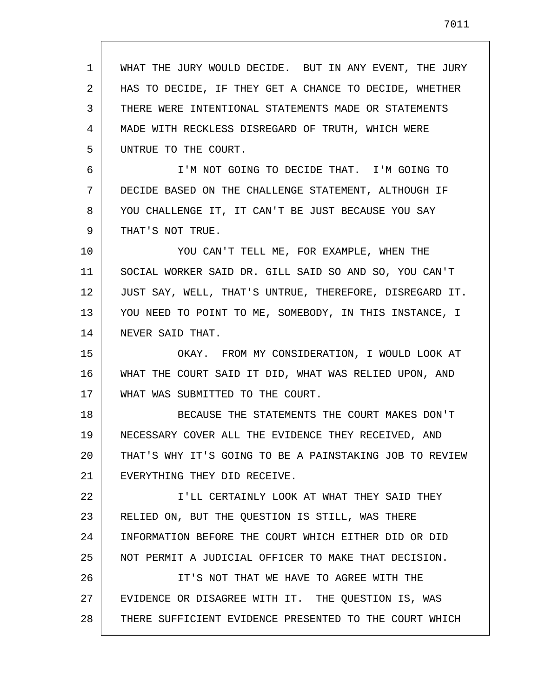1 2 3 4 5 6 7 8 9 10 11 12 13 14 15 16 17 18 19 20 21 22 23 24 25 26 27 28 WHAT THE JURY WOULD DECIDE. BUT IN ANY EVENT, THE JURY HAS TO DECIDE, IF THEY GET A CHANCE TO DECIDE, WHETHER THERE WERE INTENTIONAL STATEMENTS MADE OR STATEMENTS MADE WITH RECKLESS DISREGARD OF TRUTH, WHICH WERE UNTRUE TO THE COURT. I'M NOT GOING TO DECIDE THAT. I'M GOING TO DECIDE BASED ON THE CHALLENGE STATEMENT, ALTHOUGH IF YOU CHALLENGE IT, IT CAN'T BE JUST BECAUSE YOU SAY THAT'S NOT TRUE. YOU CAN'T TELL ME, FOR EXAMPLE, WHEN THE SOCIAL WORKER SAID DR. GILL SAID SO AND SO, YOU CAN'T JUST SAY, WELL, THAT'S UNTRUE, THEREFORE, DISREGARD IT. YOU NEED TO POINT TO ME, SOMEBODY, IN THIS INSTANCE, I NEVER SAID THAT. OKAY. FROM MY CONSIDERATION, I WOULD LOOK AT WHAT THE COURT SAID IT DID, WHAT WAS RELIED UPON, AND WHAT WAS SUBMITTED TO THE COURT. BECAUSE THE STATEMENTS THE COURT MAKES DON'T NECESSARY COVER ALL THE EVIDENCE THEY RECEIVED, AND THAT'S WHY IT'S GOING TO BE A PAINSTAKING JOB TO REVIEW EVERYTHING THEY DID RECEIVE. I'LL CERTAINLY LOOK AT WHAT THEY SAID THEY RELIED ON, BUT THE QUESTION IS STILL, WAS THERE INFORMATION BEFORE THE COURT WHICH EITHER DID OR DID NOT PERMIT A JUDICIAL OFFICER TO MAKE THAT DECISION. IT'S NOT THAT WE HAVE TO AGREE WITH THE EVIDENCE OR DISAGREE WITH IT. THE QUESTION IS, WAS THERE SUFFICIENT EVIDENCE PRESENTED TO THE COURT WHICH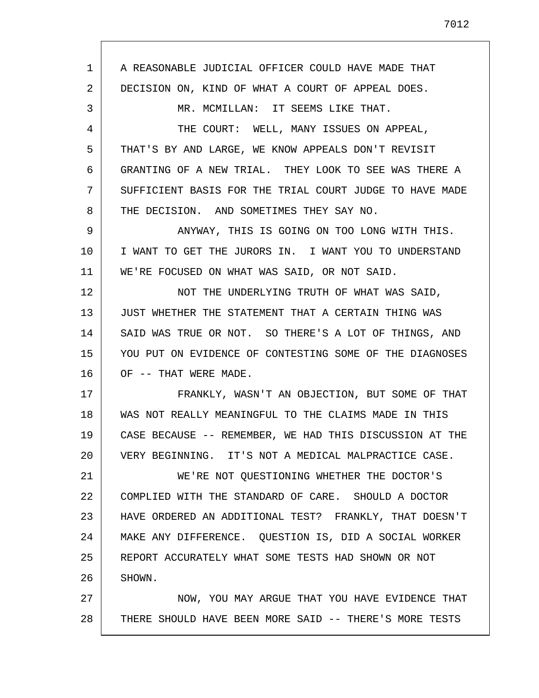1 2 3 4 5 6 7 8 9 10 11 12 13 14 15 16 17 18 19 20 21 22 23 24 25 26 27 28 A REASONABLE JUDICIAL OFFICER COULD HAVE MADE THAT DECISION ON, KIND OF WHAT A COURT OF APPEAL DOES. MR. MCMILLAN: IT SEEMS LIKE THAT. THE COURT: WELL, MANY ISSUES ON APPEAL, THAT'S BY AND LARGE, WE KNOW APPEALS DON'T REVISIT GRANTING OF A NEW TRIAL. THEY LOOK TO SEE WAS THERE A SUFFICIENT BASIS FOR THE TRIAL COURT JUDGE TO HAVE MADE THE DECISION. AND SOMETIMES THEY SAY NO. ANYWAY, THIS IS GOING ON TOO LONG WITH THIS. I WANT TO GET THE JURORS IN. I WANT YOU TO UNDERSTAND WE'RE FOCUSED ON WHAT WAS SAID, OR NOT SAID. NOT THE UNDERLYING TRUTH OF WHAT WAS SAID, JUST WHETHER THE STATEMENT THAT A CERTAIN THING WAS SAID WAS TRUE OR NOT. SO THERE'S A LOT OF THINGS, AND YOU PUT ON EVIDENCE OF CONTESTING SOME OF THE DIAGNOSES OF -- THAT WERE MADE. FRANKLY, WASN'T AN OBJECTION, BUT SOME OF THAT WAS NOT REALLY MEANINGFUL TO THE CLAIMS MADE IN THIS CASE BECAUSE -- REMEMBER, WE HAD THIS DISCUSSION AT THE VERY BEGINNING. IT'S NOT A MEDICAL MALPRACTICE CASE. WE'RE NOT QUESTIONING WHETHER THE DOCTOR'S COMPLIED WITH THE STANDARD OF CARE. SHOULD A DOCTOR HAVE ORDERED AN ADDITIONAL TEST? FRANKLY, THAT DOESN'T MAKE ANY DIFFERENCE. QUESTION IS, DID A SOCIAL WORKER REPORT ACCURATELY WHAT SOME TESTS HAD SHOWN OR NOT SHOWN. NOW, YOU MAY ARGUE THAT YOU HAVE EVIDENCE THAT THERE SHOULD HAVE BEEN MORE SAID -- THERE'S MORE TESTS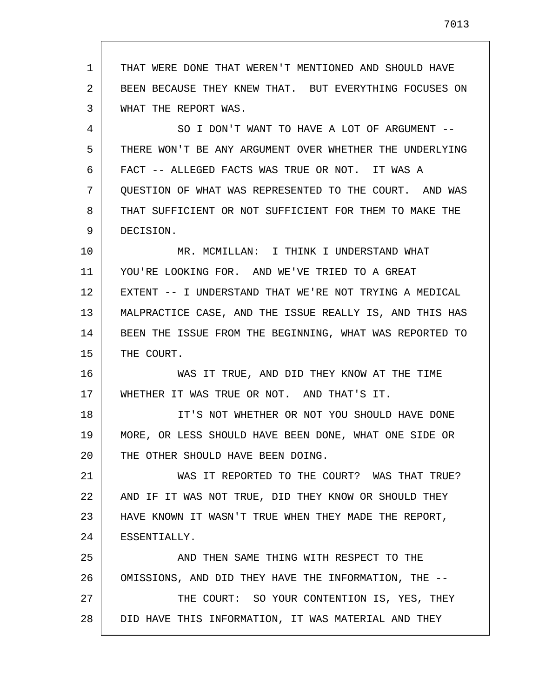1 2 3 THAT WERE DONE THAT WEREN'T MENTIONED AND SHOULD HAVE BEEN BECAUSE THEY KNEW THAT. BUT EVERYTHING FOCUSES ON WHAT THE REPORT WAS.

4 5 6 7 8 9 SO I DON'T WANT TO HAVE A LOT OF ARGUMENT -- THERE WON'T BE ANY ARGUMENT OVER WHETHER THE UNDERLYING FACT -- ALLEGED FACTS WAS TRUE OR NOT. IT WAS A QUESTION OF WHAT WAS REPRESENTED TO THE COURT. AND WAS THAT SUFFICIENT OR NOT SUFFICIENT FOR THEM TO MAKE THE DECISION.

10 11 12 13 14 15 MR. MCMILLAN: I THINK I UNDERSTAND WHAT YOU'RE LOOKING FOR. AND WE'VE TRIED TO A GREAT EXTENT -- I UNDERSTAND THAT WE'RE NOT TRYING A MEDICAL MALPRACTICE CASE, AND THE ISSUE REALLY IS, AND THIS HAS BEEN THE ISSUE FROM THE BEGINNING, WHAT WAS REPORTED TO THE COURT.

16 17 WAS IT TRUE, AND DID THEY KNOW AT THE TIME WHETHER IT WAS TRUE OR NOT. AND THAT'S IT.

18 19 20 IT'S NOT WHETHER OR NOT YOU SHOULD HAVE DONE MORE, OR LESS SHOULD HAVE BEEN DONE, WHAT ONE SIDE OR THE OTHER SHOULD HAVE BEEN DOING.

21 22 23 24 WAS IT REPORTED TO THE COURT? WAS THAT TRUE? AND IF IT WAS NOT TRUE, DID THEY KNOW OR SHOULD THEY HAVE KNOWN IT WASN'T TRUE WHEN THEY MADE THE REPORT, ESSENTIALLY.

25 26 27 28 AND THEN SAME THING WITH RESPECT TO THE OMISSIONS, AND DID THEY HAVE THE INFORMATION, THE -- THE COURT: SO YOUR CONTENTION IS, YES, THEY DID HAVE THIS INFORMATION, IT WAS MATERIAL AND THEY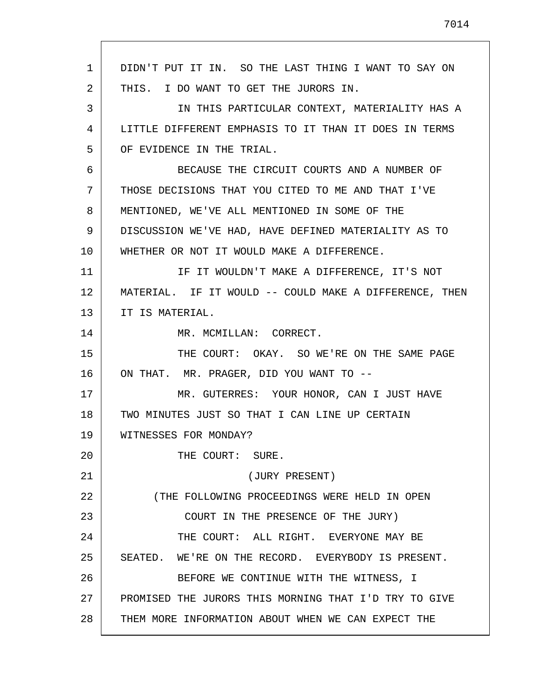| 1  | DIDN'T PUT IT IN. SO THE LAST THING I WANT TO SAY ON   |
|----|--------------------------------------------------------|
| 2  | THIS. I DO WANT TO GET THE JURORS IN.                  |
| 3  | IN THIS PARTICULAR CONTEXT, MATERIALITY HAS A          |
| 4  | LITTLE DIFFERENT EMPHASIS TO IT THAN IT DOES IN TERMS  |
| 5  | OF EVIDENCE IN THE TRIAL.                              |
| 6  | BECAUSE THE CIRCUIT COURTS AND A NUMBER OF             |
| 7  | THOSE DECISIONS THAT YOU CITED TO ME AND THAT I'VE     |
| 8  | MENTIONED, WE'VE ALL MENTIONED IN SOME OF THE          |
| 9  | DISCUSSION WE'VE HAD, HAVE DEFINED MATERIALITY AS TO   |
| 10 | WHETHER OR NOT IT WOULD MAKE A DIFFERENCE.             |
| 11 | IF IT WOULDN'T MAKE A DIFFERENCE, IT'S NOT             |
| 12 | MATERIAL. IF IT WOULD -- COULD MAKE A DIFFERENCE, THEN |
| 13 | IT IS MATERIAL.                                        |
| 14 | MR. MCMILLAN: CORRECT.                                 |
| 15 | THE COURT: OKAY. SO WE'RE ON THE SAME PAGE             |
| 16 | ON THAT. MR. PRAGER, DID YOU WANT TO --                |
| 17 | MR. GUTERRES: YOUR HONOR, CAN I JUST HAVE              |
| 18 | TWO MINUTES JUST SO THAT I CAN LINE UP CERTAIN         |
| 19 | WITNESSES FOR MONDAY?                                  |
| 20 | THE COURT: SURE.                                       |
| 21 | (JURY PRESENT)                                         |
| 22 | (THE FOLLOWING PROCEEDINGS WERE HELD IN OPEN           |
| 23 | COURT IN THE PRESENCE OF THE JURY)                     |
| 24 | THE COURT: ALL RIGHT. EVERYONE MAY BE                  |
| 25 | SEATED. WE'RE ON THE RECORD. EVERYBODY IS PRESENT.     |
| 26 | BEFORE WE CONTINUE WITH THE WITNESS, I                 |
| 27 | PROMISED THE JURORS THIS MORNING THAT I'D TRY TO GIVE  |
| 28 | THEM MORE INFORMATION ABOUT WHEN WE CAN EXPECT THE     |

 $\mathsf{r}$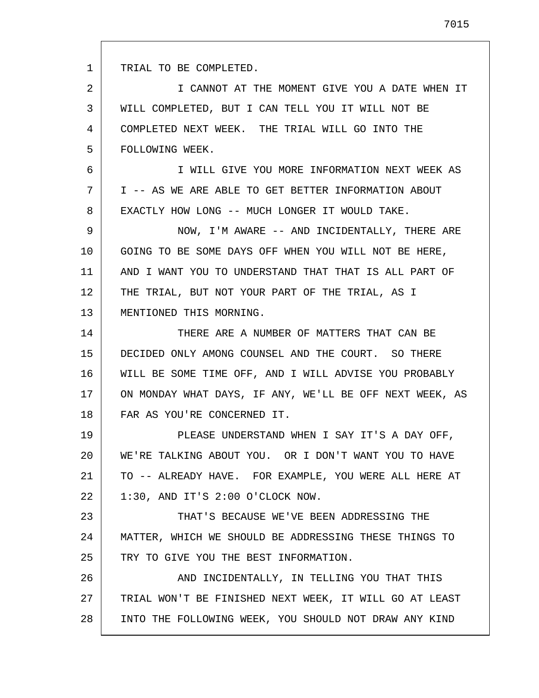1 2 3 4 5 6 7 8 9 10 11 12 13 14 15 16 17 18 19 20 21 22 23 24 25 26 27 28 TRIAL TO BE COMPLETED. I CANNOT AT THE MOMENT GIVE YOU A DATE WHEN IT WILL COMPLETED, BUT I CAN TELL YOU IT WILL NOT BE COMPLETED NEXT WEEK. THE TRIAL WILL GO INTO THE FOLLOWING WEEK. I WILL GIVE YOU MORE INFORMATION NEXT WEEK AS I -- AS WE ARE ABLE TO GET BETTER INFORMATION ABOUT EXACTLY HOW LONG -- MUCH LONGER IT WOULD TAKE. NOW, I'M AWARE -- AND INCIDENTALLY, THERE ARE GOING TO BE SOME DAYS OFF WHEN YOU WILL NOT BE HERE, AND I WANT YOU TO UNDERSTAND THAT THAT IS ALL PART OF THE TRIAL, BUT NOT YOUR PART OF THE TRIAL, AS I MENTIONED THIS MORNING. THERE ARE A NUMBER OF MATTERS THAT CAN BE DECIDED ONLY AMONG COUNSEL AND THE COURT. SO THERE WILL BE SOME TIME OFF, AND I WILL ADVISE YOU PROBABLY ON MONDAY WHAT DAYS, IF ANY, WE'LL BE OFF NEXT WEEK, AS FAR AS YOU'RE CONCERNED IT. PLEASE UNDERSTAND WHEN I SAY IT'S A DAY OFF, WE'RE TALKING ABOUT YOU. OR I DON'T WANT YOU TO HAVE TO -- ALREADY HAVE. FOR EXAMPLE, YOU WERE ALL HERE AT 1:30, AND IT'S 2:00 O'CLOCK NOW. THAT'S BECAUSE WE'VE BEEN ADDRESSING THE MATTER, WHICH WE SHOULD BE ADDRESSING THESE THINGS TO TRY TO GIVE YOU THE BEST INFORMATION. AND INCIDENTALLY, IN TELLING YOU THAT THIS TRIAL WON'T BE FINISHED NEXT WEEK, IT WILL GO AT LEAST INTO THE FOLLOWING WEEK, YOU SHOULD NOT DRAW ANY KIND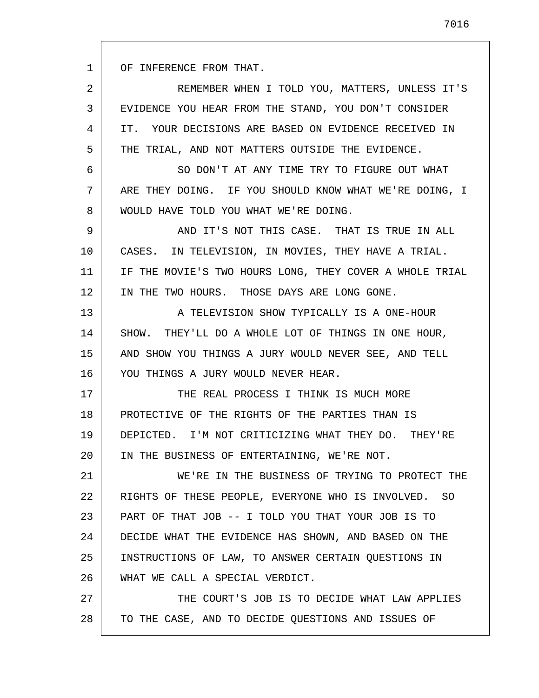1 OF INFERENCE FROM THAT.

2 3 4 5 REMEMBER WHEN I TOLD YOU, MATTERS, UNLESS IT'S EVIDENCE YOU HEAR FROM THE STAND, YOU DON'T CONSIDER IT. YOUR DECISIONS ARE BASED ON EVIDENCE RECEIVED IN THE TRIAL, AND NOT MATTERS OUTSIDE THE EVIDENCE.

6 7 8 SO DON'T AT ANY TIME TRY TO FIGURE OUT WHAT ARE THEY DOING. IF YOU SHOULD KNOW WHAT WE'RE DOING, I WOULD HAVE TOLD YOU WHAT WE'RE DOING.

9 10 11 12 AND IT'S NOT THIS CASE. THAT IS TRUE IN ALL CASES. IN TELEVISION, IN MOVIES, THEY HAVE A TRIAL. IF THE MOVIE'S TWO HOURS LONG, THEY COVER A WHOLE TRIAL IN THE TWO HOURS. THOSE DAYS ARE LONG GONE.

13 14 15 16 A TELEVISION SHOW TYPICALLY IS A ONE-HOUR SHOW. THEY'LL DO A WHOLE LOT OF THINGS IN ONE HOUR, AND SHOW YOU THINGS A JURY WOULD NEVER SEE, AND TELL YOU THINGS A JURY WOULD NEVER HEAR.

17 18 19 20 THE REAL PROCESS I THINK IS MUCH MORE PROTECTIVE OF THE RIGHTS OF THE PARTIES THAN IS DEPICTED. I'M NOT CRITICIZING WHAT THEY DO. THEY'RE IN THE BUSINESS OF ENTERTAINING, WE'RE NOT.

21 22 23 24 25 26 WE'RE IN THE BUSINESS OF TRYING TO PROTECT THE RIGHTS OF THESE PEOPLE, EVERYONE WHO IS INVOLVED. SO PART OF THAT JOB -- I TOLD YOU THAT YOUR JOB IS TO DECIDE WHAT THE EVIDENCE HAS SHOWN, AND BASED ON THE INSTRUCTIONS OF LAW, TO ANSWER CERTAIN QUESTIONS IN WHAT WE CALL A SPECIAL VERDICT.

27 28 THE COURT'S JOB IS TO DECIDE WHAT LAW APPLIES TO THE CASE, AND TO DECIDE QUESTIONS AND ISSUES OF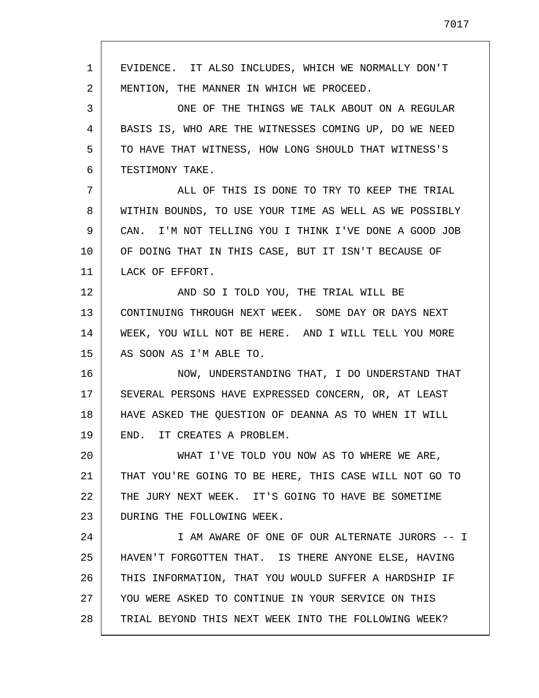1 2 3 4 5 6 7 8 9 10 11 12 13 14 15 16 17 18 19 20 21 22 23 24 25 26 27 28 EVIDENCE. IT ALSO INCLUDES, WHICH WE NORMALLY DON'T MENTION, THE MANNER IN WHICH WE PROCEED. ONE OF THE THINGS WE TALK ABOUT ON A REGULAR BASIS IS, WHO ARE THE WITNESSES COMING UP, DO WE NEED TO HAVE THAT WITNESS, HOW LONG SHOULD THAT WITNESS'S TESTIMONY TAKE. ALL OF THIS IS DONE TO TRY TO KEEP THE TRIAL WITHIN BOUNDS, TO USE YOUR TIME AS WELL AS WE POSSIBLY CAN. I'M NOT TELLING YOU I THINK I'VE DONE A GOOD JOB OF DOING THAT IN THIS CASE, BUT IT ISN'T BECAUSE OF LACK OF EFFORT. AND SO I TOLD YOU, THE TRIAL WILL BE CONTINUING THROUGH NEXT WEEK. SOME DAY OR DAYS NEXT WEEK, YOU WILL NOT BE HERE. AND I WILL TELL YOU MORE AS SOON AS I'M ABLE TO. NOW, UNDERSTANDING THAT, I DO UNDERSTAND THAT SEVERAL PERSONS HAVE EXPRESSED CONCERN, OR, AT LEAST HAVE ASKED THE QUESTION OF DEANNA AS TO WHEN IT WILL END. IT CREATES A PROBLEM. WHAT I'VE TOLD YOU NOW AS TO WHERE WE ARE, THAT YOU'RE GOING TO BE HERE, THIS CASE WILL NOT GO TO THE JURY NEXT WEEK. IT'S GOING TO HAVE BE SOMETIME DURING THE FOLLOWING WEEK. I AM AWARE OF ONE OF OUR ALTERNATE JURORS -- I HAVEN'T FORGOTTEN THAT. IS THERE ANYONE ELSE, HAVING THIS INFORMATION, THAT YOU WOULD SUFFER A HARDSHIP IF YOU WERE ASKED TO CONTINUE IN YOUR SERVICE ON THIS TRIAL BEYOND THIS NEXT WEEK INTO THE FOLLOWING WEEK?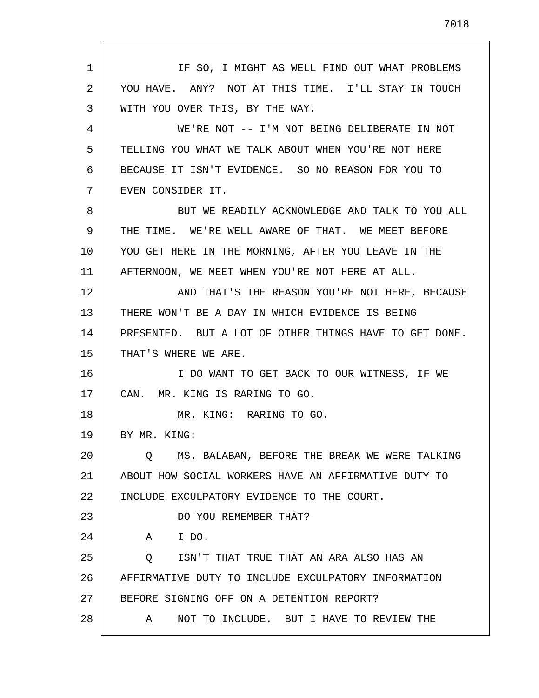1 2 3 4 5 6 7 8 9 10 11 12 13 14 15 16 17 18 19 20 21 22 23 24 25 26 27 28 IF SO, I MIGHT AS WELL FIND OUT WHAT PROBLEMS YOU HAVE. ANY? NOT AT THIS TIME. I'LL STAY IN TOUCH WITH YOU OVER THIS, BY THE WAY. WE'RE NOT -- I'M NOT BEING DELIBERATE IN NOT TELLING YOU WHAT WE TALK ABOUT WHEN YOU'RE NOT HERE BECAUSE IT ISN'T EVIDENCE. SO NO REASON FOR YOU TO EVEN CONSIDER IT. BUT WE READILY ACKNOWLEDGE AND TALK TO YOU ALL THE TIME. WE'RE WELL AWARE OF THAT. WE MEET BEFORE YOU GET HERE IN THE MORNING, AFTER YOU LEAVE IN THE AFTERNOON, WE MEET WHEN YOU'RE NOT HERE AT ALL. AND THAT'S THE REASON YOU'RE NOT HERE, BECAUSE THERE WON'T BE A DAY IN WHICH EVIDENCE IS BEING PRESENTED. BUT A LOT OF OTHER THINGS HAVE TO GET DONE. THAT'S WHERE WE ARE. I DO WANT TO GET BACK TO OUR WITNESS, IF WE CAN. MR. KING IS RARING TO GO. MR. KING: RARING TO GO. BY MR. KING: Q MS. BALABAN, BEFORE THE BREAK WE WERE TALKING ABOUT HOW SOCIAL WORKERS HAVE AN AFFIRMATIVE DUTY TO INCLUDE EXCULPATORY EVIDENCE TO THE COURT. DO YOU REMEMBER THAT? A I DO. Q ISN'T THAT TRUE THAT AN ARA ALSO HAS AN AFFIRMATIVE DUTY TO INCLUDE EXCULPATORY INFORMATION BEFORE SIGNING OFF ON A DETENTION REPORT? A NOT TO INCLUDE. BUT I HAVE TO REVIEW THE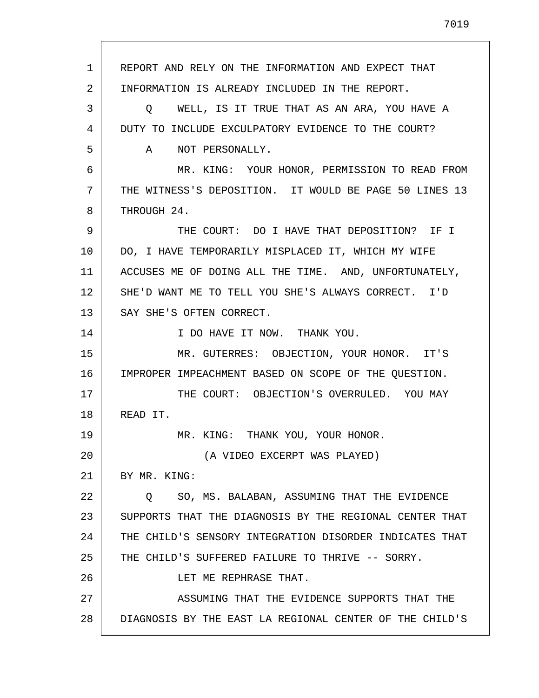1 2 3 4 5 6 7 8 9 10 11 12 13 14 15 16 17 18 19 20 21 22 23 24 25 26 27 28 REPORT AND RELY ON THE INFORMATION AND EXPECT THAT INFORMATION IS ALREADY INCLUDED IN THE REPORT. Q WELL, IS IT TRUE THAT AS AN ARA, YOU HAVE A DUTY TO INCLUDE EXCULPATORY EVIDENCE TO THE COURT? A NOT PERSONALLY. MR. KING: YOUR HONOR, PERMISSION TO READ FROM THE WITNESS'S DEPOSITION. IT WOULD BE PAGE 50 LINES 13 THROUGH 24. THE COURT: DO I HAVE THAT DEPOSITION? IF I DO, I HAVE TEMPORARILY MISPLACED IT, WHICH MY WIFE ACCUSES ME OF DOING ALL THE TIME. AND, UNFORTUNATELY, SHE'D WANT ME TO TELL YOU SHE'S ALWAYS CORRECT. I'D SAY SHE'S OFTEN CORRECT. I DO HAVE IT NOW. THANK YOU. MR. GUTERRES: OBJECTION, YOUR HONOR. IT'S IMPROPER IMPEACHMENT BASED ON SCOPE OF THE QUESTION. THE COURT: OBJECTION'S OVERRULED. YOU MAY READ IT. MR. KING: THANK YOU, YOUR HONOR. (A VIDEO EXCERPT WAS PLAYED) BY MR. KING: Q SO, MS. BALABAN, ASSUMING THAT THE EVIDENCE SUPPORTS THAT THE DIAGNOSIS BY THE REGIONAL CENTER THAT THE CHILD'S SENSORY INTEGRATION DISORDER INDICATES THAT THE CHILD'S SUFFERED FAILURE TO THRIVE -- SORRY. LET ME REPHRASE THAT. ASSUMING THAT THE EVIDENCE SUPPORTS THAT THE DIAGNOSIS BY THE EAST LA REGIONAL CENTER OF THE CHILD'S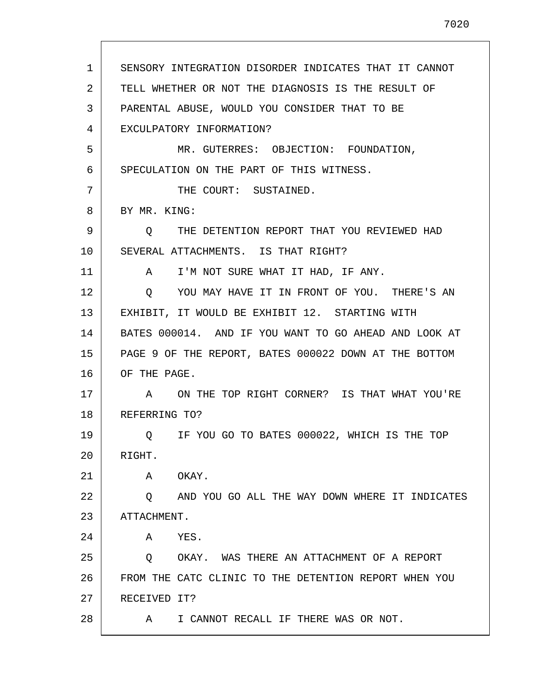| $\mathbf{1}$ | SENSORY INTEGRATION DISORDER INDICATES THAT IT CANNOT |
|--------------|-------------------------------------------------------|
| 2            | TELL WHETHER OR NOT THE DIAGNOSIS IS THE RESULT OF    |
| 3            | PARENTAL ABUSE, WOULD YOU CONSIDER THAT TO BE         |
| 4            | EXCULPATORY INFORMATION?                              |
| 5            | MR. GUTERRES: OBJECTION: FOUNDATION,                  |
| 6            | SPECULATION ON THE PART OF THIS WITNESS.              |
| 7            | THE COURT: SUSTAINED.                                 |
| 8            | BY MR. KING:                                          |
| 9            | Q THE DETENTION REPORT THAT YOU REVIEWED HAD          |
| 10           | SEVERAL ATTACHMENTS. IS THAT RIGHT?                   |
| 11           | A I'M NOT SURE WHAT IT HAD, IF ANY.                   |
| 12           | YOU MAY HAVE IT IN FRONT OF YOU. THERE'S AN<br>O.     |
| 13           | EXHIBIT, IT WOULD BE EXHIBIT 12. STARTING WITH        |
| 14           | BATES 000014. AND IF YOU WANT TO GO AHEAD AND LOOK AT |
| 15           | PAGE 9 OF THE REPORT, BATES 000022 DOWN AT THE BOTTOM |
| 16           | OF THE PAGE.                                          |
| 17           | A ON THE TOP RIGHT CORNER? IS THAT WHAT YOU'RE        |
| 18           | REFERRING TO?                                         |
| 19           | Q IF YOU GO TO BATES 000022, WHICH IS THE TOP         |
| 20           | RIGHT.                                                |
| 21           | OKAY.<br>Α                                            |
| 22           | AND YOU GO ALL THE WAY DOWN WHERE IT INDICATES<br>O   |
| 23           | ATTACHMENT.                                           |
| 24           | YES.<br>Α                                             |
| 25           | OKAY. WAS THERE AN ATTACHMENT OF A REPORT<br>$\circ$  |
| 26           | FROM THE CATC CLINIC TO THE DETENTION REPORT WHEN YOU |
| 27           | RECEIVED IT?                                          |
| 28           | I CANNOT RECALL IF THERE WAS OR NOT.<br>A             |

L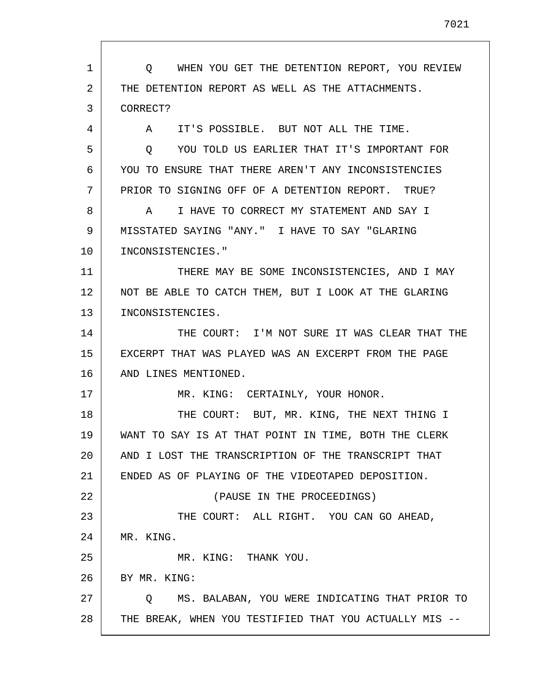1 2 3 4 5 6 7 8 9 10 11 12 13 14 15 16 17 18 19 20 21 22 23 24 25 26 27 28 Q WHEN YOU GET THE DETENTION REPORT, YOU REVIEW THE DETENTION REPORT AS WELL AS THE ATTACHMENTS. CORRECT? A IT'S POSSIBLE. BUT NOT ALL THE TIME. Q YOU TOLD US EARLIER THAT IT'S IMPORTANT FOR YOU TO ENSURE THAT THERE AREN'T ANY INCONSISTENCIES PRIOR TO SIGNING OFF OF A DETENTION REPORT. TRUE? A I HAVE TO CORRECT MY STATEMENT AND SAY I MISSTATED SAYING "ANY." I HAVE TO SAY "GLARING INCONSISTENCIES." THERE MAY BE SOME INCONSISTENCIES, AND I MAY NOT BE ABLE TO CATCH THEM, BUT I LOOK AT THE GLARING INCONSISTENCIES. THE COURT: I'M NOT SURE IT WAS CLEAR THAT THE EXCERPT THAT WAS PLAYED WAS AN EXCERPT FROM THE PAGE AND LINES MENTIONED. MR. KING: CERTAINLY, YOUR HONOR. THE COURT: BUT, MR. KING, THE NEXT THING I WANT TO SAY IS AT THAT POINT IN TIME, BOTH THE CLERK AND I LOST THE TRANSCRIPTION OF THE TRANSCRIPT THAT ENDED AS OF PLAYING OF THE VIDEOTAPED DEPOSITION. (PAUSE IN THE PROCEEDINGS) THE COURT: ALL RIGHT. YOU CAN GO AHEAD, MR. KING. MR. KING: THANK YOU. BY MR. KING: Q MS. BALABAN, YOU WERE INDICATING THAT PRIOR TO THE BREAK, WHEN YOU TESTIFIED THAT YOU ACTUALLY MIS --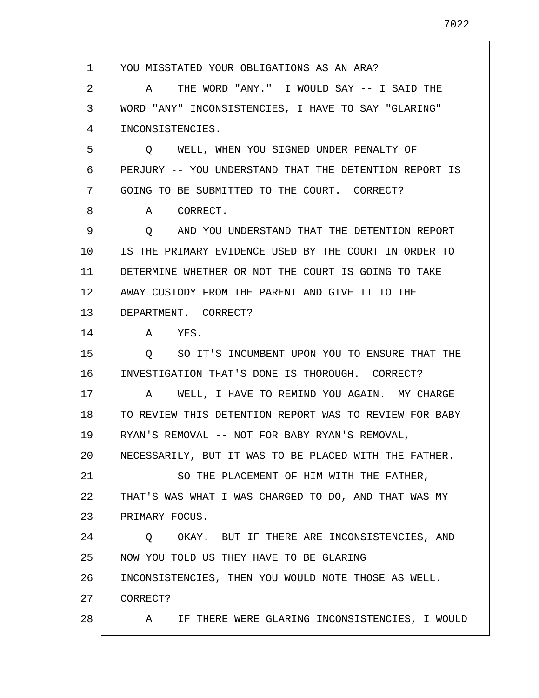1 2 3 4 5 6 7 8 9 10 11 12 13 14 15 16 17 18 19 20 21 22 23 24 25 26 27 28 YOU MISSTATED YOUR OBLIGATIONS AS AN ARA? A THE WORD "ANY." I WOULD SAY -- I SAID THE WORD "ANY" INCONSISTENCIES, I HAVE TO SAY "GLARING" INCONSISTENCIES. Q WELL, WHEN YOU SIGNED UNDER PENALTY OF PERJURY -- YOU UNDERSTAND THAT THE DETENTION REPORT IS GOING TO BE SUBMITTED TO THE COURT. CORRECT? A CORRECT. Q AND YOU UNDERSTAND THAT THE DETENTION REPORT IS THE PRIMARY EVIDENCE USED BY THE COURT IN ORDER TO DETERMINE WHETHER OR NOT THE COURT IS GOING TO TAKE AWAY CUSTODY FROM THE PARENT AND GIVE IT TO THE DEPARTMENT. CORRECT? A YES. Q SO IT'S INCUMBENT UPON YOU TO ENSURE THAT THE INVESTIGATION THAT'S DONE IS THOROUGH. CORRECT? A WELL, I HAVE TO REMIND YOU AGAIN. MY CHARGE TO REVIEW THIS DETENTION REPORT WAS TO REVIEW FOR BABY RYAN'S REMOVAL -- NOT FOR BABY RYAN'S REMOVAL, NECESSARILY, BUT IT WAS TO BE PLACED WITH THE FATHER. SO THE PLACEMENT OF HIM WITH THE FATHER, THAT'S WAS WHAT I WAS CHARGED TO DO, AND THAT WAS MY PRIMARY FOCUS. Q OKAY. BUT IF THERE ARE INCONSISTENCIES, AND NOW YOU TOLD US THEY HAVE TO BE GLARING INCONSISTENCIES, THEN YOU WOULD NOTE THOSE AS WELL. CORRECT? A IF THERE WERE GLARING INCONSISTENCIES, I WOULD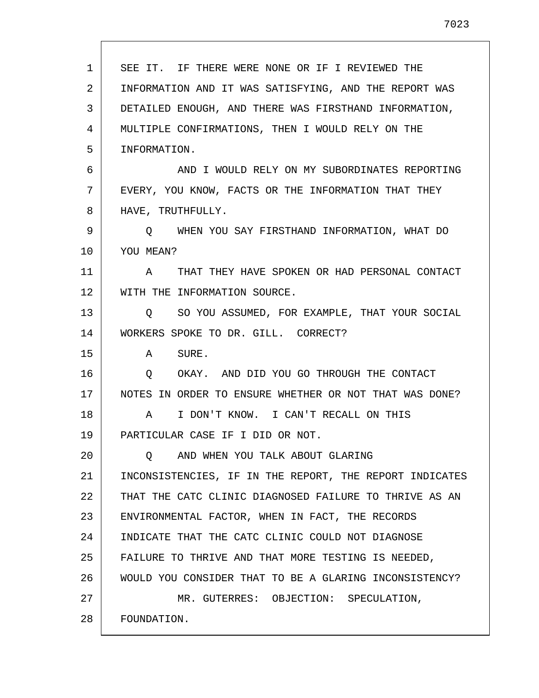| $\mathbf 1$ | SEE IT. IF THERE WERE NONE OR IF I REVIEWED THE         |
|-------------|---------------------------------------------------------|
| 2           | INFORMATION AND IT WAS SATISFYING, AND THE REPORT WAS   |
| 3           | DETAILED ENOUGH, AND THERE WAS FIRSTHAND INFORMATION,   |
| 4           | MULTIPLE CONFIRMATIONS, THEN I WOULD RELY ON THE        |
| 5           | INFORMATION.                                            |
| 6           | AND I WOULD RELY ON MY SUBORDINATES REPORTING           |
| 7           | EVERY, YOU KNOW, FACTS OR THE INFORMATION THAT THEY     |
| 8           | HAVE, TRUTHFULLY.                                       |
| 9           | Q WHEN YOU SAY FIRSTHAND INFORMATION, WHAT DO           |
| 10          | YOU MEAN?                                               |
| 11          | A THAT THEY HAVE SPOKEN OR HAD PERSONAL CONTACT         |
| 12          | WITH THE INFORMATION SOURCE.                            |
| 13          | Q SO YOU ASSUMED, FOR EXAMPLE, THAT YOUR SOCIAL         |
| 14          | WORKERS SPOKE TO DR. GILL. CORRECT?                     |
| 15          | A SURE.                                                 |
| 16          | Q OKAY. AND DID YOU GO THROUGH THE CONTACT              |
| 17          | NOTES IN ORDER TO ENSURE WHETHER OR NOT THAT WAS DONE?  |
| 18          | I DON'T KNOW. I CAN'T RECALL ON THIS<br>A               |
| 19          | PARTICULAR CASE IF I DID OR NOT.                        |
| 20          | AND WHEN YOU TALK ABOUT GLARING<br>Ő                    |
| 21          | INCONSISTENCIES, IF IN THE REPORT, THE REPORT INDICATES |
| 22          | THAT THE CATC CLINIC DIAGNOSED FAILURE TO THRIVE AS AN  |
| 23          | ENVIRONMENTAL FACTOR, WHEN IN FACT, THE RECORDS         |
| 24          | INDICATE THAT THE CATC CLINIC COULD NOT DIAGNOSE        |
| 25          | FAILURE TO THRIVE AND THAT MORE TESTING IS NEEDED,      |
| 26          | WOULD YOU CONSIDER THAT TO BE A GLARING INCONSISTENCY?  |
| 27          | MR. GUTERRES: OBJECTION: SPECULATION,                   |
| 28          | FOUNDATION.                                             |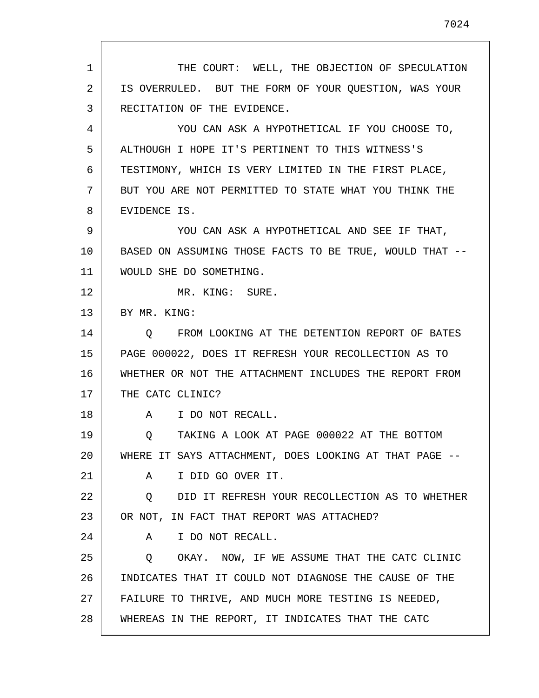1 2 3 4 5 6 7 8 9 10 11 12 13 14 15 16 17 18 19 20 21 22 23 24 25 26 27 28 THE COURT: WELL, THE OBJECTION OF SPECULATION IS OVERRULED. BUT THE FORM OF YOUR QUESTION, WAS YOUR RECITATION OF THE EVIDENCE. YOU CAN ASK A HYPOTHETICAL IF YOU CHOOSE TO, ALTHOUGH I HOPE IT'S PERTINENT TO THIS WITNESS'S TESTIMONY, WHICH IS VERY LIMITED IN THE FIRST PLACE, BUT YOU ARE NOT PERMITTED TO STATE WHAT YOU THINK THE EVIDENCE IS. YOU CAN ASK A HYPOTHETICAL AND SEE IF THAT, BASED ON ASSUMING THOSE FACTS TO BE TRUE, WOULD THAT -- WOULD SHE DO SOMETHING. MR. KING: SURE. BY MR. KING: Q FROM LOOKING AT THE DETENTION REPORT OF BATES PAGE 000022, DOES IT REFRESH YOUR RECOLLECTION AS TO WHETHER OR NOT THE ATTACHMENT INCLUDES THE REPORT FROM THE CATC CLINIC? A I DO NOT RECALL. Q TAKING A LOOK AT PAGE 000022 AT THE BOTTOM WHERE IT SAYS ATTACHMENT, DOES LOOKING AT THAT PAGE -- A I DID GO OVER IT. Q DID IT REFRESH YOUR RECOLLECTION AS TO WHETHER OR NOT, IN FACT THAT REPORT WAS ATTACHED? A I DO NOT RECALL. Q OKAY. NOW, IF WE ASSUME THAT THE CATC CLINIC INDICATES THAT IT COULD NOT DIAGNOSE THE CAUSE OF THE FAILURE TO THRIVE, AND MUCH MORE TESTING IS NEEDED, WHEREAS IN THE REPORT, IT INDICATES THAT THE CATC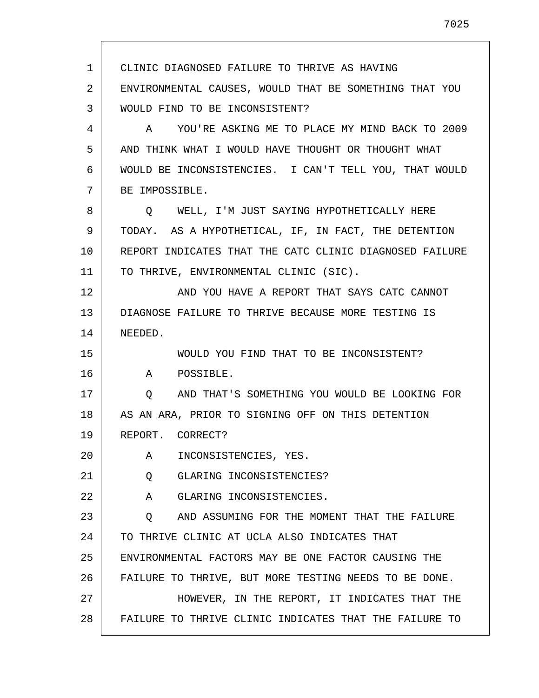1 2 3 4 5 6 7 8 9 10 11 12 13 14 15 16 17 18 19 20 21 22 23 24 25 26 27 28 CLINIC DIAGNOSED FAILURE TO THRIVE AS HAVING ENVIRONMENTAL CAUSES, WOULD THAT BE SOMETHING THAT YOU WOULD FIND TO BE INCONSISTENT? A YOU'RE ASKING ME TO PLACE MY MIND BACK TO 2009 AND THINK WHAT I WOULD HAVE THOUGHT OR THOUGHT WHAT WOULD BE INCONSISTENCIES. I CAN'T TELL YOU, THAT WOULD BE IMPOSSIBLE. Q WELL, I'M JUST SAYING HYPOTHETICALLY HERE TODAY. AS A HYPOTHETICAL, IF, IN FACT, THE DETENTION REPORT INDICATES THAT THE CATC CLINIC DIAGNOSED FAILURE TO THRIVE, ENVIRONMENTAL CLINIC (SIC). AND YOU HAVE A REPORT THAT SAYS CATC CANNOT DIAGNOSE FAILURE TO THRIVE BECAUSE MORE TESTING IS NEEDED. WOULD YOU FIND THAT TO BE INCONSISTENT? A POSSIBLE. Q AND THAT'S SOMETHING YOU WOULD BE LOOKING FOR AS AN ARA, PRIOR TO SIGNING OFF ON THIS DETENTION REPORT. CORRECT? A INCONSISTENCIES, YES. Q GLARING INCONSISTENCIES? A GLARING INCONSISTENCIES. Q AND ASSUMING FOR THE MOMENT THAT THE FAILURE TO THRIVE CLINIC AT UCLA ALSO INDICATES THAT ENVIRONMENTAL FACTORS MAY BE ONE FACTOR CAUSING THE FAILURE TO THRIVE, BUT MORE TESTING NEEDS TO BE DONE. HOWEVER, IN THE REPORT, IT INDICATES THAT THE FAILURE TO THRIVE CLINIC INDICATES THAT THE FAILURE TO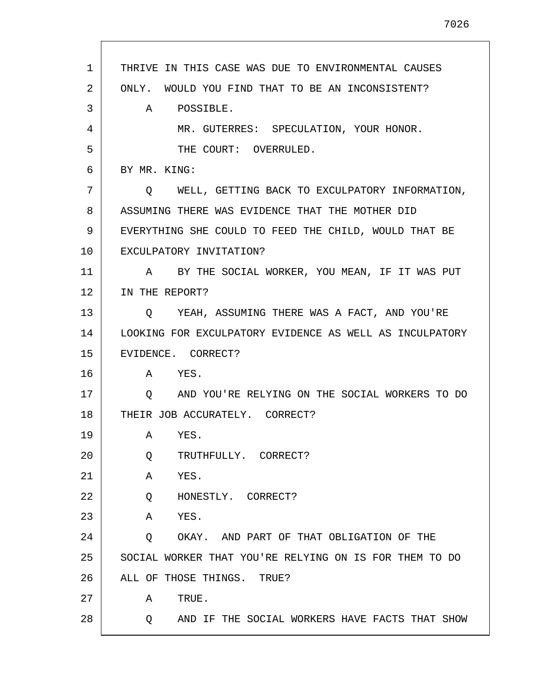| $\mathbf 1$<br>THRIVE IN THIS CASE WAS DUE TO ENVIRONMENTAL CAUSES<br>2<br>ONLY. WOULD YOU FIND THAT TO BE AN INCONSISTENT?<br>3<br>A<br>POSSIBLE.<br>4<br>MR. GUTERRES: SPECULATION, YOUR HONOR.<br>5<br>THE COURT: OVERRULED.<br>BY MR. KING:<br>6<br>7<br>WELL, GETTING BACK TO EXCULPATORY INFORMATION,<br>Q<br>8<br>ASSUMING THERE WAS EVIDENCE THAT THE MOTHER DID<br>9<br>EVERYTHING SHE COULD TO FEED THE CHILD, WOULD THAT BE<br>10<br>EXCULPATORY INVITATION?<br>11<br>BY THE SOCIAL WORKER, YOU MEAN, IF IT WAS PUT<br>$\mathbf{A}$<br>12<br>IN THE REPORT?<br>13<br>YEAH, ASSUMING THERE WAS A FACT, AND YOU'RE<br>O.<br>14<br>LOOKING FOR EXCULPATORY EVIDENCE AS WELL AS INCULPATORY<br>15<br>EVIDENCE. CORRECT?<br>16<br>A YES.<br>17<br>AND YOU'RE RELYING ON THE SOCIAL WORKERS TO DO<br>O<br>18<br>THEIR JOB ACCURATELY. CORRECT?<br>19<br>YES.<br>$\mathbf{A}$<br>20<br>Q<br>TRUTHFULLY. CORRECT?<br>21<br>YES.<br>Α<br>22<br>Q<br>HONESTLY. CORRECT?<br>23<br>YES.<br>Α<br>24<br>OKAY. AND PART OF THAT OBLIGATION OF THE<br>Q<br>25<br>SOCIAL WORKER THAT YOU'RE RELYING ON IS FOR THEM TO DO<br>26<br>ALL OF THOSE THINGS.<br>TRUE?<br>27<br>TRUE.<br>Α<br>28<br>AND IF THE SOCIAL WORKERS HAVE FACTS THAT SHOW<br>Q |  |
|--------------------------------------------------------------------------------------------------------------------------------------------------------------------------------------------------------------------------------------------------------------------------------------------------------------------------------------------------------------------------------------------------------------------------------------------------------------------------------------------------------------------------------------------------------------------------------------------------------------------------------------------------------------------------------------------------------------------------------------------------------------------------------------------------------------------------------------------------------------------------------------------------------------------------------------------------------------------------------------------------------------------------------------------------------------------------------------------------------------------------------------------------------------------------------------------------------------------------------------------|--|
|                                                                                                                                                                                                                                                                                                                                                                                                                                                                                                                                                                                                                                                                                                                                                                                                                                                                                                                                                                                                                                                                                                                                                                                                                                            |  |
|                                                                                                                                                                                                                                                                                                                                                                                                                                                                                                                                                                                                                                                                                                                                                                                                                                                                                                                                                                                                                                                                                                                                                                                                                                            |  |
|                                                                                                                                                                                                                                                                                                                                                                                                                                                                                                                                                                                                                                                                                                                                                                                                                                                                                                                                                                                                                                                                                                                                                                                                                                            |  |
|                                                                                                                                                                                                                                                                                                                                                                                                                                                                                                                                                                                                                                                                                                                                                                                                                                                                                                                                                                                                                                                                                                                                                                                                                                            |  |
|                                                                                                                                                                                                                                                                                                                                                                                                                                                                                                                                                                                                                                                                                                                                                                                                                                                                                                                                                                                                                                                                                                                                                                                                                                            |  |
|                                                                                                                                                                                                                                                                                                                                                                                                                                                                                                                                                                                                                                                                                                                                                                                                                                                                                                                                                                                                                                                                                                                                                                                                                                            |  |
|                                                                                                                                                                                                                                                                                                                                                                                                                                                                                                                                                                                                                                                                                                                                                                                                                                                                                                                                                                                                                                                                                                                                                                                                                                            |  |
|                                                                                                                                                                                                                                                                                                                                                                                                                                                                                                                                                                                                                                                                                                                                                                                                                                                                                                                                                                                                                                                                                                                                                                                                                                            |  |
|                                                                                                                                                                                                                                                                                                                                                                                                                                                                                                                                                                                                                                                                                                                                                                                                                                                                                                                                                                                                                                                                                                                                                                                                                                            |  |
|                                                                                                                                                                                                                                                                                                                                                                                                                                                                                                                                                                                                                                                                                                                                                                                                                                                                                                                                                                                                                                                                                                                                                                                                                                            |  |
|                                                                                                                                                                                                                                                                                                                                                                                                                                                                                                                                                                                                                                                                                                                                                                                                                                                                                                                                                                                                                                                                                                                                                                                                                                            |  |
|                                                                                                                                                                                                                                                                                                                                                                                                                                                                                                                                                                                                                                                                                                                                                                                                                                                                                                                                                                                                                                                                                                                                                                                                                                            |  |
|                                                                                                                                                                                                                                                                                                                                                                                                                                                                                                                                                                                                                                                                                                                                                                                                                                                                                                                                                                                                                                                                                                                                                                                                                                            |  |
|                                                                                                                                                                                                                                                                                                                                                                                                                                                                                                                                                                                                                                                                                                                                                                                                                                                                                                                                                                                                                                                                                                                                                                                                                                            |  |
|                                                                                                                                                                                                                                                                                                                                                                                                                                                                                                                                                                                                                                                                                                                                                                                                                                                                                                                                                                                                                                                                                                                                                                                                                                            |  |
|                                                                                                                                                                                                                                                                                                                                                                                                                                                                                                                                                                                                                                                                                                                                                                                                                                                                                                                                                                                                                                                                                                                                                                                                                                            |  |
|                                                                                                                                                                                                                                                                                                                                                                                                                                                                                                                                                                                                                                                                                                                                                                                                                                                                                                                                                                                                                                                                                                                                                                                                                                            |  |
|                                                                                                                                                                                                                                                                                                                                                                                                                                                                                                                                                                                                                                                                                                                                                                                                                                                                                                                                                                                                                                                                                                                                                                                                                                            |  |
|                                                                                                                                                                                                                                                                                                                                                                                                                                                                                                                                                                                                                                                                                                                                                                                                                                                                                                                                                                                                                                                                                                                                                                                                                                            |  |
|                                                                                                                                                                                                                                                                                                                                                                                                                                                                                                                                                                                                                                                                                                                                                                                                                                                                                                                                                                                                                                                                                                                                                                                                                                            |  |
|                                                                                                                                                                                                                                                                                                                                                                                                                                                                                                                                                                                                                                                                                                                                                                                                                                                                                                                                                                                                                                                                                                                                                                                                                                            |  |
|                                                                                                                                                                                                                                                                                                                                                                                                                                                                                                                                                                                                                                                                                                                                                                                                                                                                                                                                                                                                                                                                                                                                                                                                                                            |  |
|                                                                                                                                                                                                                                                                                                                                                                                                                                                                                                                                                                                                                                                                                                                                                                                                                                                                                                                                                                                                                                                                                                                                                                                                                                            |  |
|                                                                                                                                                                                                                                                                                                                                                                                                                                                                                                                                                                                                                                                                                                                                                                                                                                                                                                                                                                                                                                                                                                                                                                                                                                            |  |
|                                                                                                                                                                                                                                                                                                                                                                                                                                                                                                                                                                                                                                                                                                                                                                                                                                                                                                                                                                                                                                                                                                                                                                                                                                            |  |
|                                                                                                                                                                                                                                                                                                                                                                                                                                                                                                                                                                                                                                                                                                                                                                                                                                                                                                                                                                                                                                                                                                                                                                                                                                            |  |
|                                                                                                                                                                                                                                                                                                                                                                                                                                                                                                                                                                                                                                                                                                                                                                                                                                                                                                                                                                                                                                                                                                                                                                                                                                            |  |
|                                                                                                                                                                                                                                                                                                                                                                                                                                                                                                                                                                                                                                                                                                                                                                                                                                                                                                                                                                                                                                                                                                                                                                                                                                            |  |

Г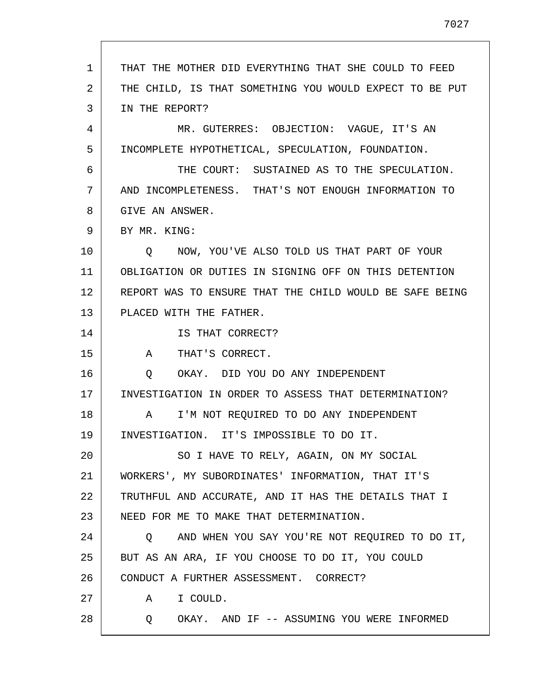1 2 3 4 5 6 7 8 9 10 11 12 13 14 15 16 17 18 19 20 21 22 23 24 25 26 27 28 THAT THE MOTHER DID EVERYTHING THAT SHE COULD TO FEED THE CHILD, IS THAT SOMETHING YOU WOULD EXPECT TO BE PUT IN THE REPORT? MR. GUTERRES: OBJECTION: VAGUE, IT'S AN INCOMPLETE HYPOTHETICAL, SPECULATION, FOUNDATION. THE COURT: SUSTAINED AS TO THE SPECULATION. AND INCOMPLETENESS. THAT'S NOT ENOUGH INFORMATION TO GIVE AN ANSWER. BY MR. KING: Q NOW, YOU'VE ALSO TOLD US THAT PART OF YOUR OBLIGATION OR DUTIES IN SIGNING OFF ON THIS DETENTION REPORT WAS TO ENSURE THAT THE CHILD WOULD BE SAFE BEING PLACED WITH THE FATHER. IS THAT CORRECT? A THAT'S CORRECT. Q OKAY. DID YOU DO ANY INDEPENDENT INVESTIGATION IN ORDER TO ASSESS THAT DETERMINATION? A I'M NOT REQUIRED TO DO ANY INDEPENDENT INVESTIGATION. IT'S IMPOSSIBLE TO DO IT. SO I HAVE TO RELY, AGAIN, ON MY SOCIAL WORKERS', MY SUBORDINATES' INFORMATION, THAT IT'S TRUTHFUL AND ACCURATE, AND IT HAS THE DETAILS THAT I NEED FOR ME TO MAKE THAT DETERMINATION. Q AND WHEN YOU SAY YOU'RE NOT REQUIRED TO DO IT, BUT AS AN ARA, IF YOU CHOOSE TO DO IT, YOU COULD CONDUCT A FURTHER ASSESSMENT. CORRECT? A I COULD. Q OKAY. AND IF -- ASSUMING YOU WERE INFORMED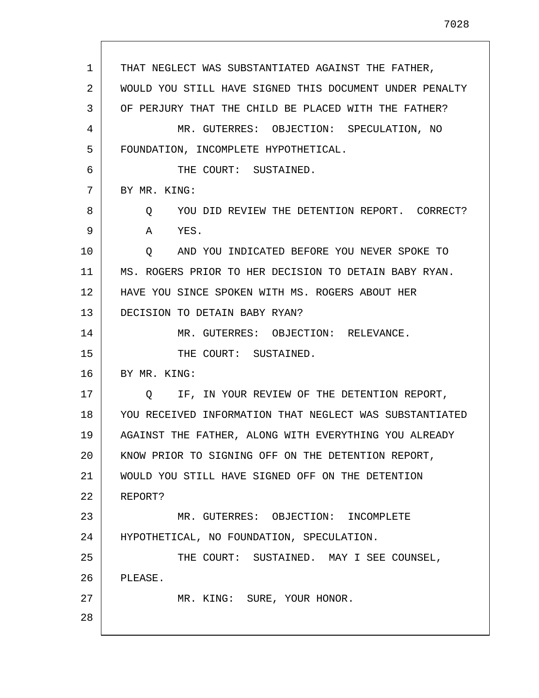THAT NEGLECT WAS SUBSTANTIATED AGAINST THE FATHER, WOULD YOU STILL HAVE SIGNED THIS DOCUMENT UNDER PENALTY

3 4 5 6 7 8 9 10 11 12 13 14 15 16 17 18 19 20 21 22 23 24 25 26 27 28 OF PERJURY THAT THE CHILD BE PLACED WITH THE FATHER? MR. GUTERRES: OBJECTION: SPECULATION, NO FOUNDATION, INCOMPLETE HYPOTHETICAL. THE COURT: SUSTAINED. BY MR. KING: Q YOU DID REVIEW THE DETENTION REPORT. CORRECT? A YES. Q AND YOU INDICATED BEFORE YOU NEVER SPOKE TO MS. ROGERS PRIOR TO HER DECISION TO DETAIN BABY RYAN. HAVE YOU SINCE SPOKEN WITH MS. ROGERS ABOUT HER DECISION TO DETAIN BABY RYAN? MR. GUTERRES: OBJECTION: RELEVANCE. THE COURT: SUSTAINED. BY MR. KING: Q IF, IN YOUR REVIEW OF THE DETENTION REPORT, YOU RECEIVED INFORMATION THAT NEGLECT WAS SUBSTANTIATED AGAINST THE FATHER, ALONG WITH EVERYTHING YOU ALREADY KNOW PRIOR TO SIGNING OFF ON THE DETENTION REPORT, WOULD YOU STILL HAVE SIGNED OFF ON THE DETENTION REPORT? MR. GUTERRES: OBJECTION: INCOMPLETE HYPOTHETICAL, NO FOUNDATION, SPECULATION. THE COURT: SUSTAINED. MAY I SEE COUNSEL, PLEASE. MR. KING: SURE, YOUR HONOR.

1

2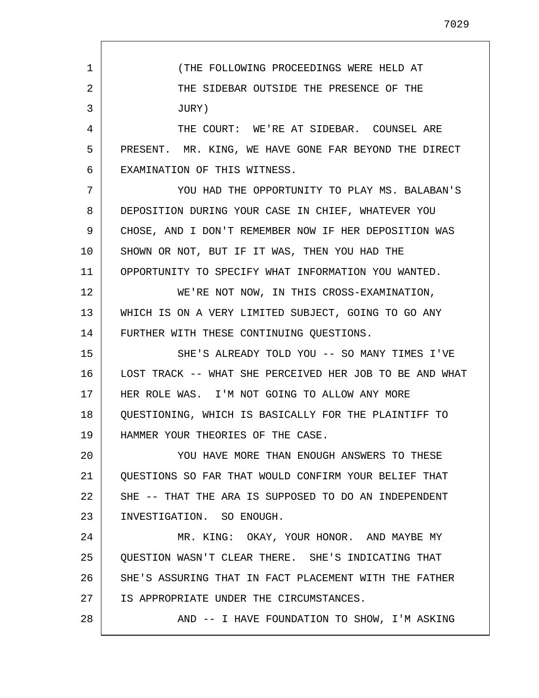1 2 3 4 5 6 7 8 9 10 11 12 13 14 15 16 17 18 19 20 21 22 23 24 25 26 27 28 (THE FOLLOWING PROCEEDINGS WERE HELD AT THE SIDEBAR OUTSIDE THE PRESENCE OF THE JURY) THE COURT: WE'RE AT SIDEBAR. COUNSEL ARE PRESENT. MR. KING, WE HAVE GONE FAR BEYOND THE DIRECT EXAMINATION OF THIS WITNESS. YOU HAD THE OPPORTUNITY TO PLAY MS. BALABAN'S DEPOSITION DURING YOUR CASE IN CHIEF, WHATEVER YOU CHOSE, AND I DON'T REMEMBER NOW IF HER DEPOSITION WAS SHOWN OR NOT, BUT IF IT WAS, THEN YOU HAD THE OPPORTUNITY TO SPECIFY WHAT INFORMATION YOU WANTED. WE'RE NOT NOW, IN THIS CROSS-EXAMINATION, WHICH IS ON A VERY LIMITED SUBJECT, GOING TO GO ANY FURTHER WITH THESE CONTINUING QUESTIONS. SHE'S ALREADY TOLD YOU -- SO MANY TIMES I'VE LOST TRACK -- WHAT SHE PERCEIVED HER JOB TO BE AND WHAT HER ROLE WAS. I'M NOT GOING TO ALLOW ANY MORE QUESTIONING, WHICH IS BASICALLY FOR THE PLAINTIFF TO HAMMER YOUR THEORIES OF THE CASE. YOU HAVE MORE THAN ENOUGH ANSWERS TO THESE QUESTIONS SO FAR THAT WOULD CONFIRM YOUR BELIEF THAT SHE -- THAT THE ARA IS SUPPOSED TO DO AN INDEPENDENT INVESTIGATION. SO ENOUGH. MR. KING: OKAY, YOUR HONOR. AND MAYBE MY QUESTION WASN'T CLEAR THERE. SHE'S INDICATING THAT SHE'S ASSURING THAT IN FACT PLACEMENT WITH THE FATHER IS APPROPRIATE UNDER THE CIRCUMSTANCES. AND -- I HAVE FOUNDATION TO SHOW, I'M ASKING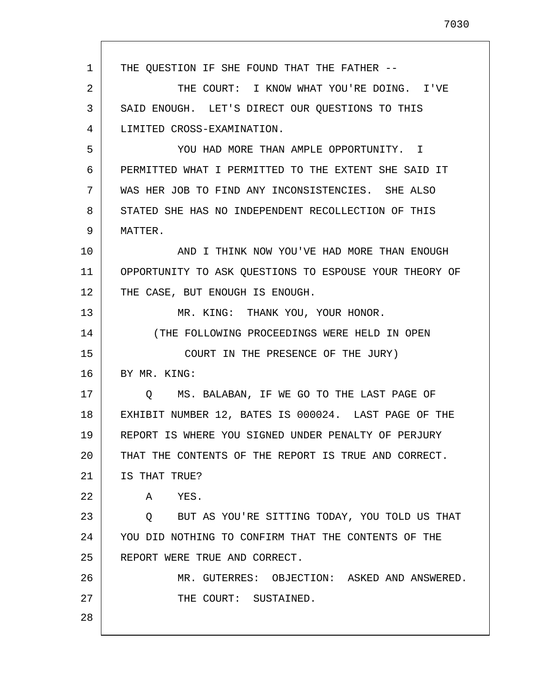1 2 3 4 5 6 7 8 9 10 11 12 13 14 15 16 17 18 19 20 21 22 23 24 25 26 27 28 THE QUESTION IF SHE FOUND THAT THE FATHER -- THE COURT: I KNOW WHAT YOU'RE DOING. I'VE SAID ENOUGH. LET'S DIRECT OUR QUESTIONS TO THIS LIMITED CROSS-EXAMINATION. YOU HAD MORE THAN AMPLE OPPORTUNITY. I PERMITTED WHAT I PERMITTED TO THE EXTENT SHE SAID IT WAS HER JOB TO FIND ANY INCONSISTENCIES. SHE ALSO STATED SHE HAS NO INDEPENDENT RECOLLECTION OF THIS MATTER. AND I THINK NOW YOU'VE HAD MORE THAN ENOUGH OPPORTUNITY TO ASK QUESTIONS TO ESPOUSE YOUR THEORY OF THE CASE, BUT ENOUGH IS ENOUGH. MR. KING: THANK YOU, YOUR HONOR. (THE FOLLOWING PROCEEDINGS WERE HELD IN OPEN COURT IN THE PRESENCE OF THE JURY) BY MR. KING: Q MS. BALABAN, IF WE GO TO THE LAST PAGE OF EXHIBIT NUMBER 12, BATES IS 000024. LAST PAGE OF THE REPORT IS WHERE YOU SIGNED UNDER PENALTY OF PERJURY THAT THE CONTENTS OF THE REPORT IS TRUE AND CORRECT. IS THAT TRUE? A YES. Q BUT AS YOU'RE SITTING TODAY, YOU TOLD US THAT YOU DID NOTHING TO CONFIRM THAT THE CONTENTS OF THE REPORT WERE TRUE AND CORRECT. MR. GUTERRES: OBJECTION: ASKED AND ANSWERED. THE COURT: SUSTAINED.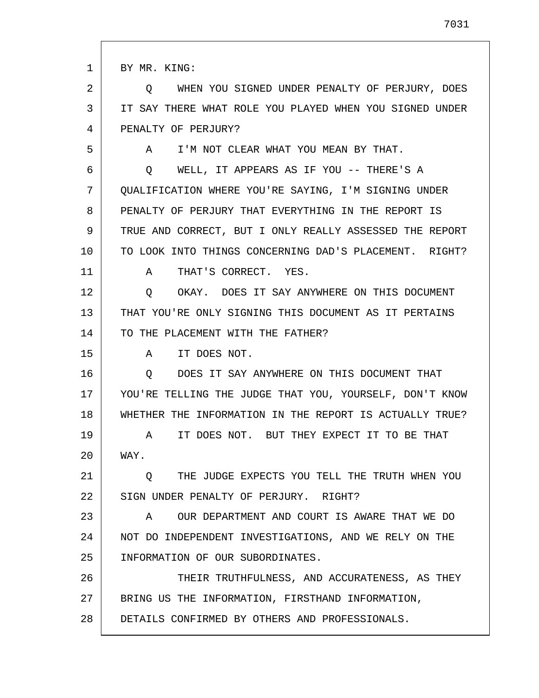1 2 3 4 5 6 7 8 9 10 11 12 13 14 15 16 17 18 19 20 21 22 23 24 25 26 27 28 BY MR. KING: Q WHEN YOU SIGNED UNDER PENALTY OF PERJURY, DOES IT SAY THERE WHAT ROLE YOU PLAYED WHEN YOU SIGNED UNDER PENALTY OF PERJURY? A I'M NOT CLEAR WHAT YOU MEAN BY THAT. Q WELL, IT APPEARS AS IF YOU -- THERE'S A QUALIFICATION WHERE YOU'RE SAYING, I'M SIGNING UNDER PENALTY OF PERJURY THAT EVERYTHING IN THE REPORT IS TRUE AND CORRECT, BUT I ONLY REALLY ASSESSED THE REPORT TO LOOK INTO THINGS CONCERNING DAD'S PLACEMENT. RIGHT? A THAT'S CORRECT. YES. Q OKAY. DOES IT SAY ANYWHERE ON THIS DOCUMENT THAT YOU'RE ONLY SIGNING THIS DOCUMENT AS IT PERTAINS TO THE PLACEMENT WITH THE FATHER? A IT DOES NOT. Q DOES IT SAY ANYWHERE ON THIS DOCUMENT THAT YOU'RE TELLING THE JUDGE THAT YOU, YOURSELF, DON'T KNOW WHETHER THE INFORMATION IN THE REPORT IS ACTUALLY TRUE? A IT DOES NOT. BUT THEY EXPECT IT TO BE THAT WAY. Q THE JUDGE EXPECTS YOU TELL THE TRUTH WHEN YOU SIGN UNDER PENALTY OF PERJURY. RIGHT? A OUR DEPARTMENT AND COURT IS AWARE THAT WE DO NOT DO INDEPENDENT INVESTIGATIONS, AND WE RELY ON THE INFORMATION OF OUR SUBORDINATES. THEIR TRUTHFULNESS, AND ACCURATENESS, AS THEY BRING US THE INFORMATION, FIRSTHAND INFORMATION, DETAILS CONFIRMED BY OTHERS AND PROFESSIONALS.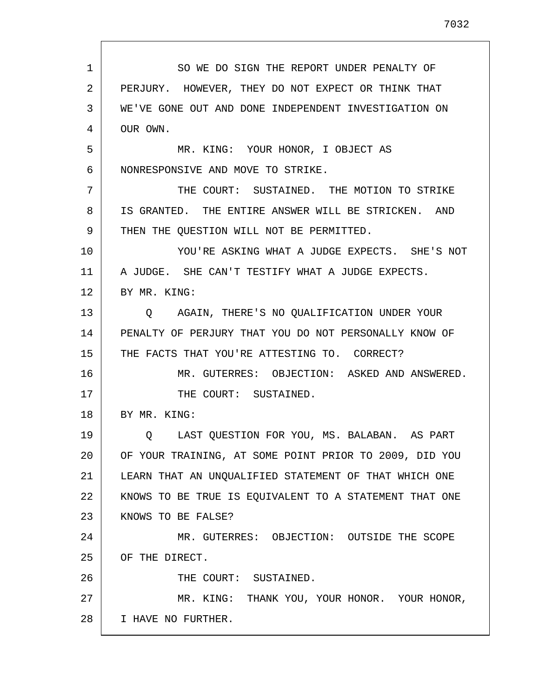1 2 3 4 5 6 7 8 9 10 11 12 13 14 15 16 17 18 19 20 21 22 23 24 25 26 27 28 SO WE DO SIGN THE REPORT UNDER PENALTY OF PERJURY. HOWEVER, THEY DO NOT EXPECT OR THINK THAT WE'VE GONE OUT AND DONE INDEPENDENT INVESTIGATION ON OUR OWN. MR. KING: YOUR HONOR, I OBJECT AS NONRESPONSIVE AND MOVE TO STRIKE. THE COURT: SUSTAINED. THE MOTION TO STRIKE IS GRANTED. THE ENTIRE ANSWER WILL BE STRICKEN. AND THEN THE QUESTION WILL NOT BE PERMITTED. YOU'RE ASKING WHAT A JUDGE EXPECTS. SHE'S NOT A JUDGE. SHE CAN'T TESTIFY WHAT A JUDGE EXPECTS. BY MR. KING: Q AGAIN, THERE'S NO QUALIFICATION UNDER YOUR PENALTY OF PERJURY THAT YOU DO NOT PERSONALLY KNOW OF THE FACTS THAT YOU'RE ATTESTING TO. CORRECT? MR. GUTERRES: OBJECTION: ASKED AND ANSWERED. THE COURT: SUSTAINED. BY MR. KING: Q LAST QUESTION FOR YOU, MS. BALABAN. AS PART OF YOUR TRAINING, AT SOME POINT PRIOR TO 2009, DID YOU LEARN THAT AN UNQUALIFIED STATEMENT OF THAT WHICH ONE KNOWS TO BE TRUE IS EQUIVALENT TO A STATEMENT THAT ONE KNOWS TO BE FALSE? MR. GUTERRES: OBJECTION: OUTSIDE THE SCOPE OF THE DIRECT. THE COURT: SUSTAINED. MR. KING: THANK YOU, YOUR HONOR. YOUR HONOR, I HAVE NO FURTHER.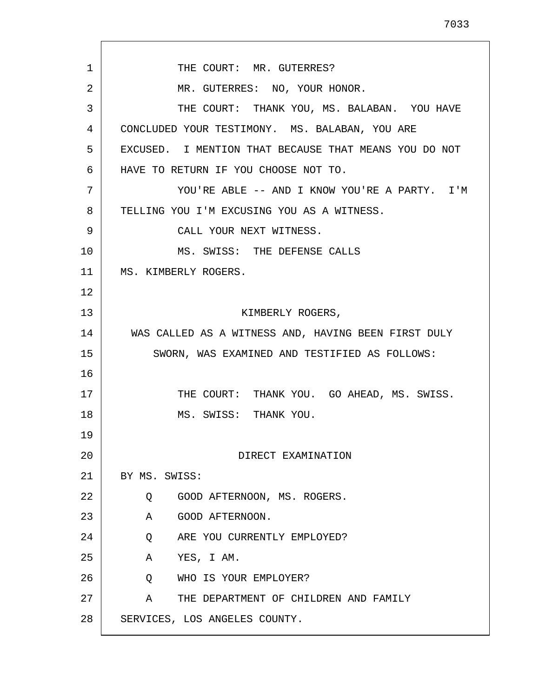1 2 3 4 5 6 7 8 9 10 11 12 13 14 15 16 17 18 19 20 21 22 23 24 25 26 27 28 THE COURT: MR. GUTERRES? MR. GUTERRES: NO, YOUR HONOR. THE COURT: THANK YOU, MS. BALABAN. YOU HAVE CONCLUDED YOUR TESTIMONY. MS. BALABAN, YOU ARE EXCUSED. I MENTION THAT BECAUSE THAT MEANS YOU DO NOT HAVE TO RETURN IF YOU CHOOSE NOT TO. YOU'RE ABLE -- AND I KNOW YOU'RE A PARTY. I'M TELLING YOU I'M EXCUSING YOU AS A WITNESS. CALL YOUR NEXT WITNESS. MS. SWISS: THE DEFENSE CALLS MS. KIMBERLY ROGERS. KIMBERLY ROGERS, WAS CALLED AS A WITNESS AND, HAVING BEEN FIRST DULY SWORN, WAS EXAMINED AND TESTIFIED AS FOLLOWS: THE COURT: THANK YOU. GO AHEAD, MS. SWISS. MS. SWISS: THANK YOU. DIRECT EXAMINATION BY MS. SWISS: Q GOOD AFTERNOON, MS. ROGERS. A GOOD AFTERNOON. Q ARE YOU CURRENTLY EMPLOYED? A YES, I AM. Q WHO IS YOUR EMPLOYER? A THE DEPARTMENT OF CHILDREN AND FAMILY SERVICES, LOS ANGELES COUNTY.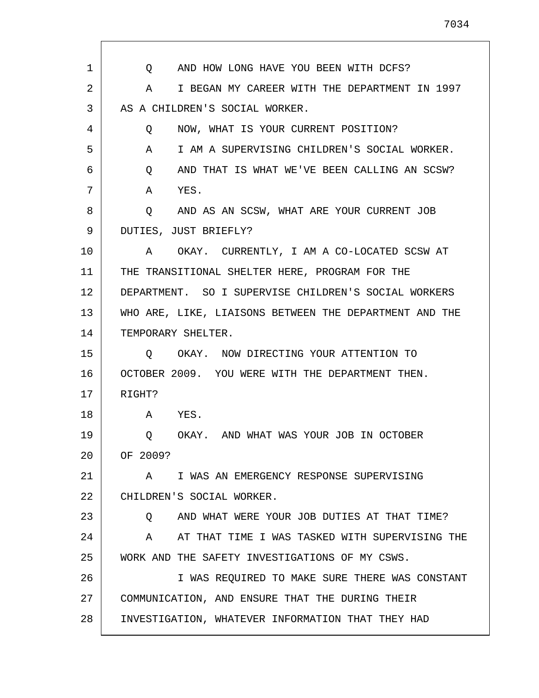1 2 3 4 5 6 7 8 9 10 11 12 13 14 15 16 17 18 19 20 21 22 23 24 25 26 27 28 Q AND HOW LONG HAVE YOU BEEN WITH DCFS? A I BEGAN MY CAREER WITH THE DEPARTMENT IN 1997 AS A CHILDREN'S SOCIAL WORKER. Q NOW, WHAT IS YOUR CURRENT POSITION? A I AM A SUPERVISING CHILDREN'S SOCIAL WORKER. Q AND THAT IS WHAT WE'VE BEEN CALLING AN SCSW? A YES. Q AND AS AN SCSW, WHAT ARE YOUR CURRENT JOB DUTIES, JUST BRIEFLY? A OKAY. CURRENTLY, I AM A CO-LOCATED SCSW AT THE TRANSITIONAL SHELTER HERE, PROGRAM FOR THE DEPARTMENT. SO I SUPERVISE CHILDREN'S SOCIAL WORKERS WHO ARE, LIKE, LIAISONS BETWEEN THE DEPARTMENT AND THE TEMPORARY SHELTER. Q OKAY. NOW DIRECTING YOUR ATTENTION TO OCTOBER 2009. YOU WERE WITH THE DEPARTMENT THEN. RIGHT? A YES. Q OKAY. AND WHAT WAS YOUR JOB IN OCTOBER OF 2009? A I WAS AN EMERGENCY RESPONSE SUPERVISING CHILDREN'S SOCIAL WORKER. Q AND WHAT WERE YOUR JOB DUTIES AT THAT TIME? A AT THAT TIME I WAS TASKED WITH SUPERVISING THE WORK AND THE SAFETY INVESTIGATIONS OF MY CSWS. I WAS REQUIRED TO MAKE SURE THERE WAS CONSTANT COMMUNICATION, AND ENSURE THAT THE DURING THEIR INVESTIGATION, WHATEVER INFORMATION THAT THEY HAD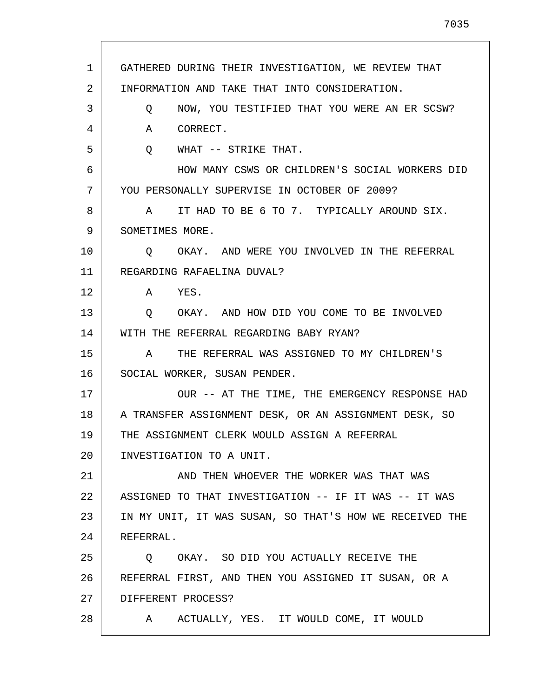1 2 3 4 5 6 7 8 9 10 11 12 13 14 15 16 17 18 19 20 21 22 23 24 25 26 27 28 GATHERED DURING THEIR INVESTIGATION, WE REVIEW THAT INFORMATION AND TAKE THAT INTO CONSIDERATION. Q NOW, YOU TESTIFIED THAT YOU WERE AN ER SCSW? A CORRECT. Q WHAT -- STRIKE THAT. HOW MANY CSWS OR CHILDREN'S SOCIAL WORKERS DID YOU PERSONALLY SUPERVISE IN OCTOBER OF 2009? A IT HAD TO BE 6 TO 7. TYPICALLY AROUND SIX. SOMETIMES MORE. Q OKAY. AND WERE YOU INVOLVED IN THE REFERRAL REGARDING RAFAELINA DUVAL? A YES. Q OKAY. AND HOW DID YOU COME TO BE INVOLVED WITH THE REFERRAL REGARDING BABY RYAN? A THE REFERRAL WAS ASSIGNED TO MY CHILDREN'S SOCIAL WORKER, SUSAN PENDER. OUR -- AT THE TIME, THE EMERGENCY RESPONSE HAD A TRANSFER ASSIGNMENT DESK, OR AN ASSIGNMENT DESK, SO THE ASSIGNMENT CLERK WOULD ASSIGN A REFERRAL INVESTIGATION TO A UNIT. AND THEN WHOEVER THE WORKER WAS THAT WAS ASSIGNED TO THAT INVESTIGATION -- IF IT WAS -- IT WAS IN MY UNIT, IT WAS SUSAN, SO THAT'S HOW WE RECEIVED THE REFERRAL. Q OKAY. SO DID YOU ACTUALLY RECEIVE THE REFERRAL FIRST, AND THEN YOU ASSIGNED IT SUSAN, OR A DIFFERENT PROCESS? A ACTUALLY, YES. IT WOULD COME, IT WOULD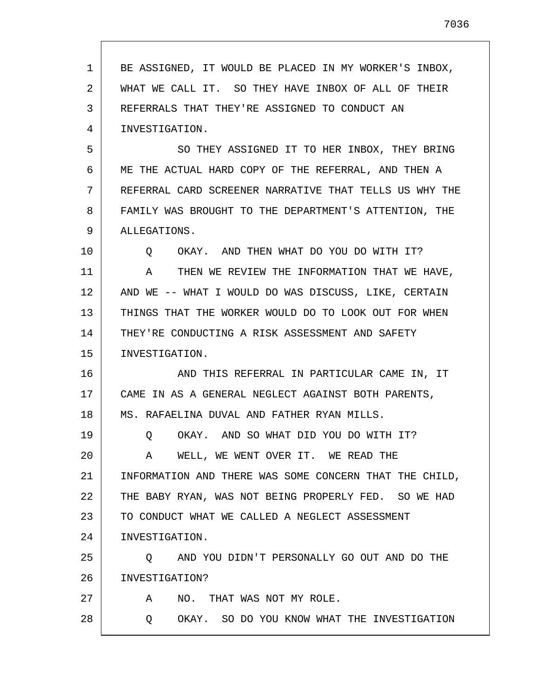1 2 3 4 5 6 7 8 9 10 11 12 13 14 15 16 17 18 19 20 21 22 23 24 25 26 27 28 BE ASSIGNED, IT WOULD BE PLACED IN MY WORKER'S INBOX, WHAT WE CALL IT. SO THEY HAVE INBOX OF ALL OF THEIR REFERRALS THAT THEY'RE ASSIGNED TO CONDUCT AN INVESTIGATION. SO THEY ASSIGNED IT TO HER INBOX, THEY BRING ME THE ACTUAL HARD COPY OF THE REFERRAL, AND THEN A REFERRAL CARD SCREENER NARRATIVE THAT TELLS US WHY THE FAMILY WAS BROUGHT TO THE DEPARTMENT'S ATTENTION, THE ALLEGATIONS. Q OKAY. AND THEN WHAT DO YOU DO WITH IT? A THEN WE REVIEW THE INFORMATION THAT WE HAVE, AND WE -- WHAT I WOULD DO WAS DISCUSS, LIKE, CERTAIN THINGS THAT THE WORKER WOULD DO TO LOOK OUT FOR WHEN THEY'RE CONDUCTING A RISK ASSESSMENT AND SAFETY INVESTIGATION. AND THIS REFERRAL IN PARTICULAR CAME IN, IT CAME IN AS A GENERAL NEGLECT AGAINST BOTH PARENTS, MS. RAFAELINA DUVAL AND FATHER RYAN MILLS. Q OKAY. AND SO WHAT DID YOU DO WITH IT? A WELL, WE WENT OVER IT. WE READ THE INFORMATION AND THERE WAS SOME CONCERN THAT THE CHILD, THE BABY RYAN, WAS NOT BEING PROPERLY FED. SO WE HAD TO CONDUCT WHAT WE CALLED A NEGLECT ASSESSMENT INVESTIGATION. Q AND YOU DIDN'T PERSONALLY GO OUT AND DO THE INVESTIGATION? A NO. THAT WAS NOT MY ROLE. Q OKAY. SO DO YOU KNOW WHAT THE INVESTIGATION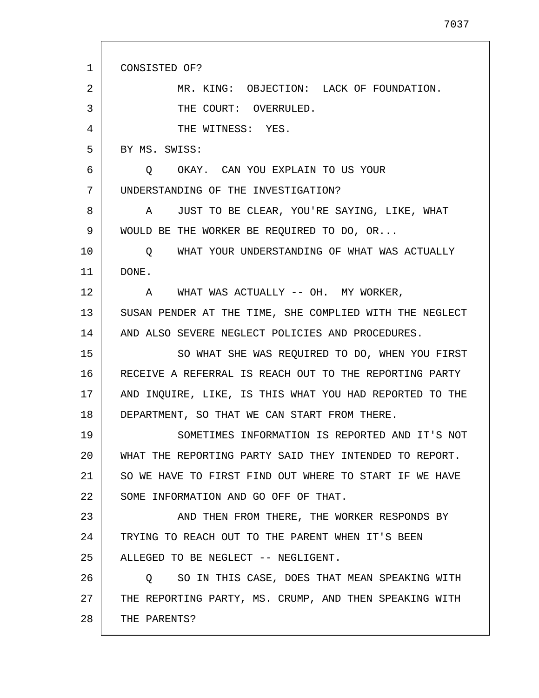1 2 3 4 5 6 7 8 9 10 11 12 13 14 15 16 17 18 19 20 21 22 23 24 25 26 27 28 CONSISTED OF? MR. KING: OBJECTION: LACK OF FOUNDATION. THE COURT: OVERRULED. THE WITNESS: YES. BY MS. SWISS: Q OKAY. CAN YOU EXPLAIN TO US YOUR UNDERSTANDING OF THE INVESTIGATION? A JUST TO BE CLEAR, YOU'RE SAYING, LIKE, WHAT WOULD BE THE WORKER BE REQUIRED TO DO, OR... Q WHAT YOUR UNDERSTANDING OF WHAT WAS ACTUALLY DONE. A WHAT WAS ACTUALLY -- OH. MY WORKER, SUSAN PENDER AT THE TIME, SHE COMPLIED WITH THE NEGLECT AND ALSO SEVERE NEGLECT POLICIES AND PROCEDURES. SO WHAT SHE WAS REQUIRED TO DO, WHEN YOU FIRST RECEIVE A REFERRAL IS REACH OUT TO THE REPORTING PARTY AND INQUIRE, LIKE, IS THIS WHAT YOU HAD REPORTED TO THE DEPARTMENT, SO THAT WE CAN START FROM THERE. SOMETIMES INFORMATION IS REPORTED AND IT'S NOT WHAT THE REPORTING PARTY SAID THEY INTENDED TO REPORT. SO WE HAVE TO FIRST FIND OUT WHERE TO START IF WE HAVE SOME INFORMATION AND GO OFF OF THAT. AND THEN FROM THERE, THE WORKER RESPONDS BY TRYING TO REACH OUT TO THE PARENT WHEN IT'S BEEN ALLEGED TO BE NEGLECT -- NEGLIGENT. Q SO IN THIS CASE, DOES THAT MEAN SPEAKING WITH THE REPORTING PARTY, MS. CRUMP, AND THEN SPEAKING WITH THE PARENTS?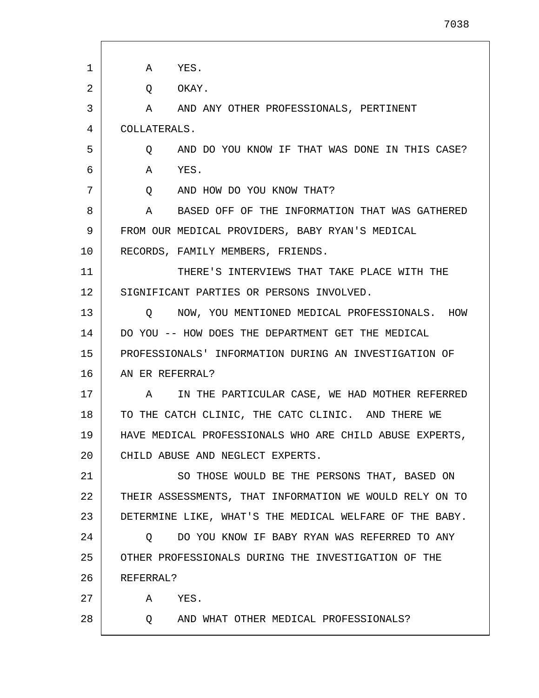A YES. Q OKAY. A AND ANY OTHER PROFESSIONALS, PERTINENT COLLATERALS. Q AND DO YOU KNOW IF THAT WAS DONE IN THIS CASE? A YES. Q AND HOW DO YOU KNOW THAT? A BASED OFF OF THE INFORMATION THAT WAS GATHERED FROM OUR MEDICAL PROVIDERS, BABY RYAN'S MEDICAL RECORDS, FAMILY MEMBERS, FRIENDS. THERE'S INTERVIEWS THAT TAKE PLACE WITH THE SIGNIFICANT PARTIES OR PERSONS INVOLVED. Q NOW, YOU MENTIONED MEDICAL PROFESSIONALS. HOW DO YOU -- HOW DOES THE DEPARTMENT GET THE MEDICAL PROFESSIONALS' INFORMATION DURING AN INVESTIGATION OF AN ER REFERRAL? A IN THE PARTICULAR CASE, WE HAD MOTHER REFERRED TO THE CATCH CLINIC, THE CATC CLINIC. AND THERE WE HAVE MEDICAL PROFESSIONALS WHO ARE CHILD ABUSE EXPERTS, CHILD ABUSE AND NEGLECT EXPERTS. SO THOSE WOULD BE THE PERSONS THAT, BASED ON

22 23 THEIR ASSESSMENTS, THAT INFORMATION WE WOULD RELY ON TO DETERMINE LIKE, WHAT'S THE MEDICAL WELFARE OF THE BABY.

24 25 26 Q DO YOU KNOW IF BABY RYAN WAS REFERRED TO ANY OTHER PROFESSIONALS DURING THE INVESTIGATION OF THE REFERRAL?

27 A YES.

28

1

2

3

4

5

6

7

8

9

10

11

12

13

14

15

16

17

18

19

20

21

Q AND WHAT OTHER MEDICAL PROFESSIONALS?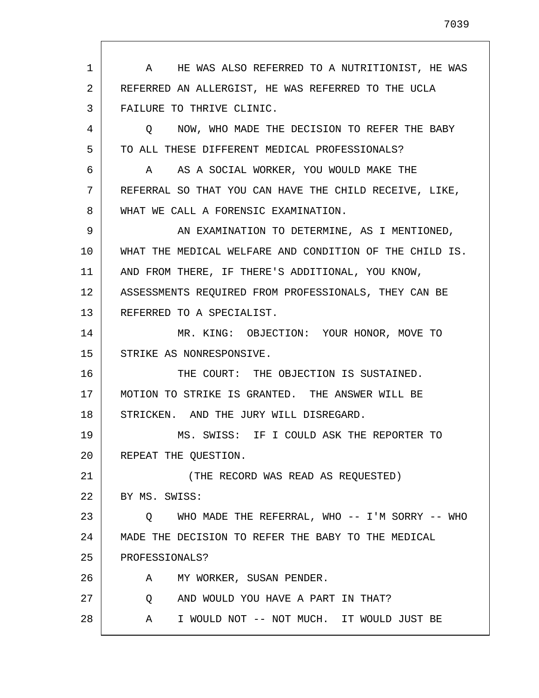1 2 3 4 5 6 7 8 9 10 11 12 13 14 15 16 17 18 19 20 21 22 23 24 25 26 27 28 A HE WAS ALSO REFERRED TO A NUTRITIONIST, HE WAS REFERRED AN ALLERGIST, HE WAS REFERRED TO THE UCLA FAILURE TO THRIVE CLINIC. Q NOW, WHO MADE THE DECISION TO REFER THE BABY TO ALL THESE DIFFERENT MEDICAL PROFESSIONALS? A AS A SOCIAL WORKER, YOU WOULD MAKE THE REFERRAL SO THAT YOU CAN HAVE THE CHILD RECEIVE, LIKE, WHAT WE CALL A FORENSIC EXAMINATION. AN EXAMINATION TO DETERMINE, AS I MENTIONED, WHAT THE MEDICAL WELFARE AND CONDITION OF THE CHILD IS. AND FROM THERE, IF THERE'S ADDITIONAL, YOU KNOW, ASSESSMENTS REQUIRED FROM PROFESSIONALS, THEY CAN BE REFERRED TO A SPECIALIST. MR. KING: OBJECTION: YOUR HONOR, MOVE TO STRIKE AS NONRESPONSIVE. THE COURT: THE OBJECTION IS SUSTAINED. MOTION TO STRIKE IS GRANTED. THE ANSWER WILL BE STRICKEN. AND THE JURY WILL DISREGARD. MS. SWISS: IF I COULD ASK THE REPORTER TO REPEAT THE QUESTION. (THE RECORD WAS READ AS REQUESTED) BY MS. SWISS: Q WHO MADE THE REFERRAL, WHO -- I'M SORRY -- WHO MADE THE DECISION TO REFER THE BABY TO THE MEDICAL PROFESSIONALS? A MY WORKER, SUSAN PENDER. Q AND WOULD YOU HAVE A PART IN THAT? A I WOULD NOT -- NOT MUCH. IT WOULD JUST BE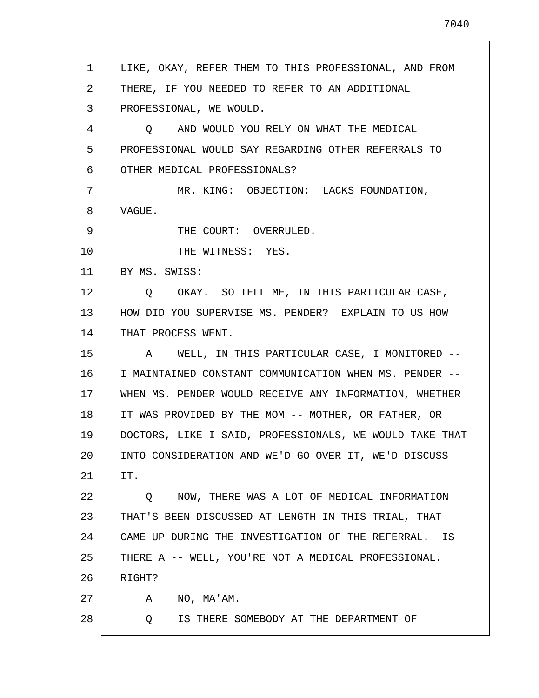| $\mathbf{1}$ | LIKE, OKAY, REFER THEM TO THIS PROFESSIONAL, AND FROM    |
|--------------|----------------------------------------------------------|
| 2            | THERE, IF YOU NEEDED TO REFER TO AN ADDITIONAL           |
| 3            | PROFESSIONAL, WE WOULD.                                  |
| 4            | O AND WOULD YOU RELY ON WHAT THE MEDICAL                 |
| 5            | PROFESSIONAL WOULD SAY REGARDING OTHER REFERRALS TO      |
| 6            | OTHER MEDICAL PROFESSIONALS?                             |
| 7            | MR. KING: OBJECTION: LACKS FOUNDATION,                   |
| 8            | VAGUE.                                                   |
| 9            | THE COURT: OVERRULED.                                    |
| 10           | THE WITNESS: YES.                                        |
| 11           | BY MS. SWISS:                                            |
| 12           | Q OKAY. SO TELL ME, IN THIS PARTICULAR CASE,             |
| 13           | HOW DID YOU SUPERVISE MS. PENDER? EXPLAIN TO US HOW      |
| 14           | THAT PROCESS WENT.                                       |
| 15           | A WELL, IN THIS PARTICULAR CASE, I MONITORED --          |
| 16           | I MAINTAINED CONSTANT COMMUNICATION WHEN MS. PENDER --   |
| 17           | WHEN MS. PENDER WOULD RECEIVE ANY INFORMATION, WHETHER   |
| 18           | IT WAS PROVIDED BY THE MOM -- MOTHER, OR FATHER, OR      |
| 19           | DOCTORS, LIKE I SAID, PROFESSIONALS, WE WOULD TAKE THAT  |
| 20           | INTO CONSIDERATION AND WE'D GO OVER IT, WE'D DISCUSS     |
| 21           | IT.                                                      |
| 22           | NOW, THERE WAS A LOT OF MEDICAL INFORMATION<br>Q         |
| 23           | THAT'S BEEN DISCUSSED AT LENGTH IN THIS TRIAL, THAT      |
| 24           | CAME UP DURING THE INVESTIGATION OF THE REFERRAL.<br>ΙS. |
| 25           | THERE A -- WELL, YOU'RE NOT A MEDICAL PROFESSIONAL.      |
| 26           | RIGHT?                                                   |
| 27           | NO, MA'AM.<br>A                                          |
| 28           | IS THERE SOMEBODY AT THE DEPARTMENT OF<br>O              |
|              |                                                          |

 $\mathsf{I}$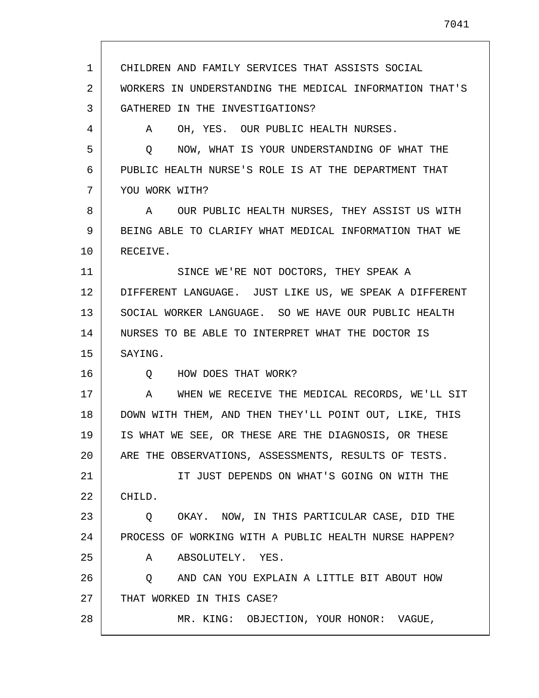1 2 3 4 5 6 7 8 9 10 11 12 13 14 15 16 17 18 19 20 21 22 23 24 25 26 27 28 CHILDREN AND FAMILY SERVICES THAT ASSISTS SOCIAL WORKERS IN UNDERSTANDING THE MEDICAL INFORMATION THAT'S GATHERED IN THE INVESTIGATIONS? A OH, YES. OUR PUBLIC HEALTH NURSES. Q NOW, WHAT IS YOUR UNDERSTANDING OF WHAT THE PUBLIC HEALTH NURSE'S ROLE IS AT THE DEPARTMENT THAT YOU WORK WITH? A OUR PUBLIC HEALTH NURSES, THEY ASSIST US WITH BEING ABLE TO CLARIFY WHAT MEDICAL INFORMATION THAT WE RECEIVE. SINCE WE'RE NOT DOCTORS, THEY SPEAK A DIFFERENT LANGUAGE. JUST LIKE US, WE SPEAK A DIFFERENT SOCIAL WORKER LANGUAGE. SO WE HAVE OUR PUBLIC HEALTH NURSES TO BE ABLE TO INTERPRET WHAT THE DOCTOR IS SAYING. Q HOW DOES THAT WORK? A WHEN WE RECEIVE THE MEDICAL RECORDS, WE'LL SIT DOWN WITH THEM, AND THEN THEY'LL POINT OUT, LIKE, THIS IS WHAT WE SEE, OR THESE ARE THE DIAGNOSIS, OR THESE ARE THE OBSERVATIONS, ASSESSMENTS, RESULTS OF TESTS. IT JUST DEPENDS ON WHAT'S GOING ON WITH THE CHILD. Q OKAY. NOW, IN THIS PARTICULAR CASE, DID THE PROCESS OF WORKING WITH A PUBLIC HEALTH NURSE HAPPEN? A ABSOLUTELY. YES. Q AND CAN YOU EXPLAIN A LITTLE BIT ABOUT HOW THAT WORKED IN THIS CASE? MR. KING: OBJECTION, YOUR HONOR: VAGUE,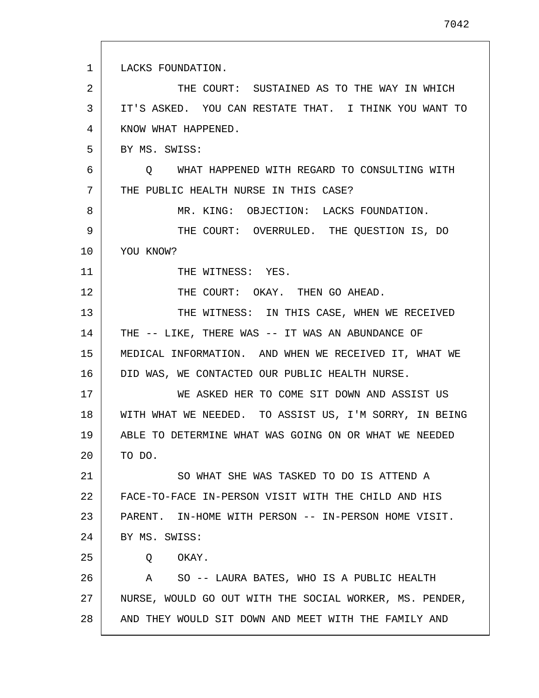1 2 3 4 5 6 7 8 9 10 11 12 13 14 15 16 17 18 19 20 21 22 23 24 25 26 27 28 LACKS FOUNDATION. THE COURT: SUSTAINED AS TO THE WAY IN WHICH IT'S ASKED. YOU CAN RESTATE THAT. I THINK YOU WANT TO KNOW WHAT HAPPENED. BY MS. SWISS: Q WHAT HAPPENED WITH REGARD TO CONSULTING WITH THE PUBLIC HEALTH NURSE IN THIS CASE? MR. KING: OBJECTION: LACKS FOUNDATION. THE COURT: OVERRULED. THE QUESTION IS, DO YOU KNOW? THE WITNESS: YES. THE COURT: OKAY. THEN GO AHEAD. THE WITNESS: IN THIS CASE, WHEN WE RECEIVED THE -- LIKE, THERE WAS -- IT WAS AN ABUNDANCE OF MEDICAL INFORMATION. AND WHEN WE RECEIVED IT, WHAT WE DID WAS, WE CONTACTED OUR PUBLIC HEALTH NURSE. WE ASKED HER TO COME SIT DOWN AND ASSIST US WITH WHAT WE NEEDED. TO ASSIST US, I'M SORRY, IN BEING ABLE TO DETERMINE WHAT WAS GOING ON OR WHAT WE NEEDED TO DO. SO WHAT SHE WAS TASKED TO DO IS ATTEND A FACE-TO-FACE IN-PERSON VISIT WITH THE CHILD AND HIS PARENT. IN-HOME WITH PERSON -- IN-PERSON HOME VISIT. BY MS. SWISS: Q OKAY. A SO -- LAURA BATES, WHO IS A PUBLIC HEALTH NURSE, WOULD GO OUT WITH THE SOCIAL WORKER, MS. PENDER, AND THEY WOULD SIT DOWN AND MEET WITH THE FAMILY AND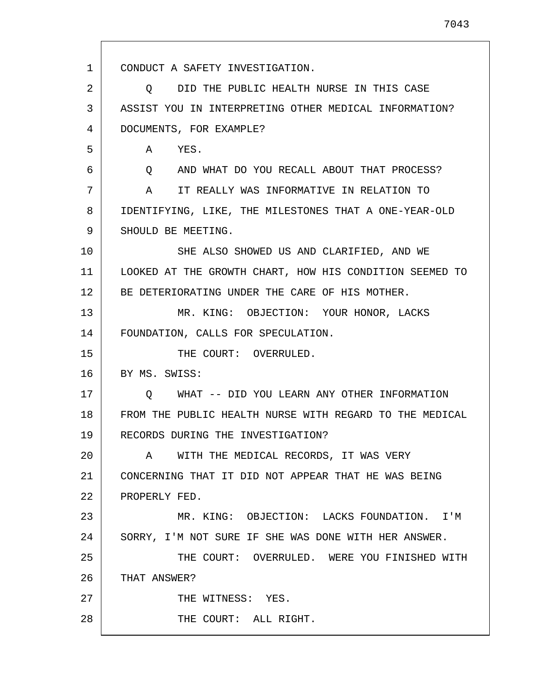1 2 3 4 5 6 7 8 9 10 11 12 13 14 15 16 17 18 19 20 21 22 23 24 25 26 27 28 CONDUCT A SAFETY INVESTIGATION. Q DID THE PUBLIC HEALTH NURSE IN THIS CASE ASSIST YOU IN INTERPRETING OTHER MEDICAL INFORMATION? DOCUMENTS, FOR EXAMPLE? A YES. Q AND WHAT DO YOU RECALL ABOUT THAT PROCESS? A IT REALLY WAS INFORMATIVE IN RELATION TO IDENTIFYING, LIKE, THE MILESTONES THAT A ONE-YEAR-OLD SHOULD BE MEETING. SHE ALSO SHOWED US AND CLARIFIED, AND WE LOOKED AT THE GROWTH CHART, HOW HIS CONDITION SEEMED TO BE DETERIORATING UNDER THE CARE OF HIS MOTHER. MR. KING: OBJECTION: YOUR HONOR, LACKS FOUNDATION, CALLS FOR SPECULATION. THE COURT: OVERRULED. BY MS. SWISS: Q WHAT -- DID YOU LEARN ANY OTHER INFORMATION FROM THE PUBLIC HEALTH NURSE WITH REGARD TO THE MEDICAL RECORDS DURING THE INVESTIGATION? A WITH THE MEDICAL RECORDS, IT WAS VERY CONCERNING THAT IT DID NOT APPEAR THAT HE WAS BEING PROPERLY FED. MR. KING: OBJECTION: LACKS FOUNDATION. I'M SORRY, I'M NOT SURE IF SHE WAS DONE WITH HER ANSWER. THE COURT: OVERRULED. WERE YOU FINISHED WITH THAT ANSWER? THE WITNESS: YES. THE COURT: ALL RIGHT.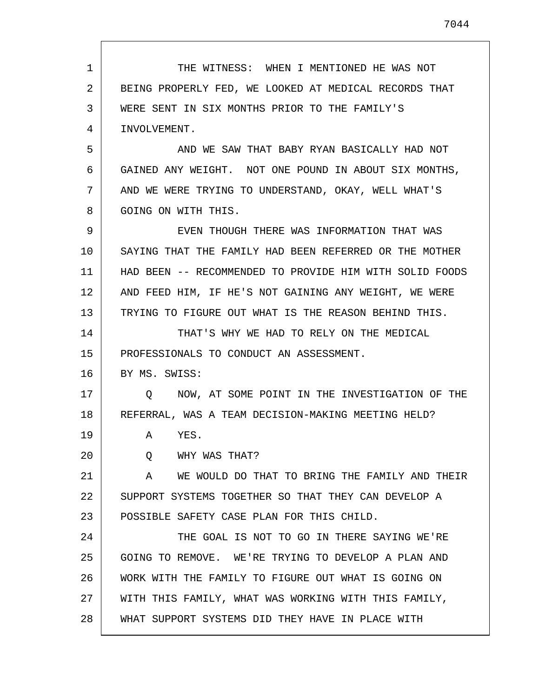1 2 3 4 5 6 7 8 9 10 11 12 13 14 15 16 17 18 19 20 21 22 23 24 25 26 27 28 THE WITNESS: WHEN I MENTIONED HE WAS NOT BEING PROPERLY FED, WE LOOKED AT MEDICAL RECORDS THAT WERE SENT IN SIX MONTHS PRIOR TO THE FAMILY'S INVOLVEMENT. AND WE SAW THAT BABY RYAN BASICALLY HAD NOT GAINED ANY WEIGHT. NOT ONE POUND IN ABOUT SIX MONTHS, AND WE WERE TRYING TO UNDERSTAND, OKAY, WELL WHAT'S GOING ON WITH THIS. EVEN THOUGH THERE WAS INFORMATION THAT WAS SAYING THAT THE FAMILY HAD BEEN REFERRED OR THE MOTHER HAD BEEN -- RECOMMENDED TO PROVIDE HIM WITH SOLID FOODS AND FEED HIM, IF HE'S NOT GAINING ANY WEIGHT, WE WERE TRYING TO FIGURE OUT WHAT IS THE REASON BEHIND THIS. THAT'S WHY WE HAD TO RELY ON THE MEDICAL PROFESSIONALS TO CONDUCT AN ASSESSMENT. BY MS. SWISS: Q NOW, AT SOME POINT IN THE INVESTIGATION OF THE REFERRAL, WAS A TEAM DECISION-MAKING MEETING HELD? A YES. Q WHY WAS THAT? A WE WOULD DO THAT TO BRING THE FAMILY AND THEIR SUPPORT SYSTEMS TOGETHER SO THAT THEY CAN DEVELOP A POSSIBLE SAFETY CASE PLAN FOR THIS CHILD. THE GOAL IS NOT TO GO IN THERE SAYING WE'RE GOING TO REMOVE. WE'RE TRYING TO DEVELOP A PLAN AND WORK WITH THE FAMILY TO FIGURE OUT WHAT IS GOING ON WITH THIS FAMILY, WHAT WAS WORKING WITH THIS FAMILY, WHAT SUPPORT SYSTEMS DID THEY HAVE IN PLACE WITH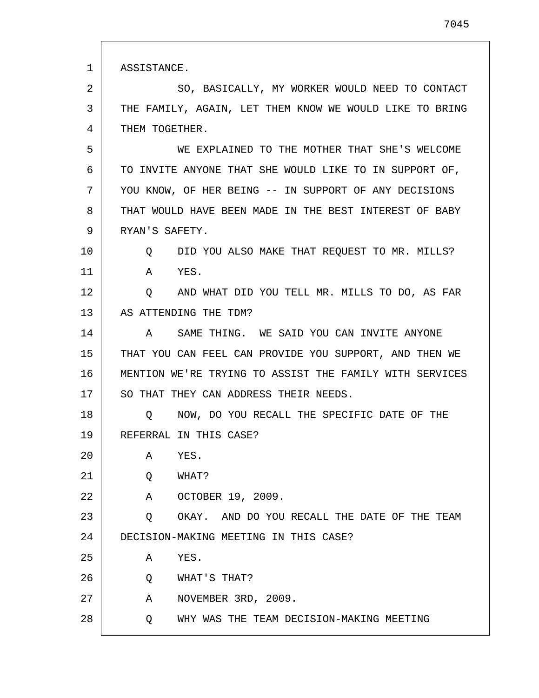| 1  | ASSISTANCE.                                             |
|----|---------------------------------------------------------|
| 2  | SO, BASICALLY, MY WORKER WOULD NEED TO CONTACT          |
| 3  | THE FAMILY, AGAIN, LET THEM KNOW WE WOULD LIKE TO BRING |
| 4  | THEM TOGETHER.                                          |
| 5  | WE EXPLAINED TO THE MOTHER THAT SHE'S WELCOME           |
| 6  | TO INVITE ANYONE THAT SHE WOULD LIKE TO IN SUPPORT OF,  |
| 7  | YOU KNOW, OF HER BEING -- IN SUPPORT OF ANY DECISIONS   |
| 8  | THAT WOULD HAVE BEEN MADE IN THE BEST INTEREST OF BABY  |
| 9  | RYAN'S SAFETY.                                          |
| 10 | DID YOU ALSO MAKE THAT REQUEST TO MR. MILLS?<br>Q       |
| 11 | YES.<br>A                                               |
| 12 | AND WHAT DID YOU TELL MR. MILLS TO DO, AS FAR<br>Q      |
| 13 | AS ATTENDING THE TDM?                                   |
| 14 | SAME THING. WE SAID YOU CAN INVITE ANYONE<br>A          |
| 15 | THAT YOU CAN FEEL CAN PROVIDE YOU SUPPORT, AND THEN WE  |
| 16 | MENTION WE'RE TRYING TO ASSIST THE FAMILY WITH SERVICES |
| 17 | SO THAT THEY CAN ADDRESS THEIR NEEDS.                   |
| 18 | NOW, DO YOU RECALL THE SPECIFIC DATE OF THE<br>Q        |
| 19 | REFERRAL IN THIS CASE?                                  |
| 20 | YES.<br>Α                                               |
| 21 | WHAT?<br>Q                                              |
| 22 | OCTOBER 19, 2009.<br>A                                  |
| 23 | OKAY. AND DO YOU RECALL THE DATE OF THE TEAM<br>Q       |
| 24 | DECISION-MAKING MEETING IN THIS CASE?                   |
| 25 | YES.<br>Α                                               |
| 26 | Q<br>WHAT'S THAT?                                       |
| 27 | NOVEMBER 3RD, 2009.<br>Α                                |
| 28 | WHY WAS THE TEAM DECISION-MAKING MEETING<br>Q           |

Г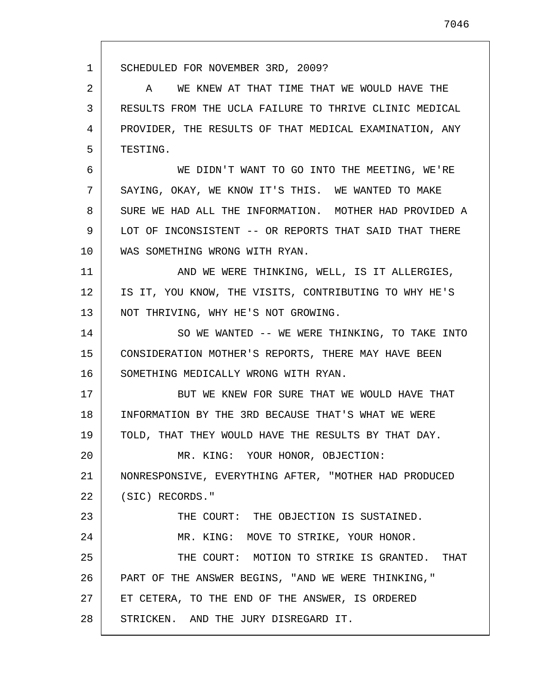1 2 3 4 5 6 7 8 9 10 11 12 13 14 15 16 17 18 19 20 21 22 23 24 25 26 27 28 SCHEDULED FOR NOVEMBER 3RD, 2009? A WE KNEW AT THAT TIME THAT WE WOULD HAVE THE RESULTS FROM THE UCLA FAILURE TO THRIVE CLINIC MEDICAL PROVIDER, THE RESULTS OF THAT MEDICAL EXAMINATION, ANY TESTING. WE DIDN'T WANT TO GO INTO THE MEETING, WE'RE SAYING, OKAY, WE KNOW IT'S THIS. WE WANTED TO MAKE SURE WE HAD ALL THE INFORMATION. MOTHER HAD PROVIDED A LOT OF INCONSISTENT -- OR REPORTS THAT SAID THAT THERE WAS SOMETHING WRONG WITH RYAN. AND WE WERE THINKING, WELL, IS IT ALLERGIES, IS IT, YOU KNOW, THE VISITS, CONTRIBUTING TO WHY HE'S NOT THRIVING, WHY HE'S NOT GROWING. SO WE WANTED -- WE WERE THINKING, TO TAKE INTO CONSIDERATION MOTHER'S REPORTS, THERE MAY HAVE BEEN SOMETHING MEDICALLY WRONG WITH RYAN. BUT WE KNEW FOR SURE THAT WE WOULD HAVE THAT INFORMATION BY THE 3RD BECAUSE THAT'S WHAT WE WERE TOLD, THAT THEY WOULD HAVE THE RESULTS BY THAT DAY. MR. KING: YOUR HONOR, OBJECTION: NONRESPONSIVE, EVERYTHING AFTER, "MOTHER HAD PRODUCED (SIC) RECORDS." THE COURT: THE OBJECTION IS SUSTAINED. MR. KING: MOVE TO STRIKE, YOUR HONOR. THE COURT: MOTION TO STRIKE IS GRANTED. THAT PART OF THE ANSWER BEGINS, "AND WE WERE THINKING," ET CETERA, TO THE END OF THE ANSWER, IS ORDERED STRICKEN. AND THE JURY DISREGARD IT.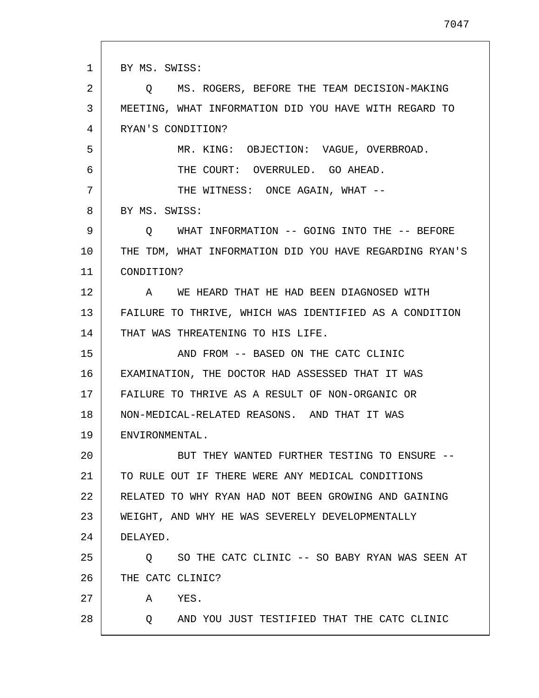1 2 3 4 5 6 7 8 9 10 11 12 13 14 15 16 17 18 19 20 21 22 23 24 25 26 27 28 BY MS. SWISS: Q MS. ROGERS, BEFORE THE TEAM DECISION-MAKING MEETING, WHAT INFORMATION DID YOU HAVE WITH REGARD TO RYAN'S CONDITION? MR. KING: OBJECTION: VAGUE, OVERBROAD. THE COURT: OVERRULED. GO AHEAD. THE WITNESS: ONCE AGAIN, WHAT --BY MS. SWISS: Q WHAT INFORMATION -- GOING INTO THE -- BEFORE THE TDM, WHAT INFORMATION DID YOU HAVE REGARDING RYAN'S CONDITION? A WE HEARD THAT HE HAD BEEN DIAGNOSED WITH FAILURE TO THRIVE, WHICH WAS IDENTIFIED AS A CONDITION THAT WAS THREATENING TO HIS LIFE. AND FROM -- BASED ON THE CATC CLINIC EXAMINATION, THE DOCTOR HAD ASSESSED THAT IT WAS FAILURE TO THRIVE AS A RESULT OF NON-ORGANIC OR NON-MEDICAL-RELATED REASONS. AND THAT IT WAS ENVIRONMENTAL. BUT THEY WANTED FURTHER TESTING TO ENSURE -- TO RULE OUT IF THERE WERE ANY MEDICAL CONDITIONS RELATED TO WHY RYAN HAD NOT BEEN GROWING AND GAINING WEIGHT, AND WHY HE WAS SEVERELY DEVELOPMENTALLY DELAYED. Q SO THE CATC CLINIC -- SO BABY RYAN WAS SEEN AT THE CATC CLINIC? A YES. Q AND YOU JUST TESTIFIED THAT THE CATC CLINIC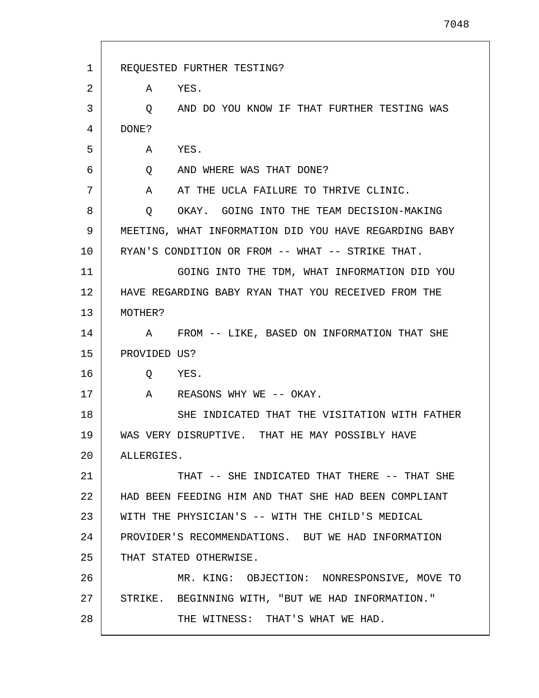| $\mathbf{1}$ | REQUESTED FURTHER TESTING?                            |
|--------------|-------------------------------------------------------|
| 2            | A YES.                                                |
| 3            | AND DO YOU KNOW IF THAT FURTHER TESTING WAS<br>Q      |
| 4            | DONE?                                                 |
| 5            | YES.<br>Α                                             |
| 6            | AND WHERE WAS THAT DONE?<br>Q                         |
| 7            | A AT THE UCLA FAILURE TO THRIVE CLINIC.               |
| 8            | $\circ$<br>OKAY. GOING INTO THE TEAM DECISION-MAKING  |
| 9            | MEETING, WHAT INFORMATION DID YOU HAVE REGARDING BABY |
| 10           | RYAN'S CONDITION OR FROM -- WHAT -- STRIKE THAT.      |
| 11           | GOING INTO THE TDM, WHAT INFORMATION DID YOU          |
| 12           | HAVE REGARDING BABY RYAN THAT YOU RECEIVED FROM THE   |
| 13           | MOTHER?                                               |
| 14           | FROM -- LIKE, BASED ON INFORMATION THAT SHE<br>A      |
| 15           | PROVIDED US?                                          |
| 16           | Q YES.                                                |
| 17           | A REASONS WHY WE -- OKAY.                             |
| 18           | SHE INDICATED THAT THE VISITATION WITH FATHER         |
| 19           | WAS VERY DISRUPTIVE. THAT HE MAY POSSIBLY HAVE        |
| 20           | ALLERGIES.                                            |
| 21           | THAT -- SHE INDICATED THAT THERE -- THAT SHE          |
| 22           | HAD BEEN FEEDING HIM AND THAT SHE HAD BEEN COMPLIANT  |
| 23           | WITH THE PHYSICIAN'S -- WITH THE CHILD'S MEDICAL      |
| 24           | PROVIDER'S RECOMMENDATIONS. BUT WE HAD INFORMATION    |
| 25           | THAT STATED OTHERWISE.                                |
| 26           | MR. KING: OBJECTION: NONRESPONSIVE, MOVE TO           |
| 27           | STRIKE. BEGINNING WITH, "BUT WE HAD INFORMATION."     |
| 28           | THE WITNESS: THAT'S WHAT WE HAD.                      |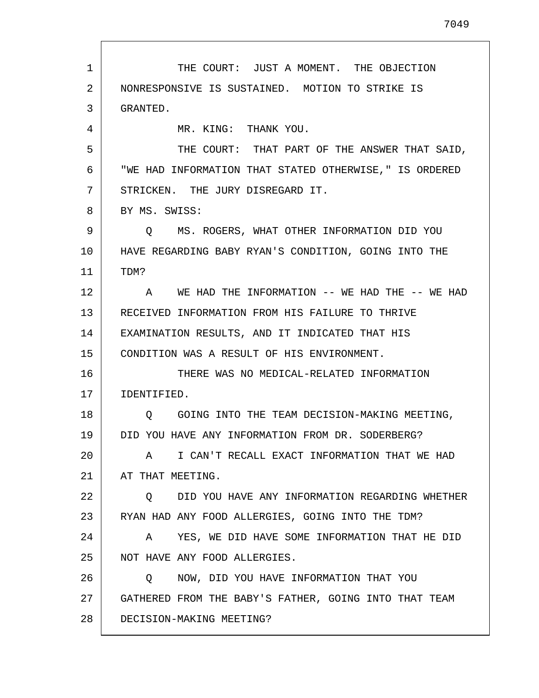1 2 3 4 5 6 7 8 9 10 11 12 13 14 15 16 17 18 19 20 21 22 23 24 25 26 27 28 THE COURT: JUST A MOMENT. THE OBJECTION NONRESPONSIVE IS SUSTAINED. MOTION TO STRIKE IS GRANTED. MR. KING: THANK YOU. THE COURT: THAT PART OF THE ANSWER THAT SAID, "WE HAD INFORMATION THAT STATED OTHERWISE," IS ORDERED STRICKEN. THE JURY DISREGARD IT. BY MS. SWISS: Q MS. ROGERS, WHAT OTHER INFORMATION DID YOU HAVE REGARDING BABY RYAN'S CONDITION, GOING INTO THE TDM? A WE HAD THE INFORMATION -- WE HAD THE -- WE HAD RECEIVED INFORMATION FROM HIS FAILURE TO THRIVE EXAMINATION RESULTS, AND IT INDICATED THAT HIS CONDITION WAS A RESULT OF HIS ENVIRONMENT. THERE WAS NO MEDICAL-RELATED INFORMATION IDENTIFIED. Q GOING INTO THE TEAM DECISION-MAKING MEETING, DID YOU HAVE ANY INFORMATION FROM DR. SODERBERG? A I CAN'T RECALL EXACT INFORMATION THAT WE HAD AT THAT MEETING. Q DID YOU HAVE ANY INFORMATION REGARDING WHETHER RYAN HAD ANY FOOD ALLERGIES, GOING INTO THE TDM? A YES, WE DID HAVE SOME INFORMATION THAT HE DID NOT HAVE ANY FOOD ALLERGIES. Q NOW, DID YOU HAVE INFORMATION THAT YOU GATHERED FROM THE BABY'S FATHER, GOING INTO THAT TEAM DECISION-MAKING MEETING?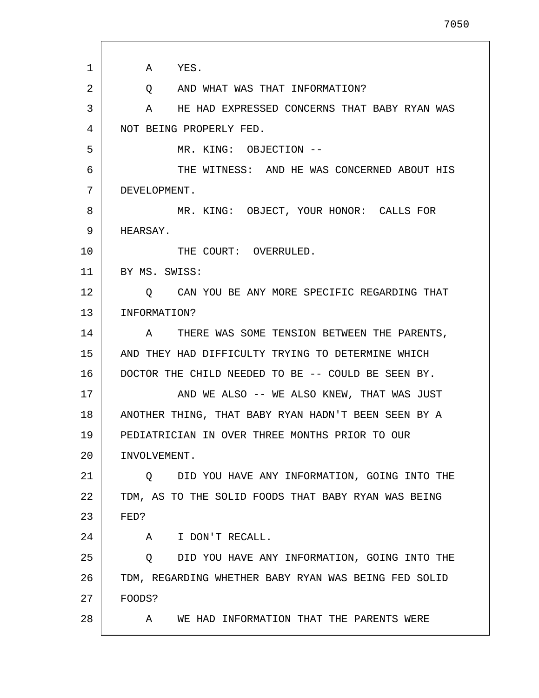| 1  | A YES.                                               |
|----|------------------------------------------------------|
| 2  | Q AND WHAT WAS THAT INFORMATION?                     |
| 3  | HE HAD EXPRESSED CONCERNS THAT BABY RYAN WAS<br>A    |
| 4  | NOT BEING PROPERLY FED.                              |
| 5  | MR. KING: OBJECTION --                               |
| 6  | THE WITNESS: AND HE WAS CONCERNED ABOUT HIS          |
| 7  | DEVELOPMENT.                                         |
| 8  | MR. KING: OBJECT, YOUR HONOR: CALLS FOR              |
| 9  | HEARSAY.                                             |
| 10 | THE COURT: OVERRULED.                                |
| 11 | BY MS. SWISS:                                        |
| 12 | Q CAN YOU BE ANY MORE SPECIFIC REGARDING THAT        |
| 13 | INFORMATION?                                         |
| 14 | THERE WAS SOME TENSION BETWEEN THE PARENTS,<br>A     |
| 15 | AND THEY HAD DIFFICULTY TRYING TO DETERMINE WHICH    |
| 16 | DOCTOR THE CHILD NEEDED TO BE -- COULD BE SEEN BY.   |
| 17 | AND WE ALSO -- WE ALSO KNEW, THAT WAS JUST           |
| 18 | ANOTHER THING, THAT BABY RYAN HADN'T BEEN SEEN BY A  |
| 19 | PEDIATRICIAN IN OVER THREE MONTHS PRIOR TO OUR       |
| 20 | INVOLVEMENT.                                         |
| 21 | DID YOU HAVE ANY INFORMATION, GOING INTO THE<br>Q    |
| 22 | TDM, AS TO THE SOLID FOODS THAT BABY RYAN WAS BEING  |
| 23 | FED?                                                 |
| 24 | A I DON'T RECALL.                                    |
| 25 | DID YOU HAVE ANY INFORMATION, GOING INTO THE<br>Q    |
| 26 | TDM, REGARDING WHETHER BABY RYAN WAS BEING FED SOLID |
| 27 | FOODS?                                               |
| 28 | WE HAD INFORMATION THAT THE PARENTS WERE<br>A        |
|    |                                                      |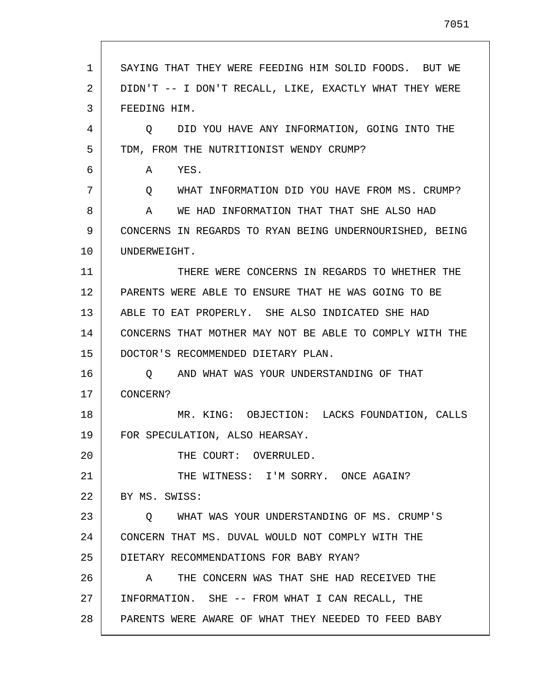| 1  | SAYING THAT THEY WERE FEEDING HIM SOLID FOODS. BUT WE   |
|----|---------------------------------------------------------|
| 2  | DIDN'T -- I DON'T RECALL, LIKE, EXACTLY WHAT THEY WERE  |
| 3  | FEEDING HIM.                                            |
| 4  | Q DID YOU HAVE ANY INFORMATION, GOING INTO THE          |
| 5  | TDM, FROM THE NUTRITIONIST WENDY CRUMP?                 |
| 6  | YES.<br>A                                               |
| 7  | WHAT INFORMATION DID YOU HAVE FROM MS. CRUMP?<br>Q      |
| 8  | WE HAD INFORMATION THAT THAT SHE ALSO HAD<br>A          |
| 9  | CONCERNS IN REGARDS TO RYAN BEING UNDERNOURISHED, BEING |
| 10 | UNDERWEIGHT.                                            |
| 11 | THERE WERE CONCERNS IN REGARDS TO WHETHER THE           |
| 12 | PARENTS WERE ABLE TO ENSURE THAT HE WAS GOING TO BE     |
| 13 | ABLE TO EAT PROPERLY. SHE ALSO INDICATED SHE HAD        |
| 14 | CONCERNS THAT MOTHER MAY NOT BE ABLE TO COMPLY WITH THE |
| 15 | DOCTOR'S RECOMMENDED DIETARY PLAN.                      |
| 16 | AND WHAT WAS YOUR UNDERSTANDING OF THAT<br>$\circ$      |
| 17 | CONCERN?                                                |
| 18 | MR. KING: OBJECTION: LACKS FOUNDATION, CALLS            |
| 19 | FOR SPECULATION, ALSO HEARSAY.                          |
| 20 | THE COURT: OVERRULED.                                   |
| 21 | THE WITNESS: I'M SORRY. ONCE AGAIN?                     |
| 22 | BY MS. SWISS:                                           |
| 23 | WHAT WAS YOUR UNDERSTANDING OF MS. CRUMP'S<br>$\circ$   |
| 24 | CONCERN THAT MS. DUVAL WOULD NOT COMPLY WITH THE        |
| 25 | DIETARY RECOMMENDATIONS FOR BABY RYAN?                  |
| 26 | THE CONCERN WAS THAT SHE HAD RECEIVED THE<br>A          |
| 27 | INFORMATION. SHE -- FROM WHAT I CAN RECALL, THE         |
| 28 | PARENTS WERE AWARE OF WHAT THEY NEEDED TO FEED BABY     |

L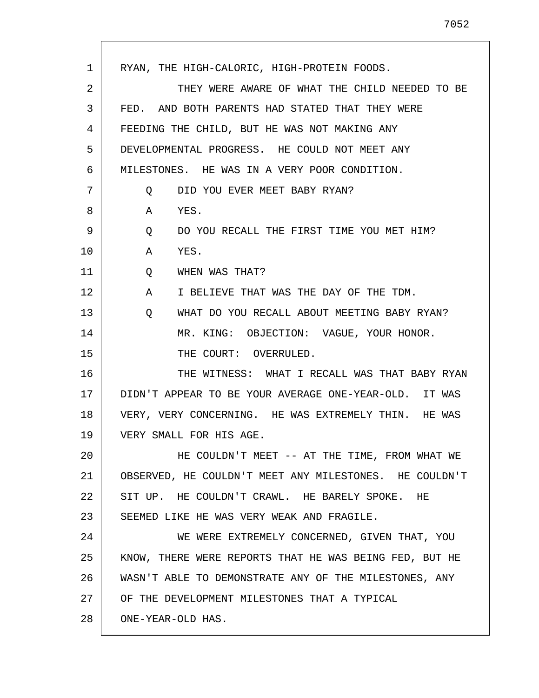1 2 3 4 5 6 7 8 9 10 11 12 13 14 15 16 17 18 19 20 21 22 23 24 25 26 27 28 RYAN, THE HIGH-CALORIC, HIGH-PROTEIN FOODS. THEY WERE AWARE OF WHAT THE CHILD NEEDED TO BE FED. AND BOTH PARENTS HAD STATED THAT THEY WERE FEEDING THE CHILD, BUT HE WAS NOT MAKING ANY DEVELOPMENTAL PROGRESS. HE COULD NOT MEET ANY MILESTONES. HE WAS IN A VERY POOR CONDITION. Q DID YOU EVER MEET BABY RYAN? A YES. Q DO YOU RECALL THE FIRST TIME YOU MET HIM? A YES. Q WHEN WAS THAT? A I BELIEVE THAT WAS THE DAY OF THE TDM. Q WHAT DO YOU RECALL ABOUT MEETING BABY RYAN? MR. KING: OBJECTION: VAGUE, YOUR HONOR. THE COURT: OVERRULED. THE WITNESS: WHAT I RECALL WAS THAT BABY RYAN DIDN'T APPEAR TO BE YOUR AVERAGE ONE-YEAR-OLD. IT WAS VERY, VERY CONCERNING. HE WAS EXTREMELY THIN. HE WAS VERY SMALL FOR HIS AGE. HE COULDN'T MEET -- AT THE TIME, FROM WHAT WE OBSERVED, HE COULDN'T MEET ANY MILESTONES. HE COULDN'T SIT UP. HE COULDN'T CRAWL. HE BARELY SPOKE. HE SEEMED LIKE HE WAS VERY WEAK AND FRAGILE. WE WERE EXTREMELY CONCERNED, GIVEN THAT, YOU KNOW, THERE WERE REPORTS THAT HE WAS BEING FED, BUT HE WASN'T ABLE TO DEMONSTRATE ANY OF THE MILESTONES, ANY OF THE DEVELOPMENT MILESTONES THAT A TYPICAL ONE-YEAR-OLD HAS.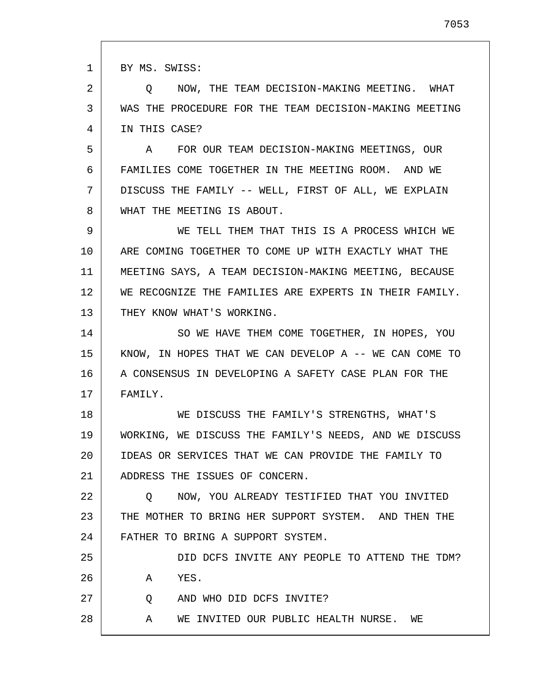1 2 3 4 5 6 7 8 9 10 11 12 13 14 15 16 17 18 19 20 21 22 23 24 25 26 27 28 BY MS. SWISS: Q NOW, THE TEAM DECISION-MAKING MEETING. WHAT WAS THE PROCEDURE FOR THE TEAM DECISION-MAKING MEETING IN THIS CASE? A FOR OUR TEAM DECISION-MAKING MEETINGS, OUR FAMILIES COME TOGETHER IN THE MEETING ROOM. AND WE DISCUSS THE FAMILY -- WELL, FIRST OF ALL, WE EXPLAIN WHAT THE MEETING IS ABOUT. WE TELL THEM THAT THIS IS A PROCESS WHICH WE ARE COMING TOGETHER TO COME UP WITH EXACTLY WHAT THE MEETING SAYS, A TEAM DECISION-MAKING MEETING, BECAUSE WE RECOGNIZE THE FAMILIES ARE EXPERTS IN THEIR FAMILY. THEY KNOW WHAT'S WORKING. SO WE HAVE THEM COME TOGETHER, IN HOPES, YOU KNOW, IN HOPES THAT WE CAN DEVELOP A -- WE CAN COME TO A CONSENSUS IN DEVELOPING A SAFETY CASE PLAN FOR THE FAMILY. WE DISCUSS THE FAMILY'S STRENGTHS, WHAT'S WORKING, WE DISCUSS THE FAMILY'S NEEDS, AND WE DISCUSS IDEAS OR SERVICES THAT WE CAN PROVIDE THE FAMILY TO ADDRESS THE ISSUES OF CONCERN. Q NOW, YOU ALREADY TESTIFIED THAT YOU INVITED THE MOTHER TO BRING HER SUPPORT SYSTEM. AND THEN THE FATHER TO BRING A SUPPORT SYSTEM. DID DCFS INVITE ANY PEOPLE TO ATTEND THE TDM? A YES. Q AND WHO DID DCFS INVITE? A WE INVITED OUR PUBLIC HEALTH NURSE. WE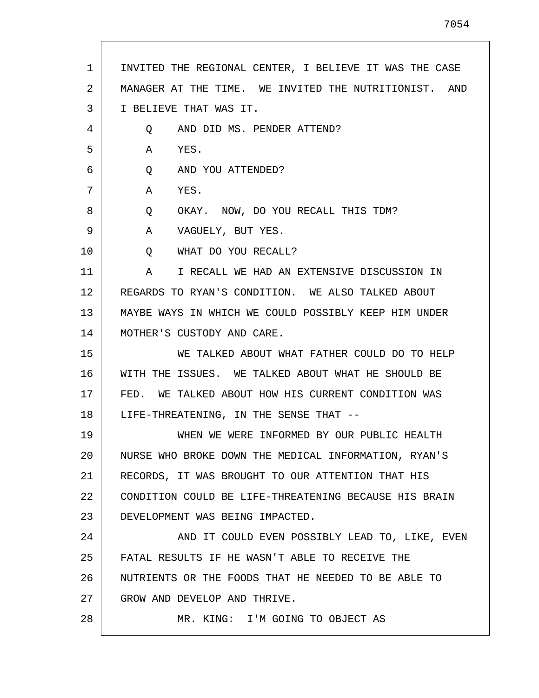| 1  | INVITED THE REGIONAL CENTER, I BELIEVE IT WAS THE CASE |
|----|--------------------------------------------------------|
| 2  | MANAGER AT THE TIME. WE INVITED THE NUTRITIONIST. AND  |
| 3  | I BELIEVE THAT WAS IT.                                 |
| 4  | AND DID MS. PENDER ATTEND?<br>Q                        |
| 5  | Α<br>YES.                                              |
| 6  | AND YOU ATTENDED?<br>Q                                 |
| 7  | A<br>YES.                                              |
| 8  | OKAY. NOW, DO YOU RECALL THIS TDM?<br>Q                |
| 9  | VAGUELY, BUT YES.<br>A                                 |
| 10 | WHAT DO YOU RECALL?<br>Q                               |
| 11 | I RECALL WE HAD AN EXTENSIVE DISCUSSION IN<br>A        |
| 12 | REGARDS TO RYAN'S CONDITION. WE ALSO TALKED ABOUT      |
| 13 | MAYBE WAYS IN WHICH WE COULD POSSIBLY KEEP HIM UNDER   |
| 14 | MOTHER'S CUSTODY AND CARE.                             |
| 15 | WE TALKED ABOUT WHAT FATHER COULD DO TO HELP           |
| 16 | WITH THE ISSUES. WE TALKED ABOUT WHAT HE SHOULD BE     |
| 17 | FED. WE TALKED ABOUT HOW HIS CURRENT CONDITION WAS     |
| 18 | LIFE-THREATENING, IN THE SENSE THAT --                 |
| 19 | WHEN WE WERE INFORMED BY OUR PUBLIC HEALTH             |
| 20 | NURSE WHO BROKE DOWN THE MEDICAL INFORMATION, RYAN'S   |
| 21 | RECORDS, IT WAS BROUGHT TO OUR ATTENTION THAT HIS      |
| 22 | CONDITION COULD BE LIFE-THREATENING BECAUSE HIS BRAIN  |
| 23 | DEVELOPMENT WAS BEING IMPACTED.                        |
| 24 | AND IT COULD EVEN POSSIBLY LEAD TO, LIKE, EVEN         |
| 25 | FATAL RESULTS IF HE WASN'T ABLE TO RECEIVE THE         |
| 26 | NUTRIENTS OR THE FOODS THAT HE NEEDED TO BE ABLE TO    |
| 27 | GROW AND DEVELOP AND THRIVE.                           |
| 28 | MR. KING: I'M GOING TO OBJECT AS                       |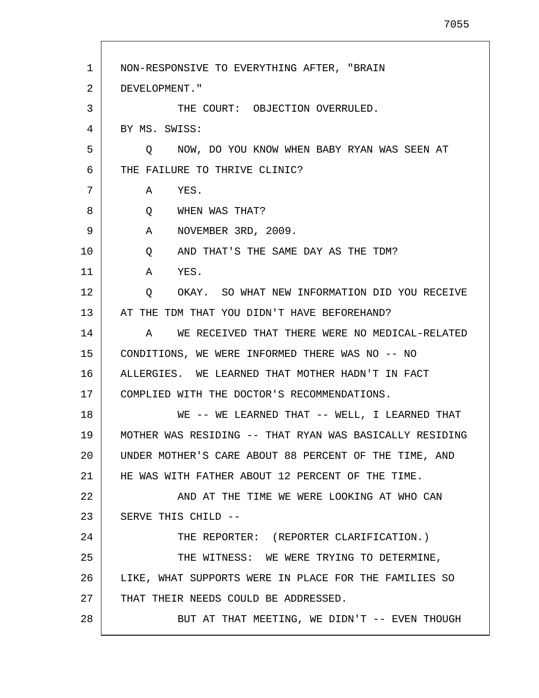1 2 3 4 5 6 7 8 9 10 11 12 13 14 15 16 17 18 19 20 21 22 23 24 25 26 27 28 NON-RESPONSIVE TO EVERYTHING AFTER, "BRAIN DEVELOPMENT." THE COURT: OBJECTION OVERRULED. BY MS. SWISS: Q NOW, DO YOU KNOW WHEN BABY RYAN WAS SEEN AT THE FAILURE TO THRIVE CLINIC? A YES. Q WHEN WAS THAT? A NOVEMBER 3RD, 2009. Q AND THAT'S THE SAME DAY AS THE TDM? A YES. Q OKAY. SO WHAT NEW INFORMATION DID YOU RECEIVE AT THE TDM THAT YOU DIDN'T HAVE BEFOREHAND? A WE RECEIVED THAT THERE WERE NO MEDICAL-RELATED CONDITIONS, WE WERE INFORMED THERE WAS NO -- NO ALLERGIES. WE LEARNED THAT MOTHER HADN'T IN FACT COMPLIED WITH THE DOCTOR'S RECOMMENDATIONS. WE -- WE LEARNED THAT -- WELL, I LEARNED THAT MOTHER WAS RESIDING -- THAT RYAN WAS BASICALLY RESIDING UNDER MOTHER'S CARE ABOUT 88 PERCENT OF THE TIME, AND HE WAS WITH FATHER ABOUT 12 PERCENT OF THE TIME. AND AT THE TIME WE WERE LOOKING AT WHO CAN SERVE THIS CHILD -- THE REPORTER: (REPORTER CLARIFICATION.) THE WITNESS: WE WERE TRYING TO DETERMINE, LIKE, WHAT SUPPORTS WERE IN PLACE FOR THE FAMILIES SO THAT THEIR NEEDS COULD BE ADDRESSED. BUT AT THAT MEETING, WE DIDN'T -- EVEN THOUGH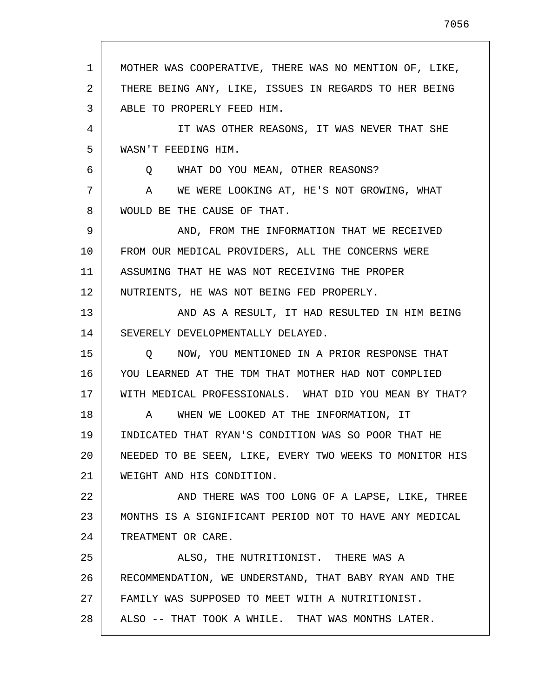1 2 3 4 5 6 7 8 9 10 11 12 13 14 15 16 17 18 19 20 21 22 23 24 25 26 27 28 MOTHER WAS COOPERATIVE, THERE WAS NO MENTION OF, LIKE, THERE BEING ANY, LIKE, ISSUES IN REGARDS TO HER BEING ABLE TO PROPERLY FEED HIM. IT WAS OTHER REASONS, IT WAS NEVER THAT SHE WASN'T FEEDING HIM. Q WHAT DO YOU MEAN, OTHER REASONS? A WE WERE LOOKING AT, HE'S NOT GROWING, WHAT WOULD BE THE CAUSE OF THAT. AND, FROM THE INFORMATION THAT WE RECEIVED FROM OUR MEDICAL PROVIDERS, ALL THE CONCERNS WERE ASSUMING THAT HE WAS NOT RECEIVING THE PROPER NUTRIENTS, HE WAS NOT BEING FED PROPERLY. AND AS A RESULT, IT HAD RESULTED IN HIM BEING SEVERELY DEVELOPMENTALLY DELAYED. Q NOW, YOU MENTIONED IN A PRIOR RESPONSE THAT YOU LEARNED AT THE TDM THAT MOTHER HAD NOT COMPLIED WITH MEDICAL PROFESSIONALS. WHAT DID YOU MEAN BY THAT? A WHEN WE LOOKED AT THE INFORMATION, IT INDICATED THAT RYAN'S CONDITION WAS SO POOR THAT HE NEEDED TO BE SEEN, LIKE, EVERY TWO WEEKS TO MONITOR HIS WEIGHT AND HIS CONDITION. AND THERE WAS TOO LONG OF A LAPSE, LIKE, THREE MONTHS IS A SIGNIFICANT PERIOD NOT TO HAVE ANY MEDICAL TREATMENT OR CARE. ALSO, THE NUTRITIONIST. THERE WAS A RECOMMENDATION, WE UNDERSTAND, THAT BABY RYAN AND THE FAMILY WAS SUPPOSED TO MEET WITH A NUTRITIONIST. ALSO -- THAT TOOK A WHILE. THAT WAS MONTHS LATER.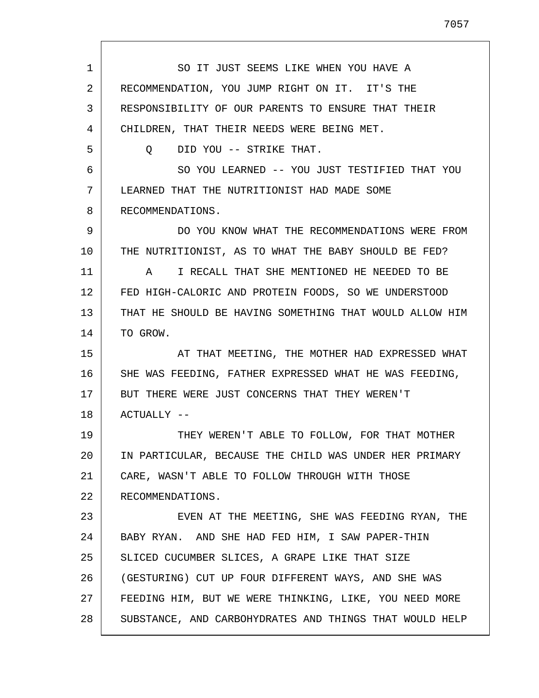1 2 3 4 5 6 7 8 9 10 11 12 13 14 15 16 17 18 19 20 21 22 23 24 25 26 27 28 SO IT JUST SEEMS LIKE WHEN YOU HAVE A RECOMMENDATION, YOU JUMP RIGHT ON IT. IT'S THE RESPONSIBILITY OF OUR PARENTS TO ENSURE THAT THEIR CHILDREN, THAT THEIR NEEDS WERE BEING MET. Q DID YOU -- STRIKE THAT. SO YOU LEARNED -- YOU JUST TESTIFIED THAT YOU LEARNED THAT THE NUTRITIONIST HAD MADE SOME RECOMMENDATIONS. DO YOU KNOW WHAT THE RECOMMENDATIONS WERE FROM THE NUTRITIONIST, AS TO WHAT THE BABY SHOULD BE FED? A I RECALL THAT SHE MENTIONED HE NEEDED TO BE FED HIGH-CALORIC AND PROTEIN FOODS, SO WE UNDERSTOOD THAT HE SHOULD BE HAVING SOMETHING THAT WOULD ALLOW HIM TO GROW. AT THAT MEETING, THE MOTHER HAD EXPRESSED WHAT SHE WAS FEEDING, FATHER EXPRESSED WHAT HE WAS FEEDING, BUT THERE WERE JUST CONCERNS THAT THEY WEREN'T ACTUALLY -- THEY WEREN'T ABLE TO FOLLOW, FOR THAT MOTHER IN PARTICULAR, BECAUSE THE CHILD WAS UNDER HER PRIMARY CARE, WASN'T ABLE TO FOLLOW THROUGH WITH THOSE RECOMMENDATIONS. EVEN AT THE MEETING, SHE WAS FEEDING RYAN, THE BABY RYAN. AND SHE HAD FED HIM, I SAW PAPER-THIN SLICED CUCUMBER SLICES, A GRAPE LIKE THAT SIZE (GESTURING) CUT UP FOUR DIFFERENT WAYS, AND SHE WAS FEEDING HIM, BUT WE WERE THINKING, LIKE, YOU NEED MORE SUBSTANCE, AND CARBOHYDRATES AND THINGS THAT WOULD HELP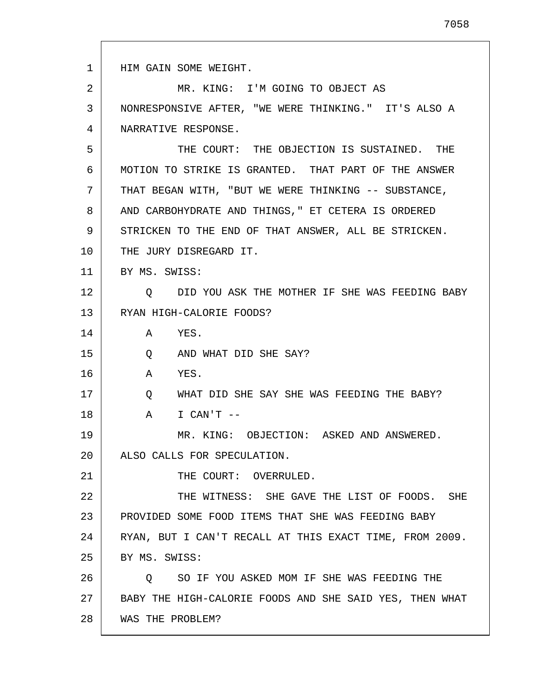1 2 3 4 5 6 7 8 9 10 11 12 13 14 15 16 17 18 19 20 21 22 23 24 25 26 27 28 HIM GAIN SOME WEIGHT. MR. KING: I'M GOING TO OBJECT AS NONRESPONSIVE AFTER, "WE WERE THINKING." IT'S ALSO A NARRATIVE RESPONSE. THE COURT: THE OBJECTION IS SUSTAINED. THE MOTION TO STRIKE IS GRANTED. THAT PART OF THE ANSWER THAT BEGAN WITH, "BUT WE WERE THINKING -- SUBSTANCE, AND CARBOHYDRATE AND THINGS," ET CETERA IS ORDERED STRICKEN TO THE END OF THAT ANSWER, ALL BE STRICKEN. THE JURY DISREGARD IT. BY MS. SWISS: Q DID YOU ASK THE MOTHER IF SHE WAS FEEDING BABY RYAN HIGH-CALORIE FOODS? A YES. Q AND WHAT DID SHE SAY? A YES. Q WHAT DID SHE SAY SHE WAS FEEDING THE BABY? A I CAN'T -- MR. KING: OBJECTION: ASKED AND ANSWERED. ALSO CALLS FOR SPECULATION. THE COURT: OVERRULED. THE WITNESS: SHE GAVE THE LIST OF FOODS. SHE PROVIDED SOME FOOD ITEMS THAT SHE WAS FEEDING BABY RYAN, BUT I CAN'T RECALL AT THIS EXACT TIME, FROM 2009. BY MS. SWISS: Q SO IF YOU ASKED MOM IF SHE WAS FEEDING THE BABY THE HIGH-CALORIE FOODS AND SHE SAID YES, THEN WHAT WAS THE PROBLEM?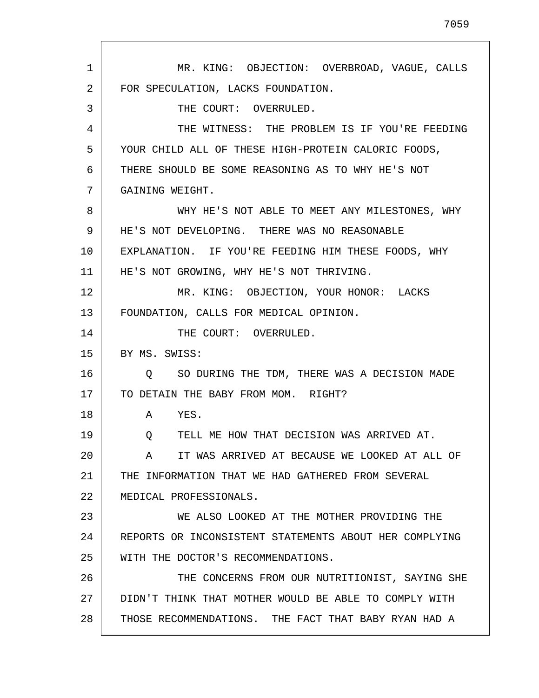1 2 3 4 5 6 7 8 9 10 11 12 13 14 15 16 17 18 19 20 21 22 23 24 25 26 27 28 MR. KING: OBJECTION: OVERBROAD, VAGUE, CALLS FOR SPECULATION, LACKS FOUNDATION. THE COURT: OVERRULED. THE WITNESS: THE PROBLEM IS IF YOU'RE FEEDING YOUR CHILD ALL OF THESE HIGH-PROTEIN CALORIC FOODS, THERE SHOULD BE SOME REASONING AS TO WHY HE'S NOT GAINING WEIGHT. WHY HE'S NOT ABLE TO MEET ANY MILESTONES, WHY HE'S NOT DEVELOPING. THERE WAS NO REASONABLE EXPLANATION. IF YOU'RE FEEDING HIM THESE FOODS, WHY HE'S NOT GROWING, WHY HE'S NOT THRIVING. MR. KING: OBJECTION, YOUR HONOR: LACKS FOUNDATION, CALLS FOR MEDICAL OPINION. THE COURT: OVERRULED. BY MS. SWISS: Q SO DURING THE TDM, THERE WAS A DECISION MADE TO DETAIN THE BABY FROM MOM. RIGHT? A YES. Q TELL ME HOW THAT DECISION WAS ARRIVED AT. A IT WAS ARRIVED AT BECAUSE WE LOOKED AT ALL OF THE INFORMATION THAT WE HAD GATHERED FROM SEVERAL MEDICAL PROFESSIONALS. WE ALSO LOOKED AT THE MOTHER PROVIDING THE REPORTS OR INCONSISTENT STATEMENTS ABOUT HER COMPLYING WITH THE DOCTOR'S RECOMMENDATIONS. THE CONCERNS FROM OUR NUTRITIONIST, SAYING SHE DIDN'T THINK THAT MOTHER WOULD BE ABLE TO COMPLY WITH THOSE RECOMMENDATIONS. THE FACT THAT BABY RYAN HAD A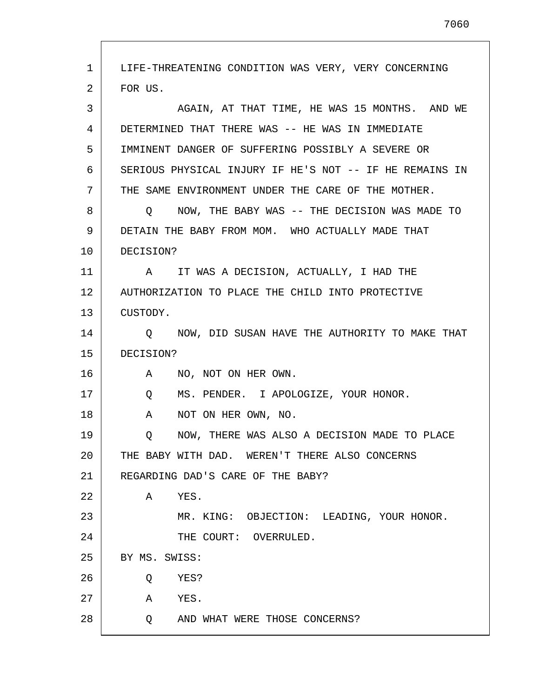1 2 3 4 5 6 7 8 9 10 11 12 13 14 15 16 17 18 19 20 21 22 23 24 25 26 27 28 LIFE-THREATENING CONDITION WAS VERY, VERY CONCERNING FOR US. AGAIN, AT THAT TIME, HE WAS 15 MONTHS. AND WE DETERMINED THAT THERE WAS -- HE WAS IN IMMEDIATE IMMINENT DANGER OF SUFFERING POSSIBLY A SEVERE OR SERIOUS PHYSICAL INJURY IF HE'S NOT -- IF HE REMAINS IN THE SAME ENVIRONMENT UNDER THE CARE OF THE MOTHER. Q NOW, THE BABY WAS -- THE DECISION WAS MADE TO DETAIN THE BABY FROM MOM. WHO ACTUALLY MADE THAT DECISION? A IT WAS A DECISION, ACTUALLY, I HAD THE AUTHORIZATION TO PLACE THE CHILD INTO PROTECTIVE CUSTODY. Q NOW, DID SUSAN HAVE THE AUTHORITY TO MAKE THAT DECISION? A NO, NOT ON HER OWN. Q MS. PENDER. I APOLOGIZE, YOUR HONOR. A NOT ON HER OWN, NO. Q NOW, THERE WAS ALSO A DECISION MADE TO PLACE THE BABY WITH DAD. WEREN'T THERE ALSO CONCERNS REGARDING DAD'S CARE OF THE BABY? A YES. MR. KING: OBJECTION: LEADING, YOUR HONOR. THE COURT: OVERRULED. BY MS. SWISS: Q YES? A YES. Q AND WHAT WERE THOSE CONCERNS?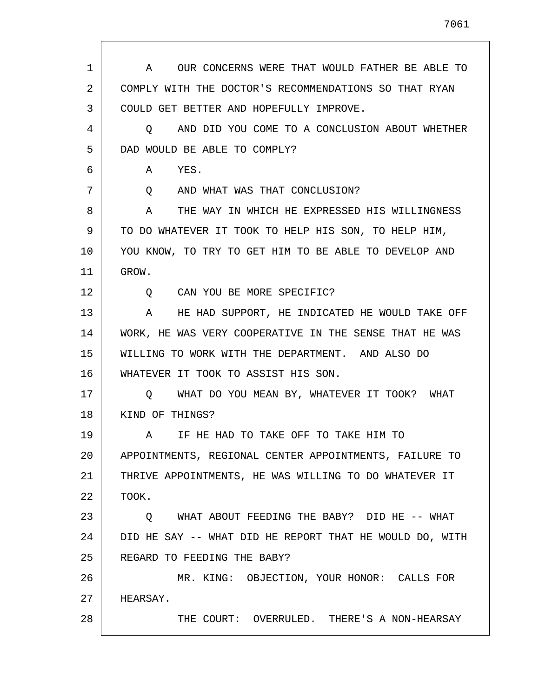| $\mathbf 1$ | OUR CONCERNS WERE THAT WOULD FATHER BE ABLE TO<br>A     |
|-------------|---------------------------------------------------------|
| 2           | COMPLY WITH THE DOCTOR'S RECOMMENDATIONS SO THAT RYAN   |
| 3           | COULD GET BETTER AND HOPEFULLY IMPROVE.                 |
| 4           | AND DID YOU COME TO A CONCLUSION ABOUT WHETHER<br>O     |
| 5           | DAD WOULD BE ABLE TO COMPLY?                            |
| 6           | YES.<br>A                                               |
| 7           | AND WHAT WAS THAT CONCLUSION?<br>Q                      |
| 8           | THE WAY IN WHICH HE EXPRESSED HIS WILLINGNESS<br>A      |
| 9           | TO DO WHATEVER IT TOOK TO HELP HIS SON, TO HELP HIM,    |
| 10          | YOU KNOW, TO TRY TO GET HIM TO BE ABLE TO DEVELOP AND   |
| 11          | GROW.                                                   |
| 12          | CAN YOU BE MORE SPECIFIC?<br>Ő                          |
| 13          | HE HAD SUPPORT, HE INDICATED HE WOULD TAKE OFF<br>A     |
| 14          | WORK, HE WAS VERY COOPERATIVE IN THE SENSE THAT HE WAS  |
| 15          | WILLING TO WORK WITH THE DEPARTMENT. AND ALSO DO        |
| 16          | WHATEVER IT TOOK TO ASSIST HIS SON.                     |
| 17          | O WHAT DO YOU MEAN BY, WHATEVER IT TOOK? WHAT           |
| 18          | KIND OF THINGS?                                         |
| 19          | IF HE HAD TO TAKE OFF TO TAKE HIM TO<br>A               |
| 20          | APPOINTMENTS, REGIONAL CENTER APPOINTMENTS, FAILURE TO  |
| 21          | THRIVE APPOINTMENTS, HE WAS WILLING TO DO WHATEVER IT   |
| 22          | TOOK.                                                   |
| 23          | WHAT ABOUT FEEDING THE BABY? DID HE -- WHAT<br>Q        |
| 24          | DID HE SAY -- WHAT DID HE REPORT THAT HE WOULD DO, WITH |
| 25          | REGARD TO FEEDING THE BABY?                             |
| 26          | MR. KING: OBJECTION, YOUR HONOR: CALLS FOR              |
| 27          | HEARSAY.                                                |
| 28          | THE COURT: OVERRULED. THERE'S A NON-HEARSAY             |

 $\mathbf{I}$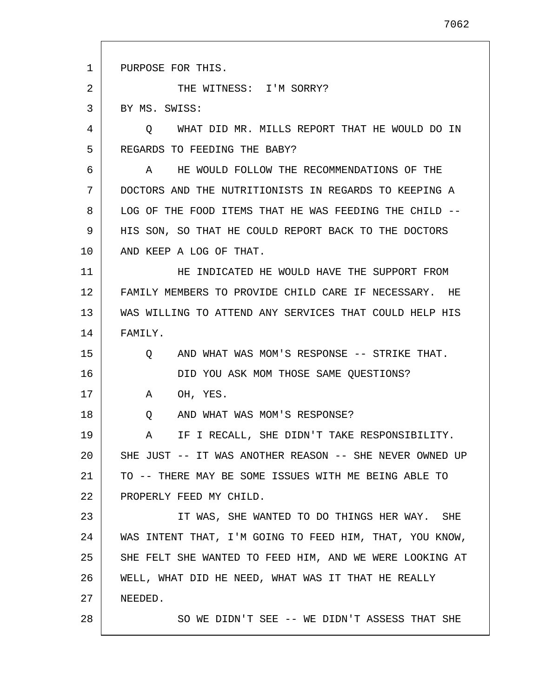1 2 3 4 5 6 7 8 9 10 11 12 13 14 15 16 17 18 19 20 21 22 23 24 25 26 27 28 PURPOSE FOR THIS. THE WITNESS: I'M SORRY? BY MS. SWISS: Q WHAT DID MR. MILLS REPORT THAT HE WOULD DO IN REGARDS TO FEEDING THE BABY? A HE WOULD FOLLOW THE RECOMMENDATIONS OF THE DOCTORS AND THE NUTRITIONISTS IN REGARDS TO KEEPING A LOG OF THE FOOD ITEMS THAT HE WAS FEEDING THE CHILD -- HIS SON, SO THAT HE COULD REPORT BACK TO THE DOCTORS AND KEEP A LOG OF THAT. HE INDICATED HE WOULD HAVE THE SUPPORT FROM FAMILY MEMBERS TO PROVIDE CHILD CARE IF NECESSARY. HE WAS WILLING TO ATTEND ANY SERVICES THAT COULD HELP HIS FAMILY. Q AND WHAT WAS MOM'S RESPONSE -- STRIKE THAT. DID YOU ASK MOM THOSE SAME QUESTIONS? A OH, YES. Q AND WHAT WAS MOM'S RESPONSE? A IF I RECALL, SHE DIDN'T TAKE RESPONSIBILITY. SHE JUST -- IT WAS ANOTHER REASON -- SHE NEVER OWNED UP TO -- THERE MAY BE SOME ISSUES WITH ME BEING ABLE TO PROPERLY FEED MY CHILD. IT WAS, SHE WANTED TO DO THINGS HER WAY. SHE WAS INTENT THAT, I'M GOING TO FEED HIM, THAT, YOU KNOW, SHE FELT SHE WANTED TO FEED HIM, AND WE WERE LOOKING AT WELL, WHAT DID HE NEED, WHAT WAS IT THAT HE REALLY NEEDED. SO WE DIDN'T SEE -- WE DIDN'T ASSESS THAT SHE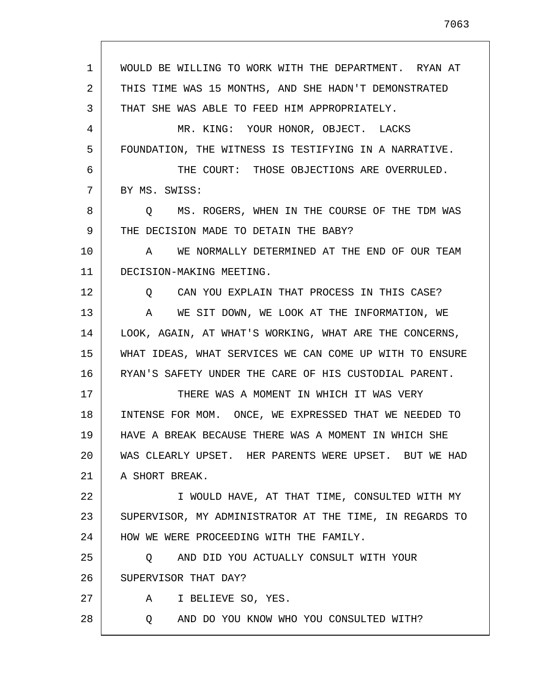1 2 3 4 5 6 7 8 9 10 11 12 13 14 15 16 17 18 19 20 21 22 23 24 25 26 27 28 WOULD BE WILLING TO WORK WITH THE DEPARTMENT. RYAN AT THIS TIME WAS 15 MONTHS, AND SHE HADN'T DEMONSTRATED THAT SHE WAS ABLE TO FEED HIM APPROPRIATELY. MR. KING: YOUR HONOR, OBJECT. LACKS FOUNDATION, THE WITNESS IS TESTIFYING IN A NARRATIVE. THE COURT: THOSE OBJECTIONS ARE OVERRULED. BY MS. SWISS: Q MS. ROGERS, WHEN IN THE COURSE OF THE TDM WAS THE DECISION MADE TO DETAIN THE BABY? A WE NORMALLY DETERMINED AT THE END OF OUR TEAM DECISION-MAKING MEETING. Q CAN YOU EXPLAIN THAT PROCESS IN THIS CASE? A WE SIT DOWN, WE LOOK AT THE INFORMATION, WE LOOK, AGAIN, AT WHAT'S WORKING, WHAT ARE THE CONCERNS, WHAT IDEAS, WHAT SERVICES WE CAN COME UP WITH TO ENSURE RYAN'S SAFETY UNDER THE CARE OF HIS CUSTODIAL PARENT. THERE WAS A MOMENT IN WHICH IT WAS VERY INTENSE FOR MOM. ONCE, WE EXPRESSED THAT WE NEEDED TO HAVE A BREAK BECAUSE THERE WAS A MOMENT IN WHICH SHE WAS CLEARLY UPSET. HER PARENTS WERE UPSET. BUT WE HAD A SHORT BREAK. I WOULD HAVE, AT THAT TIME, CONSULTED WITH MY SUPERVISOR, MY ADMINISTRATOR AT THE TIME, IN REGARDS TO HOW WE WERE PROCEEDING WITH THE FAMILY. Q AND DID YOU ACTUALLY CONSULT WITH YOUR SUPERVISOR THAT DAY? A I BELIEVE SO, YES. Q AND DO YOU KNOW WHO YOU CONSULTED WITH?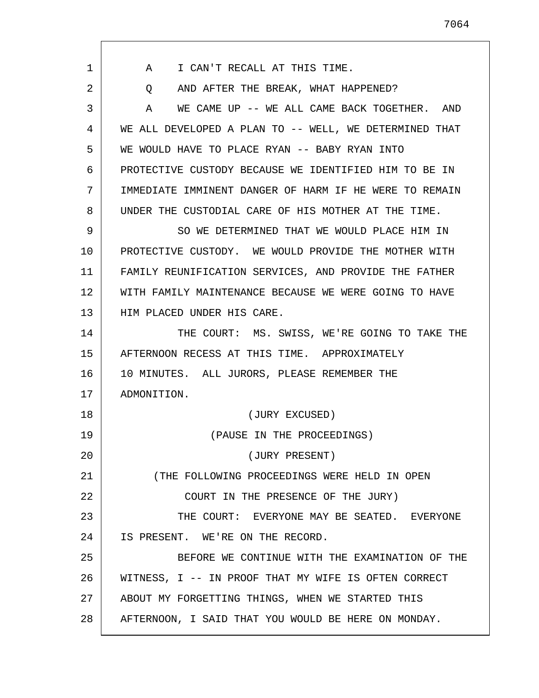| 1  | I CAN'T RECALL AT THIS TIME.<br>A                      |
|----|--------------------------------------------------------|
| 2  | AND AFTER THE BREAK, WHAT HAPPENED?<br>Q               |
| 3  | WE CAME UP -- WE ALL CAME BACK TOGETHER. AND<br>A      |
| 4  | WE ALL DEVELOPED A PLAN TO -- WELL, WE DETERMINED THAT |
| 5  | WE WOULD HAVE TO PLACE RYAN -- BABY RYAN INTO          |
| 6  | PROTECTIVE CUSTODY BECAUSE WE IDENTIFIED HIM TO BE IN  |
| 7  | IMMEDIATE IMMINENT DANGER OF HARM IF HE WERE TO REMAIN |
| 8  | UNDER THE CUSTODIAL CARE OF HIS MOTHER AT THE TIME.    |
| 9  | SO WE DETERMINED THAT WE WOULD PLACE HIM IN            |
| 10 | PROTECTIVE CUSTODY. WE WOULD PROVIDE THE MOTHER WITH   |
| 11 | FAMILY REUNIFICATION SERVICES, AND PROVIDE THE FATHER  |
| 12 | WITH FAMILY MAINTENANCE BECAUSE WE WERE GOING TO HAVE  |
| 13 | HIM PLACED UNDER HIS CARE.                             |
| 14 | THE COURT: MS. SWISS, WE'RE GOING TO TAKE THE          |
| 15 | AFTERNOON RECESS AT THIS TIME. APPROXIMATELY           |
| 16 | 10 MINUTES. ALL JURORS, PLEASE REMEMBER THE            |
| 17 | ADMONITION.                                            |
| 18 | (JURY EXCUSED)                                         |
| 19 | (PAUSE IN THE PROCEEDINGS)                             |
| 20 | (JURY PRESENT)                                         |
| 21 | (THE FOLLOWING PROCEEDINGS WERE HELD IN OPEN           |
| 22 | COURT IN THE PRESENCE OF THE JURY)                     |
| 23 | THE COURT: EVERYONE MAY BE SEATED. EVERYONE            |
| 24 | IS PRESENT. WE'RE ON THE RECORD.                       |
| 25 | BEFORE WE CONTINUE WITH THE EXAMINATION OF THE         |
| 26 | WITNESS, I -- IN PROOF THAT MY WIFE IS OFTEN CORRECT   |
| 27 | ABOUT MY FORGETTING THINGS, WHEN WE STARTED THIS       |
| 28 | AFTERNOON, I SAID THAT YOU WOULD BE HERE ON MONDAY.    |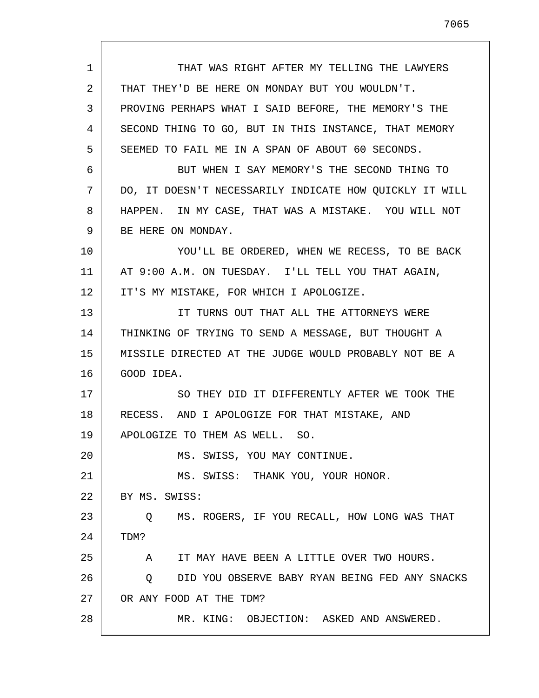1 2 3 4 5 6 7 8 9 10 11 12 13 14 15 16 17 18 19 20 21 22 23 24 25 26 27 28 THAT WAS RIGHT AFTER MY TELLING THE LAWYERS THAT THEY'D BE HERE ON MONDAY BUT YOU WOULDN'T. PROVING PERHAPS WHAT I SAID BEFORE, THE MEMORY'S THE SECOND THING TO GO, BUT IN THIS INSTANCE, THAT MEMORY SEEMED TO FAIL ME IN A SPAN OF ABOUT 60 SECONDS. BUT WHEN I SAY MEMORY'S THE SECOND THING TO DO, IT DOESN'T NECESSARILY INDICATE HOW QUICKLY IT WILL HAPPEN. IN MY CASE, THAT WAS A MISTAKE. YOU WILL NOT BE HERE ON MONDAY. YOU'LL BE ORDERED, WHEN WE RECESS, TO BE BACK AT 9:00 A.M. ON TUESDAY. I'LL TELL YOU THAT AGAIN, IT'S MY MISTAKE, FOR WHICH I APOLOGIZE. IT TURNS OUT THAT ALL THE ATTORNEYS WERE THINKING OF TRYING TO SEND A MESSAGE, BUT THOUGHT A MISSILE DIRECTED AT THE JUDGE WOULD PROBABLY NOT BE A GOOD IDEA. SO THEY DID IT DIFFERENTLY AFTER WE TOOK THE RECESS. AND I APOLOGIZE FOR THAT MISTAKE, AND APOLOGIZE TO THEM AS WELL. SO. MS. SWISS, YOU MAY CONTINUE. MS. SWISS: THANK YOU, YOUR HONOR. BY MS. SWISS: Q MS. ROGERS, IF YOU RECALL, HOW LONG WAS THAT TDM? A IT MAY HAVE BEEN A LITTLE OVER TWO HOURS. Q DID YOU OBSERVE BABY RYAN BEING FED ANY SNACKS OR ANY FOOD AT THE TDM? MR. KING: OBJECTION: ASKED AND ANSWERED.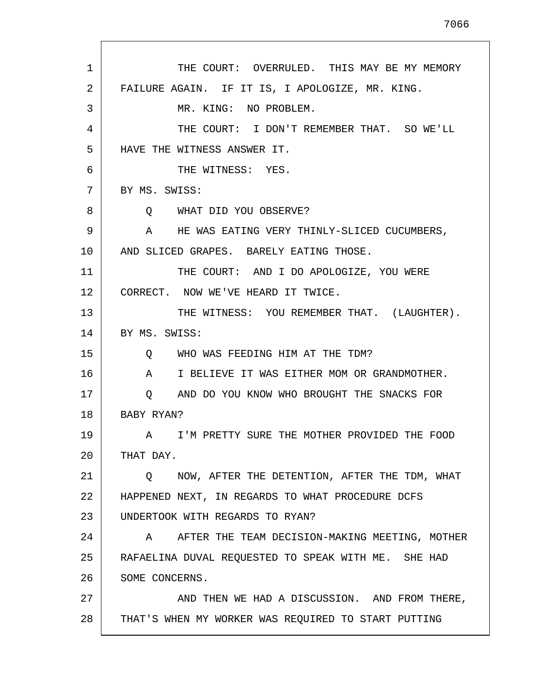| $\mathbf{1}$ | THE COURT: OVERRULED. THIS MAY BE MY MEMORY         |
|--------------|-----------------------------------------------------|
| 2            | FAILURE AGAIN. IF IT IS, I APOLOGIZE, MR. KING.     |
| 3            | MR. KING: NO PROBLEM.                               |
| 4            | THE COURT: I DON'T REMEMBER THAT. SO WE'LL          |
| 5            | HAVE THE WITNESS ANSWER IT.                         |
| 6            | THE WITNESS: YES.                                   |
| 7            | BY MS. SWISS:                                       |
| 8            | WHAT DID YOU OBSERVE?<br>O.                         |
| 9            | HE WAS EATING VERY THINLY-SLICED CUCUMBERS,<br>A    |
| 10           | AND SLICED GRAPES. BARELY EATING THOSE.             |
| 11           | THE COURT: AND I DO APOLOGIZE, YOU WERE             |
| 12           | CORRECT. NOW WE'VE HEARD IT TWICE.                  |
| 13           | THE WITNESS: YOU REMEMBER THAT. (LAUGHTER).         |
| 14           | BY MS. SWISS:                                       |
| 15           | WHO WAS FEEDING HIM AT THE TDM?<br>$\circ$          |
| 16           | A<br>I BELIEVE IT WAS EITHER MOM OR GRANDMOTHER.    |
| 17           | Q AND DO YOU KNOW WHO BROUGHT THE SNACKS FOR        |
| 18           | BABY RYAN?                                          |
| 19           | A I'M PRETTY SURE THE MOTHER PROVIDED THE FOOD      |
| 20           | THAT DAY.                                           |
| 21           | NOW, AFTER THE DETENTION, AFTER THE TDM, WHAT<br>Q  |
| 22           | HAPPENED NEXT, IN REGARDS TO WHAT PROCEDURE DCFS    |
| 23           | UNDERTOOK WITH REGARDS TO RYAN?                     |
| 24           | AFTER THE TEAM DECISION-MAKING MEETING, MOTHER<br>A |
| 25           | RAFAELINA DUVAL REQUESTED TO SPEAK WITH ME. SHE HAD |
| 26           | SOME CONCERNS.                                      |
| 27           | AND THEN WE HAD A DISCUSSION. AND FROM THERE,       |
| 28           | THAT'S WHEN MY WORKER WAS REQUIRED TO START PUTTING |
|              |                                                     |

 $\mathsf{l}$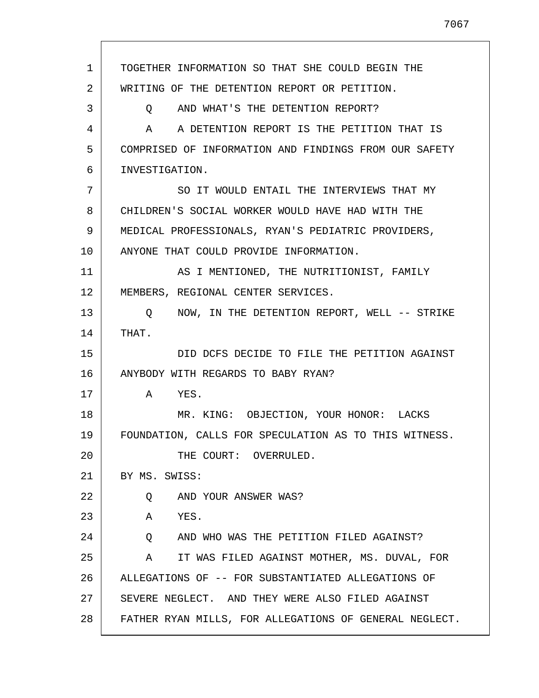| $\mathbf 1$ | TOGETHER INFORMATION SO THAT SHE COULD BEGIN THE       |
|-------------|--------------------------------------------------------|
| 2           | WRITING OF THE DETENTION REPORT OR PETITION.           |
| 3           | AND WHAT'S THE DETENTION REPORT?<br>Q                  |
| 4           | A A DETENTION REPORT IS THE PETITION THAT IS           |
| 5           | COMPRISED OF INFORMATION AND FINDINGS FROM OUR SAFETY  |
| 6           | INVESTIGATION.                                         |
| 7           | SO IT WOULD ENTAIL THE INTERVIEWS THAT MY              |
| 8           | CHILDREN'S SOCIAL WORKER WOULD HAVE HAD WITH THE       |
| 9           | MEDICAL PROFESSIONALS, RYAN'S PEDIATRIC PROVIDERS,     |
| 10          | ANYONE THAT COULD PROVIDE INFORMATION.                 |
| 11          | AS I MENTIONED, THE NUTRITIONIST, FAMILY               |
| 12          | MEMBERS, REGIONAL CENTER SERVICES.                     |
| 13          | Q NOW, IN THE DETENTION REPORT, WELL -- STRIKE         |
| 14          | THAT.                                                  |
| 15          | DID DCFS DECIDE TO FILE THE PETITION AGAINST           |
| 16          | ANYBODY WITH REGARDS TO BABY RYAN?                     |
| 17          | A YES.                                                 |
| 18          | MR. KING: OBJECTION, YOUR HONOR: LACKS                 |
| 19          | FOUNDATION, CALLS FOR SPECULATION AS TO THIS WITNESS.  |
| 20          | THE COURT: OVERRULED.                                  |
| 21          | BY MS. SWISS:                                          |
| 22          | AND YOUR ANSWER WAS?<br>O.                             |
| 23          | Α<br>YES.                                              |
| 24          | Q<br>AND WHO WAS THE PETITION FILED AGAINST?           |
| 25          | IT WAS FILED AGAINST MOTHER, MS. DUVAL, FOR<br>A       |
| 26          | ALLEGATIONS OF -- FOR SUBSTANTIATED ALLEGATIONS OF     |
| 27          | SEVERE NEGLECT. AND THEY WERE ALSO FILED AGAINST       |
| 28          | FATHER RYAN MILLS, FOR ALLEGATIONS OF GENERAL NEGLECT. |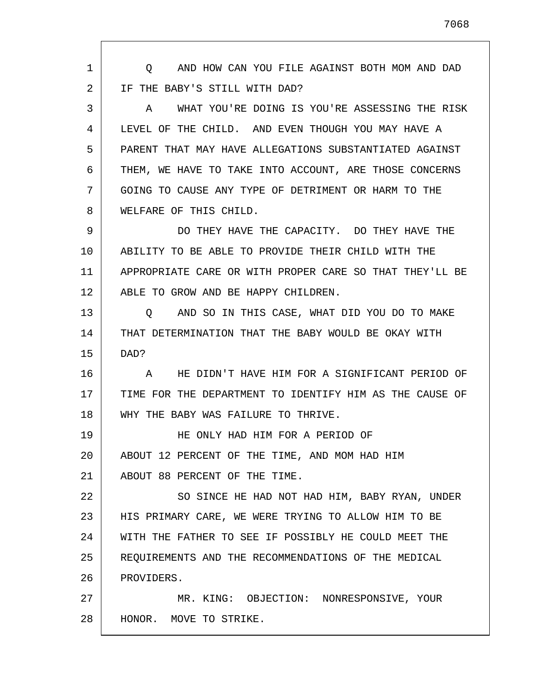1 2 3 4 5 6 7 8 9 10 11 12 13 14 15 16 17 18 19 20 21 22 23 24 25 26 27 28 Q AND HOW CAN YOU FILE AGAINST BOTH MOM AND DAD IF THE BABY'S STILL WITH DAD? A WHAT YOU'RE DOING IS YOU'RE ASSESSING THE RISK LEVEL OF THE CHILD. AND EVEN THOUGH YOU MAY HAVE A PARENT THAT MAY HAVE ALLEGATIONS SUBSTANTIATED AGAINST THEM, WE HAVE TO TAKE INTO ACCOUNT, ARE THOSE CONCERNS GOING TO CAUSE ANY TYPE OF DETRIMENT OR HARM TO THE WELFARE OF THIS CHILD. DO THEY HAVE THE CAPACITY. DO THEY HAVE THE ABILITY TO BE ABLE TO PROVIDE THEIR CHILD WITH THE APPROPRIATE CARE OR WITH PROPER CARE SO THAT THEY'LL BE ABLE TO GROW AND BE HAPPY CHILDREN. Q AND SO IN THIS CASE, WHAT DID YOU DO TO MAKE THAT DETERMINATION THAT THE BABY WOULD BE OKAY WITH DAD? A HE DIDN'T HAVE HIM FOR A SIGNIFICANT PERIOD OF TIME FOR THE DEPARTMENT TO IDENTIFY HIM AS THE CAUSE OF WHY THE BABY WAS FAILURE TO THRIVE. HE ONLY HAD HIM FOR A PERIOD OF ABOUT 12 PERCENT OF THE TIME, AND MOM HAD HIM ABOUT 88 PERCENT OF THE TIME. SO SINCE HE HAD NOT HAD HIM, BABY RYAN, UNDER HIS PRIMARY CARE, WE WERE TRYING TO ALLOW HIM TO BE WITH THE FATHER TO SEE IF POSSIBLY HE COULD MEET THE REQUIREMENTS AND THE RECOMMENDATIONS OF THE MEDICAL PROVIDERS. MR. KING: OBJECTION: NONRESPONSIVE, YOUR HONOR. MOVE TO STRIKE.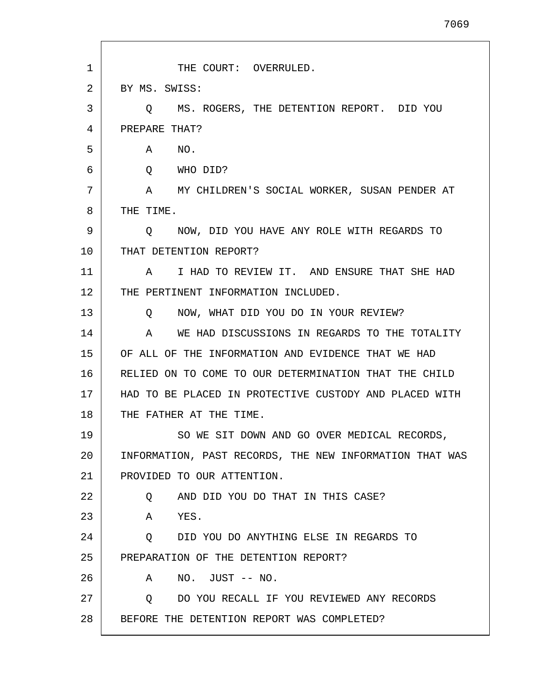| 1  | THE COURT: OVERRULED.                                   |
|----|---------------------------------------------------------|
| 2  | BY MS. SWISS:                                           |
| 3  | MS. ROGERS, THE DETENTION REPORT. DID YOU<br>O.         |
| 4  | PREPARE THAT?                                           |
| 5  | NO.<br>A                                                |
| 6  | WHO DID?<br>Q                                           |
| 7  | A MY CHILDREN'S SOCIAL WORKER, SUSAN PENDER AT          |
| 8  | THE TIME.                                               |
| 9  | NOW, DID YOU HAVE ANY ROLE WITH REGARDS TO<br>O.        |
| 10 | THAT DETENTION REPORT?                                  |
| 11 | I HAD TO REVIEW IT. AND ENSURE THAT SHE HAD<br>A        |
| 12 | THE PERTINENT INFORMATION INCLUDED.                     |
| 13 | NOW, WHAT DID YOU DO IN YOUR REVIEW?<br>O.              |
| 14 | WE HAD DISCUSSIONS IN REGARDS TO THE TOTALITY<br>A      |
| 15 | OF ALL OF THE INFORMATION AND EVIDENCE THAT WE HAD      |
| 16 | RELIED ON TO COME TO OUR DETERMINATION THAT THE CHILD   |
| 17 | HAD TO BE PLACED IN PROTECTIVE CUSTODY AND PLACED WITH  |
| 18 | THE FATHER AT THE TIME.                                 |
| 19 | SO WE SIT DOWN AND GO OVER MEDICAL RECORDS,             |
| 20 | INFORMATION, PAST RECORDS, THE NEW INFORMATION THAT WAS |
| 21 | PROVIDED TO OUR ATTENTION.                              |
| 22 | AND DID YOU DO THAT IN THIS CASE?<br>Q                  |
| 23 | YES.<br>A                                               |
| 24 | DID YOU DO ANYTHING ELSE IN REGARDS TO<br>Q             |
| 25 | PREPARATION OF THE DETENTION REPORT?                    |
| 26 | $NO.$ JUST $--$ NO.<br>A                                |
| 27 | DO YOU RECALL IF YOU REVIEWED ANY RECORDS<br>Q          |
| 28 | BEFORE THE DETENTION REPORT WAS COMPLETED?              |
|    |                                                         |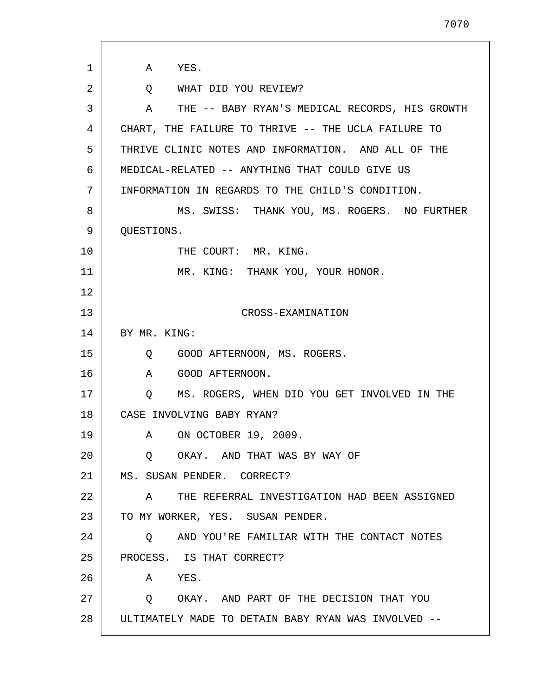| 1  | A<br>YES.                                           |
|----|-----------------------------------------------------|
| 2  | Q WHAT DID YOU REVIEW?                              |
| 3  | THE -- BABY RYAN'S MEDICAL RECORDS, HIS GROWTH<br>A |
| 4  | CHART, THE FAILURE TO THRIVE -- THE UCLA FAILURE TO |
| 5  | THRIVE CLINIC NOTES AND INFORMATION. AND ALL OF THE |
| 6  | MEDICAL-RELATED -- ANYTHING THAT COULD GIVE US      |
| 7  | INFORMATION IN REGARDS TO THE CHILD'S CONDITION.    |
| 8  | MS. SWISS: THANK YOU, MS. ROGERS. NO FURTHER        |
| 9  | QUESTIONS.                                          |
| 10 | THE COURT: MR. KING.                                |
| 11 | MR. KING: THANK YOU, YOUR HONOR.                    |
| 12 |                                                     |
| 13 | CROSS-EXAMINATION                                   |
| 14 | BY MR. KING:                                        |
| 15 | GOOD AFTERNOON, MS. ROGERS.<br>$\circ$              |
| 16 | A<br>GOOD AFTERNOON.                                |
| 17 | MS. ROGERS, WHEN DID YOU GET INVOLVED IN THE<br>Q   |
| 18 | CASE INVOLVING BABY RYAN?                           |
| 19 | A ON OCTOBER 19, 2009.                              |
| 20 | OKAY. AND THAT WAS BY WAY OF<br>Q                   |
| 21 | MS. SUSAN PENDER. CORRECT?                          |
| 22 | A THE REFERRAL INVESTIGATION HAD BEEN ASSIGNED      |
| 23 | TO MY WORKER, YES. SUSAN PENDER.                    |
| 24 | AND YOU'RE FAMILIAR WITH THE CONTACT NOTES<br>Q     |
| 25 | PROCESS. IS THAT CORRECT?                           |
| 26 | YES.<br>A                                           |
| 27 | Q OKAY. AND PART OF THE DECISION THAT YOU           |
| 28 | ULTIMATELY MADE TO DETAIN BABY RYAN WAS INVOLVED -- |

 $\mathsf{l}$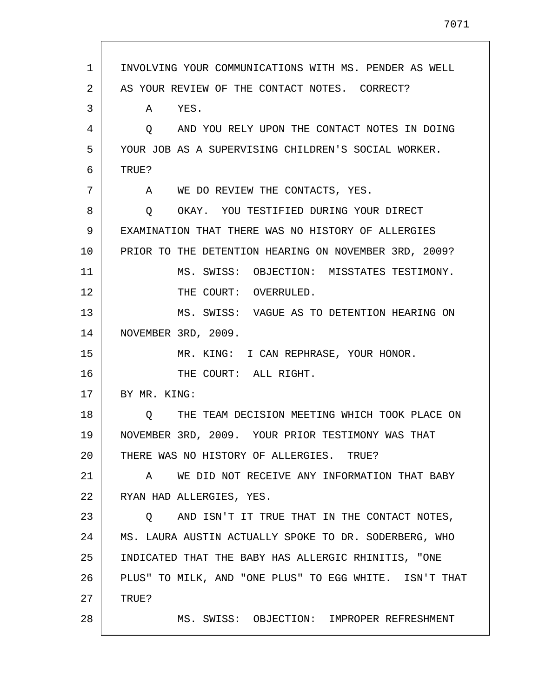| $\mathbf{1}$ | INVOLVING YOUR COMMUNICATIONS WITH MS. PENDER AS WELL  |
|--------------|--------------------------------------------------------|
| 2            | AS YOUR REVIEW OF THE CONTACT NOTES. CORRECT?          |
| 3            | A YES.                                                 |
| 4            | O AND YOU RELY UPON THE CONTACT NOTES IN DOING         |
| 5            | YOUR JOB AS A SUPERVISING CHILDREN'S SOCIAL WORKER.    |
| 6            | TRUE?                                                  |
| 7            | A WE DO REVIEW THE CONTACTS, YES.                      |
| 8            | OKAY. YOU TESTIFIED DURING YOUR DIRECT<br>Q            |
| 9            | EXAMINATION THAT THERE WAS NO HISTORY OF ALLERGIES     |
| 10           | PRIOR TO THE DETENTION HEARING ON NOVEMBER 3RD, 2009?  |
| 11           | MS. SWISS: OBJECTION: MISSTATES TESTIMONY.             |
| 12           | THE COURT: OVERRULED.                                  |
| 13           | MS. SWISS: VAGUE AS TO DETENTION HEARING ON            |
| 14           | NOVEMBER 3RD, 2009.                                    |
| 15           | MR. KING: I CAN REPHRASE, YOUR HONOR.                  |
| 16           | THE COURT: ALL RIGHT.                                  |
| 17           | BY MR. KING:                                           |
| 18           | O THE TEAM DECISION MEETING WHICH TOOK PLACE ON        |
| 19           | NOVEMBER 3RD, 2009. YOUR PRIOR TESTIMONY WAS THAT      |
| 20           | THERE WAS NO HISTORY OF ALLERGIES. TRUE?               |
| 21           | WE DID NOT RECEIVE ANY INFORMATION THAT BABY<br>A      |
| 22           | RYAN HAD ALLERGIES, YES.                               |
| 23           | AND ISN'T IT TRUE THAT IN THE CONTACT NOTES,<br>Q      |
| 24           | MS. LAURA AUSTIN ACTUALLY SPOKE TO DR. SODERBERG, WHO  |
| 25           | INDICATED THAT THE BABY HAS ALLERGIC RHINITIS, "ONE    |
| 26           | PLUS" TO MILK, AND "ONE PLUS" TO EGG WHITE. ISN'T THAT |
| 27           | TRUE?                                                  |
| 28           | MS. SWISS: OBJECTION: IMPROPER REFRESHMENT             |
|              |                                                        |

 $\mathsf{l}$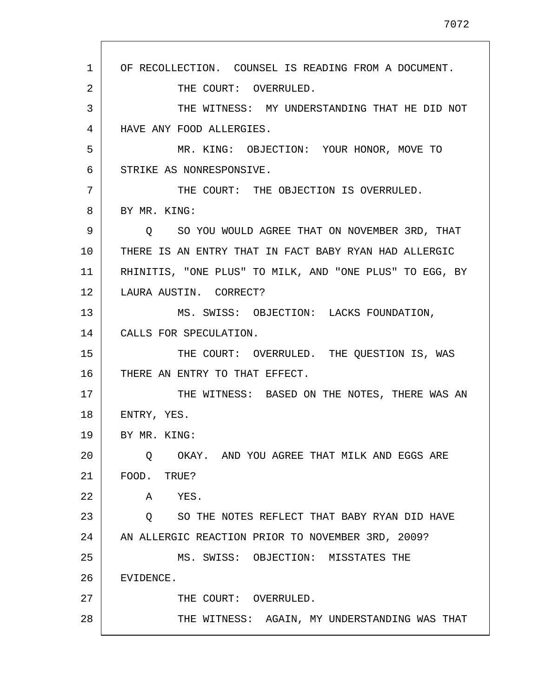1 2 3 4 5 6 7 8 9 10 11 12 13 14 15 16 17 18 19 20 21 22 23 24 25 26 27 28 OF RECOLLECTION. COUNSEL IS READING FROM A DOCUMENT. THE COURT: OVERRULED. THE WITNESS: MY UNDERSTANDING THAT HE DID NOT HAVE ANY FOOD ALLERGIES. MR. KING: OBJECTION: YOUR HONOR, MOVE TO STRIKE AS NONRESPONSIVE. THE COURT: THE OBJECTION IS OVERRULED. BY MR. KING: Q SO YOU WOULD AGREE THAT ON NOVEMBER 3RD, THAT THERE IS AN ENTRY THAT IN FACT BABY RYAN HAD ALLERGIC RHINITIS, "ONE PLUS" TO MILK, AND "ONE PLUS" TO EGG, BY LAURA AUSTIN. CORRECT? MS. SWISS: OBJECTION: LACKS FOUNDATION, CALLS FOR SPECULATION. THE COURT: OVERRULED. THE QUESTION IS, WAS THERE AN ENTRY TO THAT EFFECT. THE WITNESS: BASED ON THE NOTES, THERE WAS AN ENTRY, YES. BY MR. KING: Q OKAY. AND YOU AGREE THAT MILK AND EGGS ARE FOOD. TRUE? A YES. Q SO THE NOTES REFLECT THAT BABY RYAN DID HAVE AN ALLERGIC REACTION PRIOR TO NOVEMBER 3RD, 2009? MS. SWISS: OBJECTION: MISSTATES THE EVIDENCE. THE COURT: OVERRULED. THE WITNESS: AGAIN, MY UNDERSTANDING WAS THAT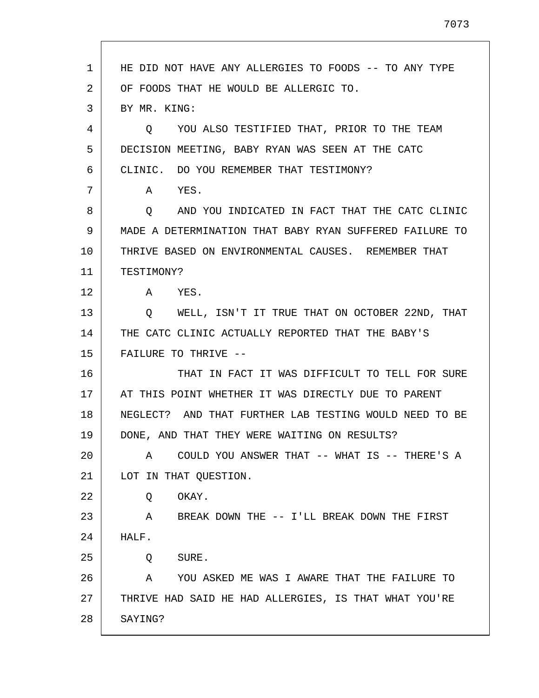| 1  | HE DID NOT HAVE ANY ALLERGIES TO FOODS -- TO ANY TYPE     |
|----|-----------------------------------------------------------|
| 2  | OF FOODS THAT HE WOULD BE ALLERGIC TO.                    |
| 3  | BY MR. KING:                                              |
| 4  | YOU ALSO TESTIFIED THAT, PRIOR TO THE TEAM<br>$\circ$     |
| 5  | DECISION MEETING, BABY RYAN WAS SEEN AT THE CATC          |
| 6  | CLINIC. DO YOU REMEMBER THAT TESTIMONY?                   |
| 7  | YES.<br>A                                                 |
| 8  | AND YOU INDICATED IN FACT THAT THE CATC CLINIC<br>$\circ$ |
| 9  | MADE A DETERMINATION THAT BABY RYAN SUFFERED FAILURE TO   |
| 10 | THRIVE BASED ON ENVIRONMENTAL CAUSES. REMEMBER THAT       |
| 11 | TESTIMONY?                                                |
| 12 | A YES.                                                    |
| 13 | WELL, ISN'T IT TRUE THAT ON OCTOBER 22ND, THAT<br>O       |
| 14 | THE CATC CLINIC ACTUALLY REPORTED THAT THE BABY'S         |
| 15 | FAILURE TO THRIVE --                                      |
| 16 | THAT IN FACT IT WAS DIFFICULT TO TELL FOR SURE            |
| 17 | AT THIS POINT WHETHER IT WAS DIRECTLY DUE TO PARENT       |
| 18 | NEGLECT? AND THAT FURTHER LAB TESTING WOULD NEED TO BE    |
| 19 | DONE, AND THAT THEY WERE WAITING ON RESULTS?              |
| 20 | COULD YOU ANSWER THAT -- WHAT IS -- THERE'S A<br>A        |
| 21 | LOT IN THAT OUESTION.                                     |
| 22 | OKAY.<br>Q                                                |
| 23 | BREAK DOWN THE -- I'LL BREAK DOWN THE FIRST<br>A          |
| 24 | HALF.                                                     |
| 25 | SURE.<br>Q                                                |
| 26 | YOU ASKED ME WAS I AWARE THAT THE FAILURE TO<br>A         |
| 27 | THRIVE HAD SAID HE HAD ALLERGIES, IS THAT WHAT YOU'RE     |
| 28 | SAYING?                                                   |

Г

L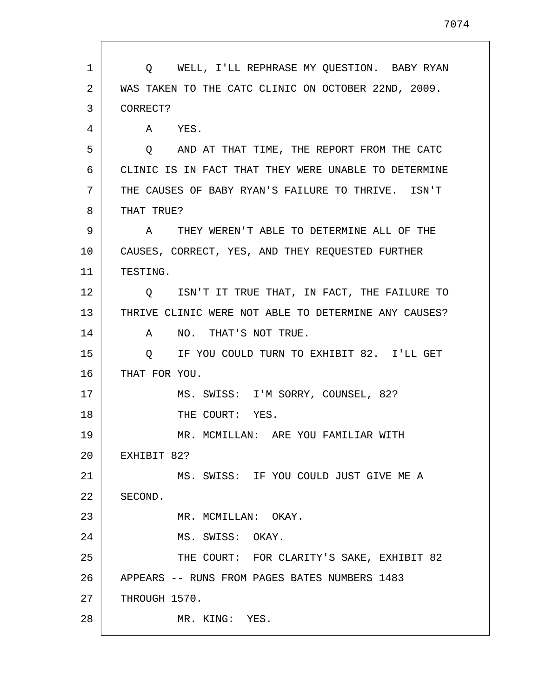1 2 3 4 5 6 7 8 9 10 11 12 13 14 15 16 17 18 19 20 21 22 23 24 25 26 27 28 Q WELL, I'LL REPHRASE MY QUESTION. BABY RYAN WAS TAKEN TO THE CATC CLINIC ON OCTOBER 22ND, 2009. CORRECT? A YES. Q AND AT THAT TIME, THE REPORT FROM THE CATC CLINIC IS IN FACT THAT THEY WERE UNABLE TO DETERMINE THE CAUSES OF BABY RYAN'S FAILURE TO THRIVE. ISN'T THAT TRUE? A THEY WEREN'T ABLE TO DETERMINE ALL OF THE CAUSES, CORRECT, YES, AND THEY REQUESTED FURTHER TESTING. Q ISN'T IT TRUE THAT, IN FACT, THE FAILURE TO THRIVE CLINIC WERE NOT ABLE TO DETERMINE ANY CAUSES? A NO. THAT'S NOT TRUE. Q IF YOU COULD TURN TO EXHIBIT 82. I'LL GET THAT FOR YOU. MS. SWISS: I'M SORRY, COUNSEL, 82? THE COURT: YES. MR. MCMILLAN: ARE YOU FAMILIAR WITH EXHIBIT 82? MS. SWISS: IF YOU COULD JUST GIVE ME A SECOND. MR. MCMILLAN: OKAY. MS. SWISS: OKAY. THE COURT: FOR CLARITY'S SAKE, EXHIBIT 82 APPEARS -- RUNS FROM PAGES BATES NUMBERS 1483 THROUGH 1570. MR. KING: YES.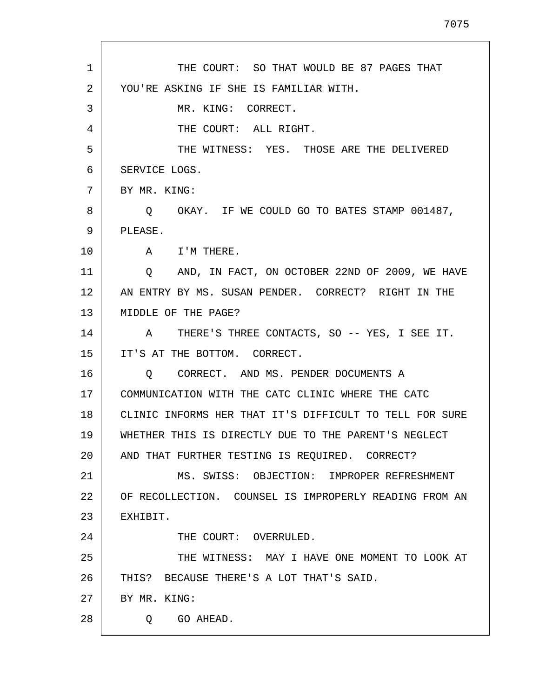| THE COURT: SO THAT WOULD BE 87 PAGES THAT<br>1<br>2<br>YOU'RE ASKING IF SHE IS FAMILIAR WITH.<br>3<br>MR. KING: CORRECT.<br>THE COURT: ALL RIGHT.<br>4<br>5<br>SERVICE LOGS.<br>6<br>7<br>BY MR. KING:<br>8<br>Q<br>9<br>PLEASE.<br>10<br>I'M THERE.<br>A<br>11<br>Q<br>12<br>13<br>MIDDLE OF THE PAGE?<br>14<br>A<br>15<br>IT'S AT THE BOTTOM. CORRECT.<br>16<br>CORRECT. AND MS. PENDER DOCUMENTS A<br>0<br>17<br>COMMUNICATION WITH THE CATC CLINIC WHERE THE CATC<br>18<br>19<br>20<br>AND THAT FURTHER TESTING IS REQUIRED. CORRECT?<br>21<br>22<br>23<br>EXHIBIT.<br>24<br>THE COURT: OVERRULED.<br>25<br>26<br>THIS? BECAUSE THERE'S A LOT THAT'S SAID.<br>27<br>BY MR. KING: |                                                         |
|--------------------------------------------------------------------------------------------------------------------------------------------------------------------------------------------------------------------------------------------------------------------------------------------------------------------------------------------------------------------------------------------------------------------------------------------------------------------------------------------------------------------------------------------------------------------------------------------------------------------------------------------------------------------------------------|---------------------------------------------------------|
|                                                                                                                                                                                                                                                                                                                                                                                                                                                                                                                                                                                                                                                                                      |                                                         |
|                                                                                                                                                                                                                                                                                                                                                                                                                                                                                                                                                                                                                                                                                      |                                                         |
|                                                                                                                                                                                                                                                                                                                                                                                                                                                                                                                                                                                                                                                                                      |                                                         |
|                                                                                                                                                                                                                                                                                                                                                                                                                                                                                                                                                                                                                                                                                      |                                                         |
|                                                                                                                                                                                                                                                                                                                                                                                                                                                                                                                                                                                                                                                                                      | THE WITNESS: YES. THOSE ARE THE DELIVERED               |
|                                                                                                                                                                                                                                                                                                                                                                                                                                                                                                                                                                                                                                                                                      |                                                         |
|                                                                                                                                                                                                                                                                                                                                                                                                                                                                                                                                                                                                                                                                                      |                                                         |
|                                                                                                                                                                                                                                                                                                                                                                                                                                                                                                                                                                                                                                                                                      | OKAY. IF WE COULD GO TO BATES STAMP 001487,             |
|                                                                                                                                                                                                                                                                                                                                                                                                                                                                                                                                                                                                                                                                                      |                                                         |
|                                                                                                                                                                                                                                                                                                                                                                                                                                                                                                                                                                                                                                                                                      |                                                         |
|                                                                                                                                                                                                                                                                                                                                                                                                                                                                                                                                                                                                                                                                                      | AND, IN FACT, ON OCTOBER 22ND OF 2009, WE HAVE          |
|                                                                                                                                                                                                                                                                                                                                                                                                                                                                                                                                                                                                                                                                                      | AN ENTRY BY MS. SUSAN PENDER. CORRECT? RIGHT IN THE     |
|                                                                                                                                                                                                                                                                                                                                                                                                                                                                                                                                                                                                                                                                                      |                                                         |
|                                                                                                                                                                                                                                                                                                                                                                                                                                                                                                                                                                                                                                                                                      | THERE'S THREE CONTACTS, SO -- YES, I SEE IT.            |
|                                                                                                                                                                                                                                                                                                                                                                                                                                                                                                                                                                                                                                                                                      |                                                         |
|                                                                                                                                                                                                                                                                                                                                                                                                                                                                                                                                                                                                                                                                                      |                                                         |
|                                                                                                                                                                                                                                                                                                                                                                                                                                                                                                                                                                                                                                                                                      |                                                         |
|                                                                                                                                                                                                                                                                                                                                                                                                                                                                                                                                                                                                                                                                                      | CLINIC INFORMS HER THAT IT'S DIFFICULT TO TELL FOR SURE |
|                                                                                                                                                                                                                                                                                                                                                                                                                                                                                                                                                                                                                                                                                      | WHETHER THIS IS DIRECTLY DUE TO THE PARENT'S NEGLECT    |
|                                                                                                                                                                                                                                                                                                                                                                                                                                                                                                                                                                                                                                                                                      |                                                         |
|                                                                                                                                                                                                                                                                                                                                                                                                                                                                                                                                                                                                                                                                                      | MS. SWISS: OBJECTION: IMPROPER REFRESHMENT              |
|                                                                                                                                                                                                                                                                                                                                                                                                                                                                                                                                                                                                                                                                                      | OF RECOLLECTION. COUNSEL IS IMPROPERLY READING FROM AN  |
|                                                                                                                                                                                                                                                                                                                                                                                                                                                                                                                                                                                                                                                                                      |                                                         |
|                                                                                                                                                                                                                                                                                                                                                                                                                                                                                                                                                                                                                                                                                      |                                                         |
|                                                                                                                                                                                                                                                                                                                                                                                                                                                                                                                                                                                                                                                                                      | THE WITNESS: MAY I HAVE ONE MOMENT TO LOOK AT           |
|                                                                                                                                                                                                                                                                                                                                                                                                                                                                                                                                                                                                                                                                                      |                                                         |
|                                                                                                                                                                                                                                                                                                                                                                                                                                                                                                                                                                                                                                                                                      |                                                         |
| 28<br>Q GO AHEAD.                                                                                                                                                                                                                                                                                                                                                                                                                                                                                                                                                                                                                                                                    |                                                         |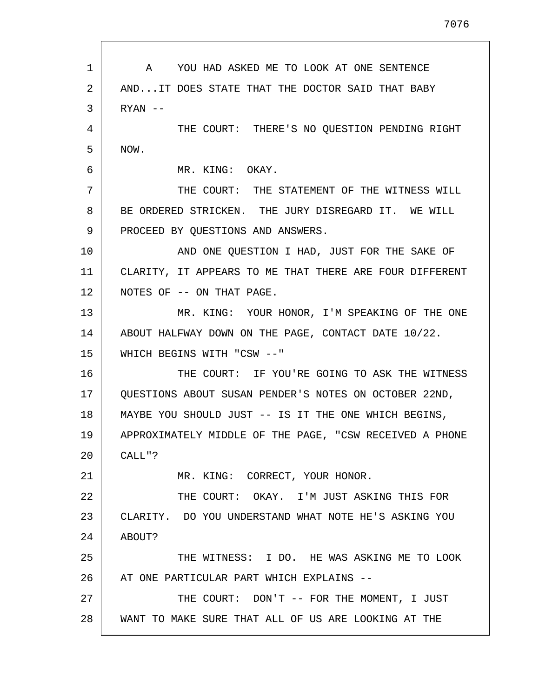1 2 3 4 5 6 7 8 9 10 11 12 13 14 15 16 17 18 19 20 21 22 23 24 25 26 27 28 A YOU HAD ASKED ME TO LOOK AT ONE SENTENCE AND...IT DOES STATE THAT THE DOCTOR SAID THAT BABY RYAN -- THE COURT: THERE'S NO QUESTION PENDING RIGHT NOW. MR. KING: OKAY. THE COURT: THE STATEMENT OF THE WITNESS WILL BE ORDERED STRICKEN. THE JURY DISREGARD IT. WE WILL PROCEED BY QUESTIONS AND ANSWERS. AND ONE QUESTION I HAD, JUST FOR THE SAKE OF CLARITY, IT APPEARS TO ME THAT THERE ARE FOUR DIFFERENT NOTES OF -- ON THAT PAGE. MR. KING: YOUR HONOR, I'M SPEAKING OF THE ONE ABOUT HALFWAY DOWN ON THE PAGE, CONTACT DATE 10/22. WHICH BEGINS WITH "CSW --" THE COURT: IF YOU'RE GOING TO ASK THE WITNESS QUESTIONS ABOUT SUSAN PENDER'S NOTES ON OCTOBER 22ND, MAYBE YOU SHOULD JUST -- IS IT THE ONE WHICH BEGINS, APPROXIMATELY MIDDLE OF THE PAGE, "CSW RECEIVED A PHONE CALL"? MR. KING: CORRECT, YOUR HONOR. THE COURT: OKAY. I'M JUST ASKING THIS FOR CLARITY. DO YOU UNDERSTAND WHAT NOTE HE'S ASKING YOU ABOUT? THE WITNESS: I DO. HE WAS ASKING ME TO LOOK AT ONE PARTICULAR PART WHICH EXPLAINS -- THE COURT: DON'T -- FOR THE MOMENT, I JUST WANT TO MAKE SURE THAT ALL OF US ARE LOOKING AT THE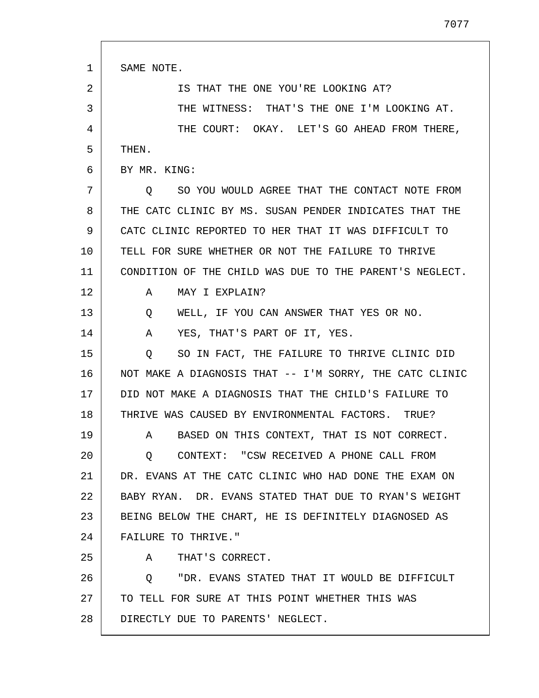| 1  | SAME NOTE.                                                  |
|----|-------------------------------------------------------------|
| 2  | IS THAT THE ONE YOU'RE LOOKING AT?                          |
| 3  | THE WITNESS: THAT'S THE ONE I'M LOOKING AT.                 |
| 4  | THE COURT: OKAY. LET'S GO AHEAD FROM THERE,                 |
| 5  | THEN.                                                       |
| 6  | BY MR. KING:                                                |
| 7  | SO YOU WOULD AGREE THAT THE CONTACT NOTE FROM<br>$\circ$    |
| 8  | THE CATC CLINIC BY MS. SUSAN PENDER INDICATES THAT THE      |
| 9  | CATC CLINIC REPORTED TO HER THAT IT WAS DIFFICULT TO        |
| 10 | TELL FOR SURE WHETHER OR NOT THE FAILURE TO THRIVE          |
| 11 | CONDITION OF THE CHILD WAS DUE TO THE PARENT'S NEGLECT.     |
| 12 | MAY I EXPLAIN?<br>A                                         |
| 13 | WELL, IF YOU CAN ANSWER THAT YES OR NO.<br>Q                |
| 14 | Α<br>YES, THAT'S PART OF IT, YES.                           |
| 15 | SO IN FACT, THE FAILURE TO THRIVE CLINIC DID<br>O           |
| 16 | NOT MAKE A DIAGNOSIS THAT -- I'M SORRY, THE CATC CLINIC     |
| 17 | DID NOT MAKE A DIAGNOSIS THAT THE CHILD'S FAILURE TO        |
| 18 | THRIVE WAS CAUSED BY ENVIRONMENTAL FACTORS. TRUE?           |
| 19 | BASED ON THIS CONTEXT, THAT IS NOT CORRECT.<br>$\mathbf{A}$ |
| 20 | CONTEXT: "CSW RECEIVED A PHONE CALL FROM<br>Q               |
| 21 | DR. EVANS AT THE CATC CLINIC WHO HAD DONE THE EXAM ON       |
| 22 | BABY RYAN. DR. EVANS STATED THAT DUE TO RYAN'S WEIGHT       |
| 23 | BEING BELOW THE CHART, HE IS DEFINITELY DIAGNOSED AS        |
| 24 | FAILURE TO THRIVE."                                         |
| 25 | THAT'S CORRECT.<br>A                                        |
| 26 | "DR. EVANS STATED THAT IT WOULD BE DIFFICULT<br>O           |
| 27 | TO TELL FOR SURE AT THIS POINT WHETHER THIS WAS             |
| 28 | DIRECTLY DUE TO PARENTS' NEGLECT.                           |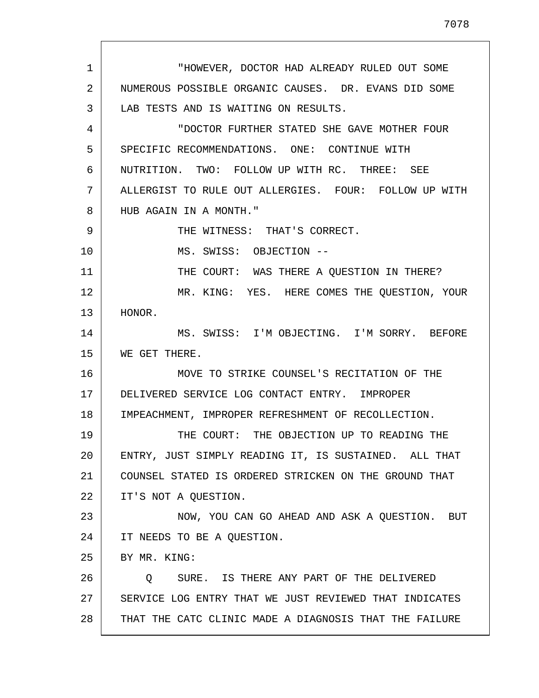1 2 3 4 5 6 7 8 9 10 11 12 13 14 15 16 17 18 19 20 21 22 23 24 25 26 27 28 "HOWEVER, DOCTOR HAD ALREADY RULED OUT SOME NUMEROUS POSSIBLE ORGANIC CAUSES. DR. EVANS DID SOME LAB TESTS AND IS WAITING ON RESULTS. "DOCTOR FURTHER STATED SHE GAVE MOTHER FOUR SPECIFIC RECOMMENDATIONS. ONE: CONTINUE WITH NUTRITION. TWO: FOLLOW UP WITH RC. THREE: SEE ALLERGIST TO RULE OUT ALLERGIES. FOUR: FOLLOW UP WITH HUB AGAIN IN A MONTH." THE WITNESS: THAT'S CORRECT. MS. SWISS: OBJECTION -- THE COURT: WAS THERE A QUESTION IN THERE? MR. KING: YES. HERE COMES THE QUESTION, YOUR HONOR. MS. SWISS: I'M OBJECTING. I'M SORRY. BEFORE WE GET THERE. MOVE TO STRIKE COUNSEL'S RECITATION OF THE DELIVERED SERVICE LOG CONTACT ENTRY. IMPROPER IMPEACHMENT, IMPROPER REFRESHMENT OF RECOLLECTION. THE COURT: THE OBJECTION UP TO READING THE ENTRY, JUST SIMPLY READING IT, IS SUSTAINED. ALL THAT COUNSEL STATED IS ORDERED STRICKEN ON THE GROUND THAT IT'S NOT A QUESTION. NOW, YOU CAN GO AHEAD AND ASK A QUESTION. BUT IT NEEDS TO BE A QUESTION. BY MR. KING: Q SURE. IS THERE ANY PART OF THE DELIVERED SERVICE LOG ENTRY THAT WE JUST REVIEWED THAT INDICATES THAT THE CATC CLINIC MADE A DIAGNOSIS THAT THE FAILURE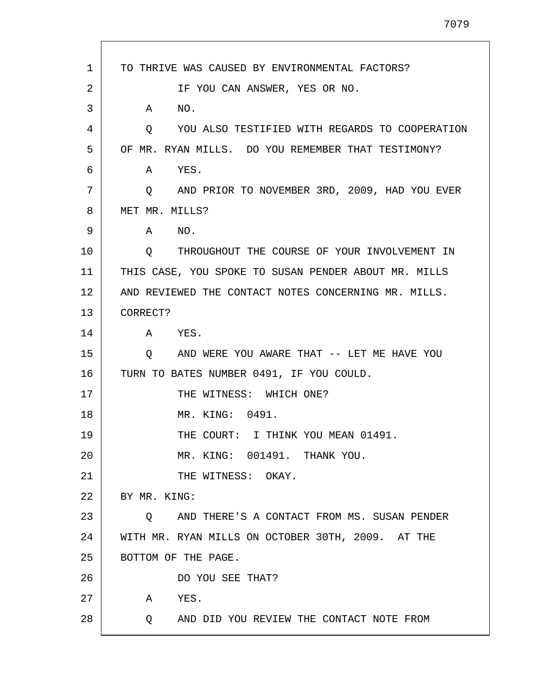1 2 3 4 5 6 7 8 9 10 11 12 13 14 15 16 17 18 19 20 21  $2.2<sub>2</sub>$ 23 24 25 26 27 28 TO THRIVE WAS CAUSED BY ENVIRONMENTAL FACTORS? IF YOU CAN ANSWER, YES OR NO. A NO. Q YOU ALSO TESTIFIED WITH REGARDS TO COOPERATION OF MR. RYAN MILLS. DO YOU REMEMBER THAT TESTIMONY? A YES. Q AND PRIOR TO NOVEMBER 3RD, 2009, HAD YOU EVER MET MR. MILLS? A NO. Q THROUGHOUT THE COURSE OF YOUR INVOLVEMENT IN THIS CASE, YOU SPOKE TO SUSAN PENDER ABOUT MR. MILLS AND REVIEWED THE CONTACT NOTES CONCERNING MR. MILLS. CORRECT? A YES. Q AND WERE YOU AWARE THAT -- LET ME HAVE YOU TURN TO BATES NUMBER 0491, IF YOU COULD. THE WITNESS: WHICH ONE? MR. KING: 0491. THE COURT: I THINK YOU MEAN 01491. MR. KING: 001491. THANK YOU. THE WITNESS: OKAY. BY MR. KING: Q AND THERE'S A CONTACT FROM MS. SUSAN PENDER WITH MR. RYAN MILLS ON OCTOBER 30TH, 2009. AT THE BOTTOM OF THE PAGE. DO YOU SEE THAT? A YES. Q AND DID YOU REVIEW THE CONTACT NOTE FROM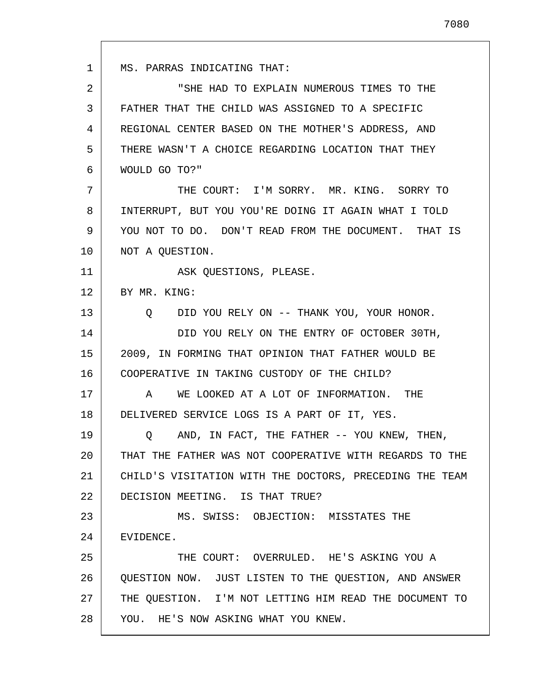1 2 3 4 5 6 7 8 9 10 11 12 13 14 15 16 17 18 19 20 21 22 23 24 25 26 27 28 MS. PARRAS INDICATING THAT: "SHE HAD TO EXPLAIN NUMEROUS TIMES TO THE FATHER THAT THE CHILD WAS ASSIGNED TO A SPECIFIC REGIONAL CENTER BASED ON THE MOTHER'S ADDRESS, AND THERE WASN'T A CHOICE REGARDING LOCATION THAT THEY WOULD GO TO?" THE COURT: I'M SORRY. MR. KING. SORRY TO INTERRUPT, BUT YOU YOU'RE DOING IT AGAIN WHAT I TOLD YOU NOT TO DO. DON'T READ FROM THE DOCUMENT. THAT IS NOT A QUESTION. ASK QUESTIONS, PLEASE. BY MR. KING: Q DID YOU RELY ON -- THANK YOU, YOUR HONOR. DID YOU RELY ON THE ENTRY OF OCTOBER 30TH, 2009, IN FORMING THAT OPINION THAT FATHER WOULD BE COOPERATIVE IN TAKING CUSTODY OF THE CHILD? A WE LOOKED AT A LOT OF INFORMATION. THE DELIVERED SERVICE LOGS IS A PART OF IT, YES. Q AND, IN FACT, THE FATHER -- YOU KNEW, THEN, THAT THE FATHER WAS NOT COOPERATIVE WITH REGARDS TO THE CHILD'S VISITATION WITH THE DOCTORS, PRECEDING THE TEAM DECISION MEETING. IS THAT TRUE? MS. SWISS: OBJECTION: MISSTATES THE EVIDENCE. THE COURT: OVERRULED. HE'S ASKING YOU A QUESTION NOW. JUST LISTEN TO THE QUESTION, AND ANSWER THE QUESTION. I'M NOT LETTING HIM READ THE DOCUMENT TO YOU. HE'S NOW ASKING WHAT YOU KNEW.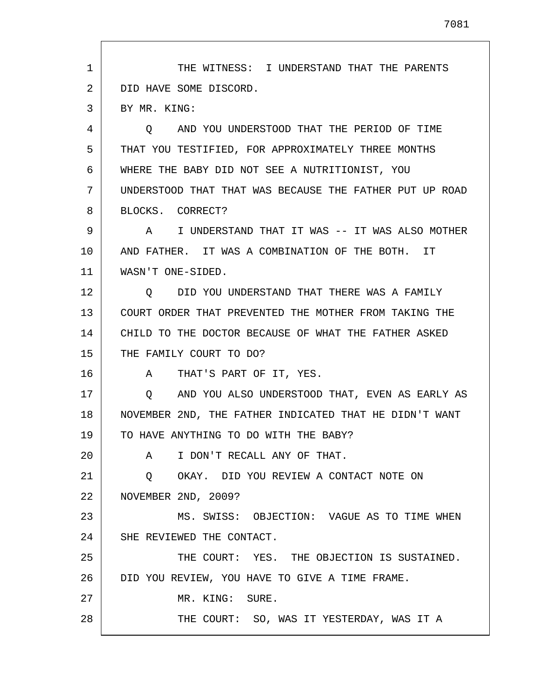1 2 3 4 5 6 7 8 9 10 11 12 13 14 15 16 17 18 19 20 21 22 23 24 25 26 27 28 THE WITNESS: I UNDERSTAND THAT THE PARENTS DID HAVE SOME DISCORD. BY MR. KING: Q AND YOU UNDERSTOOD THAT THE PERIOD OF TIME THAT YOU TESTIFIED, FOR APPROXIMATELY THREE MONTHS WHERE THE BABY DID NOT SEE A NUTRITIONIST, YOU UNDERSTOOD THAT THAT WAS BECAUSE THE FATHER PUT UP ROAD BLOCKS. CORRECT? A I UNDERSTAND THAT IT WAS -- IT WAS ALSO MOTHER AND FATHER. IT WAS A COMBINATION OF THE BOTH. IT WASN'T ONE-SIDED. Q DID YOU UNDERSTAND THAT THERE WAS A FAMILY COURT ORDER THAT PREVENTED THE MOTHER FROM TAKING THE CHILD TO THE DOCTOR BECAUSE OF WHAT THE FATHER ASKED THE FAMILY COURT TO DO? A THAT'S PART OF IT, YES. Q AND YOU ALSO UNDERSTOOD THAT, EVEN AS EARLY AS NOVEMBER 2ND, THE FATHER INDICATED THAT HE DIDN'T WANT TO HAVE ANYTHING TO DO WITH THE BABY? A I DON'T RECALL ANY OF THAT. Q OKAY. DID YOU REVIEW A CONTACT NOTE ON NOVEMBER 2ND, 2009? MS. SWISS: OBJECTION: VAGUE AS TO TIME WHEN SHE REVIEWED THE CONTACT. THE COURT: YES. THE OBJECTION IS SUSTAINED. DID YOU REVIEW, YOU HAVE TO GIVE A TIME FRAME. MR. KING: SURE. THE COURT: SO, WAS IT YESTERDAY, WAS IT A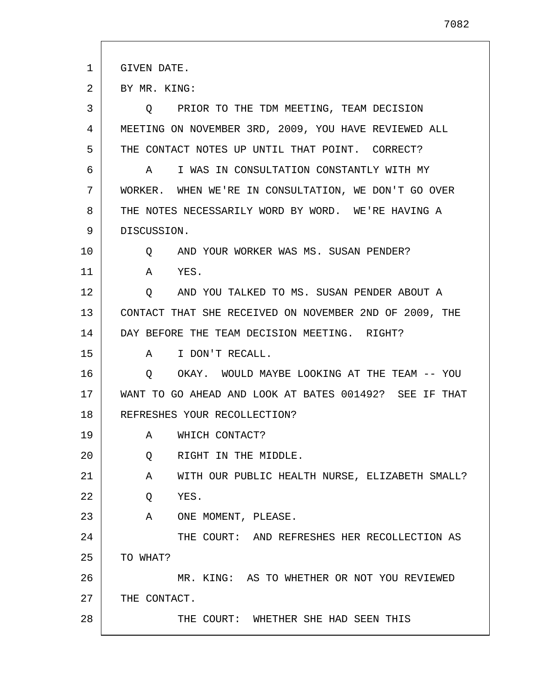1 GIVEN DATE.

2 BY MR. KING:

| 3  | Q PRIOR TO THE TDM MEETING, TEAM DECISION              |
|----|--------------------------------------------------------|
| 4  | MEETING ON NOVEMBER 3RD, 2009, YOU HAVE REVIEWED ALL   |
| 5  | THE CONTACT NOTES UP UNTIL THAT POINT. CORRECT?        |
| 6  | I WAS IN CONSULTATION CONSTANTLY WITH MY<br>A          |
| 7  | WORKER. WHEN WE'RE IN CONSULTATION, WE DON'T GO OVER   |
| 8  | THE NOTES NECESSARILY WORD BY WORD. WE'RE HAVING A     |
| 9  | DISCUSSION.                                            |
| 10 | AND YOUR WORKER WAS MS. SUSAN PENDER?<br>Q             |
| 11 | YES.<br>A                                              |
| 12 | AND YOU TALKED TO MS. SUSAN PENDER ABOUT A<br>$\circ$  |
| 13 | CONTACT THAT SHE RECEIVED ON NOVEMBER 2ND OF 2009, THE |
| 14 | DAY BEFORE THE TEAM DECISION MEETING. RIGHT?           |
| 15 | I DON'T RECALL.<br>A                                   |
| 16 | O OKAY. WOULD MAYBE LOOKING AT THE TEAM -- YOU         |
| 17 | WANT TO GO AHEAD AND LOOK AT BATES 001492? SEE IF THAT |
| 18 | REFRESHES YOUR RECOLLECTION?                           |
| 19 | WHICH CONTACT?<br>A                                    |
| 20 | RIGHT IN THE MIDDLE.<br>Q                              |
| 21 | WITH OUR PUBLIC HEALTH NURSE, ELIZABETH SMALL?<br>A    |
| 22 | YES.<br>Q                                              |
| 23 | ONE MOMENT, PLEASE.<br>A                               |
| 24 | THE COURT: AND REFRESHES HER RECOLLECTION AS           |
| 25 | TO WHAT?                                               |
| 26 | MR. KING: AS TO WHETHER OR NOT YOU REVIEWED            |
| 27 | THE CONTACT.                                           |
| 28 | THE COURT: WHETHER SHE HAD SEEN THIS                   |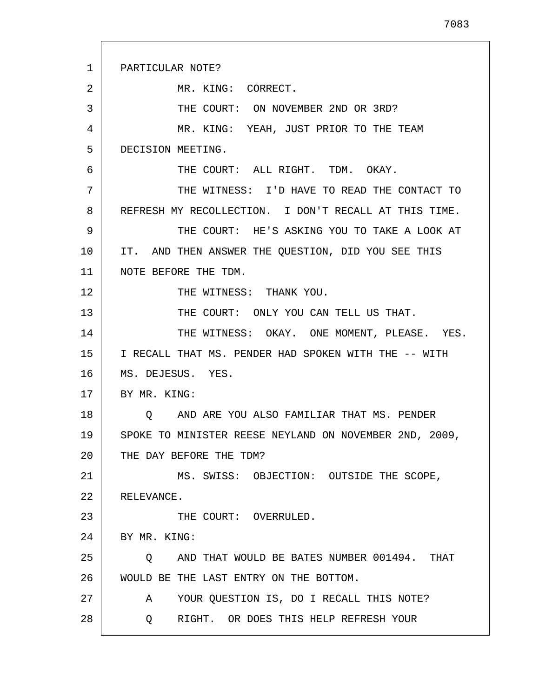| $\mathbf 1$ | PARTICULAR NOTE?                                         |
|-------------|----------------------------------------------------------|
| 2           | MR. KING: CORRECT.                                       |
| 3           | THE COURT: ON NOVEMBER 2ND OR 3RD?                       |
| 4           | MR. KING: YEAH, JUST PRIOR TO THE TEAM                   |
| 5           | DECISION MEETING.                                        |
| 6           | THE COURT: ALL RIGHT. TDM. OKAY.                         |
| 7           | THE WITNESS: I'D HAVE TO READ THE CONTACT TO             |
| 8           | REFRESH MY RECOLLECTION. I DON'T RECALL AT THIS TIME.    |
| 9           | THE COURT: HE'S ASKING YOU TO TAKE A LOOK AT             |
| 10          | IT. AND THEN ANSWER THE QUESTION, DID YOU SEE THIS       |
| 11          | NOTE BEFORE THE TDM.                                     |
| 12          | THE WITNESS: THANK YOU.                                  |
| 13          | THE COURT: ONLY YOU CAN TELL US THAT.                    |
| 14          | THE WITNESS: OKAY. ONE MOMENT, PLEASE. YES.              |
| 15          | I RECALL THAT MS. PENDER HAD SPOKEN WITH THE -- WITH     |
| 16          | MS. DEJESUS. YES.                                        |
| 17          | BY MR. KING:                                             |
| 18          | AND ARE YOU ALSO FAMILIAR THAT MS. PENDER<br>$\circ$     |
| 19          | SPOKE TO MINISTER REESE NEYLAND ON NOVEMBER 2ND, 2009,   |
| 20          | THE DAY BEFORE THE TDM?                                  |
| 21          | MS. SWISS: OBJECTION: OUTSIDE THE SCOPE,                 |
| 22          | RELEVANCE.                                               |
| 23          | THE COURT: OVERRULED.                                    |
| 24          | BY MR. KING:                                             |
| 25          | AND THAT WOULD BE BATES NUMBER 001494. THAT<br>$\circ$   |
| 26          | WOULD BE THE LAST ENTRY ON THE BOTTOM.                   |
| 27          | YOUR QUESTION IS, DO I RECALL THIS NOTE?<br>$\mathbf{A}$ |
| 28          | RIGHT. OR DOES THIS HELP REFRESH YOUR<br>O.              |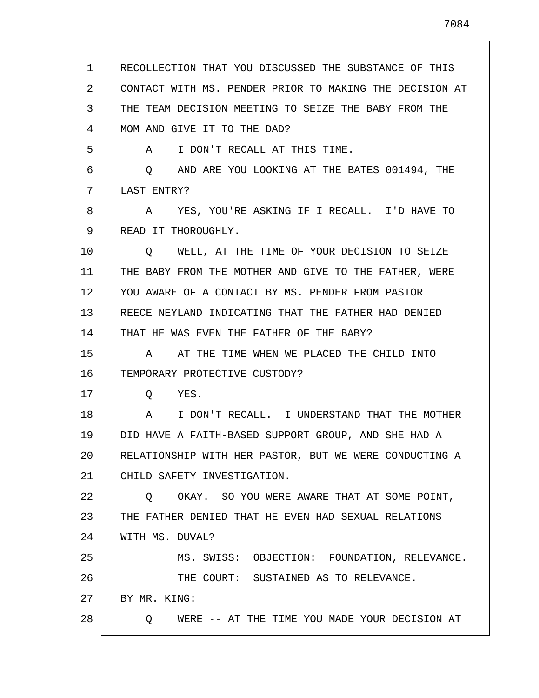1 2 3 4 5 6 7 8 9 10 11 12 13 14 15 16 17 18 19 20 21 22 23 24 25 26 27 28 RECOLLECTION THAT YOU DISCUSSED THE SUBSTANCE OF THIS CONTACT WITH MS. PENDER PRIOR TO MAKING THE DECISION AT THE TEAM DECISION MEETING TO SEIZE THE BABY FROM THE MOM AND GIVE IT TO THE DAD? A I DON'T RECALL AT THIS TIME. Q AND ARE YOU LOOKING AT THE BATES 001494, THE LAST ENTRY? A YES, YOU'RE ASKING IF I RECALL. I'D HAVE TO READ IT THOROUGHLY. Q WELL, AT THE TIME OF YOUR DECISION TO SEIZE THE BABY FROM THE MOTHER AND GIVE TO THE FATHER, WERE YOU AWARE OF A CONTACT BY MS. PENDER FROM PASTOR REECE NEYLAND INDICATING THAT THE FATHER HAD DENIED THAT HE WAS EVEN THE FATHER OF THE BABY? A AT THE TIME WHEN WE PLACED THE CHILD INTO TEMPORARY PROTECTIVE CUSTODY? Q YES. A I DON'T RECALL. I UNDERSTAND THAT THE MOTHER DID HAVE A FAITH-BASED SUPPORT GROUP, AND SHE HAD A RELATIONSHIP WITH HER PASTOR, BUT WE WERE CONDUCTING A CHILD SAFETY INVESTIGATION. Q OKAY. SO YOU WERE AWARE THAT AT SOME POINT, THE FATHER DENIED THAT HE EVEN HAD SEXUAL RELATIONS WITH MS. DUVAL? MS. SWISS: OBJECTION: FOUNDATION, RELEVANCE. THE COURT: SUSTAINED AS TO RELEVANCE. BY MR. KING: Q WERE -- AT THE TIME YOU MADE YOUR DECISION AT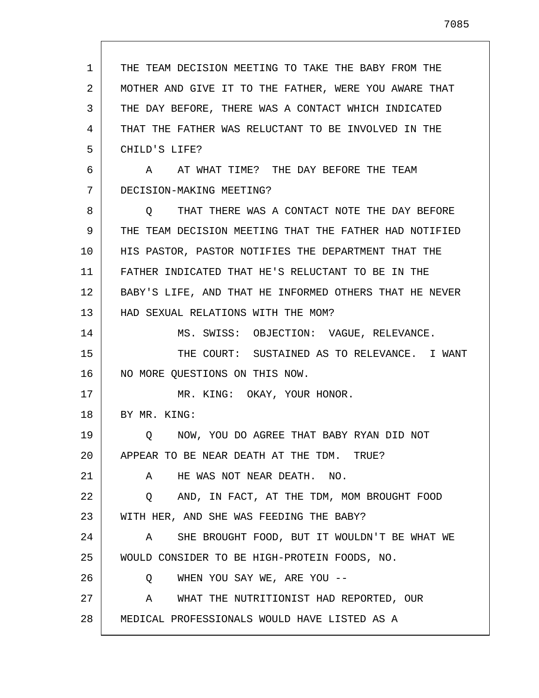1 2 3 4 5 6 7 8 9 10 11 12 13 14 15 16 17 18 19 20 21 22 23 24 25 26 27 28 THE TEAM DECISION MEETING TO TAKE THE BABY FROM THE MOTHER AND GIVE IT TO THE FATHER, WERE YOU AWARE THAT THE DAY BEFORE, THERE WAS A CONTACT WHICH INDICATED THAT THE FATHER WAS RELUCTANT TO BE INVOLVED IN THE CHILD'S LIFE? A AT WHAT TIME? THE DAY BEFORE THE TEAM DECISION-MAKING MEETING? Q THAT THERE WAS A CONTACT NOTE THE DAY BEFORE THE TEAM DECISION MEETING THAT THE FATHER HAD NOTIFIED HIS PASTOR, PASTOR NOTIFIES THE DEPARTMENT THAT THE FATHER INDICATED THAT HE'S RELUCTANT TO BE IN THE BABY'S LIFE, AND THAT HE INFORMED OTHERS THAT HE NEVER HAD SEXUAL RELATIONS WITH THE MOM? MS. SWISS: OBJECTION: VAGUE, RELEVANCE. THE COURT: SUSTAINED AS TO RELEVANCE. I WANT NO MORE QUESTIONS ON THIS NOW. MR. KING: OKAY, YOUR HONOR. BY MR. KING: Q NOW, YOU DO AGREE THAT BABY RYAN DID NOT APPEAR TO BE NEAR DEATH AT THE TDM. TRUE? A HE WAS NOT NEAR DEATH. NO. Q AND, IN FACT, AT THE TDM, MOM BROUGHT FOOD WITH HER, AND SHE WAS FEEDING THE BABY? A SHE BROUGHT FOOD, BUT IT WOULDN'T BE WHAT WE WOULD CONSIDER TO BE HIGH-PROTEIN FOODS, NO. Q WHEN YOU SAY WE, ARE YOU -- A WHAT THE NUTRITIONIST HAD REPORTED, OUR MEDICAL PROFESSIONALS WOULD HAVE LISTED AS A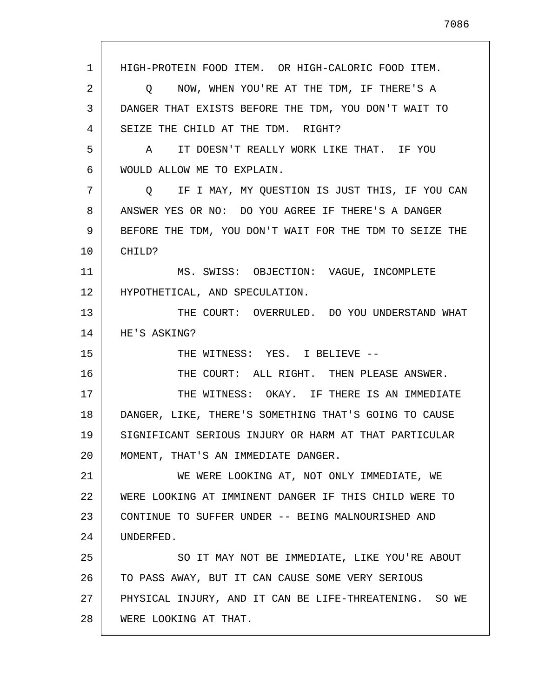1 2 3 4 5 6 7 8 9 10 11 12 13 14 15 16 17 18 19 20 21 22 23 24 25 26 27 28 HIGH-PROTEIN FOOD ITEM. OR HIGH-CALORIC FOOD ITEM. Q NOW, WHEN YOU'RE AT THE TDM, IF THERE'S A DANGER THAT EXISTS BEFORE THE TDM, YOU DON'T WAIT TO SEIZE THE CHILD AT THE TDM. RIGHT? A IT DOESN'T REALLY WORK LIKE THAT. IF YOU WOULD ALLOW ME TO EXPLAIN. Q IF I MAY, MY QUESTION IS JUST THIS, IF YOU CAN ANSWER YES OR NO: DO YOU AGREE IF THERE'S A DANGER BEFORE THE TDM, YOU DON'T WAIT FOR THE TDM TO SEIZE THE CHILD? MS. SWISS: OBJECTION: VAGUE, INCOMPLETE HYPOTHETICAL, AND SPECULATION. THE COURT: OVERRULED. DO YOU UNDERSTAND WHAT HE'S ASKING? THE WITNESS: YES. I BELIEVE --THE COURT: ALL RIGHT. THEN PLEASE ANSWER. THE WITNESS: OKAY. IF THERE IS AN IMMEDIATE DANGER, LIKE, THERE'S SOMETHING THAT'S GOING TO CAUSE SIGNIFICANT SERIOUS INJURY OR HARM AT THAT PARTICULAR MOMENT, THAT'S AN IMMEDIATE DANGER. WE WERE LOOKING AT, NOT ONLY IMMEDIATE, WE WERE LOOKING AT IMMINENT DANGER IF THIS CHILD WERE TO CONTINUE TO SUFFER UNDER -- BEING MALNOURISHED AND UNDERFED. SO IT MAY NOT BE IMMEDIATE, LIKE YOU'RE ABOUT TO PASS AWAY, BUT IT CAN CAUSE SOME VERY SERIOUS PHYSICAL INJURY, AND IT CAN BE LIFE-THREATENING. SO WE WERE LOOKING AT THAT.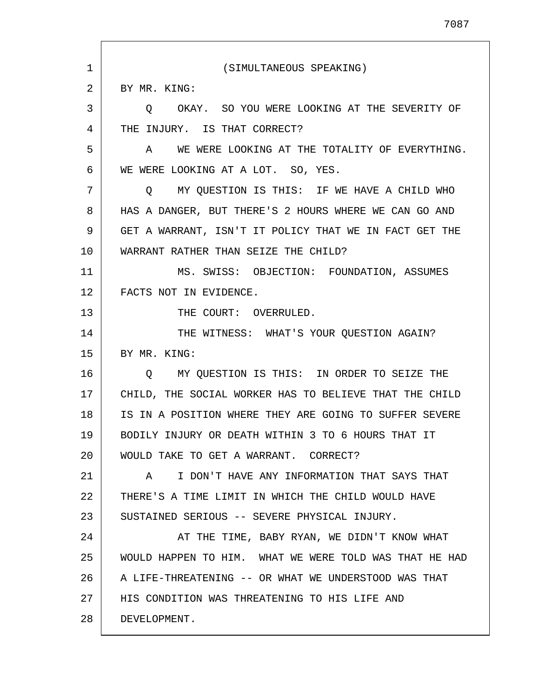1 2 3 4 5 6 7 8 9 10 11 12 13 14 15 16 17 18 19 20 21 22 23 24 25 26 27 28 (SIMULTANEOUS SPEAKING) BY MR. KING: Q OKAY. SO YOU WERE LOOKING AT THE SEVERITY OF THE INJURY. IS THAT CORRECT? A WE WERE LOOKING AT THE TOTALITY OF EVERYTHING. WE WERE LOOKING AT A LOT. SO, YES. Q MY QUESTION IS THIS: IF WE HAVE A CHILD WHO HAS A DANGER, BUT THERE'S 2 HOURS WHERE WE CAN GO AND GET A WARRANT, ISN'T IT POLICY THAT WE IN FACT GET THE WARRANT RATHER THAN SEIZE THE CHILD? MS. SWISS: OBJECTION: FOUNDATION, ASSUMES FACTS NOT IN EVIDENCE. THE COURT: OVERRULED. THE WITNESS: WHAT'S YOUR QUESTION AGAIN? BY MR. KING: Q MY QUESTION IS THIS: IN ORDER TO SEIZE THE CHILD, THE SOCIAL WORKER HAS TO BELIEVE THAT THE CHILD IS IN A POSITION WHERE THEY ARE GOING TO SUFFER SEVERE BODILY INJURY OR DEATH WITHIN 3 TO 6 HOURS THAT IT WOULD TAKE TO GET A WARRANT. CORRECT? A I DON'T HAVE ANY INFORMATION THAT SAYS THAT THERE'S A TIME LIMIT IN WHICH THE CHILD WOULD HAVE SUSTAINED SERIOUS -- SEVERE PHYSICAL INJURY. AT THE TIME, BABY RYAN, WE DIDN'T KNOW WHAT WOULD HAPPEN TO HIM. WHAT WE WERE TOLD WAS THAT HE HAD A LIFE-THREATENING -- OR WHAT WE UNDERSTOOD WAS THAT HIS CONDITION WAS THREATENING TO HIS LIFE AND DEVELOPMENT.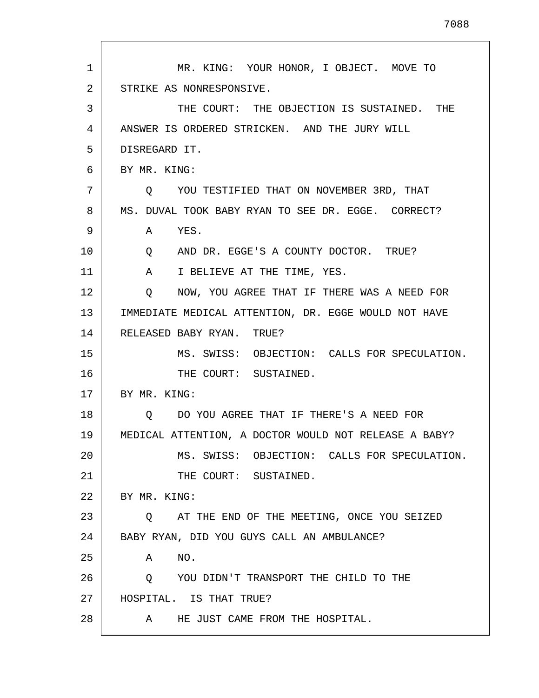| $\mathbf 1$ | MR. KING: YOUR HONOR, I OBJECT. MOVE TO               |
|-------------|-------------------------------------------------------|
| 2           | STRIKE AS NONRESPONSIVE.                              |
| 3           | THE COURT: THE OBJECTION IS SUSTAINED. THE            |
| 4           | ANSWER IS ORDERED STRICKEN. AND THE JURY WILL         |
| 5           | DISREGARD IT.                                         |
| 6           | BY MR. KING:                                          |
| 7           | YOU TESTIFIED THAT ON NOVEMBER 3RD, THAT<br>Q.        |
| 8           | MS. DUVAL TOOK BABY RYAN TO SEE DR. EGGE. CORRECT?    |
| 9           | A YES.                                                |
| 10          | Q AND DR. EGGE'S A COUNTY DOCTOR. TRUE?               |
| 11          | A I BELIEVE AT THE TIME, YES.                         |
| 12          | NOW, YOU AGREE THAT IF THERE WAS A NEED FOR<br>Q      |
| 13          | IMMEDIATE MEDICAL ATTENTION, DR. EGGE WOULD NOT HAVE  |
| 14          | RELEASED BABY RYAN. TRUE?                             |
| 15          | MS. SWISS: OBJECTION: CALLS FOR SPECULATION.          |
| 16          | THE COURT: SUSTAINED.                                 |
| 17          | BY MR. KING:                                          |
| 18          | Q DO YOU AGREE THAT IF THERE'S A NEED FOR             |
| 19          | MEDICAL ATTENTION, A DOCTOR WOULD NOT RELEASE A BABY? |
| 20          | MS. SWISS: OBJECTION: CALLS FOR SPECULATION.          |
| 21          | THE COURT: SUSTAINED.                                 |
| 22          | BY MR. KING:                                          |
| 23          | Q AT THE END OF THE MEETING, ONCE YOU SEIZED          |
| 24          | BABY RYAN, DID YOU GUYS CALL AN AMBULANCE?            |
| 25          | NO.<br>A                                              |
| 26          | Q YOU DIDN'T TRANSPORT THE CHILD TO THE               |
| 27          | HOSPITAL. IS THAT TRUE?                               |
| 28          | HE JUST CAME FROM THE HOSPITAL.<br>A                  |

 $\mathsf{l}$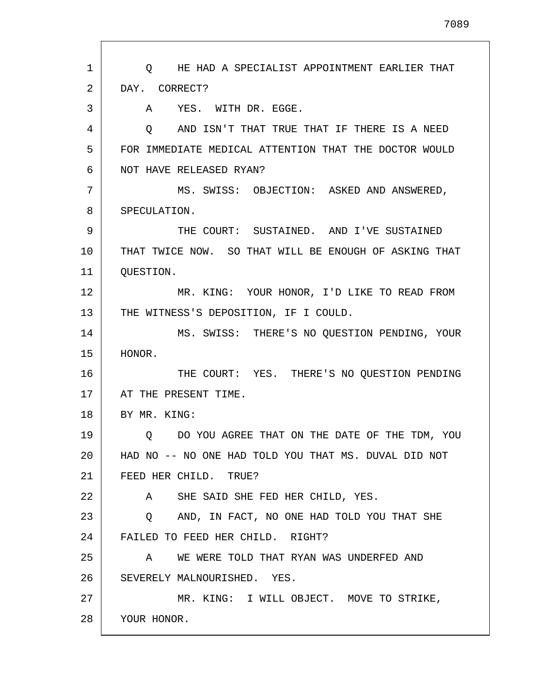| $\mathbf{1}$ | O HE HAD A SPECIALIST APPOINTMENT EARLIER THAT        |
|--------------|-------------------------------------------------------|
| 2            | DAY. CORRECT?                                         |
| 3            | YES. WITH DR. EGGE.<br>A                              |
| 4            | AND ISN'T THAT TRUE THAT IF THERE IS A NEED<br>O.     |
| 5            | FOR IMMEDIATE MEDICAL ATTENTION THAT THE DOCTOR WOULD |
| 6            | NOT HAVE RELEASED RYAN?                               |
| 7            | MS. SWISS: OBJECTION: ASKED AND ANSWERED,             |
| 8            | SPECULATION.                                          |
| 9            | THE COURT: SUSTAINED. AND I'VE SUSTAINED              |
| 10           | THAT TWICE NOW. SO THAT WILL BE ENOUGH OF ASKING THAT |
| 11           | QUESTION.                                             |
| 12           | MR. KING: YOUR HONOR, I'D LIKE TO READ FROM           |
| 13           | THE WITNESS'S DEPOSITION, IF I COULD.                 |
| 14           | MS. SWISS: THERE'S NO QUESTION PENDING, YOUR          |
| 15           | HONOR.                                                |
| 16           | THE COURT: YES. THERE'S NO QUESTION PENDING           |
| 17           | AT THE PRESENT TIME.                                  |
| 18           | BY MR. KING:                                          |
| 19           | Q DO YOU AGREE THAT ON THE DATE OF THE TDM, YOU       |
| 20           | HAD NO -- NO ONE HAD TOLD YOU THAT MS. DUVAL DID NOT  |
| 21           | FEED HER CHILD. TRUE?                                 |
| 22           | A SHE SAID SHE FED HER CHILD, YES.                    |
| 23           | Q AND, IN FACT, NO ONE HAD TOLD YOU THAT SHE          |
| 24           | FAILED TO FEED HER CHILD. RIGHT?                      |
| 25           | WE WERE TOLD THAT RYAN WAS UNDERFED AND<br>A          |
| 26           | SEVERELY MALNOURISHED. YES.                           |
| 27           | MR. KING: I WILL OBJECT. MOVE TO STRIKE,              |
| 28           | YOUR HONOR.                                           |
|              |                                                       |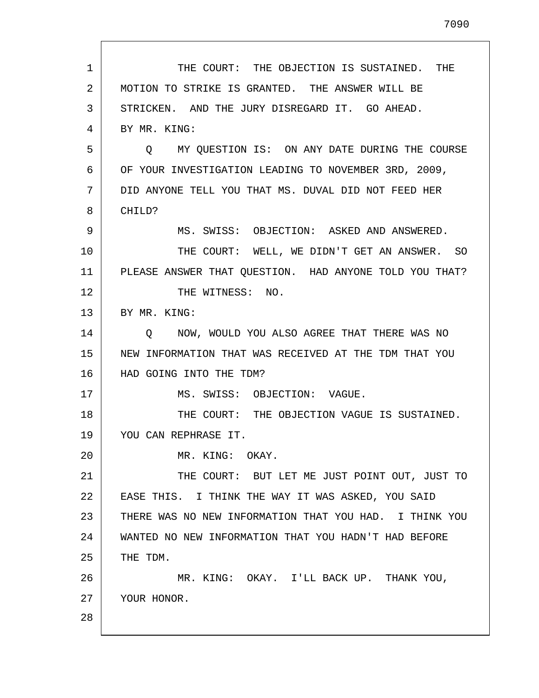1 2 3 4 5 6 7 8 9 10 11 12 13 14 15 16 17 18 19 20 21 22 23 24 25 26 27 28 THE COURT: THE OBJECTION IS SUSTAINED. THE MOTION TO STRIKE IS GRANTED. THE ANSWER WILL BE STRICKEN. AND THE JURY DISREGARD IT. GO AHEAD. BY MR. KING: Q MY QUESTION IS: ON ANY DATE DURING THE COURSE OF YOUR INVESTIGATION LEADING TO NOVEMBER 3RD, 2009, DID ANYONE TELL YOU THAT MS. DUVAL DID NOT FEED HER CHILD? MS. SWISS: OBJECTION: ASKED AND ANSWERED. THE COURT: WELL, WE DIDN'T GET AN ANSWER. SO PLEASE ANSWER THAT QUESTION. HAD ANYONE TOLD YOU THAT? THE WITNESS: NO. BY MR. KING: Q NOW, WOULD YOU ALSO AGREE THAT THERE WAS NO NEW INFORMATION THAT WAS RECEIVED AT THE TDM THAT YOU HAD GOING INTO THE TDM? MS. SWISS: OBJECTION: VAGUE. THE COURT: THE OBJECTION VAGUE IS SUSTAINED. YOU CAN REPHRASE IT. MR. KING: OKAY. THE COURT: BUT LET ME JUST POINT OUT, JUST TO EASE THIS. I THINK THE WAY IT WAS ASKED, YOU SAID THERE WAS NO NEW INFORMATION THAT YOU HAD. I THINK YOU WANTED NO NEW INFORMATION THAT YOU HADN'T HAD BEFORE THE TDM. MR. KING: OKAY. I'LL BACK UP. THANK YOU, YOUR HONOR.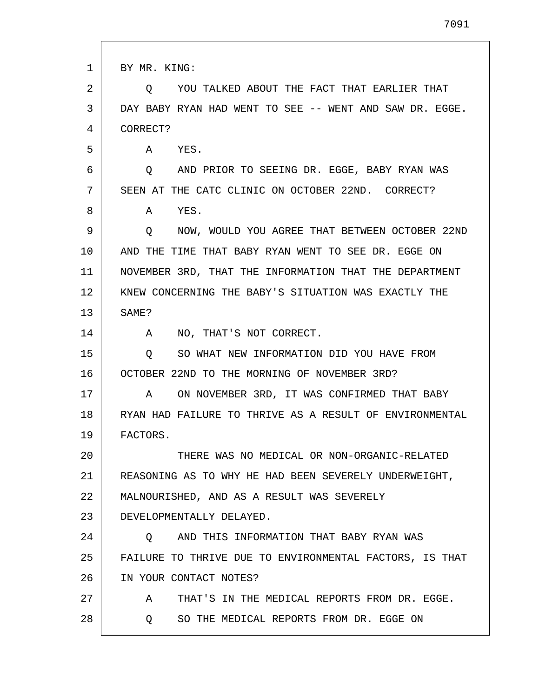| 1  | BY MR. KING:                                            |
|----|---------------------------------------------------------|
| 2  | YOU TALKED ABOUT THE FACT THAT EARLIER THAT<br>O        |
| 3  | DAY BABY RYAN HAD WENT TO SEE -- WENT AND SAW DR. EGGE. |
| 4  | CORRECT?                                                |
| 5  | YES.<br>A                                               |
| 6  | AND PRIOR TO SEEING DR. EGGE, BABY RYAN WAS<br>$\circ$  |
| 7  | SEEN AT THE CATC CLINIC ON OCTOBER 22ND. CORRECT?       |
| 8  | Α<br>YES.                                               |
| 9  | NOW, WOULD YOU AGREE THAT BETWEEN OCTOBER 22ND<br>O.    |
| 10 | AND THE TIME THAT BABY RYAN WENT TO SEE DR. EGGE ON     |
| 11 | NOVEMBER 3RD, THAT THE INFORMATION THAT THE DEPARTMENT  |
| 12 | KNEW CONCERNING THE BABY'S SITUATION WAS EXACTLY THE    |
| 13 | SAME?                                                   |
| 14 | NO, THAT'S NOT CORRECT.<br>$\mathbf{A}$                 |
| 15 | SO WHAT NEW INFORMATION DID YOU HAVE FROM<br>Q          |
| 16 | OCTOBER 22ND TO THE MORNING OF NOVEMBER 3RD?            |
| 17 | ON NOVEMBER 3RD, IT WAS CONFIRMED THAT BABY<br>A        |
| 18 | RYAN HAD FAILURE TO THRIVE AS A RESULT OF ENVIRONMENTAL |
| 19 | FACTORS.                                                |
| 20 | THERE WAS NO MEDICAL OR NON-ORGANIC-RELATED             |
| 21 | REASONING AS TO WHY HE HAD BEEN SEVERELY UNDERWEIGHT,   |
| 22 | MALNOURISHED, AND AS A RESULT WAS SEVERELY              |
| 23 | DEVELOPMENTALLY DELAYED.                                |
| 24 | AND THIS INFORMATION THAT BABY RYAN WAS<br>Q.           |
| 25 | FAILURE TO THRIVE DUE TO ENVIRONMENTAL FACTORS, IS THAT |
| 26 | IN YOUR CONTACT NOTES?                                  |
| 27 | THAT'S IN THE MEDICAL REPORTS FROM DR. EGGE.<br>A       |
| 28 | SO THE MEDICAL REPORTS FROM DR. EGGE ON<br>O.           |
|    |                                                         |

 $\Gamma$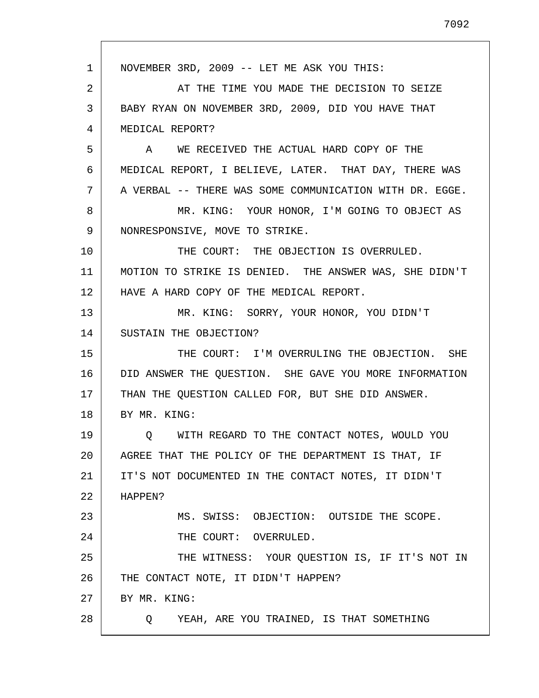1 2 3 4 5 6 7 8 9 10 11 12 13 14 15 16 17 18 19 20 21 22 23 24 25 26 27 28 NOVEMBER 3RD, 2009 -- LET ME ASK YOU THIS: AT THE TIME YOU MADE THE DECISION TO SEIZE BABY RYAN ON NOVEMBER 3RD, 2009, DID YOU HAVE THAT MEDICAL REPORT? A WE RECEIVED THE ACTUAL HARD COPY OF THE MEDICAL REPORT, I BELIEVE, LATER. THAT DAY, THERE WAS A VERBAL -- THERE WAS SOME COMMUNICATION WITH DR. EGGE. MR. KING: YOUR HONOR, I'M GOING TO OBJECT AS NONRESPONSIVE, MOVE TO STRIKE. THE COURT: THE OBJECTION IS OVERRULED. MOTION TO STRIKE IS DENIED. THE ANSWER WAS, SHE DIDN'T HAVE A HARD COPY OF THE MEDICAL REPORT. MR. KING: SORRY, YOUR HONOR, YOU DIDN'T SUSTAIN THE OBJECTION? THE COURT: I'M OVERRULING THE OBJECTION. SHE DID ANSWER THE QUESTION. SHE GAVE YOU MORE INFORMATION THAN THE QUESTION CALLED FOR, BUT SHE DID ANSWER. BY MR. KING: Q WITH REGARD TO THE CONTACT NOTES, WOULD YOU AGREE THAT THE POLICY OF THE DEPARTMENT IS THAT, IF IT'S NOT DOCUMENTED IN THE CONTACT NOTES, IT DIDN'T HAPPEN? MS. SWISS: OBJECTION: OUTSIDE THE SCOPE. THE COURT: OVERRULED. THE WITNESS: YOUR QUESTION IS, IF IT'S NOT IN THE CONTACT NOTE, IT DIDN'T HAPPEN? BY MR. KING: Q YEAH, ARE YOU TRAINED, IS THAT SOMETHING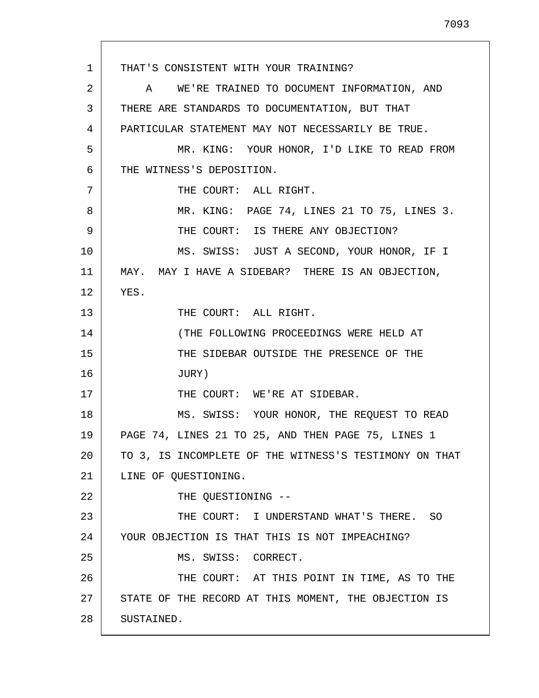1 2 3 4 5 6 7 8 9 10 11 12 13 14 15 16 17 18 19 20 21 22 23 24 25 26 27 28 THAT'S CONSISTENT WITH YOUR TRAINING? A WE'RE TRAINED TO DOCUMENT INFORMATION, AND THERE ARE STANDARDS TO DOCUMENTATION, BUT THAT PARTICULAR STATEMENT MAY NOT NECESSARILY BE TRUE. MR. KING: YOUR HONOR, I'D LIKE TO READ FROM THE WITNESS'S DEPOSITION. THE COURT: ALL RIGHT. MR. KING: PAGE 74, LINES 21 TO 75, LINES 3. THE COURT: IS THERE ANY OBJECTION? MS. SWISS: JUST A SECOND, YOUR HONOR, IF I MAY. MAY I HAVE A SIDEBAR? THERE IS AN OBJECTION, YES. THE COURT: ALL RIGHT. (THE FOLLOWING PROCEEDINGS WERE HELD AT THE SIDEBAR OUTSIDE THE PRESENCE OF THE JURY) THE COURT: WE'RE AT SIDEBAR. MS. SWISS: YOUR HONOR, THE REQUEST TO READ PAGE 74, LINES 21 TO 25, AND THEN PAGE 75, LINES 1 TO 3, IS INCOMPLETE OF THE WITNESS'S TESTIMONY ON THAT LINE OF QUESTIONING. THE QUESTIONING -- THE COURT: I UNDERSTAND WHAT'S THERE. SO YOUR OBJECTION IS THAT THIS IS NOT IMPEACHING? MS. SWISS: CORRECT. THE COURT: AT THIS POINT IN TIME, AS TO THE STATE OF THE RECORD AT THIS MOMENT, THE OBJECTION IS SUSTAINED.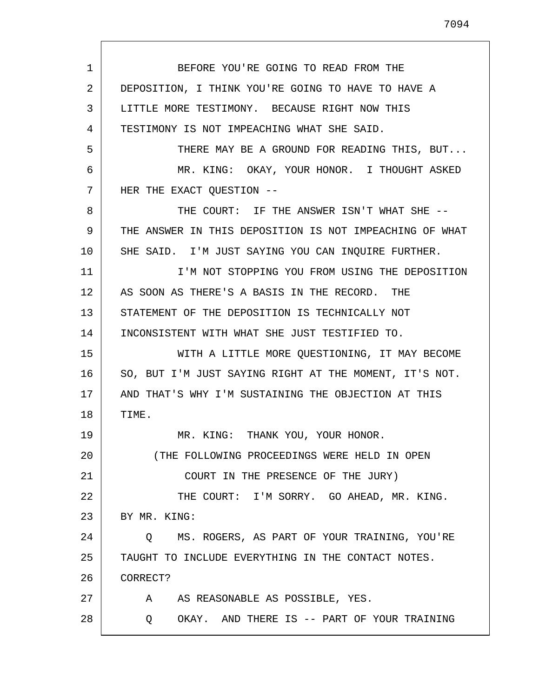1 2 3 4 5 6 7 8 9 10 11 12 13 14 15 16 17 18 19 20 21 22 23 24 25 26 27 28 BEFORE YOU'RE GOING TO READ FROM THE DEPOSITION, I THINK YOU'RE GOING TO HAVE TO HAVE A LITTLE MORE TESTIMONY. BECAUSE RIGHT NOW THIS TESTIMONY IS NOT IMPEACHING WHAT SHE SAID. THERE MAY BE A GROUND FOR READING THIS, BUT... MR. KING: OKAY, YOUR HONOR. I THOUGHT ASKED HER THE EXACT QUESTION -- THE COURT: IF THE ANSWER ISN'T WHAT SHE -- THE ANSWER IN THIS DEPOSITION IS NOT IMPEACHING OF WHAT SHE SAID. I'M JUST SAYING YOU CAN INQUIRE FURTHER. I'M NOT STOPPING YOU FROM USING THE DEPOSITION AS SOON AS THERE'S A BASIS IN THE RECORD. THE STATEMENT OF THE DEPOSITION IS TECHNICALLY NOT INCONSISTENT WITH WHAT SHE JUST TESTIFIED TO. WITH A LITTLE MORE QUESTIONING, IT MAY BECOME SO, BUT I'M JUST SAYING RIGHT AT THE MOMENT, IT'S NOT. AND THAT'S WHY I'M SUSTAINING THE OBJECTION AT THIS TIME. MR. KING: THANK YOU, YOUR HONOR. (THE FOLLOWING PROCEEDINGS WERE HELD IN OPEN COURT IN THE PRESENCE OF THE JURY) THE COURT: I'M SORRY. GO AHEAD, MR. KING. BY MR. KING: Q MS. ROGERS, AS PART OF YOUR TRAINING, YOU'RE TAUGHT TO INCLUDE EVERYTHING IN THE CONTACT NOTES. CORRECT? A AS REASONABLE AS POSSIBLE, YES. Q OKAY. AND THERE IS -- PART OF YOUR TRAINING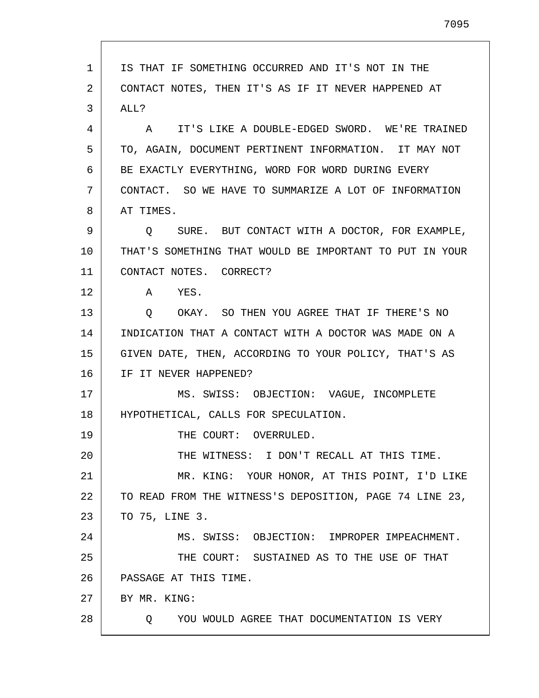1 2 3 4 5 6 7 8 9 10 11 12 13 14 15 16 17 18 19 20 21 22 23 24 25 26 27 28 IS THAT IF SOMETHING OCCURRED AND IT'S NOT IN THE CONTACT NOTES, THEN IT'S AS IF IT NEVER HAPPENED AT ALL? A IT'S LIKE A DOUBLE-EDGED SWORD. WE'RE TRAINED TO, AGAIN, DOCUMENT PERTINENT INFORMATION. IT MAY NOT BE EXACTLY EVERYTHING, WORD FOR WORD DURING EVERY CONTACT. SO WE HAVE TO SUMMARIZE A LOT OF INFORMATION AT TIMES. Q SURE. BUT CONTACT WITH A DOCTOR, FOR EXAMPLE, THAT'S SOMETHING THAT WOULD BE IMPORTANT TO PUT IN YOUR CONTACT NOTES. CORRECT? A YES. Q OKAY. SO THEN YOU AGREE THAT IF THERE'S NO INDICATION THAT A CONTACT WITH A DOCTOR WAS MADE ON A GIVEN DATE, THEN, ACCORDING TO YOUR POLICY, THAT'S AS IF IT NEVER HAPPENED? MS. SWISS: OBJECTION: VAGUE, INCOMPLETE HYPOTHETICAL, CALLS FOR SPECULATION. THE COURT: OVERRULED. THE WITNESS: I DON'T RECALL AT THIS TIME. MR. KING: YOUR HONOR, AT THIS POINT, I'D LIKE TO READ FROM THE WITNESS'S DEPOSITION, PAGE 74 LINE 23, TO 75, LINE 3. MS. SWISS: OBJECTION: IMPROPER IMPEACHMENT. THE COURT: SUSTAINED AS TO THE USE OF THAT PASSAGE AT THIS TIME. BY MR. KING: Q YOU WOULD AGREE THAT DOCUMENTATION IS VERY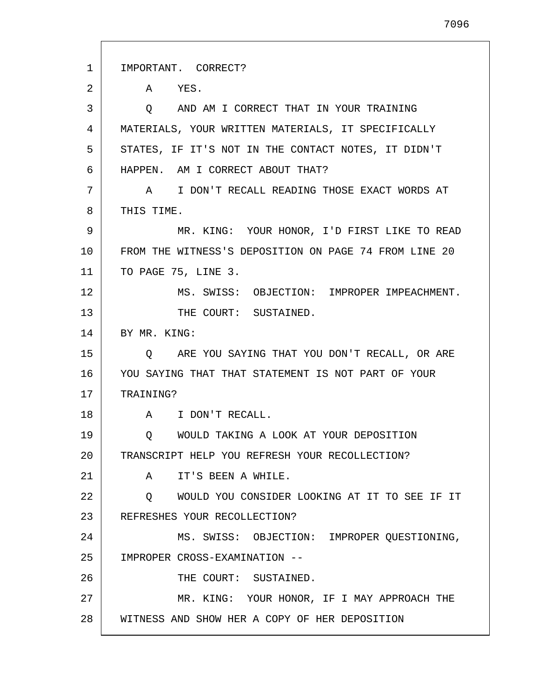1 2 3 4 5 6 7 8 9 10 11 12 13 14 15 16 17 18 19 20 21 22 23 24 25 26 27 28 IMPORTANT. CORRECT? A YES. Q AND AM I CORRECT THAT IN YOUR TRAINING MATERIALS, YOUR WRITTEN MATERIALS, IT SPECIFICALLY STATES, IF IT'S NOT IN THE CONTACT NOTES, IT DIDN'T HAPPEN. AM I CORRECT ABOUT THAT? A I DON'T RECALL READING THOSE EXACT WORDS AT THIS TIME. MR. KING: YOUR HONOR, I'D FIRST LIKE TO READ FROM THE WITNESS'S DEPOSITION ON PAGE 74 FROM LINE 20 TO PAGE 75, LINE 3. MS. SWISS: OBJECTION: IMPROPER IMPEACHMENT. THE COURT: SUSTAINED. BY MR. KING: Q ARE YOU SAYING THAT YOU DON'T RECALL, OR ARE YOU SAYING THAT THAT STATEMENT IS NOT PART OF YOUR TRAINING? A I DON'T RECALL. Q WOULD TAKING A LOOK AT YOUR DEPOSITION TRANSCRIPT HELP YOU REFRESH YOUR RECOLLECTION? A IT'S BEEN A WHILE. Q WOULD YOU CONSIDER LOOKING AT IT TO SEE IF IT REFRESHES YOUR RECOLLECTION? MS. SWISS: OBJECTION: IMPROPER QUESTIONING, IMPROPER CROSS-EXAMINATION -- THE COURT: SUSTAINED. MR. KING: YOUR HONOR, IF I MAY APPROACH THE WITNESS AND SHOW HER A COPY OF HER DEPOSITION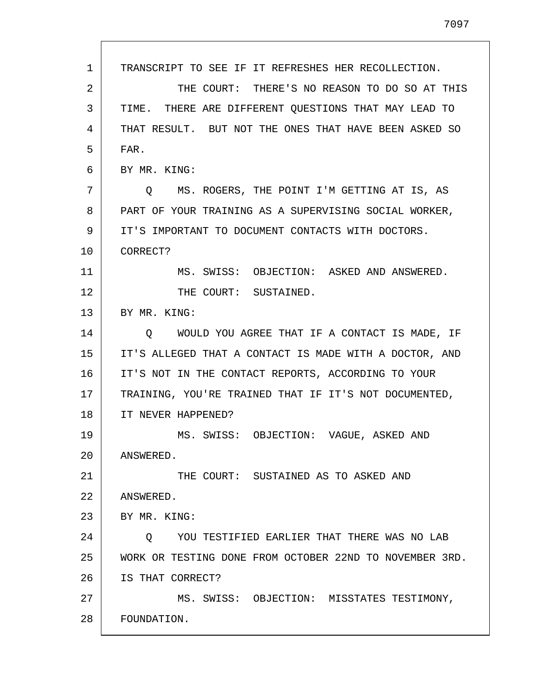1 2 3 4 5 6 7 8 9 10 11 12 13 14 15 16 17 18 19 20 21 22 23 24 25 26 27 28 TRANSCRIPT TO SEE IF IT REFRESHES HER RECOLLECTION. THE COURT: THERE'S NO REASON TO DO SO AT THIS TIME. THERE ARE DIFFERENT QUESTIONS THAT MAY LEAD TO THAT RESULT. BUT NOT THE ONES THAT HAVE BEEN ASKED SO FAR. BY MR. KING: Q MS. ROGERS, THE POINT I'M GETTING AT IS, AS PART OF YOUR TRAINING AS A SUPERVISING SOCIAL WORKER, IT'S IMPORTANT TO DOCUMENT CONTACTS WITH DOCTORS. CORRECT? MS. SWISS: OBJECTION: ASKED AND ANSWERED. THE COURT: SUSTAINED. BY MR. KING: Q WOULD YOU AGREE THAT IF A CONTACT IS MADE, IF IT'S ALLEGED THAT A CONTACT IS MADE WITH A DOCTOR, AND IT'S NOT IN THE CONTACT REPORTS, ACCORDING TO YOUR TRAINING, YOU'RE TRAINED THAT IF IT'S NOT DOCUMENTED, IT NEVER HAPPENED? MS. SWISS: OBJECTION: VAGUE, ASKED AND ANSWERED. THE COURT: SUSTAINED AS TO ASKED AND ANSWERED. BY MR. KING: Q YOU TESTIFIED EARLIER THAT THERE WAS NO LAB WORK OR TESTING DONE FROM OCTOBER 22ND TO NOVEMBER 3RD. IS THAT CORRECT? MS. SWISS: OBJECTION: MISSTATES TESTIMONY, FOUNDATION.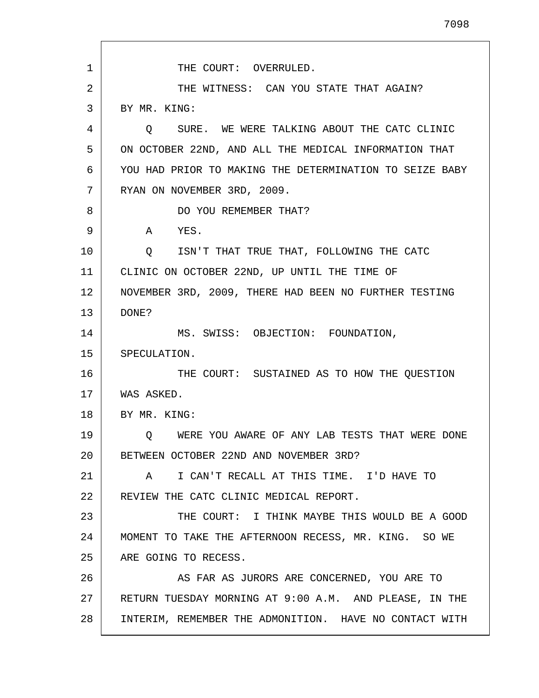1 2 3 4 5 6 7 8 9 10 11 12 13 14 15 16 17 18 19 20 21 22 23 24 25 26 27 28 THE COURT: OVERRULED. THE WITNESS: CAN YOU STATE THAT AGAIN? BY MR. KING: Q SURE. WE WERE TALKING ABOUT THE CATC CLINIC ON OCTOBER 22ND, AND ALL THE MEDICAL INFORMATION THAT YOU HAD PRIOR TO MAKING THE DETERMINATION TO SEIZE BABY RYAN ON NOVEMBER 3RD, 2009. DO YOU REMEMBER THAT? A YES. Q ISN'T THAT TRUE THAT, FOLLOWING THE CATC CLINIC ON OCTOBER 22ND, UP UNTIL THE TIME OF NOVEMBER 3RD, 2009, THERE HAD BEEN NO FURTHER TESTING DONE? MS. SWISS: OBJECTION: FOUNDATION, SPECULATION. THE COURT: SUSTAINED AS TO HOW THE QUESTION WAS ASKED. BY MR. KING: Q WERE YOU AWARE OF ANY LAB TESTS THAT WERE DONE BETWEEN OCTOBER 22ND AND NOVEMBER 3RD? A I CAN'T RECALL AT THIS TIME. I'D HAVE TO REVIEW THE CATC CLINIC MEDICAL REPORT. THE COURT: I THINK MAYBE THIS WOULD BE A GOOD MOMENT TO TAKE THE AFTERNOON RECESS, MR. KING. SO WE ARE GOING TO RECESS. AS FAR AS JURORS ARE CONCERNED, YOU ARE TO RETURN TUESDAY MORNING AT 9:00 A.M. AND PLEASE, IN THE INTERIM, REMEMBER THE ADMONITION. HAVE NO CONTACT WITH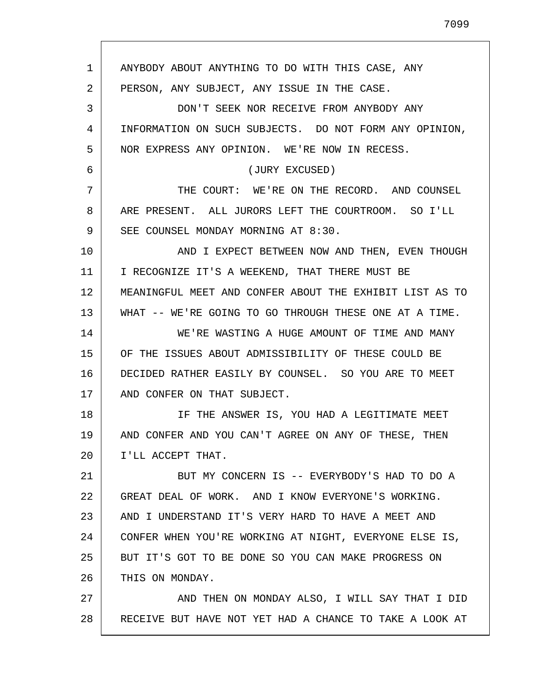1 2 3 4 5 6 7 8 9 10 11 12 13 14 15 16 17 18 19 20 21 22 23 24 25 26 27 28 ANYBODY ABOUT ANYTHING TO DO WITH THIS CASE, ANY PERSON, ANY SUBJECT, ANY ISSUE IN THE CASE. DON'T SEEK NOR RECEIVE FROM ANYBODY ANY INFORMATION ON SUCH SUBJECTS. DO NOT FORM ANY OPINION, NOR EXPRESS ANY OPINION. WE'RE NOW IN RECESS. (JURY EXCUSED) THE COURT: WE'RE ON THE RECORD. AND COUNSEL ARE PRESENT. ALL JURORS LEFT THE COURTROOM. SO I'LL SEE COUNSEL MONDAY MORNING AT 8:30. AND I EXPECT BETWEEN NOW AND THEN, EVEN THOUGH I RECOGNIZE IT'S A WEEKEND, THAT THERE MUST BE MEANINGFUL MEET AND CONFER ABOUT THE EXHIBIT LIST AS TO WHAT -- WE'RE GOING TO GO THROUGH THESE ONE AT A TIME. WE'RE WASTING A HUGE AMOUNT OF TIME AND MANY OF THE ISSUES ABOUT ADMISSIBILITY OF THESE COULD BE DECIDED RATHER EASILY BY COUNSEL. SO YOU ARE TO MEET AND CONFER ON THAT SUBJECT. IF THE ANSWER IS, YOU HAD A LEGITIMATE MEET AND CONFER AND YOU CAN'T AGREE ON ANY OF THESE, THEN I'LL ACCEPT THAT. BUT MY CONCERN IS -- EVERYBODY'S HAD TO DO A GREAT DEAL OF WORK. AND I KNOW EVERYONE'S WORKING. AND I UNDERSTAND IT'S VERY HARD TO HAVE A MEET AND CONFER WHEN YOU'RE WORKING AT NIGHT, EVERYONE ELSE IS, BUT IT'S GOT TO BE DONE SO YOU CAN MAKE PROGRESS ON THIS ON MONDAY. AND THEN ON MONDAY ALSO, I WILL SAY THAT I DID RECEIVE BUT HAVE NOT YET HAD A CHANCE TO TAKE A LOOK AT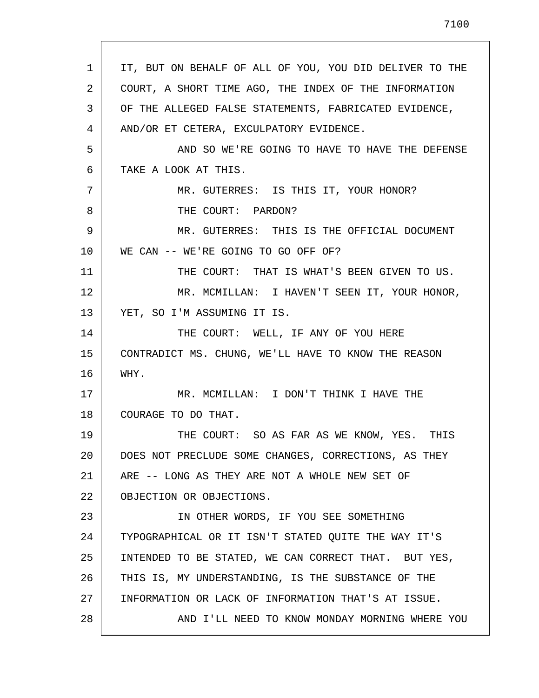| 1  | IT, BUT ON BEHALF OF ALL OF YOU, YOU DID DELIVER TO THE |
|----|---------------------------------------------------------|
| 2  | COURT, A SHORT TIME AGO, THE INDEX OF THE INFORMATION   |
| 3  | OF THE ALLEGED FALSE STATEMENTS, FABRICATED EVIDENCE,   |
| 4  | AND/OR ET CETERA, EXCULPATORY EVIDENCE.                 |
| 5  | AND SO WE'RE GOING TO HAVE TO HAVE THE DEFENSE          |
| 6  | TAKE A LOOK AT THIS.                                    |
| 7  | MR. GUTERRES: IS THIS IT, YOUR HONOR?                   |
| 8  | THE COURT: PARDON?                                      |
| 9  | MR. GUTERRES: THIS IS THE OFFICIAL DOCUMENT             |
| 10 | WE CAN -- WE'RE GOING TO GO OFF OF?                     |
| 11 | THE COURT: THAT IS WHAT'S BEEN GIVEN TO US.             |
| 12 | MR. MCMILLAN: I HAVEN'T SEEN IT, YOUR HONOR,            |
| 13 | YET, SO I'M ASSUMING IT IS.                             |
| 14 | THE COURT: WELL, IF ANY OF YOU HERE                     |
| 15 | CONTRADICT MS. CHUNG, WE'LL HAVE TO KNOW THE REASON     |
| 16 | WHY.                                                    |
| 17 | MR. MCMILLAN: I DON'T THINK I HAVE THE                  |
| 18 | COURAGE TO DO THAT.                                     |
| 19 | THE COURT: SO AS FAR AS WE KNOW, YES. THIS              |
| 20 | DOES NOT PRECLUDE SOME CHANGES, CORRECTIONS, AS THEY    |
| 21 | ARE -- LONG AS THEY ARE NOT A WHOLE NEW SET OF          |
| 22 | OBJECTION OR OBJECTIONS.                                |
| 23 | IN OTHER WORDS, IF YOU SEE SOMETHING                    |
| 24 | TYPOGRAPHICAL OR IT ISN'T STATED OUITE THE WAY IT'S     |
| 25 | INTENDED TO BE STATED, WE CAN CORRECT THAT. BUT YES,    |
| 26 | THIS IS, MY UNDERSTANDING, IS THE SUBSTANCE OF THE      |
| 27 | INFORMATION OR LACK OF INFORMATION THAT'S AT ISSUE.     |
|    |                                                         |

L